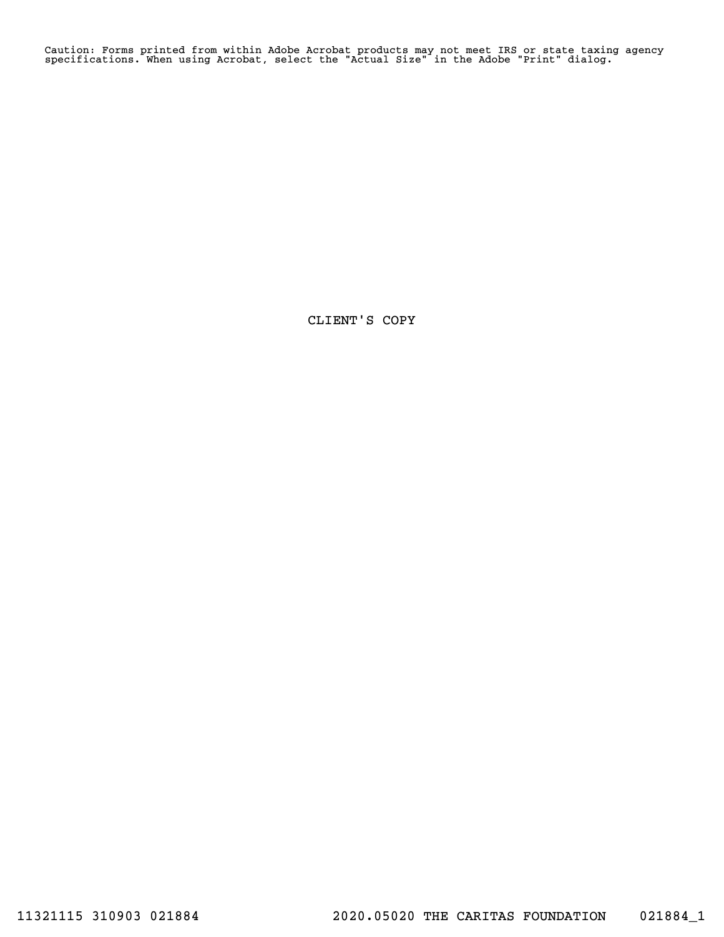Caution: Forms printed from within Adobe Acrobat products may not meet IRS or state taxing agency specifications. When using Acrobat, select the "Actual Size" in the Adobe "Print" dialog.

CLIENT'S COPY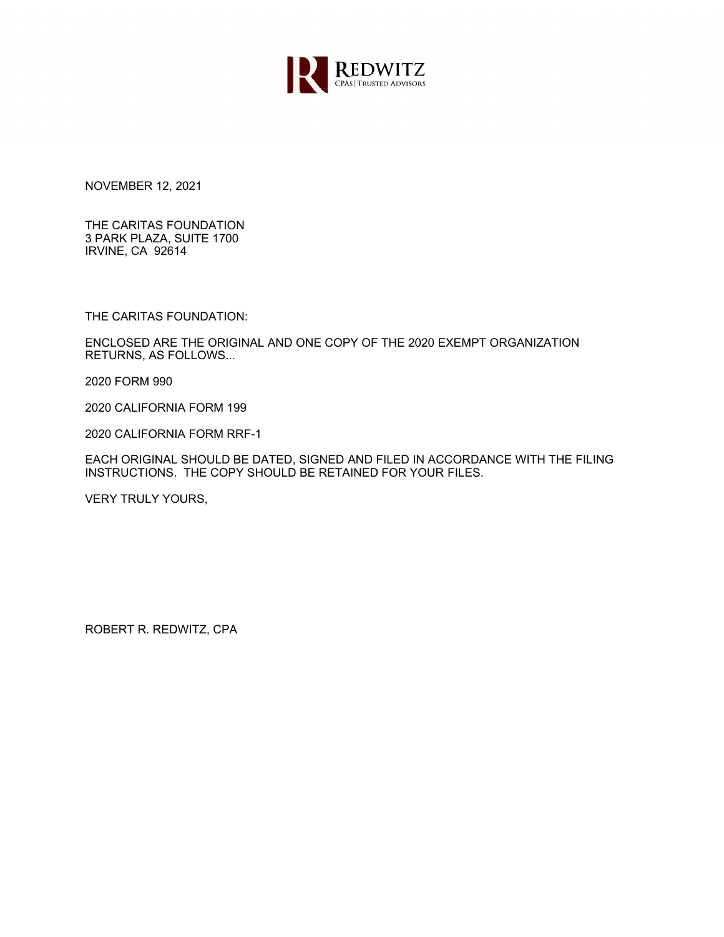

NOVEMBER 12, 2021

THE CARITAS FOUNDATION 3 PARK PLAZA, SUITE 1700 IRVINE, CA 92614

THE CARITAS FOUNDATION:

ENCLOSED ARE THE ORIGINAL AND ONE COPY OF THE 2020 EXEMPT ORGANIZATION RETURNS, AS FOLLOWS...

2020 FORM 990

2020 CALIFORNIA FORM 199

2020 CALIFORNIA FORM RRF-1

EACH ORIGINAL SHOULD BE DATED, SIGNED AND FILED IN ACCORDANCE WITH THE FILING INSTRUCTIONS. THE COPY SHOULD BE RETAINED FOR YOUR FILES.

VERY TRULY YOURS,

ROBERT R. REDWITZ, CPA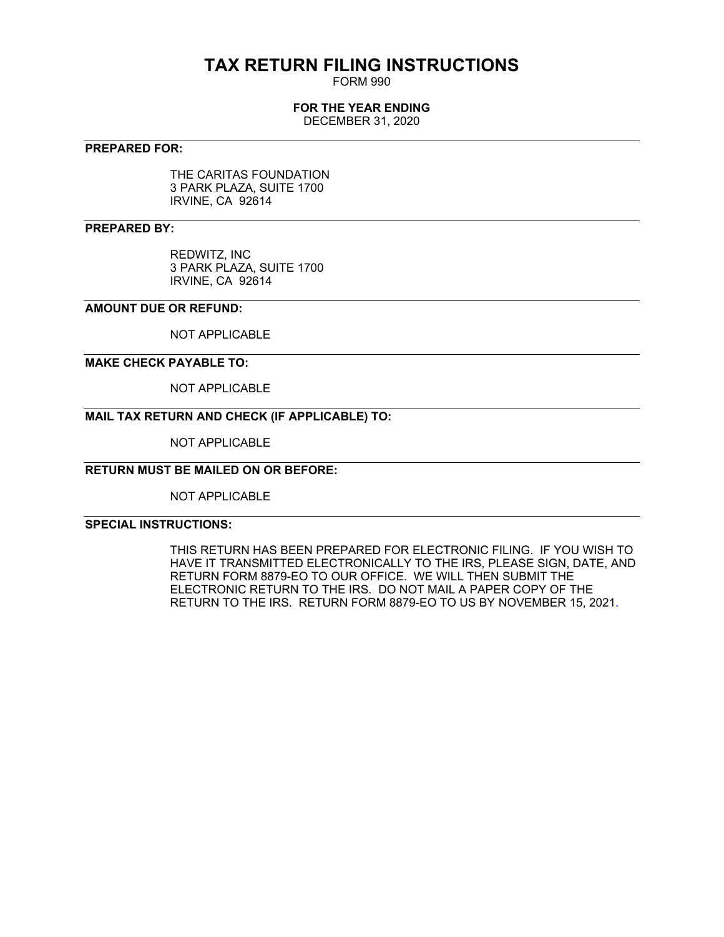# **TAX RETURN FILING INSTRUCTIONS**

FORM 990

# **FOR THE YEAR ENDING**

DECEMBER 31, 2020

#### **PREPARED FOR:**

THE CARITAS FOUNDATION 3 PARK PLAZA, SUITE 1700 IRVINE, CA 92614

#### **PREPARED BY:**

REDWITZ, INC 3 PARK PLAZA, SUITE 1700 IRVINE, CA 92614

### **AMOUNT DUE OR REFUND:**

NOT APPLICABLE

#### **MAKE CHECK PAYABLE TO:**

NOT APPLICABLE

# **MAIL TAX RETURN AND CHECK (IF APPLICABLE) TO:**

NOT APPLICABLE

# **RETURN MUST BE MAILED ON OR BEFORE:**

NOT APPLICABLE

# **SPECIAL INSTRUCTIONS:**

THIS RETURN HAS BEEN PREPARED FOR ELECTRONIC FILING. IF YOU WISH TO HAVE IT TRANSMITTED ELECTRONICALLY TO THE IRS, PLEASE SIGN, DATE, AND RETURN FORM 8879-EO TO OUR OFFICE. WE WILL THEN SUBMIT THE ELECTRONIC RETURN TO THE IRS. DO NOT MAIL A PAPER COPY OF THE RETURN TO THE IRS. RETURN FORM 8879-EO TO US BY NOVEMBER 15, 2021.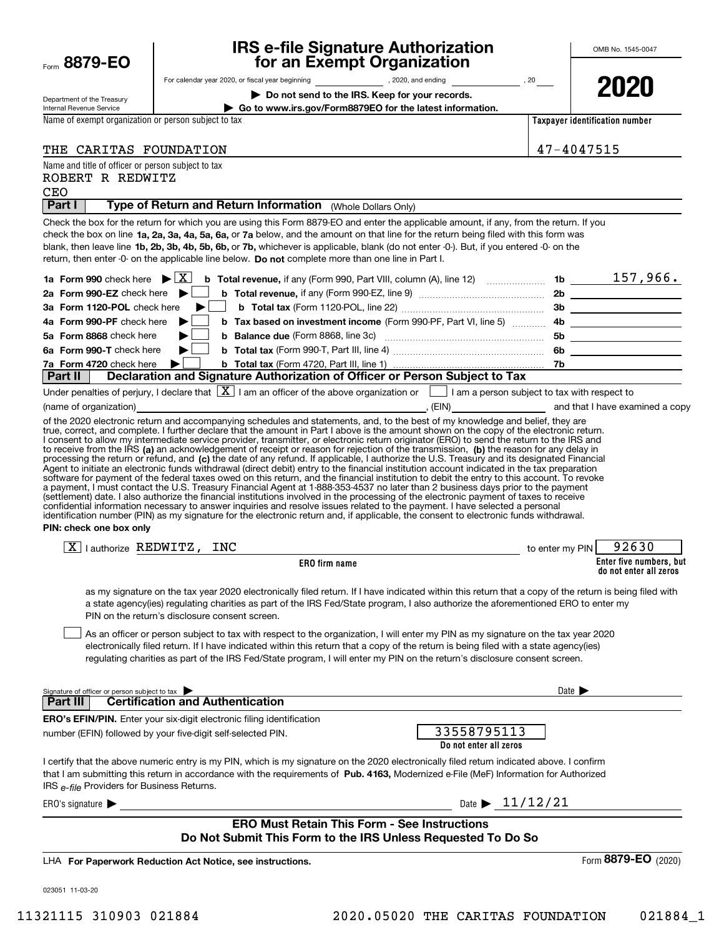|      | 8879-E |  |
|------|--------|--|
| Form |        |  |

# **IRS e-file Signature Authorization for an Exempt Organization**

Department of the Treasury Internal Revenue Service

For calendar year 2020, or fiscal year beginning and the state of the state of the state of the state of the state of the state of the state of the state of the state of the state of the state of the state of the state of

**| Do not send to the IRS. Keep for your records.**

**| Go to www.irs.gov/Form8879EO for the latest information.**

**2020**

Name of exempt organization or person subject to tax

| $\overline{\phantom{a}}$ | . |  |
|--------------------------|---|--|

**Taxpayer identification number**

| THE CARITAS FOUNDATION                                                                                                                                                                                                                                                                                                                                                                                                                                                                                                                                                                                                                                                                                                                                                                                                                                                                                                                                                                                                                                                                                                                                               | 47-4047515                                        |
|----------------------------------------------------------------------------------------------------------------------------------------------------------------------------------------------------------------------------------------------------------------------------------------------------------------------------------------------------------------------------------------------------------------------------------------------------------------------------------------------------------------------------------------------------------------------------------------------------------------------------------------------------------------------------------------------------------------------------------------------------------------------------------------------------------------------------------------------------------------------------------------------------------------------------------------------------------------------------------------------------------------------------------------------------------------------------------------------------------------------------------------------------------------------|---------------------------------------------------|
| Name and title of officer or person subject to tax<br>ROBERT R REDWITZ<br>CEO                                                                                                                                                                                                                                                                                                                                                                                                                                                                                                                                                                                                                                                                                                                                                                                                                                                                                                                                                                                                                                                                                        |                                                   |
| Type of Return and Return Information (Whole Dollars Only)<br><b>Part I</b>                                                                                                                                                                                                                                                                                                                                                                                                                                                                                                                                                                                                                                                                                                                                                                                                                                                                                                                                                                                                                                                                                          |                                                   |
| Check the box for the return for which you are using this Form 8879-EO and enter the applicable amount, if any, from the return. If you<br>check the box on line 1a, 2a, 3a, 4a, 5a, 6a, or 7a below, and the amount on that line for the return being filed with this form was<br>blank, then leave line 1b, 2b, 3b, 4b, 5b, 6b, or 7b, whichever is applicable, blank (do not enter -0-). But, if you entered -0- on the<br>return, then enter -0- on the applicable line below. Do not complete more than one line in Part I.                                                                                                                                                                                                                                                                                                                                                                                                                                                                                                                                                                                                                                     |                                                   |
|                                                                                                                                                                                                                                                                                                                                                                                                                                                                                                                                                                                                                                                                                                                                                                                                                                                                                                                                                                                                                                                                                                                                                                      |                                                   |
| 2a Form 990-EZ check here $\blacktriangleright$                                                                                                                                                                                                                                                                                                                                                                                                                                                                                                                                                                                                                                                                                                                                                                                                                                                                                                                                                                                                                                                                                                                      |                                                   |
| 3a Form 1120-POL check here<br>▶                                                                                                                                                                                                                                                                                                                                                                                                                                                                                                                                                                                                                                                                                                                                                                                                                                                                                                                                                                                                                                                                                                                                     |                                                   |
| 4a Form 990-PF check here<br>▶                                                                                                                                                                                                                                                                                                                                                                                                                                                                                                                                                                                                                                                                                                                                                                                                                                                                                                                                                                                                                                                                                                                                       |                                                   |
| 5a Form 8868 check here                                                                                                                                                                                                                                                                                                                                                                                                                                                                                                                                                                                                                                                                                                                                                                                                                                                                                                                                                                                                                                                                                                                                              |                                                   |
| 6a Form 990-T check here<br>▶∣                                                                                                                                                                                                                                                                                                                                                                                                                                                                                                                                                                                                                                                                                                                                                                                                                                                                                                                                                                                                                                                                                                                                       |                                                   |
| 7a Form 4720 check here                                                                                                                                                                                                                                                                                                                                                                                                                                                                                                                                                                                                                                                                                                                                                                                                                                                                                                                                                                                                                                                                                                                                              |                                                   |
| Declaration and Signature Authorization of Officer or Person Subject to Tax<br>Part II                                                                                                                                                                                                                                                                                                                                                                                                                                                                                                                                                                                                                                                                                                                                                                                                                                                                                                                                                                                                                                                                               |                                                   |
| Under penalties of perjury, I declare that $\boxed{\mathbf{X}}$ I am an officer of the above organization or $\boxed{\phantom{\mathbf{X}}}$ I am a person subject to tax with respect to<br>(name of organization) <b>Contract of the COVID-2008</b> (FIN) (FIN) (FIN) and that I have examined a copy<br>of the 2020 electronic return and accompanying schedules and statements, and, to the best of my knowledge and belief, they are                                                                                                                                                                                                                                                                                                                                                                                                                                                                                                                                                                                                                                                                                                                             |                                                   |
| to receive from the IRS (a) an acknowledgement of receipt or reason for rejection of the transmission. (b) the reason for any delay in<br>processing the return or refund, and (c) the date of any refund. If applicable, I authorize the U.S. Treasury and its designated Financial<br>Agent to initiate an electronic funds withdrawal (direct debit) entry to the financial institution account indicated in the tax preparation<br>software for payment of the federal taxes owed on this return, and the financial institution to debit the entry to this account. To revoke<br>a payment, I must contact the U.S. Treasury Financial Agent at 1-888-353-4537 no later than 2 business days prior to the payment<br>(settlement) date. I also authorize the financial institutions involved in the processing of the electronic payment of taxes to receive<br>confidential information necessary to answer inquiries and resolve issues related to the payment. I have selected a personal<br>identification number (PIN) as my signature for the electronic return and, if applicable, the consent to electronic funds withdrawal.<br>PIN: check one box only |                                                   |
| $\boxed{\text{X}}$   authorize REDWITZ, INC                                                                                                                                                                                                                                                                                                                                                                                                                                                                                                                                                                                                                                                                                                                                                                                                                                                                                                                                                                                                                                                                                                                          | 92630<br>to enter my PIN                          |
| <b>ERO</b> firm name                                                                                                                                                                                                                                                                                                                                                                                                                                                                                                                                                                                                                                                                                                                                                                                                                                                                                                                                                                                                                                                                                                                                                 | Enter five numbers, but<br>do not enter all zeros |
| as my signature on the tax year 2020 electronically filed return. If I have indicated within this return that a copy of the return is being filed with<br>a state agency(ies) regulating charities as part of the IRS Fed/State program, I also authorize the aforementioned ERO to enter my<br>PIN on the return's disclosure consent screen.                                                                                                                                                                                                                                                                                                                                                                                                                                                                                                                                                                                                                                                                                                                                                                                                                       |                                                   |
| As an officer or person subject to tax with respect to the organization, I will enter my PIN as my signature on the tax year 2020<br>electronically filed return. If I have indicated within this return that a copy of the return is being filed with a state agency(ies)<br>regulating charities as part of the IRS Fed/State program, I will enter my PIN on the return's disclosure consent screen.                                                                                                                                                                                                                                                                                                                                                                                                                                                                                                                                                                                                                                                                                                                                                              |                                                   |
| Signature of officer or person subject to tax<br><b>Part III</b><br><b>Certification and Authentication</b>                                                                                                                                                                                                                                                                                                                                                                                                                                                                                                                                                                                                                                                                                                                                                                                                                                                                                                                                                                                                                                                          | Date $\blacktriangleright$                        |
|                                                                                                                                                                                                                                                                                                                                                                                                                                                                                                                                                                                                                                                                                                                                                                                                                                                                                                                                                                                                                                                                                                                                                                      |                                                   |
| <b>ERO's EFIN/PIN.</b> Enter your six-digit electronic filing identification<br>number (EFIN) followed by your five-digit self-selected PIN.                                                                                                                                                                                                                                                                                                                                                                                                                                                                                                                                                                                                                                                                                                                                                                                                                                                                                                                                                                                                                         | 33558795113<br>Do not enter all zeros             |
| I certify that the above numeric entry is my PIN, which is my signature on the 2020 electronically filed return indicated above. I confirm<br>that I am submitting this return in accordance with the requirements of Pub. 4163, Modernized e-File (MeF) Information for Authorized<br>IRS e-file Providers for Business Returns.                                                                                                                                                                                                                                                                                                                                                                                                                                                                                                                                                                                                                                                                                                                                                                                                                                    |                                                   |
| ERO's signature $\blacktriangleright$                                                                                                                                                                                                                                                                                                                                                                                                                                                                                                                                                                                                                                                                                                                                                                                                                                                                                                                                                                                                                                                                                                                                | Date $\blacktriangleright$ 11/12/21               |
| <b>ERO Must Retain This Form - See Instructions</b>                                                                                                                                                                                                                                                                                                                                                                                                                                                                                                                                                                                                                                                                                                                                                                                                                                                                                                                                                                                                                                                                                                                  |                                                   |
| Do Not Submit This Form to the IRS Unless Requested To Do So                                                                                                                                                                                                                                                                                                                                                                                                                                                                                                                                                                                                                                                                                                                                                                                                                                                                                                                                                                                                                                                                                                         |                                                   |
| LHA For Paperwork Reduction Act Notice, see instructions.                                                                                                                                                                                                                                                                                                                                                                                                                                                                                                                                                                                                                                                                                                                                                                                                                                                                                                                                                                                                                                                                                                            | Form 8879-EO (2020)                               |

023051 11-03-20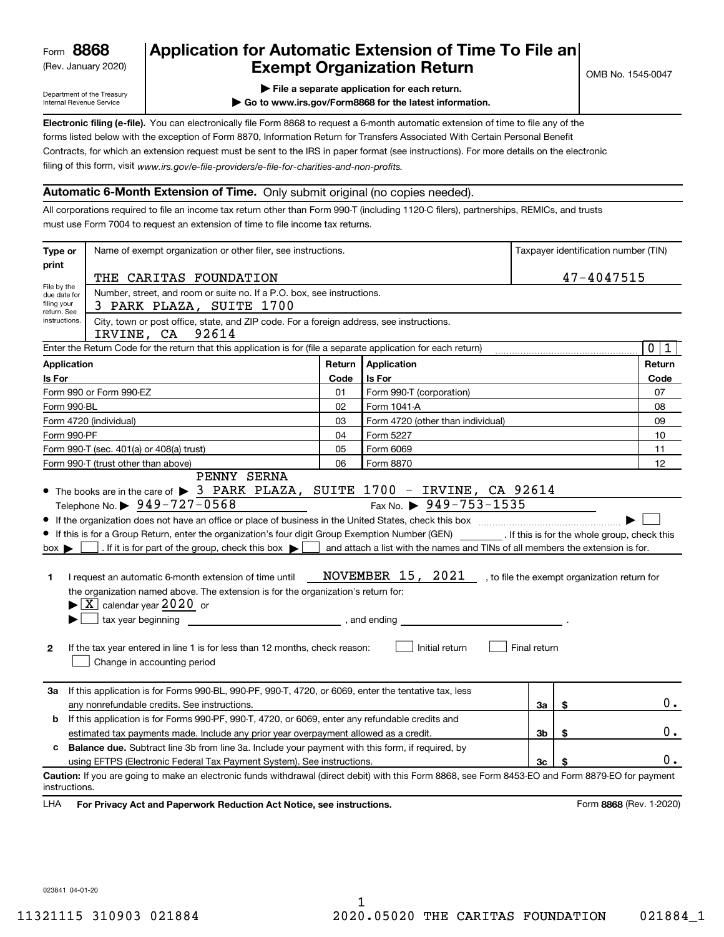(Rev. January 2020)

# **Application for Automatic Extension of Time To File an Exempt Organization Return**

Department of the Treasury Internal Revenue Service

**| File a separate application for each return.**

**| Go to www.irs.gov/Form8868 for the latest information.**

| Electronic filing (e-file). You can electronically file Form 8868 to request a 6-month automatic extension of time to file any of the    |
|------------------------------------------------------------------------------------------------------------------------------------------|
| forms listed below with the exception of Form 8870, Information Return for Transfers Associated With Certain Personal Benefit            |
| Contracts, for which an extension request must be sent to the IRS in paper format (see instructions). For more details on the electronic |
| filing of this form, visit www.irs.gov/e-file-providers/e-file-for-charities-and-non-profits.                                            |

#### **Automatic 6-Month Extension of Time.** Only submit original (no copies needed).

All corporations required to file an income tax return other than Form 990-T (including 1120-C filers), partnerships, REMICs, and trusts must use Form 7004 to request an extension of time to file income tax returns.

| Type or                                                                                                                       | Name of exempt organization or other filer, see instructions.                                                                                      |        |                                                                                |                |    | Taxpayer identification number (TIN) |
|-------------------------------------------------------------------------------------------------------------------------------|----------------------------------------------------------------------------------------------------------------------------------------------------|--------|--------------------------------------------------------------------------------|----------------|----|--------------------------------------|
| print                                                                                                                         | THE CARITAS FOUNDATION                                                                                                                             |        |                                                                                | 47-4047515     |    |                                      |
| File by the<br>filing your                                                                                                    | Number, street, and room or suite no. If a P.O. box, see instructions.<br>due date for<br>3 PARK PLAZA, SUITE 1700<br>return. See                  |        |                                                                                |                |    |                                      |
| City, town or post office, state, and ZIP code. For a foreign address, see instructions.<br>instructions.<br>IRVINE, CA 92614 |                                                                                                                                                    |        |                                                                                |                |    |                                      |
|                                                                                                                               | Enter the Return Code for the return that this application is for (file a separate application for each return)                                    |        |                                                                                |                |    | $\mathbf 0$<br>1                     |
| <b>Application</b>                                                                                                            |                                                                                                                                                    | Return | Application                                                                    |                |    | Return                               |
| Is For                                                                                                                        |                                                                                                                                                    | Code   | Is For                                                                         |                |    | Code                                 |
|                                                                                                                               | Form 990 or Form 990-EZ                                                                                                                            | 01     | Form 990-T (corporation)                                                       |                |    | 07                                   |
| Form 990-BL                                                                                                                   |                                                                                                                                                    | 02     | Form 1041-A                                                                    |                |    | 08                                   |
|                                                                                                                               | Form 4720 (individual)                                                                                                                             | 03     | Form 4720 (other than individual)                                              |                |    | 09                                   |
| Form 990-PF                                                                                                                   |                                                                                                                                                    | 04     | Form 5227                                                                      |                |    | 10                                   |
|                                                                                                                               | Form 990-T (sec. 401(a) or 408(a) trust)                                                                                                           | 05     | Form 6069                                                                      |                |    | 11                                   |
|                                                                                                                               | Form 990-T (trust other than above)                                                                                                                | 06     | Form 8870                                                                      |                |    | 12                                   |
|                                                                                                                               | PENNY SERNA                                                                                                                                        |        |                                                                                |                |    |                                      |
|                                                                                                                               | • The books are in the care of > 3 PARK PLAZA, SUITE 1700 - IRVINE, CA 92614                                                                       |        |                                                                                |                |    |                                      |
|                                                                                                                               | Telephone No. ▶ 949-727-0568                                                                                                                       |        | Fax No. $\triangleright$ 949-753-1535                                          |                |    |                                      |
|                                                                                                                               |                                                                                                                                                    |        |                                                                                |                |    |                                      |
|                                                                                                                               | If this is for a Group Return, enter the organization's four digit Group Exemption Number (GEN) [f this is for the whole group, check this         |        |                                                                                |                |    |                                      |
| $box \blacktriangleright$                                                                                                     | . If it is for part of the group, check this box $\blacktriangleright$                                                                             |        | and attach a list with the names and TINs of all members the extension is for. |                |    |                                      |
|                                                                                                                               |                                                                                                                                                    |        |                                                                                |                |    |                                      |
| 1                                                                                                                             | I request an automatic 6-month extension of time until                                                                                             |        | NOVEMBER 15, 2021, to file the exempt organization return for                  |                |    |                                      |
|                                                                                                                               | the organization named above. The extension is for the organization's return for:                                                                  |        |                                                                                |                |    |                                      |
|                                                                                                                               | $\blacktriangleright$ $\boxed{\text{X}}$ calendar year 2020 or                                                                                     |        |                                                                                |                |    |                                      |
|                                                                                                                               | tax year beginning tax year beginning                                                                                                              |        |                                                                                |                |    |                                      |
|                                                                                                                               |                                                                                                                                                    |        |                                                                                |                |    |                                      |
| 2                                                                                                                             | If the tax year entered in line 1 is for less than 12 months, check reason:<br>Change in accounting period                                         |        | Initial return                                                                 | Final return   |    |                                      |
|                                                                                                                               |                                                                                                                                                    |        |                                                                                |                |    |                                      |
| За                                                                                                                            | If this application is for Forms 990-BL, 990-PF, 990-T, 4720, or 6069, enter the tentative tax, less                                               |        |                                                                                |                |    |                                      |
|                                                                                                                               | any nonrefundable credits. See instructions.                                                                                                       |        |                                                                                | За             | \$ | 0.                                   |
| b                                                                                                                             | If this application is for Forms 990-PF, 990-T, 4720, or 6069, enter any refundable credits and                                                    |        |                                                                                |                |    |                                      |
|                                                                                                                               | estimated tax payments made. Include any prior year overpayment allowed as a credit.                                                               |        |                                                                                | 3b             | \$ | $0$ .                                |
| c                                                                                                                             | <b>Balance due.</b> Subtract line 3b from line 3a. Include your payment with this form, if required, by                                            |        |                                                                                |                |    |                                      |
|                                                                                                                               | using EFTPS (Electronic Federal Tax Payment System). See instructions.                                                                             |        |                                                                                | 3 <sub>c</sub> | \$ | $0$ .                                |
| instructions.                                                                                                                 | Caution: If you are going to make an electronic funds withdrawal (direct debit) with this Form 8868, see Form 8453-EO and Form 8879-EO for payment |        |                                                                                |                |    |                                      |
| LHA                                                                                                                           | For Privacy Act and Paperwork Reduction Act Notice, see instructions.                                                                              |        |                                                                                |                |    | Form 8868 (Rev. 1-2020)              |

023841 04-01-20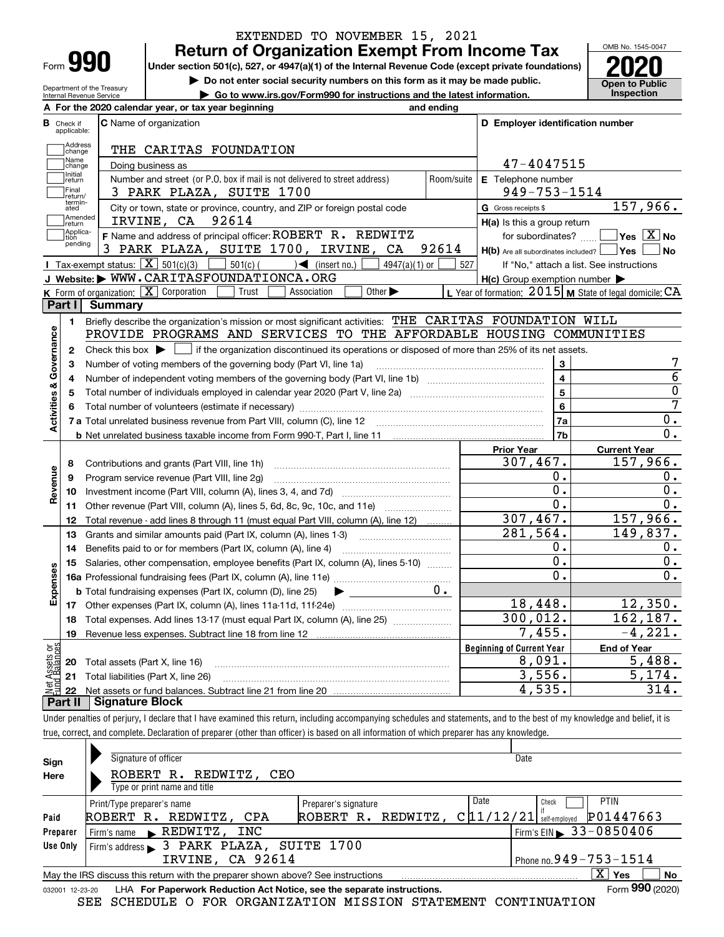| Form |  |
|------|--|

# **Return of Organization Exempt From Income Tax** EXTENDED TO NOVEMBER 15, 2021

**Under section 501(c), 527, or 4947(a)(1) of the Internal Revenue Code (except private foundations) 2020**

**| Do not enter social security numbers on this form as it may be made public.**

**| Go to www.irs.gov/Form990 for instructions and the latest information. Inspection**



Department of the Treasury Internal Revenue Service

|                         | <b>B</b> Check if<br>applicable: | <b>C</b> Name of organization                                                                                                                                                                                                  |            | D Employer identification number                                                                                 |                                                 |
|-------------------------|----------------------------------|--------------------------------------------------------------------------------------------------------------------------------------------------------------------------------------------------------------------------------|------------|------------------------------------------------------------------------------------------------------------------|-------------------------------------------------|
|                         | Address<br>change                | THE CARITAS FOUNDATION                                                                                                                                                                                                         |            |                                                                                                                  |                                                 |
|                         | Name<br>change                   | Doing business as                                                                                                                                                                                                              |            | 47-4047515                                                                                                       |                                                 |
|                         | Initial<br>return                | Number and street (or P.O. box if mail is not delivered to street address)                                                                                                                                                     | Room/suite | E Telephone number                                                                                               |                                                 |
|                         | Final                            | 3 PARK PLAZA, SUITE 1700                                                                                                                                                                                                       |            | $949 - 753 - 1514$                                                                                               |                                                 |
|                         | return/<br>termin-<br>ated       | City or town, state or province, country, and ZIP or foreign postal code                                                                                                                                                       |            | G Gross receipts \$                                                                                              | 157,966.                                        |
|                         | Amended<br>return                | 92614<br>IRVINE, CA                                                                                                                                                                                                            |            | H(a) Is this a group return                                                                                      |                                                 |
|                         | Applica-                         | F Name and address of principal officer: ROBERT R. REDWITZ                                                                                                                                                                     |            | for subordinates? $\Box$                                                                                         | $\overline{\ }$ Yes $\overline{\phantom{X}}$ No |
|                         | tion<br>pending                  | 3 PARK PLAZA, SUITE 1700, IRVINE, CA                                                                                                                                                                                           | 92614      | H(b) Are all subordinates included? Ves                                                                          | No                                              |
|                         |                                  | Tax-exempt status: $\boxed{\mathbf{X}}$ 501(c)(3) [<br>$501(c)$ (<br>$\sim$ (insert no.)<br>4947(a)(1) or                                                                                                                      | 527        |                                                                                                                  | If "No," attach a list. See instructions        |
|                         |                                  | J Website: WWW.CARITASFOUNDATIONCA.ORG                                                                                                                                                                                         |            |                                                                                                                  |                                                 |
|                         |                                  | K Form of organization: X Corporation<br>Other $\blacktriangleright$<br>Trust<br>Association                                                                                                                                   |            | $H(c)$ Group exemption number $\blacktriangleright$<br>L Year of formation: $2015$ M State of legal domicile: CA |                                                 |
|                         | Part I                           | <b>Summary</b>                                                                                                                                                                                                                 |            |                                                                                                                  |                                                 |
|                         |                                  |                                                                                                                                                                                                                                |            |                                                                                                                  |                                                 |
|                         | 1.                               | Briefly describe the organization's mission or most significant activities: THE CARITAS FOUNDATION WILL<br>PROVIDE PROGRAMS AND SERVICES TO THE AFFORDABLE HOUSING COMMUNITIES                                                 |            |                                                                                                                  |                                                 |
|                         |                                  |                                                                                                                                                                                                                                |            |                                                                                                                  |                                                 |
|                         | $\mathbf{2}$                     | Check this box $\blacktriangleright$ $\parallel$<br>if the organization discontinued its operations or disposed of more than 25% of its net assets.                                                                            |            |                                                                                                                  |                                                 |
| Governance              | з                                | Number of voting members of the governing body (Part VI, line 1a)                                                                                                                                                              |            | $\overline{\mathbf{3}}$                                                                                          | $\overline{6}$                                  |
|                         | 4                                |                                                                                                                                                                                                                                |            | 4                                                                                                                |                                                 |
|                         | 5                                |                                                                                                                                                                                                                                |            | $\overline{5}$                                                                                                   | $\mathbf 0$                                     |
|                         | 6                                | Total number of volunteers (estimate if necessary) manufactured content content of the manufactured manufactured manufactured manufactured manufactured manufactured manufactured manufactured manufactured manufactured manuf |            | 6                                                                                                                | 7                                               |
|                         |                                  |                                                                                                                                                                                                                                |            | 7a                                                                                                               | 0.                                              |
| <b>Activities &amp;</b> |                                  |                                                                                                                                                                                                                                |            | 7b                                                                                                               | 0.                                              |
|                         |                                  |                                                                                                                                                                                                                                |            | <b>Prior Year</b>                                                                                                | <b>Current Year</b>                             |
|                         | 8                                | Contributions and grants (Part VIII, line 1h)                                                                                                                                                                                  |            | 307,467.                                                                                                         | 157,966.                                        |
| Revenue                 | 9                                | Program service revenue (Part VIII, line 2g)                                                                                                                                                                                   |            | 0.                                                                                                               | $0$ .                                           |
|                         | 10                               |                                                                                                                                                                                                                                |            | 0.                                                                                                               | $0$ .                                           |
|                         | 11                               | Other revenue (Part VIII, column (A), lines 5, 6d, 8c, 9c, 10c, and 11e)                                                                                                                                                       |            | 0.                                                                                                               | 0.                                              |
|                         | 12                               | Total revenue - add lines 8 through 11 (must equal Part VIII, column (A), line 12)                                                                                                                                             |            | 307,467.                                                                                                         | 157,966.                                        |
|                         | 13                               | Grants and similar amounts paid (Part IX, column (A), lines 1-3)                                                                                                                                                               |            | 281,564.                                                                                                         | 149,837.                                        |
|                         | 14                               | Benefits paid to or for members (Part IX, column (A), line 4)                                                                                                                                                                  |            | 0.                                                                                                               | 0.                                              |
|                         | 15                               | Salaries, other compensation, employee benefits (Part IX, column (A), lines 5-10)                                                                                                                                              |            | 0.                                                                                                               | 0.                                              |
| Expenses                |                                  |                                                                                                                                                                                                                                |            | 0.                                                                                                               | 0.                                              |
|                         |                                  | <b>b</b> Total fundraising expenses (Part IX, column (D), line 25)<br>$\blacktriangleright$ and $\blacktriangleright$ and $\blacktriangleright$                                                                                | υ.         |                                                                                                                  |                                                 |
|                         | 17                               |                                                                                                                                                                                                                                |            | 18,448.                                                                                                          | 12,350.                                         |
|                         | 18                               | Total expenses. Add lines 13-17 (must equal Part IX, column (A), line 25)                                                                                                                                                      |            | 300,012.                                                                                                         | 162, 187.                                       |
|                         |                                  | 19 Revenue less expenses. Subtract line 18 from line 12                                                                                                                                                                        |            | 7,455.                                                                                                           | $-4,221.$                                       |
|                         |                                  |                                                                                                                                                                                                                                |            | <b>Beginning of Current Year</b>                                                                                 | <b>End of Year</b>                              |
|                         | 20                               | Total assets (Part X, line 16)                                                                                                                                                                                                 |            | 8,091.                                                                                                           | 5,488.                                          |
| Assets or<br>1Balances  | 21                               | Total liabilities (Part X, line 26)                                                                                                                                                                                            |            | 3,556.                                                                                                           | 5,174.                                          |
|                         | 22                               |                                                                                                                                                                                                                                |            | 4,535.                                                                                                           | 314.                                            |
|                         | Part II                          | <b>Signature Block</b>                                                                                                                                                                                                         |            |                                                                                                                  |                                                 |

true, correct, and complete. Declaration of preparer (other than officer) is based on all information of which preparer has any knowledge.

| Sign            | Signature of officer                                                            |                      | Date                                      |
|-----------------|---------------------------------------------------------------------------------|----------------------|-------------------------------------------|
| Here            | ROBERT R. REDWITZ,<br>CEO                                                       |                      |                                           |
|                 | Type or print name and title                                                    |                      |                                           |
|                 | Print/Type preparer's name                                                      | Preparer's signature | Date<br><b>PTIN</b><br>Check              |
| Paid            | ROBERT R. REDWITZ, CPA                                                          | ROBERT R. REDWITZ,   | P01447663<br>C 11/12/21 <br>self-emploved |
| Preparer        | Firm's name REDWITZ, INC                                                        |                      | Firm's EIN $\geq 33 - 0850406$            |
| Use Only        | Firm's address > 3 PARK PLAZA, SUITE 1700                                       |                      |                                           |
|                 | IRVINE, CA 92614                                                                |                      | Phone no. 949 - 753 - 1514                |
|                 | May the IRS discuss this return with the preparer shown above? See instructions |                      | $X \vert Y$ es<br>No                      |
| 032001 12-23-20 | LHA For Paperwork Reduction Act Notice, see the separate instructions.          |                      | Form 990 (2020)                           |

SEE SCHEDULE O FOR ORGANIZATION MISSION STATEMENT CONTINUATION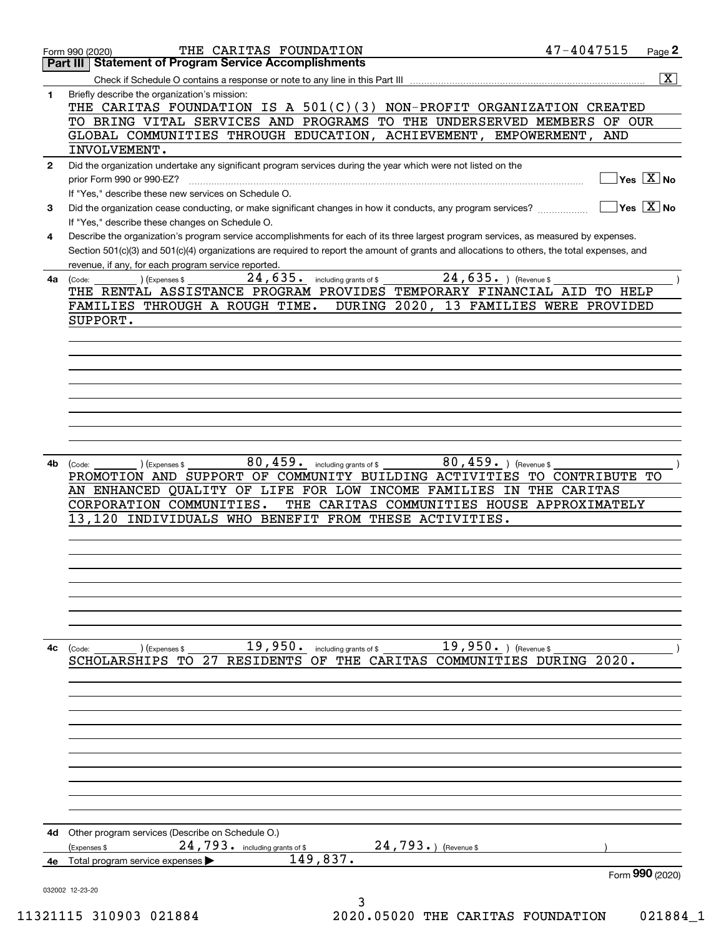|              | 47-4047515<br>THE CARITAS FOUNDATION<br>Page 2<br>Form 990 (2020)                                                                                                                                                                                                                    |
|--------------|--------------------------------------------------------------------------------------------------------------------------------------------------------------------------------------------------------------------------------------------------------------------------------------|
| Part III     | <b>Statement of Program Service Accomplishments</b>                                                                                                                                                                                                                                  |
|              | $\overline{\mathtt{x}}$<br>Check if Schedule O contains a response or note to any line in this Part III                                                                                                                                                                              |
| 1            | Briefly describe the organization's mission:                                                                                                                                                                                                                                         |
|              | THE CARITAS FOUNDATION IS A 501(C)(3) NON-PROFIT ORGANIZATION CREATED<br>TO BRING VITAL SERVICES AND PROGRAMS TO THE UNDERSERVED MEMBERS OF OUR                                                                                                                                      |
|              | GLOBAL COMMUNITIES THROUGH EDUCATION, ACHIEVEMENT, EMPOWERMENT,<br>AND                                                                                                                                                                                                               |
|              | INVOLVEMENT.                                                                                                                                                                                                                                                                         |
| $\mathbf{2}$ | Did the organization undertake any significant program services during the year which were not listed on the                                                                                                                                                                         |
|              | $\overline{\mathsf{Yes} \ \mathbb{X}}$ No<br>prior Form 990 or 990-EZ?                                                                                                                                                                                                               |
|              | If "Yes," describe these new services on Schedule O.                                                                                                                                                                                                                                 |
| 3            | $\sqrt{}$ Yes $\sqrt{}$ X $\sqrt{}$ No<br>Did the organization cease conducting, or make significant changes in how it conducts, any program services?                                                                                                                               |
|              | If "Yes," describe these changes on Schedule O.                                                                                                                                                                                                                                      |
| 4            | Describe the organization's program service accomplishments for each of its three largest program services, as measured by expenses.<br>Section 501(c)(3) and 501(c)(4) organizations are required to report the amount of grants and allocations to others, the total expenses, and |
|              | revenue, if any, for each program service reported.                                                                                                                                                                                                                                  |
| 4a           | $\overline{24}$ , $635$ . ) (Revenue \$<br>24, 635. including grants of \$<br>) (Expenses \$<br>(Code:                                                                                                                                                                               |
|              | THE RENTAL ASSISTANCE PROGRAM PROVIDES TEMPORARY FINANCIAL AID TO HELP                                                                                                                                                                                                               |
|              | DURING 2020, 13 FAMILIES WERE PROVIDED<br>FAMILIES THROUGH A ROUGH TIME.                                                                                                                                                                                                             |
|              | SUPPORT.                                                                                                                                                                                                                                                                             |
|              |                                                                                                                                                                                                                                                                                      |
|              |                                                                                                                                                                                                                                                                                      |
|              |                                                                                                                                                                                                                                                                                      |
|              |                                                                                                                                                                                                                                                                                      |
|              |                                                                                                                                                                                                                                                                                      |
|              |                                                                                                                                                                                                                                                                                      |
|              |                                                                                                                                                                                                                                                                                      |
|              |                                                                                                                                                                                                                                                                                      |
| 4b           | 80, 459. including grants of \$ 80, 459. ) (Revenue \$<br>) (Expenses \$<br>(Code:                                                                                                                                                                                                   |
|              | PROMOTION AND SUPPORT OF COMMUNITY BUILDING ACTIVITIES TO CONTRIBUTE<br>TО                                                                                                                                                                                                           |
|              | AN ENHANCED QUALITY OF LIFE FOR LOW INCOME FAMILIES IN THE CARITAS                                                                                                                                                                                                                   |
|              | CORPORATION COMMUNITIES.<br>THE CARITAS COMMUNITIES HOUSE APPROXIMATELY<br>13,120 INDIVIDUALS WHO BENEFIT FROM THESE ACTIVITIES.                                                                                                                                                     |
|              |                                                                                                                                                                                                                                                                                      |
|              |                                                                                                                                                                                                                                                                                      |
|              |                                                                                                                                                                                                                                                                                      |
|              |                                                                                                                                                                                                                                                                                      |
|              |                                                                                                                                                                                                                                                                                      |
|              |                                                                                                                                                                                                                                                                                      |
|              |                                                                                                                                                                                                                                                                                      |
|              |                                                                                                                                                                                                                                                                                      |
| 4с           | 19,950. including grants of \$ 19,950. (Revenue \$<br>) (Expenses \$<br>SCHOLARSHIPS TO 27 RESIDENTS OF THE CARITAS COMMUNITIES DURING 2020.                                                                                                                                         |
|              |                                                                                                                                                                                                                                                                                      |
|              |                                                                                                                                                                                                                                                                                      |
|              |                                                                                                                                                                                                                                                                                      |
|              |                                                                                                                                                                                                                                                                                      |
|              |                                                                                                                                                                                                                                                                                      |
|              |                                                                                                                                                                                                                                                                                      |
|              |                                                                                                                                                                                                                                                                                      |
|              |                                                                                                                                                                                                                                                                                      |
|              |                                                                                                                                                                                                                                                                                      |
|              |                                                                                                                                                                                                                                                                                      |
|              | 4d Other program services (Describe on Schedule O.)                                                                                                                                                                                                                                  |
|              | 24,793. including grants of \$24,793.) (Revenue \$<br>(Expenses \$                                                                                                                                                                                                                   |
| 4е           | 149,837.<br>Total program service expenses                                                                                                                                                                                                                                           |
|              | Form 990 (2020)                                                                                                                                                                                                                                                                      |
|              | 032002 12-23-20                                                                                                                                                                                                                                                                      |
|              |                                                                                                                                                                                                                                                                                      |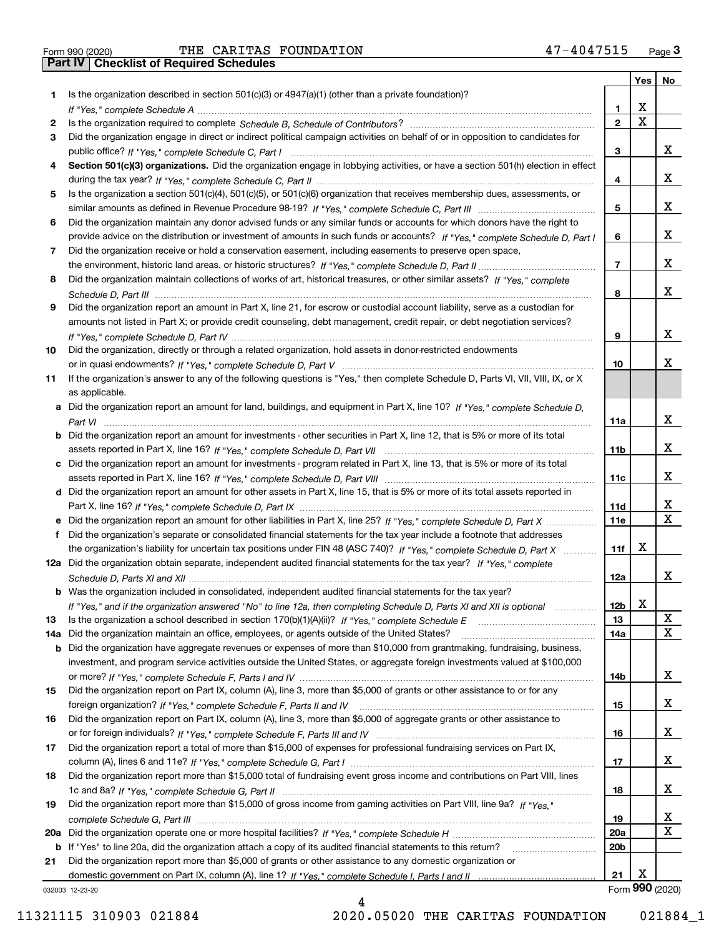|     |                                                                                                                                       |                 | Yes                     | No                      |
|-----|---------------------------------------------------------------------------------------------------------------------------------------|-----------------|-------------------------|-------------------------|
| 1.  | Is the organization described in section $501(c)(3)$ or $4947(a)(1)$ (other than a private foundation)?                               |                 |                         |                         |
|     |                                                                                                                                       | 1               | X                       |                         |
| 2   |                                                                                                                                       | $\overline{2}$  | $\overline{\mathbf{x}}$ |                         |
| 3   | Did the organization engage in direct or indirect political campaign activities on behalf of or in opposition to candidates for       |                 |                         |                         |
|     |                                                                                                                                       | 3               |                         | x                       |
| 4   | Section 501(c)(3) organizations. Did the organization engage in lobbying activities, or have a section 501(h) election in effect      |                 |                         |                         |
|     |                                                                                                                                       | 4               |                         | x                       |
| 5   | Is the organization a section 501(c)(4), 501(c)(5), or 501(c)(6) organization that receives membership dues, assessments, or          |                 |                         |                         |
|     |                                                                                                                                       | 5               |                         | x                       |
| 6   | Did the organization maintain any donor advised funds or any similar funds or accounts for which donors have the right to             |                 |                         | x                       |
|     | provide advice on the distribution or investment of amounts in such funds or accounts? If "Yes," complete Schedule D, Part I          | 6               |                         |                         |
| 7   | Did the organization receive or hold a conservation easement, including easements to preserve open space,                             | $\overline{7}$  |                         | x                       |
|     | Did the organization maintain collections of works of art, historical treasures, or other similar assets? If "Yes," complete          |                 |                         |                         |
| 8   |                                                                                                                                       | 8               |                         | x                       |
| 9   | Did the organization report an amount in Part X, line 21, for escrow or custodial account liability, serve as a custodian for         |                 |                         |                         |
|     | amounts not listed in Part X; or provide credit counseling, debt management, credit repair, or debt negotiation services?             |                 |                         |                         |
|     |                                                                                                                                       | 9               |                         | x                       |
| 10  | Did the organization, directly or through a related organization, hold assets in donor-restricted endowments                          |                 |                         |                         |
|     |                                                                                                                                       | 10              |                         | x                       |
| 11  | If the organization's answer to any of the following questions is "Yes," then complete Schedule D, Parts VI, VIII, VIII, IX, or X     |                 |                         |                         |
|     | as applicable.                                                                                                                        |                 |                         |                         |
|     | a Did the organization report an amount for land, buildings, and equipment in Part X, line 10? If "Yes." complete Schedule D.         |                 |                         |                         |
|     |                                                                                                                                       | 11a             |                         | x                       |
|     | <b>b</b> Did the organization report an amount for investments - other securities in Part X, line 12, that is 5% or more of its total |                 |                         |                         |
|     |                                                                                                                                       | 11 <sub>b</sub> |                         | x                       |
|     | c Did the organization report an amount for investments - program related in Part X, line 13, that is 5% or more of its total         |                 |                         |                         |
|     |                                                                                                                                       | 11c             |                         | x                       |
|     | d Did the organization report an amount for other assets in Part X, line 15, that is 5% or more of its total assets reported in       |                 |                         |                         |
|     |                                                                                                                                       | 11d             |                         | x                       |
|     | e Did the organization report an amount for other liabilities in Part X, line 25? If "Yes," complete Schedule D, Part X               | 11e             |                         | $\overline{\mathbf{x}}$ |
| f   | Did the organization's separate or consolidated financial statements for the tax year include a footnote that addresses               |                 |                         |                         |
|     | the organization's liability for uncertain tax positions under FIN 48 (ASC 740)? If "Yes," complete Schedule D, Part X                | 11f             | х                       |                         |
|     | 12a Did the organization obtain separate, independent audited financial statements for the tax year? If "Yes," complete               |                 |                         |                         |
|     |                                                                                                                                       | 12a             |                         | x                       |
|     | <b>b</b> Was the organization included in consolidated, independent audited financial statements for the tax year?                    |                 |                         |                         |
|     | If "Yes," and if the organization answered "No" to line 12a, then completing Schedule D, Parts XI and XII is optional                 | 12 <sub>b</sub> | v<br>▵                  |                         |
| 13  |                                                                                                                                       | 13              |                         | X                       |
| 14a | Did the organization maintain an office, employees, or agents outside of the United States?                                           | 14a             |                         | $\mathbf X$             |
|     | <b>b</b> Did the organization have aggregate revenues or expenses of more than \$10,000 from grantmaking, fundraising, business,      |                 |                         |                         |
|     | investment, and program service activities outside the United States, or aggregate foreign investments valued at \$100,000            |                 |                         |                         |
|     |                                                                                                                                       | 14b             |                         | x                       |
| 15  | Did the organization report on Part IX, column (A), line 3, more than \$5,000 of grants or other assistance to or for any             |                 |                         |                         |
|     |                                                                                                                                       | 15              |                         | X                       |
| 16  | Did the organization report on Part IX, column (A), line 3, more than \$5,000 of aggregate grants or other assistance to              |                 |                         |                         |
|     |                                                                                                                                       | 16              |                         | X                       |
| 17  | Did the organization report a total of more than \$15,000 of expenses for professional fundraising services on Part IX,               |                 |                         |                         |
|     |                                                                                                                                       | 17              |                         | X                       |
| 18  | Did the organization report more than \$15,000 total of fundraising event gross income and contributions on Part VIII, lines          |                 |                         | x                       |
|     |                                                                                                                                       | 18              |                         |                         |
| 19  | Did the organization report more than \$15,000 of gross income from gaming activities on Part VIII, line 9a? If "Yes."                |                 |                         | X                       |
|     |                                                                                                                                       | 19<br>20a       |                         | $\mathbf X$             |
|     | b If "Yes" to line 20a, did the organization attach a copy of its audited financial statements to this return?                        | 20 <sub>b</sub> |                         |                         |
| 21  | Did the organization report more than \$5,000 of grants or other assistance to any domestic organization or                           |                 |                         |                         |
|     |                                                                                                                                       | 21              | X                       |                         |
|     | 032003 12-23-20                                                                                                                       |                 |                         | Form 990 (2020)         |

4

032003 12-23-20

11321115 310903 021884 2020.05020 THE CARITAS FOUNDATION 021884\_1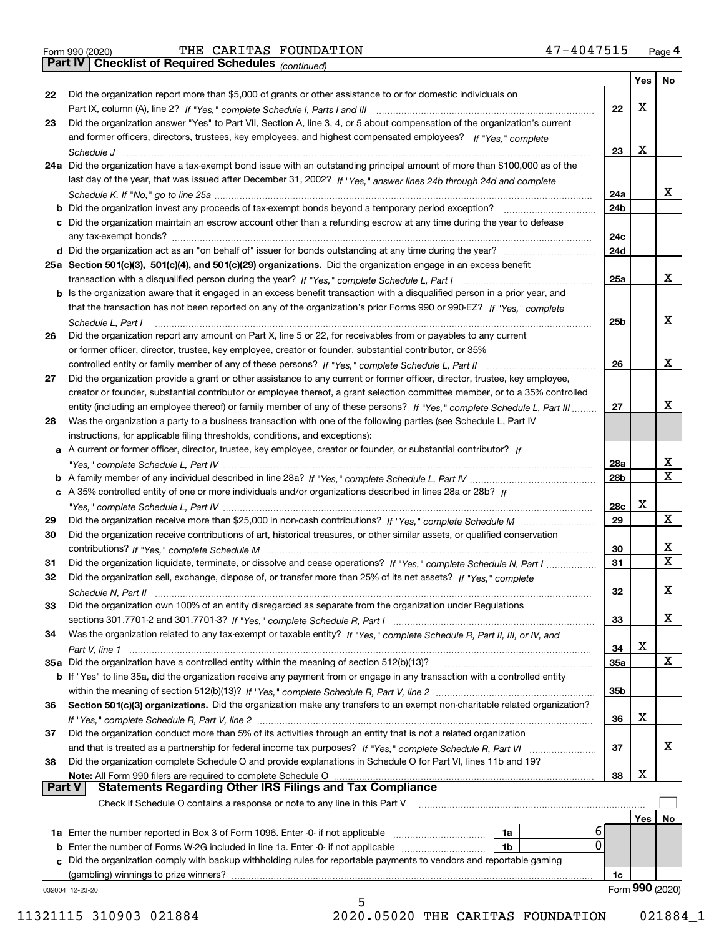*(continued)*

|               |                                                                                                                                    |                 | Yes | ∣ No            |
|---------------|------------------------------------------------------------------------------------------------------------------------------------|-----------------|-----|-----------------|
| 22            | Did the organization report more than \$5,000 of grants or other assistance to or for domestic individuals on                      |                 |     |                 |
|               |                                                                                                                                    | 22              | X   |                 |
| 23            | Did the organization answer "Yes" to Part VII, Section A, line 3, 4, or 5 about compensation of the organization's current         |                 |     |                 |
|               | and former officers, directors, trustees, key employees, and highest compensated employees? If "Yes," complete                     |                 |     |                 |
|               | Schedule J                                                                                                                         | 23              | х   |                 |
|               | 24a Did the organization have a tax-exempt bond issue with an outstanding principal amount of more than \$100,000 as of the        |                 |     |                 |
|               | last day of the year, that was issued after December 31, 2002? If "Yes," answer lines 24b through 24d and complete                 |                 |     |                 |
|               |                                                                                                                                    | 24a             |     | x               |
|               | <b>b</b> Did the organization invest any proceeds of tax-exempt bonds beyond a temporary period exception?                         | 24b             |     |                 |
|               | c Did the organization maintain an escrow account other than a refunding escrow at any time during the year to defease             |                 |     |                 |
|               |                                                                                                                                    | 24c             |     |                 |
|               |                                                                                                                                    | 24d             |     |                 |
|               | 25a Section 501(c)(3), 501(c)(4), and 501(c)(29) organizations. Did the organization engage in an excess benefit                   |                 |     |                 |
|               |                                                                                                                                    | 25a             |     | x               |
|               | b Is the organization aware that it engaged in an excess benefit transaction with a disqualified person in a prior year, and       |                 |     |                 |
|               | that the transaction has not been reported on any of the organization's prior Forms 990 or 990-EZ? If "Yes," complete              |                 |     |                 |
|               | Schedule L. Part I                                                                                                                 | 25b             |     | x               |
| 26            | Did the organization report any amount on Part X, line 5 or 22, for receivables from or payables to any current                    |                 |     |                 |
|               | or former officer, director, trustee, key employee, creator or founder, substantial contributor, or 35%                            |                 |     |                 |
|               |                                                                                                                                    | 26              |     | x               |
| 27            | Did the organization provide a grant or other assistance to any current or former officer, director, trustee, key employee,        |                 |     |                 |
|               | creator or founder, substantial contributor or employee thereof, a grant selection committee member, or to a 35% controlled        |                 |     |                 |
|               | entity (including an employee thereof) or family member of any of these persons? If "Yes," complete Schedule L, Part III           | 27              |     | х               |
| 28            | Was the organization a party to a business transaction with one of the following parties (see Schedule L, Part IV                  |                 |     |                 |
|               | instructions, for applicable filing thresholds, conditions, and exceptions):                                                       |                 |     |                 |
|               | a A current or former officer, director, trustee, key employee, creator or founder, or substantial contributor? If                 |                 |     |                 |
|               |                                                                                                                                    | 28a             |     | x               |
|               |                                                                                                                                    | 28 <sub>b</sub> |     | $\mathbf X$     |
|               | c A 35% controlled entity of one or more individuals and/or organizations described in lines 28a or 28b? If                        |                 |     |                 |
|               |                                                                                                                                    | 28c             | х   |                 |
| 29            |                                                                                                                                    | 29              |     | X               |
| 30            | Did the organization receive contributions of art, historical treasures, or other similar assets, or qualified conservation        |                 |     |                 |
|               |                                                                                                                                    | 30              |     | x               |
| 31            | Did the organization liquidate, terminate, or dissolve and cease operations? If "Yes," complete Schedule N, Part I                 | 31              |     | $\mathbf x$     |
| 32            | Did the organization sell, exchange, dispose of, or transfer more than 25% of its net assets? If "Yes," complete                   |                 |     |                 |
|               |                                                                                                                                    | 32              |     | х               |
| 33            | Did the organization own 100% of an entity disregarded as separate from the organization under Regulations                         |                 |     |                 |
|               |                                                                                                                                    | 33              |     | х               |
| 34            | Was the organization related to any tax-exempt or taxable entity? If "Yes," complete Schedule R, Part II, III, or IV, and          |                 |     |                 |
|               |                                                                                                                                    | 34              | X   |                 |
|               | 35a Did the organization have a controlled entity within the meaning of section 512(b)(13)?                                        | <b>35a</b>      |     | X               |
|               | <b>b</b> If "Yes" to line 35a, did the organization receive any payment from or engage in any transaction with a controlled entity |                 |     |                 |
|               |                                                                                                                                    | 35b             |     |                 |
| 36            | Section 501(c)(3) organizations. Did the organization make any transfers to an exempt non-charitable related organization?         |                 |     |                 |
|               |                                                                                                                                    | 36              | х   |                 |
| 37            | Did the organization conduct more than 5% of its activities through an entity that is not a related organization                   |                 |     |                 |
|               |                                                                                                                                    | 37              |     | X.              |
| 38            | Did the organization complete Schedule O and provide explanations in Schedule O for Part VI, lines 11b and 19?                     |                 |     |                 |
|               | Note: All Form 990 filers are required to complete Schedule O                                                                      | 38              | х   |                 |
| <b>Part V</b> | <b>Statements Regarding Other IRS Filings and Tax Compliance</b>                                                                   |                 |     |                 |
|               | Check if Schedule O contains a response or note to any line in this Part V                                                         |                 |     |                 |
|               |                                                                                                                                    |                 | Yes | No              |
|               | 6<br><b>1a</b> Enter the number reported in Box 3 of Form 1096. Enter -0- if not applicable <i>manumumumum</i><br>1a               |                 |     |                 |
|               | 0<br><b>b</b> Enter the number of Forms W-2G included in line 1a. Enter -0- if not applicable<br>1b                                |                 |     |                 |
|               | c Did the organization comply with backup withholding rules for reportable payments to vendors and reportable gaming               |                 |     |                 |
|               | (gambling) winnings to prize winners?                                                                                              | 1c              |     |                 |
|               | 032004 12-23-20                                                                                                                    |                 |     | Form 990 (2020) |
|               | 5                                                                                                                                  |                 |     |                 |

11321115 310903 021884 2020.05020 THE CARITAS FOUNDATION 021884\_1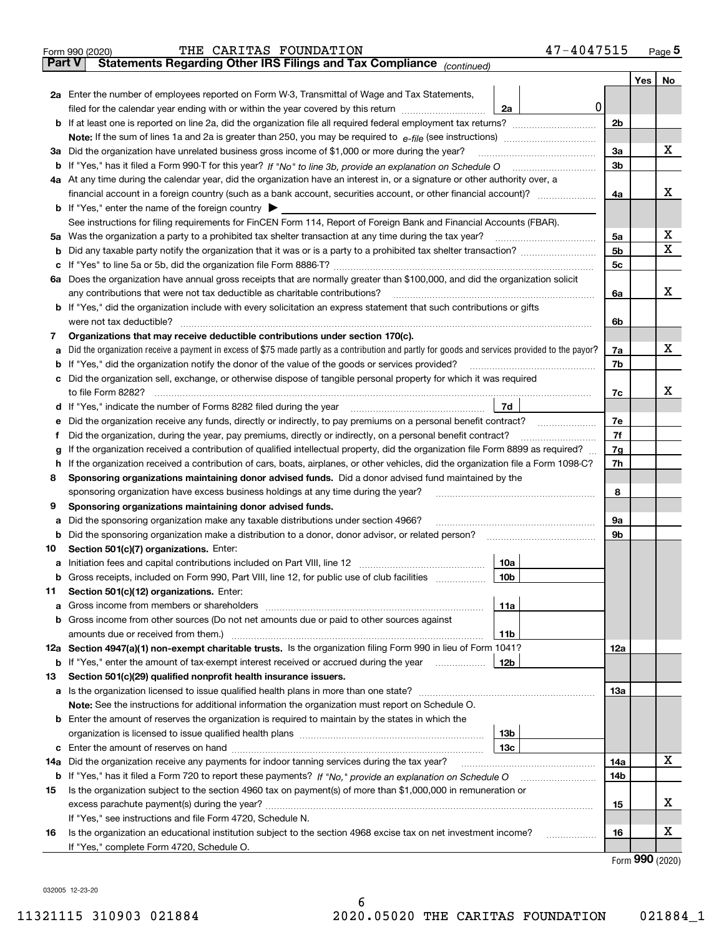|               | 47-4047515<br>THE CARITAS FOUNDATION<br>Form 990 (2020)                                                                                                                                                                              |                |                   | <u>Page</u> 5 |
|---------------|--------------------------------------------------------------------------------------------------------------------------------------------------------------------------------------------------------------------------------------|----------------|-------------------|---------------|
| <b>Part V</b> | Statements Regarding Other IRS Filings and Tax Compliance (continued)                                                                                                                                                                |                |                   |               |
|               |                                                                                                                                                                                                                                      |                | Yes               | No            |
|               | 2a Enter the number of employees reported on Form W-3, Transmittal of Wage and Tax Statements,                                                                                                                                       |                |                   |               |
|               | 0 <br>filed for the calendar year ending with or within the year covered by this return [[[[[[[[[[[[[[[[[[[[[[[[[[[<br>2a                                                                                                            |                |                   |               |
|               |                                                                                                                                                                                                                                      | 2 <sub>b</sub> |                   |               |
|               |                                                                                                                                                                                                                                      |                |                   |               |
| За            | Did the organization have unrelated business gross income of \$1,000 or more during the year?                                                                                                                                        | 3a             |                   | х             |
|               |                                                                                                                                                                                                                                      | 3b             |                   |               |
|               | 4a At any time during the calendar year, did the organization have an interest in, or a signature or other authority over, a                                                                                                         |                |                   |               |
|               |                                                                                                                                                                                                                                      | 4a             |                   | х             |
|               | <b>b</b> If "Yes," enter the name of the foreign country $\blacktriangleright$                                                                                                                                                       |                |                   |               |
|               | See instructions for filing requirements for FinCEN Form 114, Report of Foreign Bank and Financial Accounts (FBAR).                                                                                                                  |                |                   |               |
|               |                                                                                                                                                                                                                                      | 5a             |                   | X             |
| b             |                                                                                                                                                                                                                                      | 5b             |                   | Χ             |
| c             |                                                                                                                                                                                                                                      | 5c             |                   |               |
|               | 6a Does the organization have annual gross receipts that are normally greater than \$100,000, and did the organization solicit                                                                                                       |                |                   |               |
|               | any contributions that were not tax deductible as charitable contributions?                                                                                                                                                          | 6a             |                   | х             |
|               | <b>b</b> If "Yes," did the organization include with every solicitation an express statement that such contributions or gifts                                                                                                        |                |                   |               |
|               | were not tax deductible?                                                                                                                                                                                                             | 6b             |                   |               |
| 7             | Organizations that may receive deductible contributions under section 170(c).                                                                                                                                                        |                |                   |               |
| a             | Did the organization receive a payment in excess of \$75 made partly as a contribution and partly for goods and services provided to the payor?                                                                                      | 7a             |                   | х             |
|               | <b>b</b> If "Yes," did the organization notify the donor of the value of the goods or services provided?                                                                                                                             | 7b             |                   |               |
|               | c Did the organization sell, exchange, or otherwise dispose of tangible personal property for which it was required                                                                                                                  |                |                   |               |
|               |                                                                                                                                                                                                                                      | 7с             |                   | x             |
|               | 7d<br>d If "Yes," indicate the number of Forms 8282 filed during the year [11] [11] The Section of Holden and The Year [11] In The Year [11] In The Year [11] In The Year [11] In The Year [11] In The Year [11] In The Year [11] In |                |                   |               |
| е             | Did the organization receive any funds, directly or indirectly, to pay premiums on a personal benefit contract?                                                                                                                      | 7e             |                   |               |
| f             | Did the organization, during the year, pay premiums, directly or indirectly, on a personal benefit contract?                                                                                                                         | 7f             |                   |               |
| g             | If the organization received a contribution of qualified intellectual property, did the organization file Form 8899 as required?                                                                                                     | 7g             |                   |               |
| h.            | If the organization received a contribution of cars, boats, airplanes, or other vehicles, did the organization file a Form 1098-C?                                                                                                   | 7h             |                   |               |
| 8             | Sponsoring organizations maintaining donor advised funds. Did a donor advised fund maintained by the                                                                                                                                 |                |                   |               |
|               | sponsoring organization have excess business holdings at any time during the year?                                                                                                                                                   | 8              |                   |               |
| 9             | Sponsoring organizations maintaining donor advised funds.                                                                                                                                                                            |                |                   |               |
| а             | Did the sponsoring organization make any taxable distributions under section 4966?                                                                                                                                                   | 9а             |                   |               |
| b             | Did the sponsoring organization make a distribution to a donor, donor advisor, or related person?                                                                                                                                    | 9b             |                   |               |
| 10            | Section 501(c)(7) organizations. Enter:                                                                                                                                                                                              |                |                   |               |
|               | 10a<br>a Initiation fees and capital contributions included on Part VIII, line 12 [111] [11] [11] Initiation fees and capital contributions included on Part VIII, line 12                                                           |                |                   |               |
|               | 10b <br>Gross receipts, included on Form 990, Part VIII, line 12, for public use of club facilities                                                                                                                                  |                |                   |               |
| 11            | Section 501(c)(12) organizations. Enter:                                                                                                                                                                                             |                |                   |               |
| a             | Gross income from members or shareholders<br>11a                                                                                                                                                                                     |                |                   |               |
|               | b Gross income from other sources (Do not net amounts due or paid to other sources against                                                                                                                                           |                |                   |               |
|               | 11b                                                                                                                                                                                                                                  |                |                   |               |
|               | 12a Section 4947(a)(1) non-exempt charitable trusts. Is the organization filing Form 990 in lieu of Form 1041?                                                                                                                       | 12a            |                   |               |
|               | 12b<br><b>b</b> If "Yes," enter the amount of tax-exempt interest received or accrued during the year                                                                                                                                |                |                   |               |
| 13            | Section 501(c)(29) qualified nonprofit health insurance issuers.                                                                                                                                                                     |                |                   |               |
|               | a Is the organization licensed to issue qualified health plans in more than one state?                                                                                                                                               | 13а            |                   |               |
|               | Note: See the instructions for additional information the organization must report on Schedule O.                                                                                                                                    |                |                   |               |
|               | <b>b</b> Enter the amount of reserves the organization is required to maintain by the states in which the                                                                                                                            |                |                   |               |
|               | 13 <sub>b</sub>                                                                                                                                                                                                                      |                |                   |               |
|               | 13с                                                                                                                                                                                                                                  |                |                   |               |
| 14a           | Did the organization receive any payments for indoor tanning services during the tax year?                                                                                                                                           | 14a            |                   | x             |
|               | <b>b</b> If "Yes," has it filed a Form 720 to report these payments? If "No," provide an explanation on Schedule O                                                                                                                   | 14b            |                   |               |
| 15            | Is the organization subject to the section 4960 tax on payment(s) of more than \$1,000,000 in remuneration or                                                                                                                        |                |                   |               |
|               |                                                                                                                                                                                                                                      | 15             |                   | X.            |
|               | If "Yes," see instructions and file Form 4720, Schedule N.                                                                                                                                                                           |                |                   |               |
| 16            | Is the organization an educational institution subject to the section 4968 excise tax on net investment income?                                                                                                                      | 16             |                   | х             |
|               | If "Yes," complete Form 4720, Schedule O.                                                                                                                                                                                            |                |                   |               |
|               |                                                                                                                                                                                                                                      |                | $000 \; \text{m}$ |               |

Form (2020) **990**

032005 12-23-20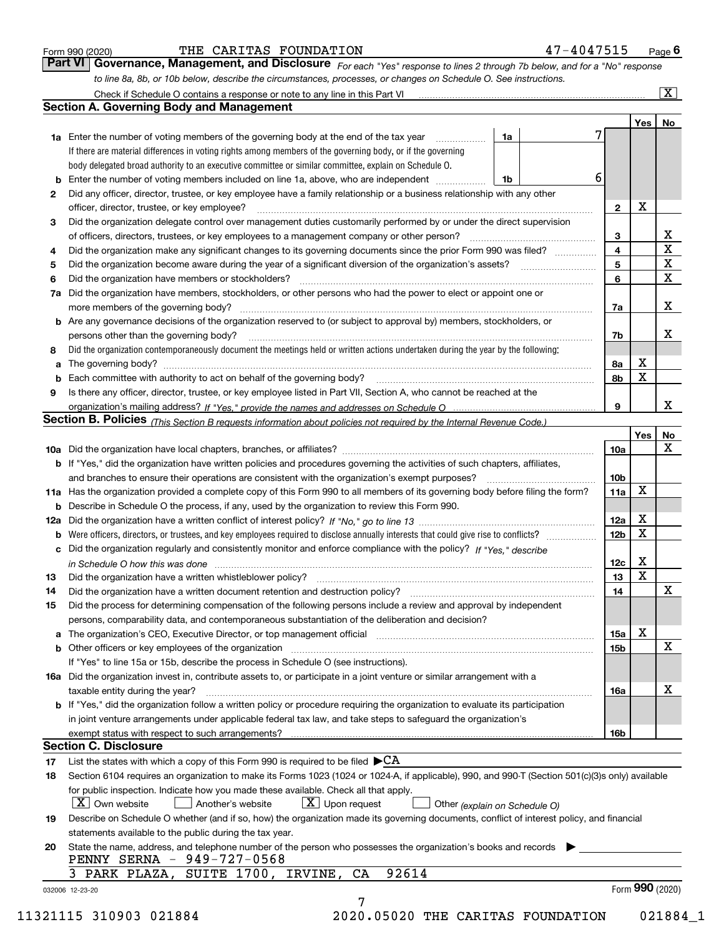|  | Form 990 (2020) |
|--|-----------------|
|  |                 |

#### THE CARITAS FOUNDATION 44

| 17-4047515 | Page l |
|------------|--------|
|------------|--------|

*For each "Yes" response to lines 2 through 7b below, and for a "No" response to line 8a, 8b, or 10b below, describe the circumstances, processes, or changes on Schedule O. See instructions.* Form 990 (2020) **CONNET CARITAS FOUNDATION** 47-4047515 Page 6<br>**Part VI Governance, Management, and Disclosure** For each "Yes" response to lines 2 through 7b below, and for a "No" response

|    |                                                                                                                                                                                                                                |                 | Yes   No        |                         |
|----|--------------------------------------------------------------------------------------------------------------------------------------------------------------------------------------------------------------------------------|-----------------|-----------------|-------------------------|
|    | <b>1a</b> Enter the number of voting members of the governing body at the end of the tax year<br>1a                                                                                                                            |                 |                 |                         |
|    | If there are material differences in voting rights among members of the governing body, or if the governing                                                                                                                    |                 |                 |                         |
|    | body delegated broad authority to an executive committee or similar committee, explain on Schedule O.                                                                                                                          |                 |                 |                         |
| b  | Enter the number of voting members included on line 1a, above, who are independent<br>1b                                                                                                                                       | 6               |                 |                         |
| 2  | Did any officer, director, trustee, or key employee have a family relationship or a business relationship with any other                                                                                                       |                 |                 |                         |
|    | officer, director, trustee, or key employee?                                                                                                                                                                                   | $\mathbf{2}$    | X               |                         |
| 3  | Did the organization delegate control over management duties customarily performed by or under the direct supervision                                                                                                          |                 |                 |                         |
|    |                                                                                                                                                                                                                                | 3               |                 | X                       |
| 4  | Did the organization make any significant changes to its governing documents since the prior Form 990 was filed?                                                                                                               | 4               |                 | $\overline{\mathtt{x}}$ |
| 5  | Did the organization become aware during the year of a significant diversion of the organization's assets?                                                                                                                     | 5               |                 | $\overline{\mathbf{x}}$ |
| 6  | Did the organization have members or stockholders?                                                                                                                                                                             | 6               |                 | $\overline{\mathbf{x}}$ |
| 7a | Did the organization have members, stockholders, or other persons who had the power to elect or appoint one or                                                                                                                 |                 |                 |                         |
|    |                                                                                                                                                                                                                                | 7a              |                 | X                       |
|    | <b>b</b> Are any governance decisions of the organization reserved to (or subject to approval by) members, stockholders, or                                                                                                    |                 |                 |                         |
|    | persons other than the governing body?                                                                                                                                                                                         | 7b              |                 | X                       |
| 8  | Did the organization contemporaneously document the meetings held or written actions undertaken during the year by the following:                                                                                              |                 |                 |                         |
| a  |                                                                                                                                                                                                                                | 8а              | X               |                         |
|    |                                                                                                                                                                                                                                | 8b              | X               |                         |
| 9  | Is there any officer, director, trustee, or key employee listed in Part VII, Section A, who cannot be reached at the                                                                                                           |                 |                 |                         |
|    |                                                                                                                                                                                                                                | 9               |                 | X                       |
|    | Section B. Policies <sub>(This</sub> Section B requests information about policies not required by the Internal Revenue Code.)                                                                                                 |                 |                 |                         |
|    |                                                                                                                                                                                                                                |                 | Yes             | No                      |
|    |                                                                                                                                                                                                                                | 10a             |                 | X                       |
|    | <b>b</b> If "Yes," did the organization have written policies and procedures governing the activities of such chapters, affiliates,                                                                                            |                 |                 |                         |
|    |                                                                                                                                                                                                                                | 10 <sub>b</sub> |                 |                         |
|    | 11a Has the organization provided a complete copy of this Form 990 to all members of its governing body before filing the form?                                                                                                | 11a             | X               |                         |
|    | <b>b</b> Describe in Schedule O the process, if any, used by the organization to review this Form 990.                                                                                                                         |                 |                 |                         |
|    |                                                                                                                                                                                                                                | 12a             | X               |                         |
| b  |                                                                                                                                                                                                                                | 12 <sub>b</sub> | X               |                         |
|    | c Did the organization regularly and consistently monitor and enforce compliance with the policy? If "Yes," describe                                                                                                           |                 |                 |                         |
|    | in Schedule O how this was done measured and the control of the control of the state of the control of the control of the control of the control of the control of the control of the control of the control of the control of | 12c             | X               |                         |
| 13 |                                                                                                                                                                                                                                | 13              | $\mathbf x$     |                         |
| 14 |                                                                                                                                                                                                                                | 14              |                 | $\mathbf X$             |
| 15 | Did the process for determining compensation of the following persons include a review and approval by independent                                                                                                             |                 |                 |                         |
|    | persons, comparability data, and contemporaneous substantiation of the deliberation and decision?                                                                                                                              |                 |                 |                         |
|    |                                                                                                                                                                                                                                | 15a             | X               |                         |
|    |                                                                                                                                                                                                                                | 15b             |                 | $\mathbf X$             |
|    | If "Yes" to line 15a or 15b, describe the process in Schedule O (see instructions).                                                                                                                                            |                 |                 |                         |
|    | 16a Did the organization invest in, contribute assets to, or participate in a joint venture or similar arrangement with a                                                                                                      |                 |                 |                         |
|    | taxable entity during the year?                                                                                                                                                                                                | 16a             |                 | X                       |
|    | b If "Yes," did the organization follow a written policy or procedure requiring the organization to evaluate its participation                                                                                                 |                 |                 |                         |
|    | in joint venture arrangements under applicable federal tax law, and take steps to safeguard the organization's                                                                                                                 |                 |                 |                         |
|    |                                                                                                                                                                                                                                | 16b             |                 |                         |
|    | <b>Section C. Disclosure</b>                                                                                                                                                                                                   |                 |                 |                         |
| 17 | List the states with which a copy of this Form 990 is required to be filed $\blacktriangleright$ CA                                                                                                                            |                 |                 |                         |
| 18 | Section 6104 requires an organization to make its Forms 1023 (1024 or 1024-A, if applicable), 990, and 990-T (Section 501(c)(3)s only) available                                                                               |                 |                 |                         |
|    | for public inspection. Indicate how you made these available. Check all that apply.                                                                                                                                            |                 |                 |                         |
|    | $X$ Upon request<br>$X$ Own website<br>Another's website<br>Other (explain on Schedule O)                                                                                                                                      |                 |                 |                         |
| 19 | Describe on Schedule O whether (and if so, how) the organization made its governing documents, conflict of interest policy, and financial                                                                                      |                 |                 |                         |
|    | statements available to the public during the tax year.                                                                                                                                                                        |                 |                 |                         |
|    | State the name, address, and telephone number of the person who possesses the organization's books and records                                                                                                                 |                 |                 |                         |
| 20 | PENNY SERNA - 949-727-0568                                                                                                                                                                                                     |                 |                 |                         |
|    | 92614<br>SUITE 1700, IRVINE,<br>3 PARK PLAZA,<br>CA                                                                                                                                                                            |                 |                 |                         |
|    |                                                                                                                                                                                                                                |                 | Form 990 (2020) |                         |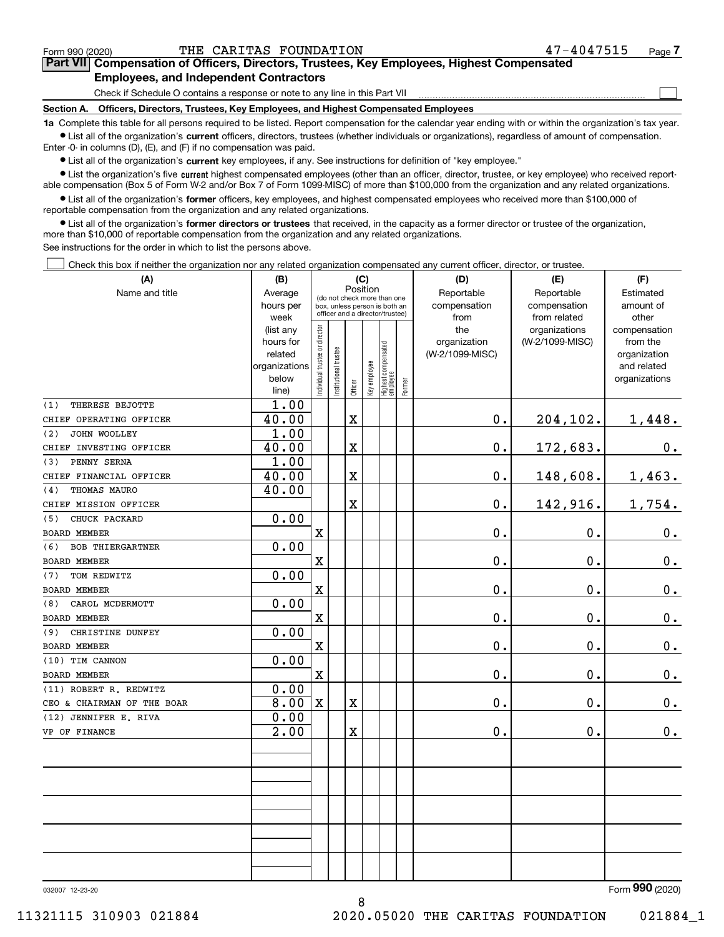$\mathcal{L}^{\text{max}}$ 

| Form 990 (2020) |                                               | THE CARITAS FOUNDATION | 47-4047515                                                                                 | Page 7 |
|-----------------|-----------------------------------------------|------------------------|--------------------------------------------------------------------------------------------|--------|
|                 |                                               |                        | Part VII Compensation of Officers, Directors, Trustees, Key Employees, Highest Compensated |        |
|                 | <b>Employees, and Independent Contractors</b> |                        |                                                                                            |        |

Check if Schedule O contains a response or note to any line in this Part VII

**Section A. Officers, Directors, Trustees, Key Employees, and Highest Compensated Employees**

**1a**  Complete this table for all persons required to be listed. Report compensation for the calendar year ending with or within the organization's tax year. **•** List all of the organization's current officers, directors, trustees (whether individuals or organizations), regardless of amount of compensation.

Enter -0- in columns (D), (E), and (F) if no compensation was paid.

 $\bullet$  List all of the organization's  $\,$ current key employees, if any. See instructions for definition of "key employee."

**•** List the organization's five current highest compensated employees (other than an officer, director, trustee, or key employee) who received reportable compensation (Box 5 of Form W-2 and/or Box 7 of Form 1099-MISC) of more than \$100,000 from the organization and any related organizations.

**•** List all of the organization's former officers, key employees, and highest compensated employees who received more than \$100,000 of reportable compensation from the organization and any related organizations.

**former directors or trustees**  ¥ List all of the organization's that received, in the capacity as a former director or trustee of the organization, more than \$10,000 of reportable compensation from the organization and any related organizations.

See instructions for the order in which to list the persons above.

Check this box if neither the organization nor any related organization compensated any current officer, director, or trustee.  $\mathcal{L}^{\text{max}}$ 

| (A)                            | (B)                      |                                |                      |         | (C)                                     |                                                                  |        | (D)             | (E)             | (F)                         |
|--------------------------------|--------------------------|--------------------------------|----------------------|---------|-----------------------------------------|------------------------------------------------------------------|--------|-----------------|-----------------|-----------------------------|
| Name and title                 | Average                  |                                |                      |         | Position<br>(do not check more than one |                                                                  |        | Reportable      | Reportable      | Estimated                   |
|                                | hours per                |                                |                      |         |                                         | box, unless person is both an<br>officer and a director/trustee) |        | compensation    | compensation    | amount of                   |
|                                | week                     |                                |                      |         |                                         |                                                                  |        | from            | from related    | other                       |
|                                | (list any                |                                |                      |         |                                         |                                                                  |        | the             | organizations   | compensation                |
|                                | hours for                |                                |                      |         |                                         |                                                                  |        | organization    | (W-2/1099-MISC) | from the                    |
|                                | related<br>organizations |                                |                      |         |                                         |                                                                  |        | (W-2/1099-MISC) |                 | organization<br>and related |
|                                | below                    |                                |                      |         |                                         |                                                                  |        |                 |                 | organizations               |
|                                | line)                    | Individual trustee or director | nstitutional trustee | Officer | key employee                            | Highest compensated<br> employee                                 | Former |                 |                 |                             |
| THERESE BEJOTTE<br>(1)         | 1.00                     |                                |                      |         |                                         |                                                                  |        |                 |                 |                             |
| CHIEF OPERATING OFFICER        | 40.00                    |                                |                      | X       |                                         |                                                                  |        | 0.              | 204,102.        | 1,448.                      |
| JOHN WOOLLEY<br>(2)            | 1.00                     |                                |                      |         |                                         |                                                                  |        |                 |                 |                             |
| CHIEF INVESTING OFFICER        | 40.00                    |                                |                      | Χ       |                                         |                                                                  |        | $0$ .           | 172,683.        | 0.                          |
| PENNY SERNA<br>(3)             | 1.00                     |                                |                      |         |                                         |                                                                  |        |                 |                 |                             |
| CHIEF FINANCIAL OFFICER        | 40.00                    |                                |                      | X       |                                         |                                                                  |        | 0.              | 148,608.        | 1,463.                      |
| THOMAS MAURO<br>(4)            | 40.00                    |                                |                      |         |                                         |                                                                  |        |                 |                 |                             |
| CHIEF MISSION OFFICER          |                          |                                |                      | X       |                                         |                                                                  |        | 0.              | 142,916.        | 1,754.                      |
| CHUCK PACKARD<br>(5)           | 0.00                     |                                |                      |         |                                         |                                                                  |        |                 |                 |                             |
| BOARD MEMBER                   |                          | $\mathbf x$                    |                      |         |                                         |                                                                  |        | $0$ .           | 0.              | 0.                          |
| <b>BOB THIERGARTNER</b><br>(6) | 0.00                     |                                |                      |         |                                         |                                                                  |        |                 |                 |                             |
| <b>BOARD MEMBER</b>            |                          | $\mathbf X$                    |                      |         |                                         |                                                                  |        | 0.              | 0.              | $\mathbf 0$ .               |
| TOM REDWITZ<br>(7)             | 0.00                     |                                |                      |         |                                         |                                                                  |        |                 |                 |                             |
| BOARD MEMBER                   |                          | $\mathbf x$                    |                      |         |                                         |                                                                  |        | $\mathbf 0$ .   | 0.              | $\mathbf 0$ .               |
| CAROL MCDERMOTT<br>(8)         | 0.00                     |                                |                      |         |                                         |                                                                  |        |                 |                 |                             |
| <b>BOARD MEMBER</b>            |                          | $\mathbf X$                    |                      |         |                                         |                                                                  |        | 0.              | $0$ .           | $0_{.}$                     |
| CHRISTINE DUNFEY<br>(9)        | 0.00                     |                                |                      |         |                                         |                                                                  |        |                 |                 |                             |
| <b>BOARD MEMBER</b>            |                          | $\mathbf X$                    |                      |         |                                         |                                                                  |        | 0.              | 0.              | 0.                          |
| (10) TIM CANNON                | 0.00                     |                                |                      |         |                                         |                                                                  |        |                 |                 |                             |
| <b>BOARD MEMBER</b>            |                          | $\mathbf X$                    |                      |         |                                         |                                                                  |        | 0.              | 0.              | $0_{.}$                     |
| (11) ROBERT R. REDWITZ         | 0.00                     |                                |                      |         |                                         |                                                                  |        |                 |                 |                             |
| CEO & CHAIRMAN OF THE BOAR     | 8.00                     | $\mathbf X$                    |                      | X       |                                         |                                                                  |        | $0$ .           | 0.              | 0.                          |
| (12) JENNIFER E. RIVA          | 0.00                     |                                |                      |         |                                         |                                                                  |        |                 |                 |                             |
| VP OF FINANCE                  | $\overline{2.00}$        |                                |                      | X       |                                         |                                                                  |        | 0.              | 0.              | 0.                          |
|                                |                          |                                |                      |         |                                         |                                                                  |        |                 |                 |                             |
|                                |                          |                                |                      |         |                                         |                                                                  |        |                 |                 |                             |
|                                |                          |                                |                      |         |                                         |                                                                  |        |                 |                 |                             |
|                                |                          |                                |                      |         |                                         |                                                                  |        |                 |                 |                             |
|                                |                          |                                |                      |         |                                         |                                                                  |        |                 |                 |                             |
|                                |                          |                                |                      |         |                                         |                                                                  |        |                 |                 |                             |
|                                |                          |                                |                      |         |                                         |                                                                  |        |                 |                 |                             |
|                                |                          |                                |                      |         |                                         |                                                                  |        |                 |                 |                             |
|                                |                          |                                |                      |         |                                         |                                                                  |        |                 |                 | $\overline{0}$              |

8

032007 12-23-20

Form (2020) **990**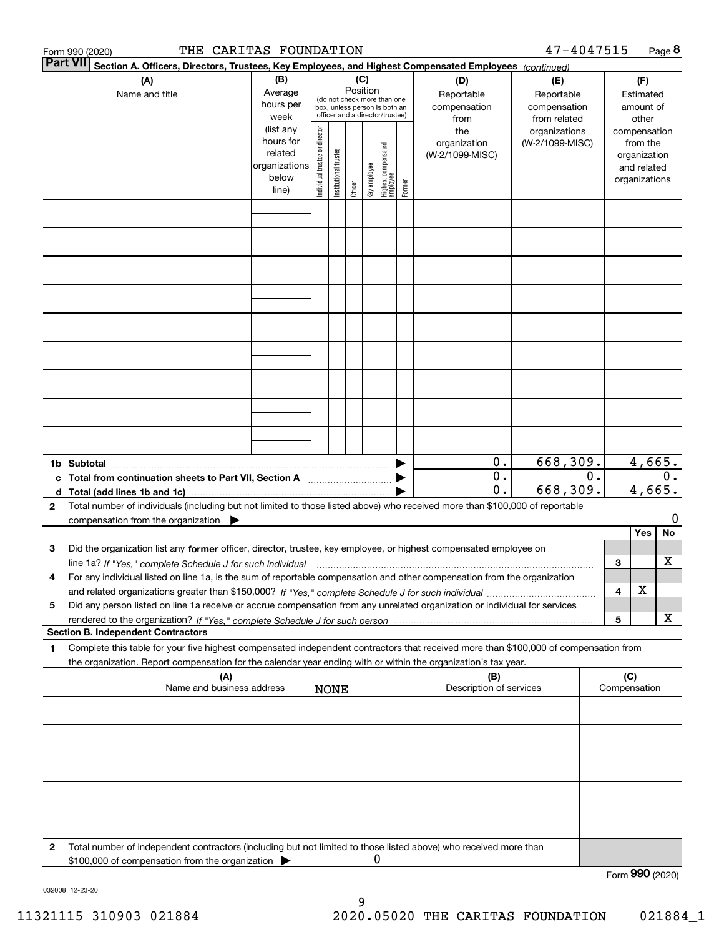|   | THE CARITAS FOUNDATION<br>Form 990 (2020)                                                                                                                                                                                                                              |                                                                      |                                |                       |                 |              |                                                                                                 |        |                                           | $47 - 4047515$                                    |    |     |                                                                          | Page 8  |
|---|------------------------------------------------------------------------------------------------------------------------------------------------------------------------------------------------------------------------------------------------------------------------|----------------------------------------------------------------------|--------------------------------|-----------------------|-----------------|--------------|-------------------------------------------------------------------------------------------------|--------|-------------------------------------------|---------------------------------------------------|----|-----|--------------------------------------------------------------------------|---------|
|   | <b>Part VII</b><br>Section A. Officers, Directors, Trustees, Key Employees, and Highest Compensated Employees (continued)                                                                                                                                              |                                                                      |                                |                       |                 |              |                                                                                                 |        |                                           |                                                   |    |     |                                                                          |         |
|   | (A)<br>Name and title                                                                                                                                                                                                                                                  | (B)<br>Average<br>hours per<br>week                                  |                                |                       | (C)<br>Position |              | (do not check more than one<br>box, unless person is both an<br>officer and a director/trustee) |        | (D)<br>Reportable<br>compensation<br>from | (E)<br>Reportable<br>compensation<br>from related |    |     | (F)<br>Estimated<br>amount of<br>other                                   |         |
|   |                                                                                                                                                                                                                                                                        | (list any<br>hours for<br>related<br>organizations<br>below<br>line) | Individual trustee or director | Institutional trustee | Officer         | key employee | Highest compensated<br>  employee                                                               | Former | the<br>organization<br>(W-2/1099-MISC)    | organizations<br>(W-2/1099-MISC)                  |    |     | compensation<br>from the<br>organization<br>and related<br>organizations |         |
|   |                                                                                                                                                                                                                                                                        |                                                                      |                                |                       |                 |              |                                                                                                 |        |                                           |                                                   |    |     |                                                                          |         |
|   |                                                                                                                                                                                                                                                                        |                                                                      |                                |                       |                 |              |                                                                                                 |        |                                           |                                                   |    |     |                                                                          |         |
|   |                                                                                                                                                                                                                                                                        |                                                                      |                                |                       |                 |              |                                                                                                 |        |                                           |                                                   |    |     |                                                                          |         |
|   |                                                                                                                                                                                                                                                                        |                                                                      |                                |                       |                 |              |                                                                                                 |        |                                           |                                                   |    |     |                                                                          |         |
|   |                                                                                                                                                                                                                                                                        |                                                                      |                                |                       |                 |              |                                                                                                 |        |                                           |                                                   |    |     |                                                                          |         |
|   |                                                                                                                                                                                                                                                                        |                                                                      |                                |                       |                 |              |                                                                                                 |        |                                           |                                                   |    |     |                                                                          |         |
|   |                                                                                                                                                                                                                                                                        |                                                                      |                                |                       |                 |              |                                                                                                 |        |                                           |                                                   |    |     |                                                                          |         |
|   |                                                                                                                                                                                                                                                                        |                                                                      |                                |                       |                 |              |                                                                                                 |        |                                           |                                                   |    |     |                                                                          |         |
|   |                                                                                                                                                                                                                                                                        |                                                                      |                                |                       |                 |              |                                                                                                 |        |                                           |                                                   |    |     | 4,665.                                                                   |         |
|   | 1b Subtotal<br>c Total from continuation sheets to Part VII, Section A                                                                                                                                                                                                 |                                                                      |                                |                       |                 |              |                                                                                                 |        | 0.<br>$\overline{0}$ .                    | 668,309.                                          | 0. |     |                                                                          | 0.      |
| 2 | Total number of individuals (including but not limited to those listed above) who received more than \$100,000 of reportable                                                                                                                                           |                                                                      |                                |                       |                 |              |                                                                                                 |        | $\overline{\mathfrak{o}}$ .               | 668,309.                                          |    |     | 4,665.                                                                   |         |
|   | compensation from the organization $\blacktriangleright$                                                                                                                                                                                                               |                                                                      |                                |                       |                 |              |                                                                                                 |        |                                           |                                                   |    |     | Yes                                                                      | 0<br>No |
| з | Did the organization list any former officer, director, trustee, key employee, or highest compensated employee on                                                                                                                                                      |                                                                      |                                |                       |                 |              |                                                                                                 |        |                                           |                                                   |    | 3   |                                                                          | х       |
| 4 | line 1a? If "Yes," complete Schedule J for such individual matches contained and the 1a? If "Yes," complete Schedule J for such individual<br>For any individual listed on line 1a, is the sum of reportable compensation and other compensation from the organization |                                                                      |                                |                       |                 |              |                                                                                                 |        |                                           |                                                   |    |     | X                                                                        |         |
| 5 | Did any person listed on line 1a receive or accrue compensation from any unrelated organization or individual for services                                                                                                                                             |                                                                      |                                |                       |                 |              |                                                                                                 |        |                                           |                                                   |    | 4   |                                                                          |         |
|   | <b>Section B. Independent Contractors</b>                                                                                                                                                                                                                              |                                                                      |                                |                       |                 |              |                                                                                                 |        |                                           |                                                   |    | 5   |                                                                          | X       |
| 1 | Complete this table for your five highest compensated independent contractors that received more than \$100,000 of compensation from<br>the organization. Report compensation for the calendar year ending with or within the organization's tax year.                 |                                                                      |                                |                       |                 |              |                                                                                                 |        |                                           |                                                   |    |     |                                                                          |         |
|   | (A)<br>Name and business address                                                                                                                                                                                                                                       |                                                                      |                                | <b>NONE</b>           |                 |              |                                                                                                 |        | (B)<br>Description of services            |                                                   |    | (C) | Compensation                                                             |         |
|   |                                                                                                                                                                                                                                                                        |                                                                      |                                |                       |                 |              |                                                                                                 |        |                                           |                                                   |    |     |                                                                          |         |
|   |                                                                                                                                                                                                                                                                        |                                                                      |                                |                       |                 |              |                                                                                                 |        |                                           |                                                   |    |     |                                                                          |         |
|   |                                                                                                                                                                                                                                                                        |                                                                      |                                |                       |                 |              |                                                                                                 |        |                                           |                                                   |    |     |                                                                          |         |
|   |                                                                                                                                                                                                                                                                        |                                                                      |                                |                       |                 |              |                                                                                                 |        |                                           |                                                   |    |     |                                                                          |         |
|   |                                                                                                                                                                                                                                                                        |                                                                      |                                |                       |                 |              |                                                                                                 |        |                                           |                                                   |    |     |                                                                          |         |
| 2 | Total number of independent contractors (including but not limited to those listed above) who received more than<br>\$100,000 of compensation from the organization                                                                                                    |                                                                      |                                |                       |                 | 0            |                                                                                                 |        |                                           |                                                   |    |     |                                                                          |         |
|   |                                                                                                                                                                                                                                                                        |                                                                      |                                |                       |                 |              |                                                                                                 |        |                                           |                                                   |    |     | Form 990 (2020)                                                          |         |

032008 12-23-20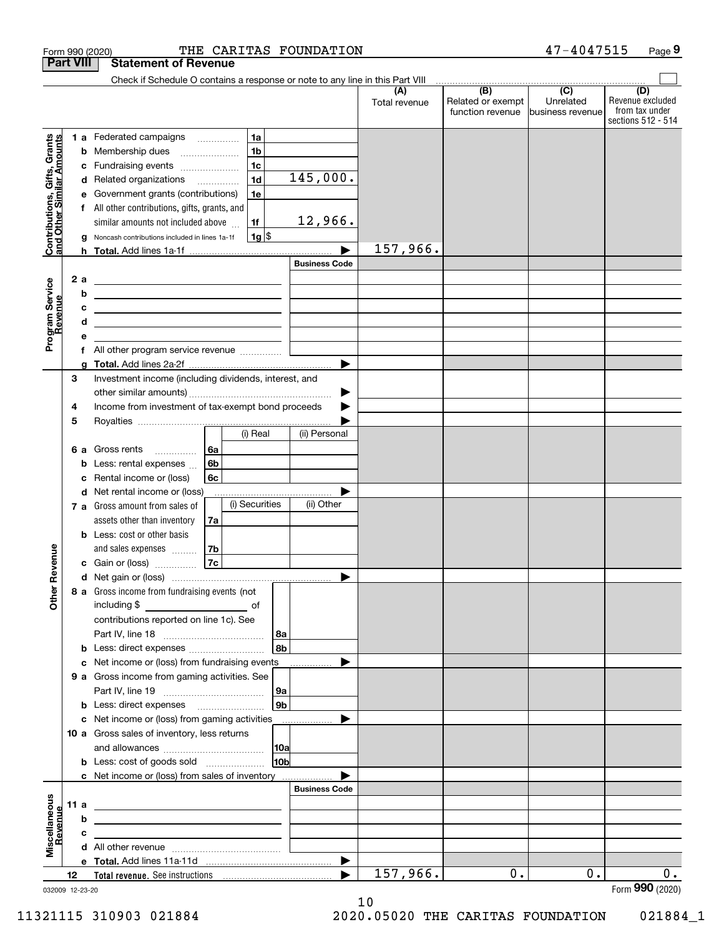| <b>Part VIII</b><br><b>Statement of Revenue</b><br>Check if Schedule O contains a response or note to any line in this Part VIII<br>(B)<br>$\overline{(C)}$<br>(D)<br>(A)<br>Related or exempt<br>Unrelated<br>Total revenue<br>function revenue<br>business revenue<br>1a<br>1 a Federated campaigns<br>Contributions, Gifts, Grants<br>and Other Similar Amounts<br>1 <sub>b</sub><br><b>b</b> Membership dues<br>1 <sub>c</sub><br>c Fundraising events<br>145,000.<br>1 <sub>d</sub><br>d Related organizations<br>Government grants (contributions)<br>1e<br>е<br>f All other contributions, gifts, grants, and<br>12,966.<br>similar amounts not included above<br>1f<br>$1g$ \$<br>Noncash contributions included in lines 1a-1f<br>g<br>157,966.<br><b>Business Code</b><br>2 a<br>Program Service<br>Revenue<br><u> 1980 - Jan Sterling, mars and de la provincia de la provincia de la provincia de la provincia de la provincia</u><br>b<br><u> 1989 - Johann Stein, mars an deutscher Stein († 1958)</u><br>evenue<br>c<br>the control of the control of the control of the control of the control of the control of<br>d<br><u> 1989 - Andrea State Barbara, amerikan personal (</u><br>е<br>a<br>Investment income (including dividends, interest, and<br>3<br>▶<br>Income from investment of tax-exempt bond proceeds<br>4<br>5<br>(i) Real<br>(ii) Personal<br>6а<br>Gross rents<br>6а<br>.<br>6b<br>Less: rental expenses<br>b<br>6c<br>Rental income or (loss)<br>с<br>d Net rental income or (loss)<br>(i) Securities<br>(ii) Other<br>7 a Gross amount from sales of<br>assets other than inventory<br>7a<br><b>b</b> Less: cost or other basis<br>wenue<br>and sales expenses<br>7b<br>7c<br>c Gain or (loss)<br>Other R<br>8 a Gross income from fundraising events (not<br>contributions reported on line 1c). See<br>  8b  <br>c Net income or (loss) from fundraising events<br>9 a Gross income from gaming activities. See<br> 9a  <br> 9b <br><b>b</b> Less: direct expenses <i>manually contained</i><br>c Net income or (loss) from gaming activities<br>10 a Gross sales of inventory, less returns<br>10a<br>10 <sub>b</sub><br>c Net income or (loss) from sales of inventory<br><b>Business Code</b><br>Miscellaneous<br>Revenue<br>11 a<br><u> 1980 - Jan Sterling von Berger (* 1980)</u><br>b<br>с<br>▶<br>157,966.<br>0.<br>0.<br>12 | Form 990 (2020) |  | THE CARITAS FOUNDATION |  | 47-4047515 | Page 9                                                   |
|----------------------------------------------------------------------------------------------------------------------------------------------------------------------------------------------------------------------------------------------------------------------------------------------------------------------------------------------------------------------------------------------------------------------------------------------------------------------------------------------------------------------------------------------------------------------------------------------------------------------------------------------------------------------------------------------------------------------------------------------------------------------------------------------------------------------------------------------------------------------------------------------------------------------------------------------------------------------------------------------------------------------------------------------------------------------------------------------------------------------------------------------------------------------------------------------------------------------------------------------------------------------------------------------------------------------------------------------------------------------------------------------------------------------------------------------------------------------------------------------------------------------------------------------------------------------------------------------------------------------------------------------------------------------------------------------------------------------------------------------------------------------------------------------------------------------------------------------------------------------------------------------------------------------------------------------------------------------------------------------------------------------------------------------------------------------------------------------------------------------------------------------------------------------------------------------------------------------------------------------------------------------------------------------------------------------------------------------------------------------------|-----------------|--|------------------------|--|------------|----------------------------------------------------------|
|                                                                                                                                                                                                                                                                                                                                                                                                                                                                                                                                                                                                                                                                                                                                                                                                                                                                                                                                                                                                                                                                                                                                                                                                                                                                                                                                                                                                                                                                                                                                                                                                                                                                                                                                                                                                                                                                                                                                                                                                                                                                                                                                                                                                                                                                                                                                                                            |                 |  |                        |  |            |                                                          |
|                                                                                                                                                                                                                                                                                                                                                                                                                                                                                                                                                                                                                                                                                                                                                                                                                                                                                                                                                                                                                                                                                                                                                                                                                                                                                                                                                                                                                                                                                                                                                                                                                                                                                                                                                                                                                                                                                                                                                                                                                                                                                                                                                                                                                                                                                                                                                                            |                 |  |                        |  |            |                                                          |
|                                                                                                                                                                                                                                                                                                                                                                                                                                                                                                                                                                                                                                                                                                                                                                                                                                                                                                                                                                                                                                                                                                                                                                                                                                                                                                                                                                                                                                                                                                                                                                                                                                                                                                                                                                                                                                                                                                                                                                                                                                                                                                                                                                                                                                                                                                                                                                            |                 |  |                        |  |            | Revenue excluded<br>from tax under<br>sections 512 - 514 |
|                                                                                                                                                                                                                                                                                                                                                                                                                                                                                                                                                                                                                                                                                                                                                                                                                                                                                                                                                                                                                                                                                                                                                                                                                                                                                                                                                                                                                                                                                                                                                                                                                                                                                                                                                                                                                                                                                                                                                                                                                                                                                                                                                                                                                                                                                                                                                                            |                 |  |                        |  |            |                                                          |
|                                                                                                                                                                                                                                                                                                                                                                                                                                                                                                                                                                                                                                                                                                                                                                                                                                                                                                                                                                                                                                                                                                                                                                                                                                                                                                                                                                                                                                                                                                                                                                                                                                                                                                                                                                                                                                                                                                                                                                                                                                                                                                                                                                                                                                                                                                                                                                            |                 |  |                        |  |            |                                                          |
|                                                                                                                                                                                                                                                                                                                                                                                                                                                                                                                                                                                                                                                                                                                                                                                                                                                                                                                                                                                                                                                                                                                                                                                                                                                                                                                                                                                                                                                                                                                                                                                                                                                                                                                                                                                                                                                                                                                                                                                                                                                                                                                                                                                                                                                                                                                                                                            |                 |  |                        |  |            |                                                          |
|                                                                                                                                                                                                                                                                                                                                                                                                                                                                                                                                                                                                                                                                                                                                                                                                                                                                                                                                                                                                                                                                                                                                                                                                                                                                                                                                                                                                                                                                                                                                                                                                                                                                                                                                                                                                                                                                                                                                                                                                                                                                                                                                                                                                                                                                                                                                                                            |                 |  |                        |  |            |                                                          |
|                                                                                                                                                                                                                                                                                                                                                                                                                                                                                                                                                                                                                                                                                                                                                                                                                                                                                                                                                                                                                                                                                                                                                                                                                                                                                                                                                                                                                                                                                                                                                                                                                                                                                                                                                                                                                                                                                                                                                                                                                                                                                                                                                                                                                                                                                                                                                                            |                 |  |                        |  |            |                                                          |
|                                                                                                                                                                                                                                                                                                                                                                                                                                                                                                                                                                                                                                                                                                                                                                                                                                                                                                                                                                                                                                                                                                                                                                                                                                                                                                                                                                                                                                                                                                                                                                                                                                                                                                                                                                                                                                                                                                                                                                                                                                                                                                                                                                                                                                                                                                                                                                            |                 |  |                        |  |            |                                                          |
|                                                                                                                                                                                                                                                                                                                                                                                                                                                                                                                                                                                                                                                                                                                                                                                                                                                                                                                                                                                                                                                                                                                                                                                                                                                                                                                                                                                                                                                                                                                                                                                                                                                                                                                                                                                                                                                                                                                                                                                                                                                                                                                                                                                                                                                                                                                                                                            |                 |  |                        |  |            |                                                          |
|                                                                                                                                                                                                                                                                                                                                                                                                                                                                                                                                                                                                                                                                                                                                                                                                                                                                                                                                                                                                                                                                                                                                                                                                                                                                                                                                                                                                                                                                                                                                                                                                                                                                                                                                                                                                                                                                                                                                                                                                                                                                                                                                                                                                                                                                                                                                                                            |                 |  |                        |  |            |                                                          |
|                                                                                                                                                                                                                                                                                                                                                                                                                                                                                                                                                                                                                                                                                                                                                                                                                                                                                                                                                                                                                                                                                                                                                                                                                                                                                                                                                                                                                                                                                                                                                                                                                                                                                                                                                                                                                                                                                                                                                                                                                                                                                                                                                                                                                                                                                                                                                                            |                 |  |                        |  |            |                                                          |
|                                                                                                                                                                                                                                                                                                                                                                                                                                                                                                                                                                                                                                                                                                                                                                                                                                                                                                                                                                                                                                                                                                                                                                                                                                                                                                                                                                                                                                                                                                                                                                                                                                                                                                                                                                                                                                                                                                                                                                                                                                                                                                                                                                                                                                                                                                                                                                            |                 |  |                        |  |            |                                                          |
|                                                                                                                                                                                                                                                                                                                                                                                                                                                                                                                                                                                                                                                                                                                                                                                                                                                                                                                                                                                                                                                                                                                                                                                                                                                                                                                                                                                                                                                                                                                                                                                                                                                                                                                                                                                                                                                                                                                                                                                                                                                                                                                                                                                                                                                                                                                                                                            |                 |  |                        |  |            |                                                          |
|                                                                                                                                                                                                                                                                                                                                                                                                                                                                                                                                                                                                                                                                                                                                                                                                                                                                                                                                                                                                                                                                                                                                                                                                                                                                                                                                                                                                                                                                                                                                                                                                                                                                                                                                                                                                                                                                                                                                                                                                                                                                                                                                                                                                                                                                                                                                                                            |                 |  |                        |  |            |                                                          |
|                                                                                                                                                                                                                                                                                                                                                                                                                                                                                                                                                                                                                                                                                                                                                                                                                                                                                                                                                                                                                                                                                                                                                                                                                                                                                                                                                                                                                                                                                                                                                                                                                                                                                                                                                                                                                                                                                                                                                                                                                                                                                                                                                                                                                                                                                                                                                                            |                 |  |                        |  |            |                                                          |
|                                                                                                                                                                                                                                                                                                                                                                                                                                                                                                                                                                                                                                                                                                                                                                                                                                                                                                                                                                                                                                                                                                                                                                                                                                                                                                                                                                                                                                                                                                                                                                                                                                                                                                                                                                                                                                                                                                                                                                                                                                                                                                                                                                                                                                                                                                                                                                            |                 |  |                        |  |            |                                                          |
|                                                                                                                                                                                                                                                                                                                                                                                                                                                                                                                                                                                                                                                                                                                                                                                                                                                                                                                                                                                                                                                                                                                                                                                                                                                                                                                                                                                                                                                                                                                                                                                                                                                                                                                                                                                                                                                                                                                                                                                                                                                                                                                                                                                                                                                                                                                                                                            |                 |  |                        |  |            |                                                          |
|                                                                                                                                                                                                                                                                                                                                                                                                                                                                                                                                                                                                                                                                                                                                                                                                                                                                                                                                                                                                                                                                                                                                                                                                                                                                                                                                                                                                                                                                                                                                                                                                                                                                                                                                                                                                                                                                                                                                                                                                                                                                                                                                                                                                                                                                                                                                                                            |                 |  |                        |  |            |                                                          |
|                                                                                                                                                                                                                                                                                                                                                                                                                                                                                                                                                                                                                                                                                                                                                                                                                                                                                                                                                                                                                                                                                                                                                                                                                                                                                                                                                                                                                                                                                                                                                                                                                                                                                                                                                                                                                                                                                                                                                                                                                                                                                                                                                                                                                                                                                                                                                                            |                 |  |                        |  |            |                                                          |
|                                                                                                                                                                                                                                                                                                                                                                                                                                                                                                                                                                                                                                                                                                                                                                                                                                                                                                                                                                                                                                                                                                                                                                                                                                                                                                                                                                                                                                                                                                                                                                                                                                                                                                                                                                                                                                                                                                                                                                                                                                                                                                                                                                                                                                                                                                                                                                            |                 |  |                        |  |            |                                                          |
|                                                                                                                                                                                                                                                                                                                                                                                                                                                                                                                                                                                                                                                                                                                                                                                                                                                                                                                                                                                                                                                                                                                                                                                                                                                                                                                                                                                                                                                                                                                                                                                                                                                                                                                                                                                                                                                                                                                                                                                                                                                                                                                                                                                                                                                                                                                                                                            |                 |  |                        |  |            |                                                          |
|                                                                                                                                                                                                                                                                                                                                                                                                                                                                                                                                                                                                                                                                                                                                                                                                                                                                                                                                                                                                                                                                                                                                                                                                                                                                                                                                                                                                                                                                                                                                                                                                                                                                                                                                                                                                                                                                                                                                                                                                                                                                                                                                                                                                                                                                                                                                                                            |                 |  |                        |  |            |                                                          |
|                                                                                                                                                                                                                                                                                                                                                                                                                                                                                                                                                                                                                                                                                                                                                                                                                                                                                                                                                                                                                                                                                                                                                                                                                                                                                                                                                                                                                                                                                                                                                                                                                                                                                                                                                                                                                                                                                                                                                                                                                                                                                                                                                                                                                                                                                                                                                                            |                 |  |                        |  |            |                                                          |
|                                                                                                                                                                                                                                                                                                                                                                                                                                                                                                                                                                                                                                                                                                                                                                                                                                                                                                                                                                                                                                                                                                                                                                                                                                                                                                                                                                                                                                                                                                                                                                                                                                                                                                                                                                                                                                                                                                                                                                                                                                                                                                                                                                                                                                                                                                                                                                            |                 |  |                        |  |            |                                                          |
|                                                                                                                                                                                                                                                                                                                                                                                                                                                                                                                                                                                                                                                                                                                                                                                                                                                                                                                                                                                                                                                                                                                                                                                                                                                                                                                                                                                                                                                                                                                                                                                                                                                                                                                                                                                                                                                                                                                                                                                                                                                                                                                                                                                                                                                                                                                                                                            |                 |  |                        |  |            |                                                          |
|                                                                                                                                                                                                                                                                                                                                                                                                                                                                                                                                                                                                                                                                                                                                                                                                                                                                                                                                                                                                                                                                                                                                                                                                                                                                                                                                                                                                                                                                                                                                                                                                                                                                                                                                                                                                                                                                                                                                                                                                                                                                                                                                                                                                                                                                                                                                                                            |                 |  |                        |  |            |                                                          |
|                                                                                                                                                                                                                                                                                                                                                                                                                                                                                                                                                                                                                                                                                                                                                                                                                                                                                                                                                                                                                                                                                                                                                                                                                                                                                                                                                                                                                                                                                                                                                                                                                                                                                                                                                                                                                                                                                                                                                                                                                                                                                                                                                                                                                                                                                                                                                                            |                 |  |                        |  |            |                                                          |
|                                                                                                                                                                                                                                                                                                                                                                                                                                                                                                                                                                                                                                                                                                                                                                                                                                                                                                                                                                                                                                                                                                                                                                                                                                                                                                                                                                                                                                                                                                                                                                                                                                                                                                                                                                                                                                                                                                                                                                                                                                                                                                                                                                                                                                                                                                                                                                            |                 |  |                        |  |            |                                                          |
|                                                                                                                                                                                                                                                                                                                                                                                                                                                                                                                                                                                                                                                                                                                                                                                                                                                                                                                                                                                                                                                                                                                                                                                                                                                                                                                                                                                                                                                                                                                                                                                                                                                                                                                                                                                                                                                                                                                                                                                                                                                                                                                                                                                                                                                                                                                                                                            |                 |  |                        |  |            |                                                          |
|                                                                                                                                                                                                                                                                                                                                                                                                                                                                                                                                                                                                                                                                                                                                                                                                                                                                                                                                                                                                                                                                                                                                                                                                                                                                                                                                                                                                                                                                                                                                                                                                                                                                                                                                                                                                                                                                                                                                                                                                                                                                                                                                                                                                                                                                                                                                                                            |                 |  |                        |  |            |                                                          |
|                                                                                                                                                                                                                                                                                                                                                                                                                                                                                                                                                                                                                                                                                                                                                                                                                                                                                                                                                                                                                                                                                                                                                                                                                                                                                                                                                                                                                                                                                                                                                                                                                                                                                                                                                                                                                                                                                                                                                                                                                                                                                                                                                                                                                                                                                                                                                                            |                 |  |                        |  |            |                                                          |
|                                                                                                                                                                                                                                                                                                                                                                                                                                                                                                                                                                                                                                                                                                                                                                                                                                                                                                                                                                                                                                                                                                                                                                                                                                                                                                                                                                                                                                                                                                                                                                                                                                                                                                                                                                                                                                                                                                                                                                                                                                                                                                                                                                                                                                                                                                                                                                            |                 |  |                        |  |            |                                                          |
|                                                                                                                                                                                                                                                                                                                                                                                                                                                                                                                                                                                                                                                                                                                                                                                                                                                                                                                                                                                                                                                                                                                                                                                                                                                                                                                                                                                                                                                                                                                                                                                                                                                                                                                                                                                                                                                                                                                                                                                                                                                                                                                                                                                                                                                                                                                                                                            |                 |  |                        |  |            |                                                          |
|                                                                                                                                                                                                                                                                                                                                                                                                                                                                                                                                                                                                                                                                                                                                                                                                                                                                                                                                                                                                                                                                                                                                                                                                                                                                                                                                                                                                                                                                                                                                                                                                                                                                                                                                                                                                                                                                                                                                                                                                                                                                                                                                                                                                                                                                                                                                                                            |                 |  |                        |  |            |                                                          |
|                                                                                                                                                                                                                                                                                                                                                                                                                                                                                                                                                                                                                                                                                                                                                                                                                                                                                                                                                                                                                                                                                                                                                                                                                                                                                                                                                                                                                                                                                                                                                                                                                                                                                                                                                                                                                                                                                                                                                                                                                                                                                                                                                                                                                                                                                                                                                                            |                 |  |                        |  |            |                                                          |
|                                                                                                                                                                                                                                                                                                                                                                                                                                                                                                                                                                                                                                                                                                                                                                                                                                                                                                                                                                                                                                                                                                                                                                                                                                                                                                                                                                                                                                                                                                                                                                                                                                                                                                                                                                                                                                                                                                                                                                                                                                                                                                                                                                                                                                                                                                                                                                            |                 |  |                        |  |            |                                                          |
|                                                                                                                                                                                                                                                                                                                                                                                                                                                                                                                                                                                                                                                                                                                                                                                                                                                                                                                                                                                                                                                                                                                                                                                                                                                                                                                                                                                                                                                                                                                                                                                                                                                                                                                                                                                                                                                                                                                                                                                                                                                                                                                                                                                                                                                                                                                                                                            |                 |  |                        |  |            |                                                          |
|                                                                                                                                                                                                                                                                                                                                                                                                                                                                                                                                                                                                                                                                                                                                                                                                                                                                                                                                                                                                                                                                                                                                                                                                                                                                                                                                                                                                                                                                                                                                                                                                                                                                                                                                                                                                                                                                                                                                                                                                                                                                                                                                                                                                                                                                                                                                                                            |                 |  |                        |  |            |                                                          |
|                                                                                                                                                                                                                                                                                                                                                                                                                                                                                                                                                                                                                                                                                                                                                                                                                                                                                                                                                                                                                                                                                                                                                                                                                                                                                                                                                                                                                                                                                                                                                                                                                                                                                                                                                                                                                                                                                                                                                                                                                                                                                                                                                                                                                                                                                                                                                                            |                 |  |                        |  |            |                                                          |
|                                                                                                                                                                                                                                                                                                                                                                                                                                                                                                                                                                                                                                                                                                                                                                                                                                                                                                                                                                                                                                                                                                                                                                                                                                                                                                                                                                                                                                                                                                                                                                                                                                                                                                                                                                                                                                                                                                                                                                                                                                                                                                                                                                                                                                                                                                                                                                            |                 |  |                        |  |            |                                                          |
|                                                                                                                                                                                                                                                                                                                                                                                                                                                                                                                                                                                                                                                                                                                                                                                                                                                                                                                                                                                                                                                                                                                                                                                                                                                                                                                                                                                                                                                                                                                                                                                                                                                                                                                                                                                                                                                                                                                                                                                                                                                                                                                                                                                                                                                                                                                                                                            |                 |  |                        |  |            |                                                          |
|                                                                                                                                                                                                                                                                                                                                                                                                                                                                                                                                                                                                                                                                                                                                                                                                                                                                                                                                                                                                                                                                                                                                                                                                                                                                                                                                                                                                                                                                                                                                                                                                                                                                                                                                                                                                                                                                                                                                                                                                                                                                                                                                                                                                                                                                                                                                                                            |                 |  |                        |  |            |                                                          |
|                                                                                                                                                                                                                                                                                                                                                                                                                                                                                                                                                                                                                                                                                                                                                                                                                                                                                                                                                                                                                                                                                                                                                                                                                                                                                                                                                                                                                                                                                                                                                                                                                                                                                                                                                                                                                                                                                                                                                                                                                                                                                                                                                                                                                                                                                                                                                                            |                 |  |                        |  |            |                                                          |
|                                                                                                                                                                                                                                                                                                                                                                                                                                                                                                                                                                                                                                                                                                                                                                                                                                                                                                                                                                                                                                                                                                                                                                                                                                                                                                                                                                                                                                                                                                                                                                                                                                                                                                                                                                                                                                                                                                                                                                                                                                                                                                                                                                                                                                                                                                                                                                            |                 |  |                        |  |            |                                                          |
|                                                                                                                                                                                                                                                                                                                                                                                                                                                                                                                                                                                                                                                                                                                                                                                                                                                                                                                                                                                                                                                                                                                                                                                                                                                                                                                                                                                                                                                                                                                                                                                                                                                                                                                                                                                                                                                                                                                                                                                                                                                                                                                                                                                                                                                                                                                                                                            |                 |  |                        |  |            |                                                          |
|                                                                                                                                                                                                                                                                                                                                                                                                                                                                                                                                                                                                                                                                                                                                                                                                                                                                                                                                                                                                                                                                                                                                                                                                                                                                                                                                                                                                                                                                                                                                                                                                                                                                                                                                                                                                                                                                                                                                                                                                                                                                                                                                                                                                                                                                                                                                                                            |                 |  |                        |  |            |                                                          |
|                                                                                                                                                                                                                                                                                                                                                                                                                                                                                                                                                                                                                                                                                                                                                                                                                                                                                                                                                                                                                                                                                                                                                                                                                                                                                                                                                                                                                                                                                                                                                                                                                                                                                                                                                                                                                                                                                                                                                                                                                                                                                                                                                                                                                                                                                                                                                                            |                 |  |                        |  |            |                                                          |
|                                                                                                                                                                                                                                                                                                                                                                                                                                                                                                                                                                                                                                                                                                                                                                                                                                                                                                                                                                                                                                                                                                                                                                                                                                                                                                                                                                                                                                                                                                                                                                                                                                                                                                                                                                                                                                                                                                                                                                                                                                                                                                                                                                                                                                                                                                                                                                            |                 |  |                        |  |            |                                                          |
|                                                                                                                                                                                                                                                                                                                                                                                                                                                                                                                                                                                                                                                                                                                                                                                                                                                                                                                                                                                                                                                                                                                                                                                                                                                                                                                                                                                                                                                                                                                                                                                                                                                                                                                                                                                                                                                                                                                                                                                                                                                                                                                                                                                                                                                                                                                                                                            |                 |  |                        |  |            |                                                          |
|                                                                                                                                                                                                                                                                                                                                                                                                                                                                                                                                                                                                                                                                                                                                                                                                                                                                                                                                                                                                                                                                                                                                                                                                                                                                                                                                                                                                                                                                                                                                                                                                                                                                                                                                                                                                                                                                                                                                                                                                                                                                                                                                                                                                                                                                                                                                                                            |                 |  |                        |  |            |                                                          |
|                                                                                                                                                                                                                                                                                                                                                                                                                                                                                                                                                                                                                                                                                                                                                                                                                                                                                                                                                                                                                                                                                                                                                                                                                                                                                                                                                                                                                                                                                                                                                                                                                                                                                                                                                                                                                                                                                                                                                                                                                                                                                                                                                                                                                                                                                                                                                                            |                 |  |                        |  |            |                                                          |
|                                                                                                                                                                                                                                                                                                                                                                                                                                                                                                                                                                                                                                                                                                                                                                                                                                                                                                                                                                                                                                                                                                                                                                                                                                                                                                                                                                                                                                                                                                                                                                                                                                                                                                                                                                                                                                                                                                                                                                                                                                                                                                                                                                                                                                                                                                                                                                            |                 |  |                        |  |            |                                                          |
|                                                                                                                                                                                                                                                                                                                                                                                                                                                                                                                                                                                                                                                                                                                                                                                                                                                                                                                                                                                                                                                                                                                                                                                                                                                                                                                                                                                                                                                                                                                                                                                                                                                                                                                                                                                                                                                                                                                                                                                                                                                                                                                                                                                                                                                                                                                                                                            |                 |  |                        |  |            | $0$ .<br>Form 990 (2020)                                 |

032009 12-23-20

11321115 310903 021884 2020.05020 THE CARITAS FOUNDATION 021884\_1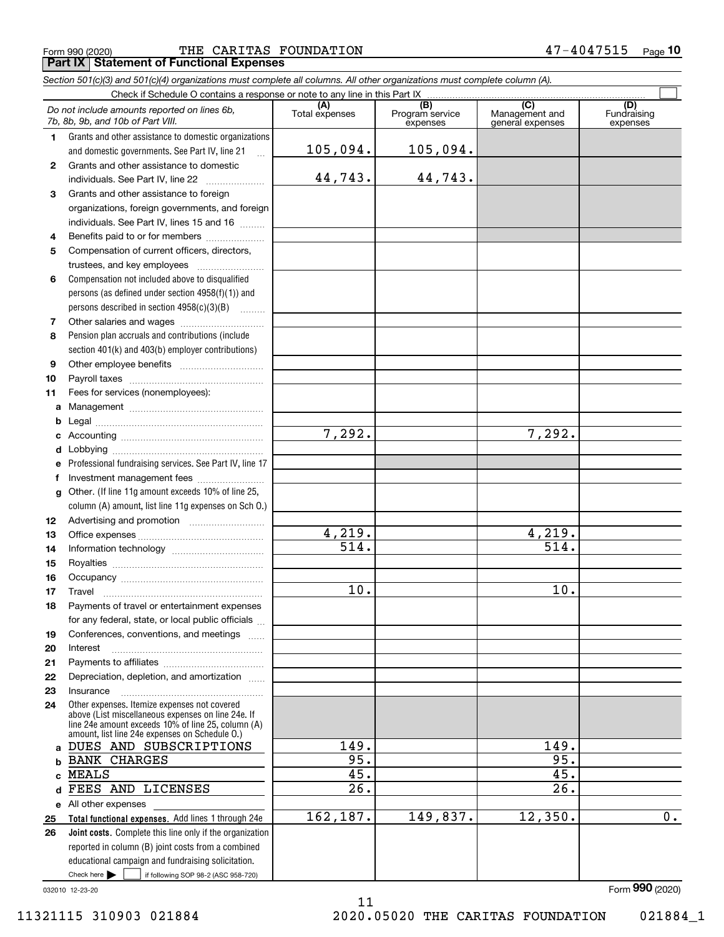*Section 501(c)(3) and 501(c)(4) organizations must complete all columns. All other organizations must complete column (A).*

|              | Do not include amounts reported on lines 6b,<br>7b, 8b, 9b, and 10b of Part VIII.                    | (A)<br>Total expenses | (B)<br>Program service<br>expenses | $\overline{C}$<br>Management and<br>general expenses | (D)<br>Fundraising<br>expenses |
|--------------|------------------------------------------------------------------------------------------------------|-----------------------|------------------------------------|------------------------------------------------------|--------------------------------|
| 1.           | Grants and other assistance to domestic organizations                                                |                       |                                    |                                                      |                                |
|              | and domestic governments. See Part IV, line 21                                                       | 105,094.              | 105,094.                           |                                                      |                                |
| $\mathbf{2}$ | Grants and other assistance to domestic                                                              |                       |                                    |                                                      |                                |
|              | individuals. See Part IV, line 22                                                                    | 44,743.               | 44,743.                            |                                                      |                                |
| 3            | Grants and other assistance to foreign                                                               |                       |                                    |                                                      |                                |
|              | organizations, foreign governments, and foreign                                                      |                       |                                    |                                                      |                                |
|              | individuals. See Part IV, lines 15 and 16                                                            |                       |                                    |                                                      |                                |
| 4            | Benefits paid to or for members                                                                      |                       |                                    |                                                      |                                |
| 5            | Compensation of current officers, directors,                                                         |                       |                                    |                                                      |                                |
|              | trustees, and key employees                                                                          |                       |                                    |                                                      |                                |
| 6            | Compensation not included above to disqualified                                                      |                       |                                    |                                                      |                                |
|              | persons (as defined under section $4958(f)(1)$ ) and                                                 |                       |                                    |                                                      |                                |
|              | persons described in section 4958(c)(3)(B)                                                           |                       |                                    |                                                      |                                |
| 7            |                                                                                                      |                       |                                    |                                                      |                                |
| 8            | Pension plan accruals and contributions (include                                                     |                       |                                    |                                                      |                                |
|              | section 401(k) and 403(b) employer contributions)                                                    |                       |                                    |                                                      |                                |
| 9            |                                                                                                      |                       |                                    |                                                      |                                |
| 10           |                                                                                                      |                       |                                    |                                                      |                                |
| 11           | Fees for services (nonemployees):                                                                    |                       |                                    |                                                      |                                |
| a            |                                                                                                      |                       |                                    |                                                      |                                |
| b            |                                                                                                      |                       |                                    |                                                      |                                |
| c            |                                                                                                      | 7,292.                |                                    | 7,292.                                               |                                |
| d            |                                                                                                      |                       |                                    |                                                      |                                |
| e            | Professional fundraising services. See Part IV, line 17                                              |                       |                                    |                                                      |                                |
| f            | Investment management fees                                                                           |                       |                                    |                                                      |                                |
| $\mathbf{q}$ | Other. (If line 11g amount exceeds 10% of line 25,                                                   |                       |                                    |                                                      |                                |
|              | column (A) amount, list line 11g expenses on Sch 0.)                                                 |                       |                                    |                                                      |                                |
| 12<br>13     |                                                                                                      | 4,219.                |                                    | 4,219.                                               |                                |
| 14           |                                                                                                      | $\overline{514}$ .    |                                    | $\overline{514}$ .                                   |                                |
| 15           |                                                                                                      |                       |                                    |                                                      |                                |
| 16           |                                                                                                      |                       |                                    |                                                      |                                |
| 17           | Travel                                                                                               | 10.                   |                                    | 10.                                                  |                                |
| 18           | Payments of travel or entertainment expenses                                                         |                       |                                    |                                                      |                                |
|              | for any federal, state, or local public officials                                                    |                       |                                    |                                                      |                                |
| 19           | Conferences, conventions, and meetings                                                               |                       |                                    |                                                      |                                |
| 20           | Interest                                                                                             |                       |                                    |                                                      |                                |
| 21           |                                                                                                      |                       |                                    |                                                      |                                |
| 22           | Depreciation, depletion, and amortization                                                            |                       |                                    |                                                      |                                |
| 23           | Insurance                                                                                            |                       |                                    |                                                      |                                |
| 24           | Other expenses. Itemize expenses not covered<br>above (List miscellaneous expenses on line 24e. If   |                       |                                    |                                                      |                                |
|              | line 24e amount exceeds 10% of line 25, column (A)<br>amount, list line 24e expenses on Schedule O.) |                       |                                    |                                                      |                                |
|              | a DUES AND SUBSCRIPTIONS                                                                             | 149.                  |                                    | 149.                                                 |                                |
|              | <b>b BANK CHARGES</b>                                                                                | 95.                   |                                    | 95.                                                  |                                |
|              | c MEALS                                                                                              | 45.                   |                                    | 45.                                                  |                                |
| d            | FEES AND LICENSES                                                                                    | 26.                   |                                    | 26.                                                  |                                |
|              | e All other expenses                                                                                 |                       |                                    |                                                      |                                |
| 25           | Total functional expenses. Add lines 1 through 24e                                                   | 162,187.              | 149,837.                           | 12,350.                                              | $\overline{0}$ .               |
| 26           | <b>Joint costs.</b> Complete this line only if the organization                                      |                       |                                    |                                                      |                                |
|              | reported in column (B) joint costs from a combined                                                   |                       |                                    |                                                      |                                |
|              | educational campaign and fundraising solicitation.                                                   |                       |                                    |                                                      |                                |
|              | Check here $\blacktriangleright$<br>if following SOP 98-2 (ASC 958-720)                              |                       |                                    |                                                      |                                |

032010 12-23-20

Form (2020) **990**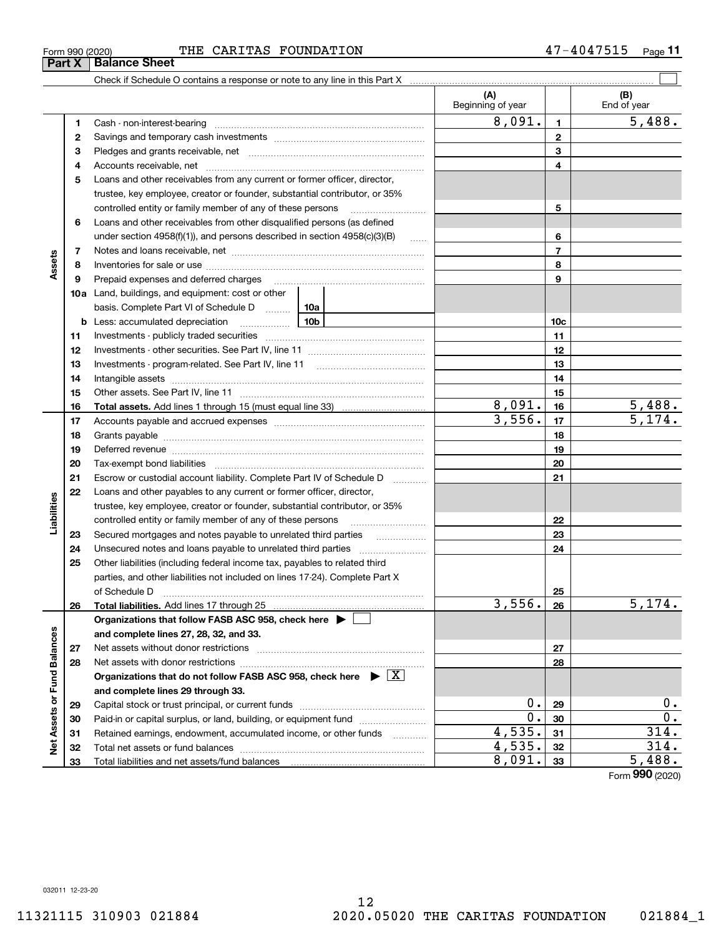#### Form 990 (2020) Page THE CARITAS FOUNDATION 47-4047515 **Part X Balance Sheet**

|                             |    |                                                                                                                                                                                                                                |                                                                         | (A)<br>Beginning of year |                 | (B)<br>End of year   |  |  |
|-----------------------------|----|--------------------------------------------------------------------------------------------------------------------------------------------------------------------------------------------------------------------------------|-------------------------------------------------------------------------|--------------------------|-----------------|----------------------|--|--|
|                             | 1  | Cash - non-interest-bearing                                                                                                                                                                                                    |                                                                         | 8,091.                   | $\mathbf{1}$    | 5,488.               |  |  |
|                             | 2  |                                                                                                                                                                                                                                |                                                                         |                          | $\mathbf{2}$    |                      |  |  |
|                             | 3  |                                                                                                                                                                                                                                |                                                                         |                          | 3               |                      |  |  |
|                             | 4  |                                                                                                                                                                                                                                |                                                                         |                          | 4               |                      |  |  |
|                             | 5  | Loans and other receivables from any current or former officer, director,                                                                                                                                                      |                                                                         |                          |                 |                      |  |  |
|                             |    | trustee, key employee, creator or founder, substantial contributor, or 35%                                                                                                                                                     |                                                                         |                          |                 |                      |  |  |
|                             |    | controlled entity or family member of any of these persons                                                                                                                                                                     |                                                                         |                          | 5               |                      |  |  |
|                             | 6  |                                                                                                                                                                                                                                | Loans and other receivables from other disqualified persons (as defined |                          |                 |                      |  |  |
|                             |    | under section 4958(f)(1)), and persons described in section 4958(c)(3)(B)                                                                                                                                                      |                                                                         | 6                        |                 |                      |  |  |
|                             | 7  |                                                                                                                                                                                                                                | $\ldots$                                                                |                          | $\overline{7}$  |                      |  |  |
| Assets                      | 8  |                                                                                                                                                                                                                                |                                                                         |                          | 8               |                      |  |  |
|                             | 9  | Prepaid expenses and deferred charges                                                                                                                                                                                          |                                                                         |                          | 9               |                      |  |  |
|                             |    | <b>10a</b> Land, buildings, and equipment: cost or other                                                                                                                                                                       |                                                                         |                          |                 |                      |  |  |
|                             |    | basis. Complete Part VI of Schedule D  10a                                                                                                                                                                                     |                                                                         |                          |                 |                      |  |  |
|                             | b  | Less: accumulated depreciation<br>.                                                                                                                                                                                            | 10b                                                                     |                          | 10 <sub>c</sub> |                      |  |  |
|                             | 11 |                                                                                                                                                                                                                                |                                                                         |                          | 11              |                      |  |  |
|                             | 12 |                                                                                                                                                                                                                                |                                                                         |                          | 12              |                      |  |  |
|                             | 13 |                                                                                                                                                                                                                                |                                                                         |                          | 13              |                      |  |  |
|                             | 14 | Intangible assets www.communication.com/www.communication.com/www.com/www.com/www.com/www.com/www.com/www.com/                                                                                                                 |                                                                         |                          | 14              |                      |  |  |
|                             | 15 |                                                                                                                                                                                                                                |                                                                         |                          | 15              |                      |  |  |
|                             | 16 |                                                                                                                                                                                                                                |                                                                         | 8,091.                   | 16              | 5,488.               |  |  |
|                             | 17 |                                                                                                                                                                                                                                |                                                                         | 3,556.                   | 17              | $\overline{5,174}$ . |  |  |
|                             | 18 |                                                                                                                                                                                                                                |                                                                         |                          | 18              |                      |  |  |
|                             | 19 | Deferred revenue manual contracts and contracts are contracted and contract and contract are contracted and contract are contracted and contract are contracted and contract are contracted and contract are contracted and co |                                                                         |                          | 19              |                      |  |  |
|                             | 20 |                                                                                                                                                                                                                                |                                                                         |                          | 20              |                      |  |  |
|                             | 21 | Escrow or custodial account liability. Complete Part IV of Schedule D                                                                                                                                                          | 1.1.1.1.1.1.1.1.1.1                                                     |                          | 21              |                      |  |  |
|                             | 22 | Loans and other payables to any current or former officer, director,                                                                                                                                                           |                                                                         |                          |                 |                      |  |  |
| abilities                   |    | trustee, key employee, creator or founder, substantial contributor, or 35%                                                                                                                                                     |                                                                         |                          |                 |                      |  |  |
|                             |    | controlled entity or family member of any of these persons                                                                                                                                                                     |                                                                         |                          | 22              |                      |  |  |
|                             | 23 | Secured mortgages and notes payable to unrelated third parties                                                                                                                                                                 |                                                                         |                          | 23              |                      |  |  |
|                             | 24 | Unsecured notes and loans payable to unrelated third parties                                                                                                                                                                   |                                                                         |                          | 24              |                      |  |  |
|                             | 25 | Other liabilities (including federal income tax, payables to related third                                                                                                                                                     |                                                                         |                          |                 |                      |  |  |
|                             |    | parties, and other liabilities not included on lines 17-24). Complete Part X                                                                                                                                                   |                                                                         |                          |                 |                      |  |  |
|                             |    | of Schedule D                                                                                                                                                                                                                  |                                                                         |                          | 25              |                      |  |  |
|                             | 26 |                                                                                                                                                                                                                                |                                                                         | 3,556.                   | 26              | 5,174.               |  |  |
|                             |    | Organizations that follow FASB ASC 958, check here >                                                                                                                                                                           |                                                                         |                          |                 |                      |  |  |
|                             |    | and complete lines 27, 28, 32, and 33.                                                                                                                                                                                         |                                                                         |                          |                 |                      |  |  |
|                             | 27 |                                                                                                                                                                                                                                |                                                                         |                          | 27              |                      |  |  |
|                             | 28 |                                                                                                                                                                                                                                |                                                                         |                          | 28              |                      |  |  |
|                             |    | Organizations that do not follow FASB ASC 958, check here $\triangleright \lfloor X \rfloor$                                                                                                                                   |                                                                         |                          |                 |                      |  |  |
|                             |    | and complete lines 29 through 33.                                                                                                                                                                                              |                                                                         |                          |                 |                      |  |  |
|                             | 29 |                                                                                                                                                                                                                                |                                                                         | 0.                       | 29              | 0.                   |  |  |
| Net Assets or Fund Balances | 30 | Paid-in or capital surplus, or land, building, or equipment fund                                                                                                                                                               |                                                                         | 0.                       | 30              | 0.                   |  |  |
|                             | 31 | Retained earnings, endowment, accumulated income, or other funds                                                                                                                                                               |                                                                         | 4,535.                   | 31              | 314.                 |  |  |
|                             | 32 |                                                                                                                                                                                                                                |                                                                         | 4,535.                   | 32              | 314.                 |  |  |
|                             | 33 |                                                                                                                                                                                                                                |                                                                         | 8,091.                   | 33              | 5,488.               |  |  |

Form (2020) **990**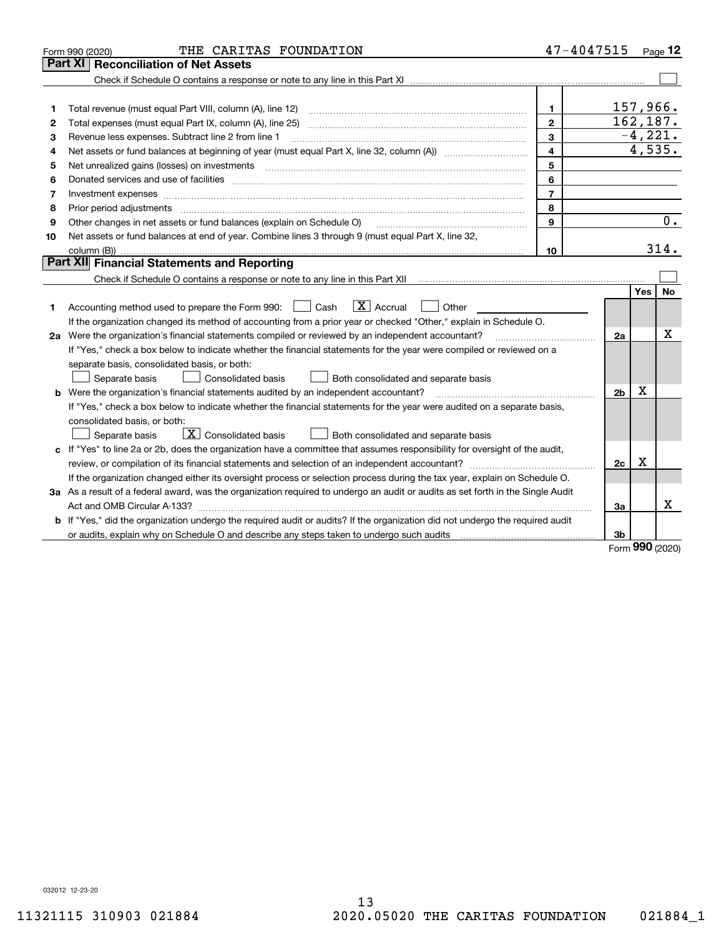|    | THE CARITAS FOUNDATION<br>Form 990 (2020)                                                                                                                                                                                      | 47-4047515              |                |                  | Page 12          |
|----|--------------------------------------------------------------------------------------------------------------------------------------------------------------------------------------------------------------------------------|-------------------------|----------------|------------------|------------------|
|    | Part XI<br><b>Reconciliation of Net Assets</b>                                                                                                                                                                                 |                         |                |                  |                  |
|    |                                                                                                                                                                                                                                |                         |                |                  |                  |
|    |                                                                                                                                                                                                                                |                         |                |                  |                  |
| 1  |                                                                                                                                                                                                                                | 1                       |                | 157,966.         |                  |
| 2  |                                                                                                                                                                                                                                | $\mathbf{2}$            |                | 162,187.         |                  |
| з  | Revenue less expenses. Subtract line 2 from line 1                                                                                                                                                                             | 3                       |                | $-4,221.$        |                  |
| 4  |                                                                                                                                                                                                                                | $\overline{\mathbf{4}}$ |                | 4,535.           |                  |
| 5  | Net unrealized gains (losses) on investments [11] matter contracts and the state of the state of the state of the state of the state of the state of the state of the state of the state of the state of the state of the stat | 5                       |                |                  |                  |
| 6  | Donated services and use of facilities [111] Donated and the service of facilities [11] Donated services and use of facilities [11] Donated and the service of the service of the service of the service of the service of the | 6                       |                |                  |                  |
| 7  |                                                                                                                                                                                                                                | $\overline{7}$          |                |                  |                  |
| 8  |                                                                                                                                                                                                                                | 8                       |                |                  |                  |
| 9  | Other changes in net assets or fund balances (explain on Schedule O)                                                                                                                                                           | 9                       |                |                  | $\overline{0}$ . |
| 10 | Net assets or fund balances at end of year. Combine lines 3 through 9 (must equal Part X, line 32,                                                                                                                             |                         |                |                  |                  |
|    |                                                                                                                                                                                                                                | 10                      |                |                  | 314.             |
|    | Part XII Financial Statements and Reporting                                                                                                                                                                                    |                         |                |                  |                  |
|    |                                                                                                                                                                                                                                |                         |                |                  |                  |
|    |                                                                                                                                                                                                                                |                         |                | Yes              | No               |
| 1. | $\boxed{\text{X}}$ Accrual<br>Accounting method used to prepare the Form 990: <u>[</u> Cash<br>Other                                                                                                                           |                         |                |                  |                  |
|    | If the organization changed its method of accounting from a prior year or checked "Other," explain in Schedule O.                                                                                                              |                         |                |                  |                  |
|    | 2a Were the organization's financial statements compiled or reviewed by an independent accountant?                                                                                                                             |                         | 2a             |                  | x                |
|    | If "Yes," check a box below to indicate whether the financial statements for the year were compiled or reviewed on a                                                                                                           |                         |                |                  |                  |
|    | separate basis, consolidated basis, or both:                                                                                                                                                                                   |                         |                |                  |                  |
|    | Separate basis<br>Consolidated basis<br>Both consolidated and separate basis                                                                                                                                                   |                         |                |                  |                  |
|    | <b>b</b> Were the organization's financial statements audited by an independent accountant?                                                                                                                                    |                         | 2 <sub>b</sub> | x                |                  |
|    | If "Yes," check a box below to indicate whether the financial statements for the year were audited on a separate basis,                                                                                                        |                         |                |                  |                  |
|    | consolidated basis, or both:                                                                                                                                                                                                   |                         |                |                  |                  |
|    | $\boxed{\textbf{X}}$ Consolidated basis<br>Separate basis<br>Both consolidated and separate basis                                                                                                                              |                         |                |                  |                  |
|    | c If "Yes" to line 2a or 2b, does the organization have a committee that assumes responsibility for oversight of the audit,                                                                                                    |                         |                |                  |                  |
|    |                                                                                                                                                                                                                                |                         | 2c             | Х                |                  |
|    | If the organization changed either its oversight process or selection process during the tax year, explain on Schedule O.                                                                                                      |                         |                |                  |                  |
|    | 3a As a result of a federal award, was the organization required to undergo an audit or audits as set forth in the Single Audit                                                                                                |                         |                |                  |                  |
|    |                                                                                                                                                                                                                                |                         | За             |                  | x.               |
|    | b If "Yes," did the organization undergo the required audit or audits? If the organization did not undergo the required audit                                                                                                  |                         |                |                  |                  |
|    |                                                                                                                                                                                                                                |                         | Зb             | $000 \text{ cm}$ |                  |

Form (2020) **990**

032012 12-23-20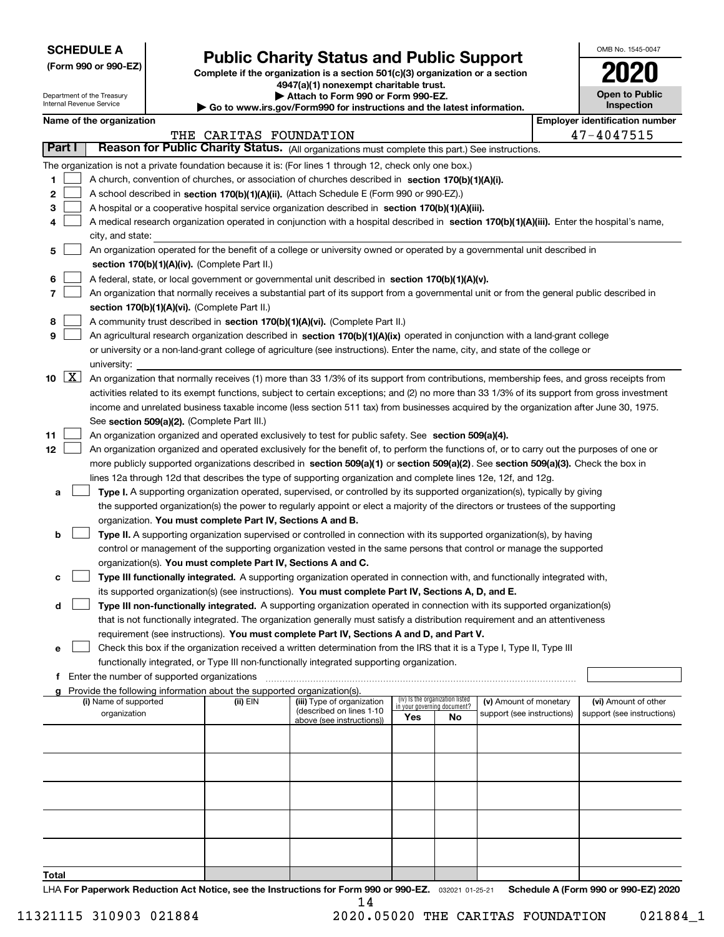| <b>SCHEDULE A</b> |
|-------------------|
|-------------------|

Department of the Treasury Internal Revenue Service

**(Form 990 or 990-EZ)**

# **Public Charity Status and Public Support**

**Complete if the organization is a section 501(c)(3) organization or a section 4947(a)(1) nonexempt charitable trust.**

**| Attach to Form 990 or Form 990-EZ.** 

**| Go to www.irs.gov/Form990 for instructions and the latest information.**

| OMB No. 1545-0047                   |
|-------------------------------------|
|                                     |
| <b>Open to Public</b><br>Inspection |

 $\blacksquare$ 

|                      | Name of the organization                                                                                                                     |                        |                            |                                    |    |                            | <b>Employer identification number</b> |  |
|----------------------|----------------------------------------------------------------------------------------------------------------------------------------------|------------------------|----------------------------|------------------------------------|----|----------------------------|---------------------------------------|--|
| Part I               |                                                                                                                                              | THE CARITAS FOUNDATION |                            |                                    |    |                            | 47-4047515                            |  |
|                      | Reason for Public Charity Status. (All organizations must complete this part.) See instructions.                                             |                        |                            |                                    |    |                            |                                       |  |
|                      | The organization is not a private foundation because it is: (For lines 1 through 12, check only one box.)                                    |                        |                            |                                    |    |                            |                                       |  |
| 1                    | A church, convention of churches, or association of churches described in section 170(b)(1)(A)(i).                                           |                        |                            |                                    |    |                            |                                       |  |
| 2                    | A school described in section 170(b)(1)(A)(ii). (Attach Schedule E (Form 990 or 990-EZ).)                                                    |                        |                            |                                    |    |                            |                                       |  |
| з                    | A hospital or a cooperative hospital service organization described in section 170(b)(1)(A)(iii).                                            |                        |                            |                                    |    |                            |                                       |  |
| 4                    | A medical research organization operated in conjunction with a hospital described in section 170(b)(1)(A)(iii). Enter the hospital's name,   |                        |                            |                                    |    |                            |                                       |  |
|                      | city, and state:                                                                                                                             |                        |                            |                                    |    |                            |                                       |  |
| 5                    | An organization operated for the benefit of a college or university owned or operated by a governmental unit described in                    |                        |                            |                                    |    |                            |                                       |  |
|                      | section 170(b)(1)(A)(iv). (Complete Part II.)                                                                                                |                        |                            |                                    |    |                            |                                       |  |
| 6                    | A federal, state, or local government or governmental unit described in section 170(b)(1)(A)(v).                                             |                        |                            |                                    |    |                            |                                       |  |
| 7                    | An organization that normally receives a substantial part of its support from a governmental unit or from the general public described in    |                        |                            |                                    |    |                            |                                       |  |
|                      | section 170(b)(1)(A)(vi). (Complete Part II.)                                                                                                |                        |                            |                                    |    |                            |                                       |  |
| 8                    | A community trust described in section 170(b)(1)(A)(vi). (Complete Part II.)                                                                 |                        |                            |                                    |    |                            |                                       |  |
| 9                    | An agricultural research organization described in section 170(b)(1)(A)(ix) operated in conjunction with a land-grant college                |                        |                            |                                    |    |                            |                                       |  |
|                      | or university or a non-land-grant college of agriculture (see instructions). Enter the name, city, and state of the college or               |                        |                            |                                    |    |                            |                                       |  |
|                      | university:                                                                                                                                  |                        |                            |                                    |    |                            |                                       |  |
| $10 \quad \boxed{X}$ | An organization that normally receives (1) more than 33 1/3% of its support from contributions, membership fees, and gross receipts from     |                        |                            |                                    |    |                            |                                       |  |
|                      | activities related to its exempt functions, subject to certain exceptions; and (2) no more than 33 1/3% of its support from gross investment |                        |                            |                                    |    |                            |                                       |  |
|                      | income and unrelated business taxable income (less section 511 tax) from businesses acquired by the organization after June 30, 1975.        |                        |                            |                                    |    |                            |                                       |  |
|                      | See section 509(a)(2). (Complete Part III.)                                                                                                  |                        |                            |                                    |    |                            |                                       |  |
| 11                   | An organization organized and operated exclusively to test for public safety. See section 509(a)(4).                                         |                        |                            |                                    |    |                            |                                       |  |
| 12                   | An organization organized and operated exclusively for the benefit of, to perform the functions of, or to carry out the purposes of one or   |                        |                            |                                    |    |                            |                                       |  |
|                      | more publicly supported organizations described in section 509(a)(1) or section 509(a)(2). See section 509(a)(3). Check the box in           |                        |                            |                                    |    |                            |                                       |  |
|                      | lines 12a through 12d that describes the type of supporting organization and complete lines 12e, 12f, and 12g.                               |                        |                            |                                    |    |                            |                                       |  |
| а                    | Type I. A supporting organization operated, supervised, or controlled by its supported organization(s), typically by giving                  |                        |                            |                                    |    |                            |                                       |  |
|                      | the supported organization(s) the power to regularly appoint or elect a majority of the directors or trustees of the supporting              |                        |                            |                                    |    |                            |                                       |  |
|                      | organization. You must complete Part IV, Sections A and B.                                                                                   |                        |                            |                                    |    |                            |                                       |  |
| b                    | Type II. A supporting organization supervised or controlled in connection with its supported organization(s), by having                      |                        |                            |                                    |    |                            |                                       |  |
|                      | control or management of the supporting organization vested in the same persons that control or manage the supported                         |                        |                            |                                    |    |                            |                                       |  |
|                      | organization(s). You must complete Part IV, Sections A and C.                                                                                |                        |                            |                                    |    |                            |                                       |  |
| с                    | Type III functionally integrated. A supporting organization operated in connection with, and functionally integrated with,                   |                        |                            |                                    |    |                            |                                       |  |
|                      | its supported organization(s) (see instructions). You must complete Part IV, Sections A, D, and E.                                           |                        |                            |                                    |    |                            |                                       |  |
|                      | Type III non-functionally integrated. A supporting organization operated in connection with its supported organization(s)                    |                        |                            |                                    |    |                            |                                       |  |
| d                    |                                                                                                                                              |                        |                            |                                    |    |                            |                                       |  |
|                      | that is not functionally integrated. The organization generally must satisfy a distribution requirement and an attentiveness                 |                        |                            |                                    |    |                            |                                       |  |
|                      | requirement (see instructions). You must complete Part IV, Sections A and D, and Part V.                                                     |                        |                            |                                    |    |                            |                                       |  |
|                      | Check this box if the organization received a written determination from the IRS that it is a Type I, Type II, Type III                      |                        |                            |                                    |    |                            |                                       |  |
|                      | functionally integrated, or Type III non-functionally integrated supporting organization.                                                    |                        |                            |                                    |    |                            |                                       |  |
|                      | f Enter the number of supported organizations                                                                                                |                        |                            |                                    |    |                            |                                       |  |
|                      | g Provide the following information about the supported organization(s).<br>(i) Name of supported                                            | (ii) $EIN$             | (iii) Type of organization | (iv) Is the organization listed    |    | (v) Amount of monetary     | (vi) Amount of other                  |  |
|                      | organization                                                                                                                                 |                        | (described on lines 1-10   | in your governing document?<br>Yes | No | support (see instructions) | support (see instructions)            |  |
|                      |                                                                                                                                              |                        | above (see instructions))  |                                    |    |                            |                                       |  |
|                      |                                                                                                                                              |                        |                            |                                    |    |                            |                                       |  |
|                      |                                                                                                                                              |                        |                            |                                    |    |                            |                                       |  |
|                      |                                                                                                                                              |                        |                            |                                    |    |                            |                                       |  |
|                      |                                                                                                                                              |                        |                            |                                    |    |                            |                                       |  |
|                      |                                                                                                                                              |                        |                            |                                    |    |                            |                                       |  |
|                      |                                                                                                                                              |                        |                            |                                    |    |                            |                                       |  |
|                      |                                                                                                                                              |                        |                            |                                    |    |                            |                                       |  |
|                      |                                                                                                                                              |                        |                            |                                    |    |                            |                                       |  |
|                      |                                                                                                                                              |                        |                            |                                    |    |                            |                                       |  |
|                      |                                                                                                                                              |                        |                            |                                    |    |                            |                                       |  |
| Total                |                                                                                                                                              |                        |                            |                                    |    |                            |                                       |  |

LHA For Paperwork Reduction Act Notice, see the Instructions for Form 990 or 990-EZ. <sub>032021</sub> o1-25-21 Schedule A (Form 990 or 990-EZ) 2020 14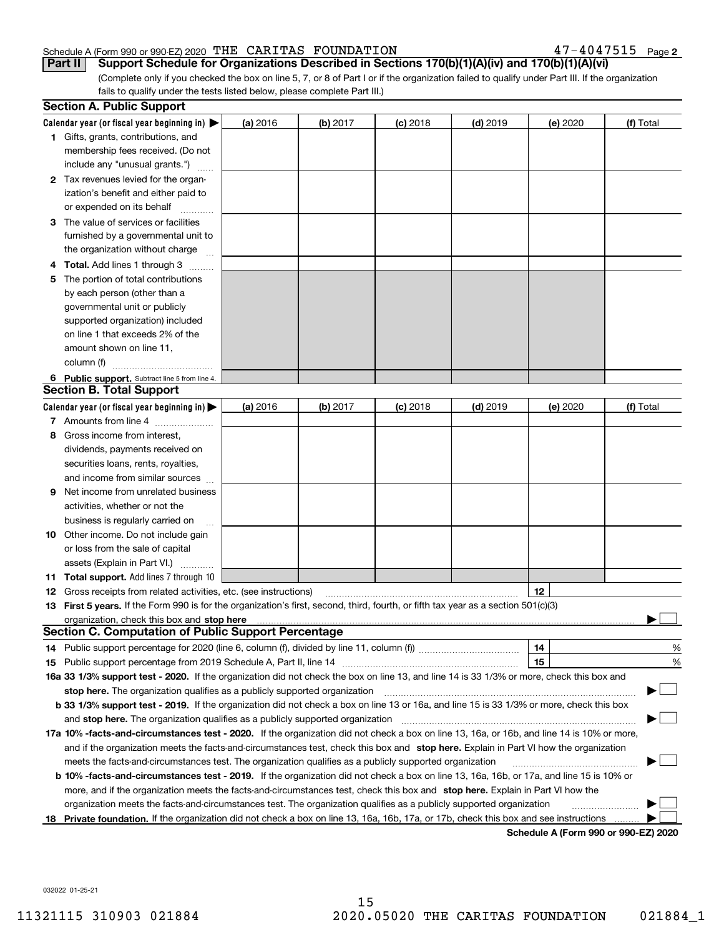$47 - 4047515$  Page 2

(Complete only if you checked the box on line 5, 7, or 8 of Part I or if the organization failed to qualify under Part III. If the organization fails to qualify under the tests listed below, please complete Part III.) **Part II** Support Schedule for Organizations Described in Sections 170(b)(1)(A)(iv) and 170(b)(1)(A)(vi)

|    | <b>Section A. Public Support</b>                                                                                                               |          |          |            |            |          |                                      |
|----|------------------------------------------------------------------------------------------------------------------------------------------------|----------|----------|------------|------------|----------|--------------------------------------|
|    | Calendar year (or fiscal year beginning in) $\blacktriangleright$                                                                              | (a) 2016 | (b) 2017 | $(c)$ 2018 | $(d)$ 2019 | (e) 2020 | (f) Total                            |
|    | <b>1</b> Gifts, grants, contributions, and                                                                                                     |          |          |            |            |          |                                      |
|    | membership fees received. (Do not                                                                                                              |          |          |            |            |          |                                      |
|    | include any "unusual grants.")                                                                                                                 |          |          |            |            |          |                                      |
|    | <b>2</b> Tax revenues levied for the organ-                                                                                                    |          |          |            |            |          |                                      |
|    | ization's benefit and either paid to                                                                                                           |          |          |            |            |          |                                      |
|    | or expended on its behalf                                                                                                                      |          |          |            |            |          |                                      |
|    | 3 The value of services or facilities                                                                                                          |          |          |            |            |          |                                      |
|    | furnished by a governmental unit to                                                                                                            |          |          |            |            |          |                                      |
|    | the organization without charge                                                                                                                |          |          |            |            |          |                                      |
|    | 4 Total. Add lines 1 through 3                                                                                                                 |          |          |            |            |          |                                      |
| 5. | The portion of total contributions                                                                                                             |          |          |            |            |          |                                      |
|    | by each person (other than a                                                                                                                   |          |          |            |            |          |                                      |
|    | governmental unit or publicly                                                                                                                  |          |          |            |            |          |                                      |
|    | supported organization) included                                                                                                               |          |          |            |            |          |                                      |
|    | on line 1 that exceeds 2% of the                                                                                                               |          |          |            |            |          |                                      |
|    | amount shown on line 11,                                                                                                                       |          |          |            |            |          |                                      |
|    | column (f)                                                                                                                                     |          |          |            |            |          |                                      |
|    | 6 Public support. Subtract line 5 from line 4.                                                                                                 |          |          |            |            |          |                                      |
|    | <b>Section B. Total Support</b>                                                                                                                |          |          |            |            |          |                                      |
|    | Calendar year (or fiscal year beginning in)                                                                                                    | (a) 2016 | (b) 2017 | $(c)$ 2018 | $(d)$ 2019 | (e) 2020 | (f) Total                            |
|    | 7 Amounts from line 4                                                                                                                          |          |          |            |            |          |                                      |
|    | 8 Gross income from interest,                                                                                                                  |          |          |            |            |          |                                      |
|    | dividends, payments received on                                                                                                                |          |          |            |            |          |                                      |
|    | securities loans, rents, royalties,                                                                                                            |          |          |            |            |          |                                      |
|    | and income from similar sources                                                                                                                |          |          |            |            |          |                                      |
| 9. | Net income from unrelated business                                                                                                             |          |          |            |            |          |                                      |
|    | activities, whether or not the                                                                                                                 |          |          |            |            |          |                                      |
|    | business is regularly carried on                                                                                                               |          |          |            |            |          |                                      |
|    | <b>10</b> Other income. Do not include gain                                                                                                    |          |          |            |            |          |                                      |
|    | or loss from the sale of capital                                                                                                               |          |          |            |            |          |                                      |
|    | assets (Explain in Part VI.)                                                                                                                   |          |          |            |            |          |                                      |
|    | <b>11 Total support.</b> Add lines 7 through 10                                                                                                |          |          |            |            |          |                                      |
|    | <b>12</b> Gross receipts from related activities, etc. (see instructions)                                                                      |          |          |            |            | 12       |                                      |
|    | 13 First 5 years. If the Form 990 is for the organization's first, second, third, fourth, or fifth tax year as a section 501(c)(3)             |          |          |            |            |          |                                      |
|    | organization, check this box and <b>stop here</b> www.communication.communication.communication.communication.communic                         |          |          |            |            |          |                                      |
|    | <b>Section C. Computation of Public Support Percentage</b>                                                                                     |          |          |            |            |          |                                      |
|    |                                                                                                                                                |          |          |            |            | 14       | %                                    |
|    |                                                                                                                                                |          |          |            |            | 15       | $\%$                                 |
|    | 16a 33 1/3% support test - 2020. If the organization did not check the box on line 13, and line 14 is 33 1/3% or more, check this box and      |          |          |            |            |          |                                      |
|    | stop here. The organization qualifies as a publicly supported organization                                                                     |          |          |            |            |          |                                      |
|    | b 33 1/3% support test - 2019. If the organization did not check a box on line 13 or 16a, and line 15 is 33 1/3% or more, check this box       |          |          |            |            |          |                                      |
|    | and stop here. The organization qualifies as a publicly supported organization                                                                 |          |          |            |            |          |                                      |
|    | 17a 10% -facts-and-circumstances test - 2020. If the organization did not check a box on line 13, 16a, or 16b, and line 14 is 10% or more,     |          |          |            |            |          |                                      |
|    | and if the organization meets the facts-and-circumstances test, check this box and stop here. Explain in Part VI how the organization          |          |          |            |            |          |                                      |
|    | meets the facts-and-circumstances test. The organization qualifies as a publicly supported organization                                        |          |          |            |            |          |                                      |
|    | <b>b 10% -facts-and-circumstances test - 2019.</b> If the organization did not check a box on line 13, 16a, 16b, or 17a, and line 15 is 10% or |          |          |            |            |          |                                      |
|    | more, and if the organization meets the facts-and-circumstances test, check this box and stop here. Explain in Part VI how the                 |          |          |            |            |          |                                      |
|    | organization meets the facts-and-circumstances test. The organization qualifies as a publicly supported organization                           |          |          |            |            |          |                                      |
|    | 18 Private foundation. If the organization did not check a box on line 13, 16a, 16b, 17a, or 17b, check this box and see instructions          |          |          |            |            |          |                                      |
|    |                                                                                                                                                |          |          |            |            |          | Schedule A (Form 990 or 990-F7) 2020 |

**Schedule A (Form 990 or 990-EZ) 2020**

032022 01-25-21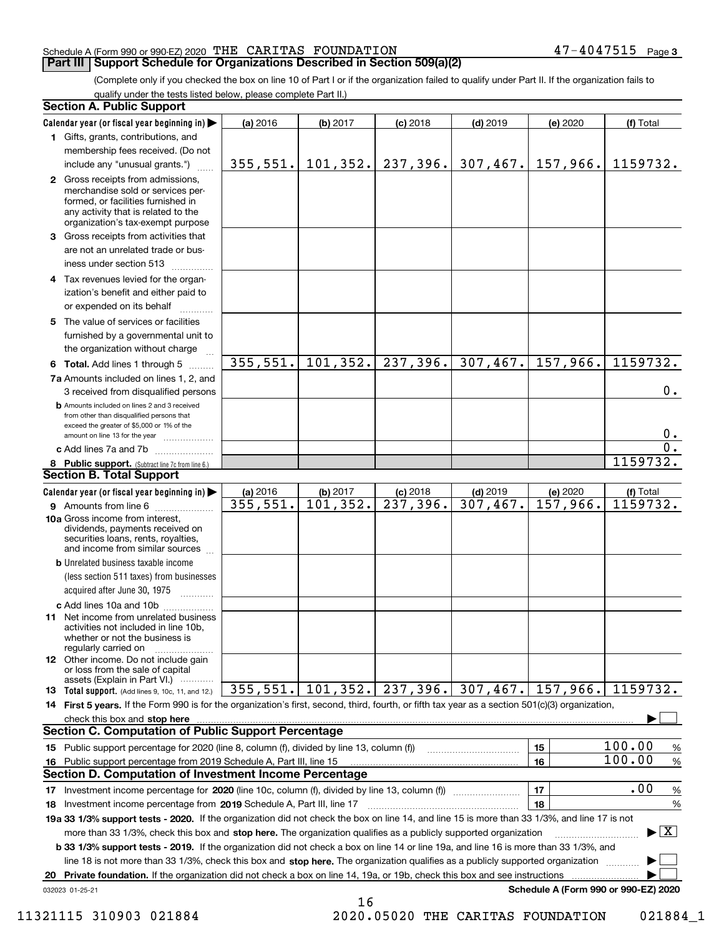# **Part III Support Schedule for Organizations Described in Section 509(a)(2)**

**3**

(Complete only if you checked the box on line 10 of Part I or if the organization failed to qualify under Part II. If the organization fails to qualify under the tests listed below, please complete Part II.)

|    | <b>Section A. Public Support</b>                                                                                                                                                                                              |           |           |                       |            |                                      |                                                        |
|----|-------------------------------------------------------------------------------------------------------------------------------------------------------------------------------------------------------------------------------|-----------|-----------|-----------------------|------------|--------------------------------------|--------------------------------------------------------|
|    | Calendar year (or fiscal year beginning in)                                                                                                                                                                                   | (a) 2016  | (b) 2017  | $(c)$ 2018            | $(d)$ 2019 | (e) 2020                             | (f) Total                                              |
|    | 1 Gifts, grants, contributions, and                                                                                                                                                                                           |           |           |                       |            |                                      |                                                        |
|    | membership fees received. (Do not                                                                                                                                                                                             |           |           |                       |            |                                      |                                                        |
|    | include any "unusual grants.")                                                                                                                                                                                                | 355, 551. |           | $101, 352.$ 237, 396. | 307, 467.  | 157,966.                             | 1159732.                                               |
|    | 2 Gross receipts from admissions,<br>merchandise sold or services per-<br>formed, or facilities furnished in<br>any activity that is related to the<br>organization's tax-exempt purpose                                      |           |           |                       |            |                                      |                                                        |
|    | 3 Gross receipts from activities that<br>are not an unrelated trade or bus-                                                                                                                                                   |           |           |                       |            |                                      |                                                        |
|    | iness under section 513                                                                                                                                                                                                       |           |           |                       |            |                                      |                                                        |
|    | 4 Tax revenues levied for the organ-<br>ization's benefit and either paid to<br>or expended on its behalf                                                                                                                     |           |           |                       |            |                                      |                                                        |
|    | 5 The value of services or facilities<br>furnished by a governmental unit to                                                                                                                                                  |           |           |                       |            |                                      |                                                        |
|    | the organization without charge                                                                                                                                                                                               |           |           |                       |            |                                      |                                                        |
|    | <b>6 Total.</b> Add lines 1 through 5                                                                                                                                                                                         | 355, 551. | 101, 352. | 237,396.              | 307,467.   | 157,966.                             | 1159732.                                               |
|    | 7a Amounts included on lines 1, 2, and<br>3 received from disqualified persons                                                                                                                                                |           |           |                       |            |                                      | 0.                                                     |
|    | <b>b</b> Amounts included on lines 2 and 3 received<br>from other than disqualified persons that<br>exceed the greater of \$5,000 or 1% of the<br>amount on line 13 for the year                                              |           |           |                       |            |                                      | 0.                                                     |
|    | c Add lines 7a and 7b                                                                                                                                                                                                         |           |           |                       |            |                                      | 0.                                                     |
|    | 8 Public support. (Subtract line 7c from line 6.)                                                                                                                                                                             |           |           |                       |            |                                      | $1159\overline{732}$ .                                 |
|    | <b>Section B. Total Support</b>                                                                                                                                                                                               |           |           |                       |            |                                      |                                                        |
|    | Calendar year (or fiscal year beginning in)                                                                                                                                                                                   | (a) 2016  | (b) 2017  | $(c)$ 2018            | $(d)$ 2019 | (e) 2020                             | (f) Total                                              |
|    | <b>9</b> Amounts from line 6                                                                                                                                                                                                  | 355,551.  | 101, 352. | 237,396.              | 307,467.   | 157,966.                             | 1159732.                                               |
|    | 10a Gross income from interest,<br>dividends, payments received on<br>securities loans, rents, royalties,<br>and income from similar sources                                                                                  |           |           |                       |            |                                      |                                                        |
|    | <b>b</b> Unrelated business taxable income                                                                                                                                                                                    |           |           |                       |            |                                      |                                                        |
|    | (less section 511 taxes) from businesses<br>acquired after June 30, 1975<br>$\mathcal{L}$ . The contract of $\mathcal{L}$                                                                                                     |           |           |                       |            |                                      |                                                        |
|    | c Add lines 10a and 10b                                                                                                                                                                                                       |           |           |                       |            |                                      |                                                        |
|    | <b>11</b> Net income from unrelated business<br>activities not included in line 10b,<br>whether or not the business is<br>regularly carried on                                                                                |           |           |                       |            |                                      |                                                        |
|    | <b>12</b> Other income. Do not include gain<br>or loss from the sale of capital<br>assets (Explain in Part VI.)                                                                                                               |           |           |                       |            |                                      |                                                        |
|    | 13 Total support. (Add lines 9, 10c, 11, and 12.)                                                                                                                                                                             | 355, 551. | 101, 352. | 237, 396.             |            | $307,467.$ 157,966.                  | 1159732.                                               |
|    | 14 First 5 years. If the Form 990 is for the organization's first, second, third, fourth, or fifth tax year as a section 501(c)(3) organization,                                                                              |           |           |                       |            |                                      |                                                        |
|    | check this box and stop here measurements and the control of the state of the control of the state of the control of the control of the control of the control of the control of the control of the control of the control of |           |           |                       |            |                                      |                                                        |
|    | <b>Section C. Computation of Public Support Percentage</b>                                                                                                                                                                    |           |           |                       |            |                                      |                                                        |
|    | 15 Public support percentage for 2020 (line 8, column (f), divided by line 13, column (f))                                                                                                                                    |           |           |                       |            | 15                                   | 100.00<br>$\%$                                         |
|    | 16 Public support percentage from 2019 Schedule A, Part III, line 15                                                                                                                                                          |           |           |                       |            | 16                                   | 100.00<br>$\%$                                         |
|    | Section D. Computation of Investment Income Percentage                                                                                                                                                                        |           |           |                       |            |                                      |                                                        |
|    | 17 Investment income percentage for 2020 (line 10c, column (f), divided by line 13, column (f))                                                                                                                               |           |           |                       |            | 17                                   | .00<br>%                                               |
|    | 18 Investment income percentage from 2019 Schedule A, Part III, line 17                                                                                                                                                       |           |           |                       |            | 18                                   | %                                                      |
|    | 19a 33 1/3% support tests - 2020. If the organization did not check the box on line 14, and line 15 is more than 33 1/3%, and line 17 is not                                                                                  |           |           |                       |            |                                      |                                                        |
|    | more than 33 1/3%, check this box and stop here. The organization qualifies as a publicly supported organization                                                                                                              |           |           |                       |            |                                      | $\blacktriangleright$ $\lfloor$ $\mathbf{X}$ $\rfloor$ |
|    | <b>b 33 1/3% support tests - 2019.</b> If the organization did not check a box on line 14 or line 19a, and line 16 is more than 33 1/3%, and                                                                                  |           |           |                       |            |                                      |                                                        |
|    | line 18 is not more than 33 1/3%, check this box and stop here. The organization qualifies as a publicly supported organization <i>machi</i> on                                                                               |           |           |                       |            |                                      |                                                        |
| 20 | Private foundation. If the organization did not check a box on line 14, 19a, or 19b, check this box and see instructions                                                                                                      |           |           |                       |            | Schedule A (Form 990 or 990-EZ) 2020 |                                                        |
|    | 032023 01-25-21                                                                                                                                                                                                               |           | 10        |                       |            |                                      |                                                        |

16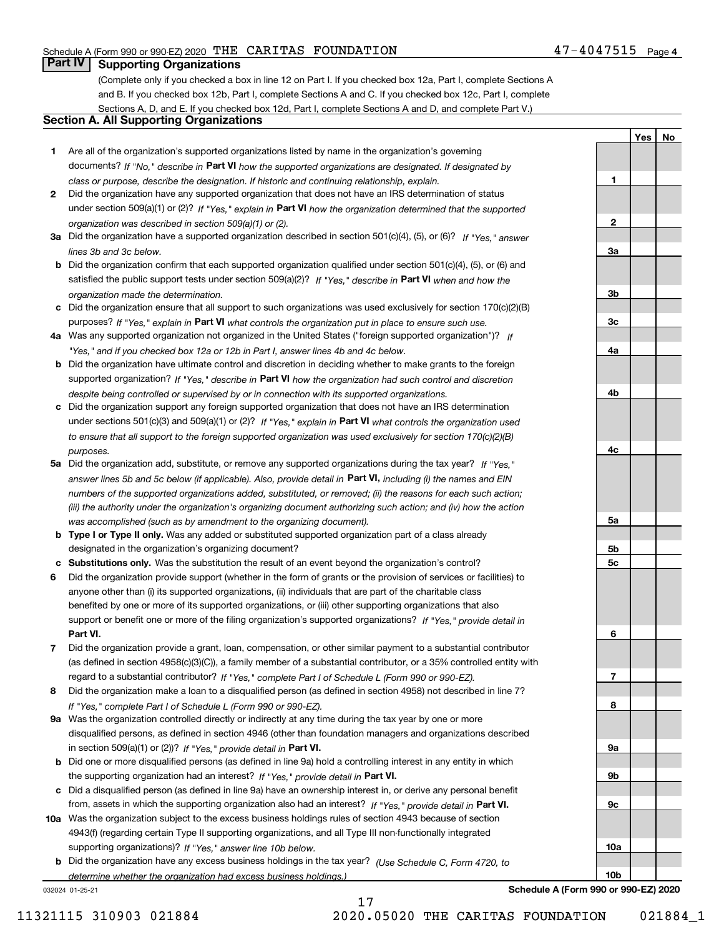#### $47 - 4047515$  Page 4

**1**

**2**

**YesNo**

# **Part IV Supporting Organizations**

(Complete only if you checked a box in line 12 on Part I. If you checked box 12a, Part I, complete Sections A and B. If you checked box 12b, Part I, complete Sections A and C. If you checked box 12c, Part I, complete Sections A, D, and E. If you checked box 12d, Part I, complete Sections A and D, and complete Part V.)

#### **Section A. All Supporting Organizations**

- **1** Are all of the organization's supported organizations listed by name in the organization's governing documents? If "No," describe in **Part VI** how the supported organizations are designated. If designated by *class or purpose, describe the designation. If historic and continuing relationship, explain.*
- **2** Did the organization have any supported organization that does not have an IRS determination of status under section 509(a)(1) or (2)? If "Yes," explain in Part VI how the organization determined that the supported *organization was described in section 509(a)(1) or (2).*
- **3a** Did the organization have a supported organization described in section 501(c)(4), (5), or (6)? If "Yes," answer *lines 3b and 3c below.*
- **b** Did the organization confirm that each supported organization qualified under section 501(c)(4), (5), or (6) and satisfied the public support tests under section 509(a)(2)? If "Yes," describe in **Part VI** when and how the *organization made the determination.*
- **c**Did the organization ensure that all support to such organizations was used exclusively for section 170(c)(2)(B) purposes? If "Yes," explain in **Part VI** what controls the organization put in place to ensure such use.
- **4a***If* Was any supported organization not organized in the United States ("foreign supported organization")? *"Yes," and if you checked box 12a or 12b in Part I, answer lines 4b and 4c below.*
- **b** Did the organization have ultimate control and discretion in deciding whether to make grants to the foreign supported organization? If "Yes," describe in **Part VI** how the organization had such control and discretion *despite being controlled or supervised by or in connection with its supported organizations.*
- **c** Did the organization support any foreign supported organization that does not have an IRS determination under sections 501(c)(3) and 509(a)(1) or (2)? If "Yes," explain in **Part VI** what controls the organization used *to ensure that all support to the foreign supported organization was used exclusively for section 170(c)(2)(B) purposes.*
- **5a** Did the organization add, substitute, or remove any supported organizations during the tax year? If "Yes," answer lines 5b and 5c below (if applicable). Also, provide detail in **Part VI,** including (i) the names and EIN *numbers of the supported organizations added, substituted, or removed; (ii) the reasons for each such action; (iii) the authority under the organization's organizing document authorizing such action; and (iv) how the action was accomplished (such as by amendment to the organizing document).*
- **b** Type I or Type II only. Was any added or substituted supported organization part of a class already designated in the organization's organizing document?
- **cSubstitutions only.**  Was the substitution the result of an event beyond the organization's control?
- **6** Did the organization provide support (whether in the form of grants or the provision of services or facilities) to **Part VI.** *If "Yes," provide detail in* support or benefit one or more of the filing organization's supported organizations? anyone other than (i) its supported organizations, (ii) individuals that are part of the charitable class benefited by one or more of its supported organizations, or (iii) other supporting organizations that also
- **7**Did the organization provide a grant, loan, compensation, or other similar payment to a substantial contributor *If "Yes," complete Part I of Schedule L (Form 990 or 990-EZ).* regard to a substantial contributor? (as defined in section 4958(c)(3)(C)), a family member of a substantial contributor, or a 35% controlled entity with
- **8** Did the organization make a loan to a disqualified person (as defined in section 4958) not described in line 7? *If "Yes," complete Part I of Schedule L (Form 990 or 990-EZ).*
- **9a** Was the organization controlled directly or indirectly at any time during the tax year by one or more in section 509(a)(1) or (2))? If "Yes," *provide detail in* <code>Part VI.</code> disqualified persons, as defined in section 4946 (other than foundation managers and organizations described
- **b** Did one or more disqualified persons (as defined in line 9a) hold a controlling interest in any entity in which the supporting organization had an interest? If "Yes," provide detail in P**art VI**.
- **c**Did a disqualified person (as defined in line 9a) have an ownership interest in, or derive any personal benefit from, assets in which the supporting organization also had an interest? If "Yes," provide detail in P**art VI.**
- **10a** Was the organization subject to the excess business holdings rules of section 4943 because of section supporting organizations)? If "Yes," answer line 10b below. 4943(f) (regarding certain Type II supporting organizations, and all Type III non-functionally integrated
- **b** Did the organization have any excess business holdings in the tax year? (Use Schedule C, Form 4720, to *determine whether the organization had excess business holdings.)*

17

032024 01-25-21



**Schedule A (Form 990 or 990-EZ) 2020**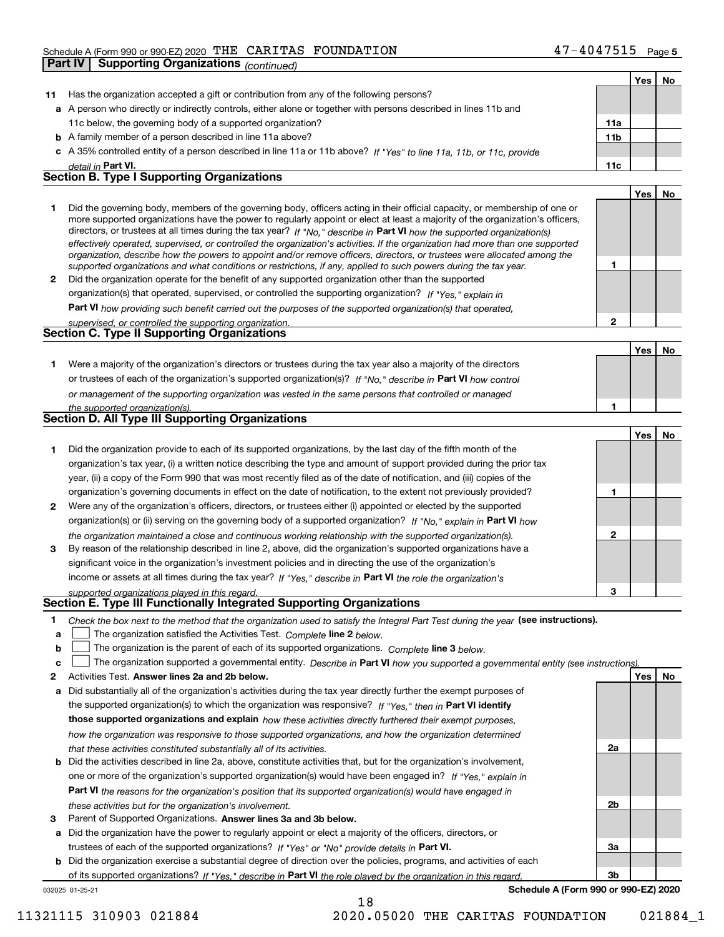|              | <b>Supporting Organizations (continued)</b><br><b>Part IV</b>                                                                                                                                                                                                                                                                                                                                                                                                                                                                                                                                                                                        |                 |            |    |
|--------------|------------------------------------------------------------------------------------------------------------------------------------------------------------------------------------------------------------------------------------------------------------------------------------------------------------------------------------------------------------------------------------------------------------------------------------------------------------------------------------------------------------------------------------------------------------------------------------------------------------------------------------------------------|-----------------|------------|----|
|              |                                                                                                                                                                                                                                                                                                                                                                                                                                                                                                                                                                                                                                                      |                 | Yes        | No |
| 11           | Has the organization accepted a gift or contribution from any of the following persons?                                                                                                                                                                                                                                                                                                                                                                                                                                                                                                                                                              |                 |            |    |
|              | a A person who directly or indirectly controls, either alone or together with persons described in lines 11b and                                                                                                                                                                                                                                                                                                                                                                                                                                                                                                                                     |                 |            |    |
|              | 11c below, the governing body of a supported organization?                                                                                                                                                                                                                                                                                                                                                                                                                                                                                                                                                                                           | 11a             |            |    |
|              | <b>b</b> A family member of a person described in line 11a above?                                                                                                                                                                                                                                                                                                                                                                                                                                                                                                                                                                                    | 11 <sub>b</sub> |            |    |
| c            | A 35% controlled entity of a person described in line 11a or 11b above? If "Yes" to line 11a, 11b, or 11c, provide                                                                                                                                                                                                                                                                                                                                                                                                                                                                                                                                   |                 |            |    |
|              | detail in Part VI.                                                                                                                                                                                                                                                                                                                                                                                                                                                                                                                                                                                                                                   | 11c             |            |    |
|              | <b>Section B. Type I Supporting Organizations</b>                                                                                                                                                                                                                                                                                                                                                                                                                                                                                                                                                                                                    |                 |            |    |
|              |                                                                                                                                                                                                                                                                                                                                                                                                                                                                                                                                                                                                                                                      |                 | <b>Yes</b> | No |
| 1            | Did the governing body, members of the governing body, officers acting in their official capacity, or membership of one or<br>more supported organizations have the power to regularly appoint or elect at least a majority of the organization's officers,<br>directors, or trustees at all times during the tax year? If "No," describe in Part VI how the supported organization(s)<br>effectively operated, supervised, or controlled the organization's activities. If the organization had more than one supported<br>organization, describe how the powers to appoint and/or remove officers, directors, or trustees were allocated among the | 1               |            |    |
| $\mathbf{2}$ | supported organizations and what conditions or restrictions, if any, applied to such powers during the tax year.<br>Did the organization operate for the benefit of any supported organization other than the supported                                                                                                                                                                                                                                                                                                                                                                                                                              |                 |            |    |
|              | organization(s) that operated, supervised, or controlled the supporting organization? If "Yes," explain in                                                                                                                                                                                                                                                                                                                                                                                                                                                                                                                                           |                 |            |    |
|              | Part VI how providing such benefit carried out the purposes of the supported organization(s) that operated,                                                                                                                                                                                                                                                                                                                                                                                                                                                                                                                                          |                 |            |    |
|              | supervised, or controlled the supporting organization.                                                                                                                                                                                                                                                                                                                                                                                                                                                                                                                                                                                               | $\mathbf{2}$    |            |    |
|              | Section C. Type II Supporting Organizations                                                                                                                                                                                                                                                                                                                                                                                                                                                                                                                                                                                                          |                 |            |    |
|              |                                                                                                                                                                                                                                                                                                                                                                                                                                                                                                                                                                                                                                                      |                 | Yes        | No |
| 1            | Were a majority of the organization's directors or trustees during the tax year also a majority of the directors                                                                                                                                                                                                                                                                                                                                                                                                                                                                                                                                     |                 |            |    |
|              | or trustees of each of the organization's supported organization(s)? If "No." describe in Part VI how control                                                                                                                                                                                                                                                                                                                                                                                                                                                                                                                                        |                 |            |    |
|              | or management of the supporting organization was vested in the same persons that controlled or managed                                                                                                                                                                                                                                                                                                                                                                                                                                                                                                                                               |                 |            |    |
|              | the supported organization(s).                                                                                                                                                                                                                                                                                                                                                                                                                                                                                                                                                                                                                       | 1               |            |    |
|              | Section D. All Type III Supporting Organizations                                                                                                                                                                                                                                                                                                                                                                                                                                                                                                                                                                                                     |                 |            |    |
|              |                                                                                                                                                                                                                                                                                                                                                                                                                                                                                                                                                                                                                                                      |                 | Yes        | No |
| 1            | Did the organization provide to each of its supported organizations, by the last day of the fifth month of the                                                                                                                                                                                                                                                                                                                                                                                                                                                                                                                                       |                 |            |    |
|              | organization's tax year, (i) a written notice describing the type and amount of support provided during the prior tax                                                                                                                                                                                                                                                                                                                                                                                                                                                                                                                                |                 |            |    |
|              | year, (ii) a copy of the Form 990 that was most recently filed as of the date of notification, and (iii) copies of the                                                                                                                                                                                                                                                                                                                                                                                                                                                                                                                               |                 |            |    |
|              | organization's governing documents in effect on the date of notification, to the extent not previously provided?                                                                                                                                                                                                                                                                                                                                                                                                                                                                                                                                     | 1               |            |    |
| 2            | Were any of the organization's officers, directors, or trustees either (i) appointed or elected by the supported                                                                                                                                                                                                                                                                                                                                                                                                                                                                                                                                     |                 |            |    |
|              | organization(s) or (ii) serving on the governing body of a supported organization? If "No," explain in Part VI how                                                                                                                                                                                                                                                                                                                                                                                                                                                                                                                                   |                 |            |    |
|              | the organization maintained a close and continuous working relationship with the supported organization(s).                                                                                                                                                                                                                                                                                                                                                                                                                                                                                                                                          | $\mathbf 2$     |            |    |
| 3            | By reason of the relationship described in line 2, above, did the organization's supported organizations have a                                                                                                                                                                                                                                                                                                                                                                                                                                                                                                                                      |                 |            |    |
|              | significant voice in the organization's investment policies and in directing the use of the organization's                                                                                                                                                                                                                                                                                                                                                                                                                                                                                                                                           |                 |            |    |
|              | income or assets at all times during the tax year? If "Yes," describe in Part VI the role the organization's                                                                                                                                                                                                                                                                                                                                                                                                                                                                                                                                         |                 |            |    |
|              | supported organizations played in this regard.                                                                                                                                                                                                                                                                                                                                                                                                                                                                                                                                                                                                       | 3               |            |    |
|              | Section E. Type III Functionally Integrated Supporting Organizations                                                                                                                                                                                                                                                                                                                                                                                                                                                                                                                                                                                 |                 |            |    |
| 1<br>a<br>b  | Check the box next to the method that the organization used to satisfy the Integral Part Test during the year (see instructions).<br>The organization satisfied the Activities Test. Complete line 2 below.<br>The organization is the parent of each of its supported organizations. Complete line 3 below.                                                                                                                                                                                                                                                                                                                                         |                 |            |    |

|  |  | The organization supported a governmental entity. Describe in Part VI how you supported a governmental entity (see instructions). |  |
|--|--|-----------------------------------------------------------------------------------------------------------------------------------|--|
|  |  |                                                                                                                                   |  |

**2Answer lines 2a and 2b below. Yes No** Activities Test. **a** Did substantially all of the organization's activities during the tax year directly further the exempt purposes of the supported organization(s) to which the organization was responsive? If "Yes," then in **Part VI identify** 

**those supported organizations and explain**  *how these activities directly furthered their exempt purposes, how the organization was responsive to those supported organizations, and how the organization determined that these activities constituted substantially all of its activities.*

- **b** Did the activities described in line 2a, above, constitute activities that, but for the organization's involvement, **Part VI**  *the reasons for the organization's position that its supported organization(s) would have engaged in* one or more of the organization's supported organization(s) would have been engaged in? If "Yes," e*xplain in these activities but for the organization's involvement.*
- **3** Parent of Supported Organizations. Answer lines 3a and 3b below.

**a** Did the organization have the power to regularly appoint or elect a majority of the officers, directors, or trustees of each of the supported organizations? If "Yes" or "No" provide details in **Part VI.** 

032025 01-25-21 **b** Did the organization exercise a substantial degree of direction over the policies, programs, and activities of each of its supported organizations? If "Yes," describe in Part VI the role played by the organization in this regard.

**Schedule A (Form 990 or 990-EZ) 2020**

**2a**

**2b**

**3a**

**3b**

18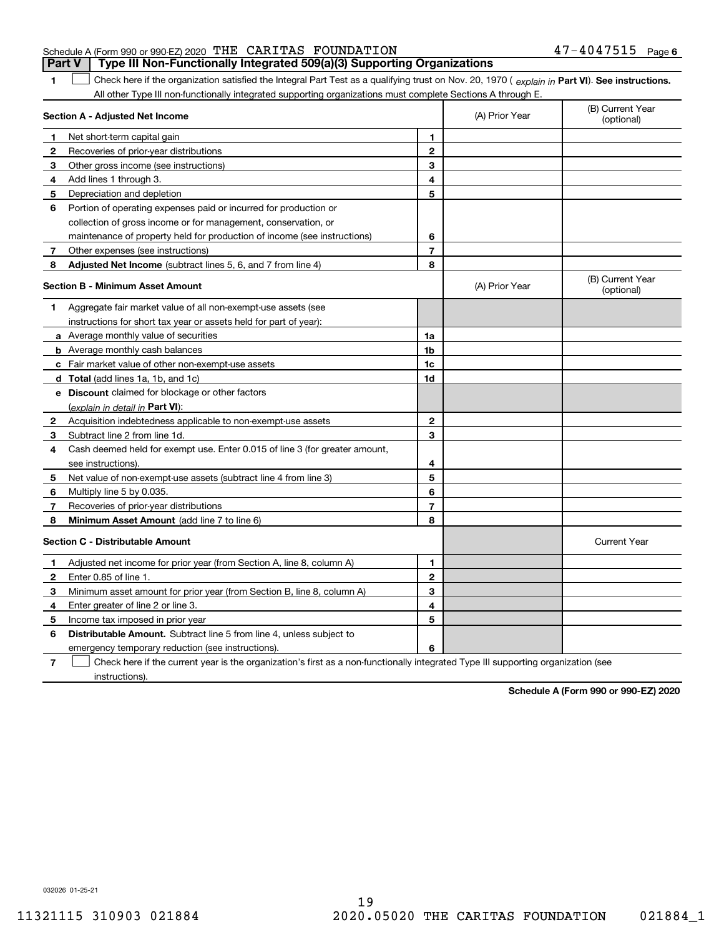#### Schedule A (Form 990 or 990-EZ) 2020 Page THE CARITAS FOUNDATION 47-4047515 **Part V Type III Non-Functionally Integrated 509(a)(3) Supporting Organizations**

**1**

1 Check here if the organization satisfied the Integral Part Test as a qualifying trust on Nov. 20, 1970 (explain in Part VI). See instructions. All other Type III non-functionally integrated supporting organizations must complete Sections A through E.

|              | Section A - Adjusted Net Income                                                                                                   | (A) Prior Year | (B) Current Year<br>(optional) |                                |
|--------------|-----------------------------------------------------------------------------------------------------------------------------------|----------------|--------------------------------|--------------------------------|
| 1.           | Net short-term capital gain                                                                                                       | 1              |                                |                                |
| 2            | Recoveries of prior-year distributions                                                                                            | $\overline{2}$ |                                |                                |
| з            | Other gross income (see instructions)                                                                                             | 3              |                                |                                |
| 4            | Add lines 1 through 3.                                                                                                            | 4              |                                |                                |
| 5            | Depreciation and depletion                                                                                                        | 5              |                                |                                |
| 6            | Portion of operating expenses paid or incurred for production or                                                                  |                |                                |                                |
|              | collection of gross income or for management, conservation, or                                                                    |                |                                |                                |
|              | maintenance of property held for production of income (see instructions)                                                          | 6              |                                |                                |
| 7            | Other expenses (see instructions)                                                                                                 | $\overline{7}$ |                                |                                |
| 8            | Adjusted Net Income (subtract lines 5, 6, and 7 from line 4)                                                                      | 8              |                                |                                |
|              | <b>Section B - Minimum Asset Amount</b>                                                                                           |                | (A) Prior Year                 | (B) Current Year<br>(optional) |
| 1.           | Aggregate fair market value of all non-exempt-use assets (see                                                                     |                |                                |                                |
|              | instructions for short tax year or assets held for part of year):                                                                 |                |                                |                                |
|              | a Average monthly value of securities                                                                                             | 1a             |                                |                                |
|              | <b>b</b> Average monthly cash balances                                                                                            | 1b             |                                |                                |
|              | c Fair market value of other non-exempt-use assets                                                                                | 1c             |                                |                                |
|              | d Total (add lines 1a, 1b, and 1c)                                                                                                | 1d             |                                |                                |
|              | e Discount claimed for blockage or other factors                                                                                  |                |                                |                                |
|              | (explain in detail in Part VI):                                                                                                   |                |                                |                                |
| $\mathbf{2}$ | Acquisition indebtedness applicable to non-exempt-use assets                                                                      | $\mathbf{2}$   |                                |                                |
| 3            | Subtract line 2 from line 1d.                                                                                                     | 3              |                                |                                |
| 4            | Cash deemed held for exempt use. Enter 0.015 of line 3 (for greater amount,                                                       |                |                                |                                |
|              | see instructions).                                                                                                                | 4              |                                |                                |
| 5            | Net value of non-exempt-use assets (subtract line 4 from line 3)                                                                  | 5              |                                |                                |
| 6            | Multiply line 5 by 0.035.                                                                                                         | 6              |                                |                                |
| 7            | Recoveries of prior-year distributions                                                                                            | $\overline{7}$ |                                |                                |
| 8            | Minimum Asset Amount (add line 7 to line 6)                                                                                       | 8              |                                |                                |
|              | <b>Section C - Distributable Amount</b>                                                                                           |                |                                | <b>Current Year</b>            |
| 1            | Adjusted net income for prior year (from Section A, line 8, column A)                                                             | 1              |                                |                                |
| 2            | Enter 0.85 of line 1.                                                                                                             | $\overline{2}$ |                                |                                |
| з            | Minimum asset amount for prior year (from Section B, line 8, column A)                                                            | 3              |                                |                                |
| 4            | Enter greater of line 2 or line 3.                                                                                                | 4              |                                |                                |
| 5            | Income tax imposed in prior year                                                                                                  | 5              |                                |                                |
| 6            | <b>Distributable Amount.</b> Subtract line 5 from line 4, unless subject to                                                       |                |                                |                                |
|              | emergency temporary reduction (see instructions).                                                                                 | 6              |                                |                                |
| 7            | Check here if the current year is the organization's first as a non-functionally integrated Type III supporting organization (see |                |                                |                                |

instructions).

**Schedule A (Form 990 or 990-EZ) 2020**

032026 01-25-21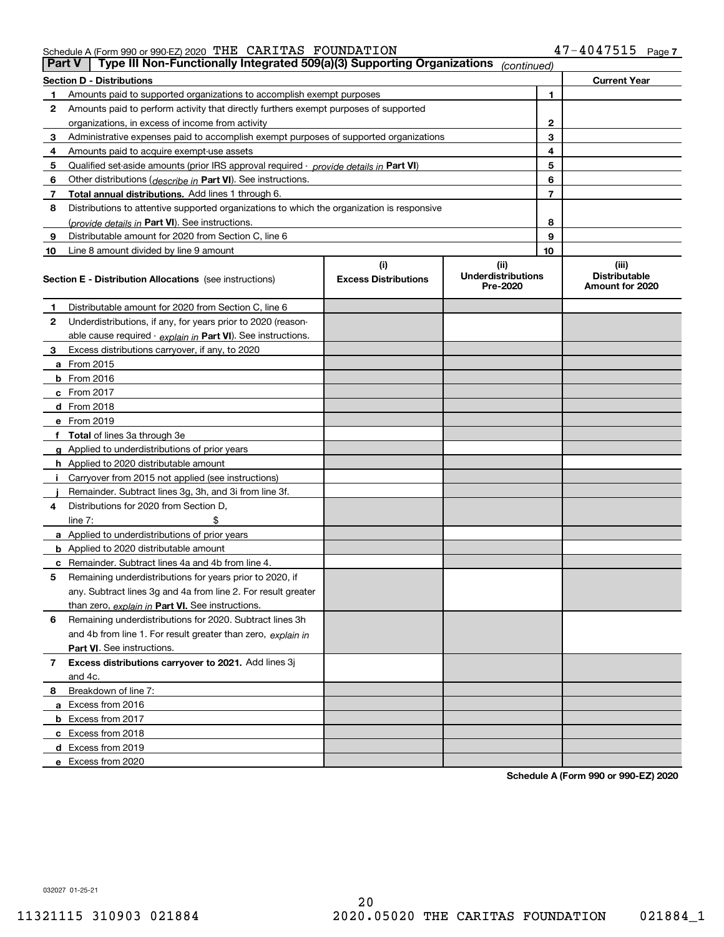|    | Type III Non-Functionally Integrated 509(a)(3) Supporting Organizations<br>Part V          |                             | (continued)                           |    |                                         |
|----|--------------------------------------------------------------------------------------------|-----------------------------|---------------------------------------|----|-----------------------------------------|
|    | <b>Section D - Distributions</b>                                                           |                             |                                       |    | <b>Current Year</b>                     |
|    | Amounts paid to supported organizations to accomplish exempt purposes                      |                             |                                       | 1  |                                         |
| 2  | Amounts paid to perform activity that directly furthers exempt purposes of supported       |                             |                                       |    |                                         |
|    | organizations, in excess of income from activity                                           |                             | 2                                     |    |                                         |
| 3  | Administrative expenses paid to accomplish exempt purposes of supported organizations      |                             |                                       | 3  |                                         |
| 4  | Amounts paid to acquire exempt-use assets                                                  |                             |                                       | 4  |                                         |
| 5  | Qualified set aside amounts (prior IRS approval required - provide details in Part VI)     |                             |                                       | 5  |                                         |
| 6  | Other distributions ( <i>describe in</i> Part VI). See instructions.                       |                             |                                       | 6  |                                         |
| 7  | Total annual distributions. Add lines 1 through 6.                                         |                             |                                       | 7  |                                         |
| 8  | Distributions to attentive supported organizations to which the organization is responsive |                             |                                       |    |                                         |
|    | (provide details in Part VI). See instructions.                                            |                             |                                       | 8  |                                         |
| 9  | Distributable amount for 2020 from Section C, line 6                                       |                             |                                       | 9  |                                         |
| 10 | Line 8 amount divided by line 9 amount                                                     |                             |                                       | 10 |                                         |
|    |                                                                                            | (i)                         | (ii)                                  |    | (iii)                                   |
|    | <b>Section E - Distribution Allocations</b> (see instructions)                             | <b>Excess Distributions</b> | <b>Underdistributions</b><br>Pre-2020 |    | <b>Distributable</b><br>Amount for 2020 |
| 1  | Distributable amount for 2020 from Section C, line 6                                       |                             |                                       |    |                                         |
| 2  | Underdistributions, if any, for years prior to 2020 (reason-                               |                             |                                       |    |                                         |
|    | able cause required - explain in Part VI). See instructions.                               |                             |                                       |    |                                         |
| 3  | Excess distributions carryover, if any, to 2020                                            |                             |                                       |    |                                         |
|    | a From 2015                                                                                |                             |                                       |    |                                         |
|    | $b$ From 2016                                                                              |                             |                                       |    |                                         |
|    | $c$ From 2017                                                                              |                             |                                       |    |                                         |
|    | <b>d</b> From 2018                                                                         |                             |                                       |    |                                         |
|    | e From 2019                                                                                |                             |                                       |    |                                         |
|    | f Total of lines 3a through 3e                                                             |                             |                                       |    |                                         |
|    | g Applied to underdistributions of prior years                                             |                             |                                       |    |                                         |
|    | <b>h</b> Applied to 2020 distributable amount                                              |                             |                                       |    |                                         |
|    | Carryover from 2015 not applied (see instructions)                                         |                             |                                       |    |                                         |
|    | Remainder. Subtract lines 3g, 3h, and 3i from line 3f.                                     |                             |                                       |    |                                         |
| 4  | Distributions for 2020 from Section D.                                                     |                             |                                       |    |                                         |
|    | line $7:$                                                                                  |                             |                                       |    |                                         |
|    | a Applied to underdistributions of prior years                                             |                             |                                       |    |                                         |
|    | <b>b</b> Applied to 2020 distributable amount                                              |                             |                                       |    |                                         |
|    | <b>c</b> Remainder. Subtract lines 4a and 4b from line 4.                                  |                             |                                       |    |                                         |
| 5  | Remaining underdistributions for years prior to 2020, if                                   |                             |                                       |    |                                         |
|    | any. Subtract lines 3g and 4a from line 2. For result greater                              |                             |                                       |    |                                         |
|    | than zero, explain in Part VI. See instructions.                                           |                             |                                       |    |                                         |
| 6  | Remaining underdistributions for 2020. Subtract lines 3h                                   |                             |                                       |    |                                         |
|    | and 4b from line 1. For result greater than zero, explain in                               |                             |                                       |    |                                         |
|    | <b>Part VI.</b> See instructions.                                                          |                             |                                       |    |                                         |
| 7  | Excess distributions carryover to 2021. Add lines 3j                                       |                             |                                       |    |                                         |
|    | and 4c.                                                                                    |                             |                                       |    |                                         |
| 8  | Breakdown of line 7:                                                                       |                             |                                       |    |                                         |
|    | a Excess from 2016                                                                         |                             |                                       |    |                                         |
|    | <b>b</b> Excess from 2017                                                                  |                             |                                       |    |                                         |
|    | c Excess from 2018                                                                         |                             |                                       |    |                                         |
|    | d Excess from 2019                                                                         |                             |                                       |    |                                         |
|    | e Excess from 2020                                                                         |                             |                                       |    |                                         |

**Schedule A (Form 990 or 990-EZ) 2020**

032027 01-25-21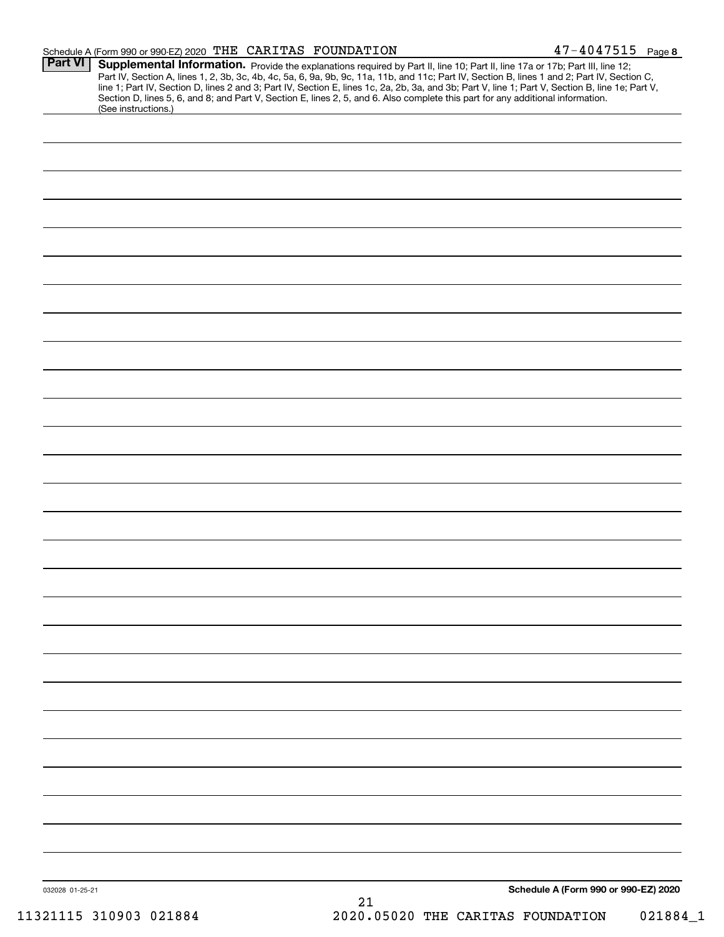| Schedule A (Form 990 or 990-EZ) 2020 $\,$ THE $\,$ CARITAS $\,$ FOUNDATION $\,$ |  | $47 - 4047515$ Page 8 |  |
|---------------------------------------------------------------------------------|--|-----------------------|--|
|                                                                                 |  |                       |  |

| <b>Part VI</b>  | Supplemental Information. Provide the explanations required by Part II, line 10; Part II, line 17a or 17b; Part III, line 12;<br>Part IV, Section A, lines 1, 2, 3b, 3c, 4b, 4c, 5a, 6, 9a, 9b, 9c, 11a, 11b, and 11c; Part IV, Section B, lines 1 and 2; Part IV, Section C,<br>line 1; Part IV, Section D, lines 2 and 3; Part IV, Section E, lines 1c, 2a, 2b, 3a, and 3b; Part V, line 1; Part V, Section B, line 1e; Part V,<br>Section D, lines 5, 6, and 8; and Part V, Section E, lines 2, 5, and 6. Also complete this part for any additional information. |                                      |
|-----------------|----------------------------------------------------------------------------------------------------------------------------------------------------------------------------------------------------------------------------------------------------------------------------------------------------------------------------------------------------------------------------------------------------------------------------------------------------------------------------------------------------------------------------------------------------------------------|--------------------------------------|
|                 | (See instructions.)                                                                                                                                                                                                                                                                                                                                                                                                                                                                                                                                                  |                                      |
|                 |                                                                                                                                                                                                                                                                                                                                                                                                                                                                                                                                                                      |                                      |
|                 |                                                                                                                                                                                                                                                                                                                                                                                                                                                                                                                                                                      |                                      |
|                 |                                                                                                                                                                                                                                                                                                                                                                                                                                                                                                                                                                      |                                      |
|                 |                                                                                                                                                                                                                                                                                                                                                                                                                                                                                                                                                                      |                                      |
|                 |                                                                                                                                                                                                                                                                                                                                                                                                                                                                                                                                                                      |                                      |
|                 |                                                                                                                                                                                                                                                                                                                                                                                                                                                                                                                                                                      |                                      |
|                 |                                                                                                                                                                                                                                                                                                                                                                                                                                                                                                                                                                      |                                      |
|                 |                                                                                                                                                                                                                                                                                                                                                                                                                                                                                                                                                                      |                                      |
|                 |                                                                                                                                                                                                                                                                                                                                                                                                                                                                                                                                                                      |                                      |
|                 |                                                                                                                                                                                                                                                                                                                                                                                                                                                                                                                                                                      |                                      |
|                 |                                                                                                                                                                                                                                                                                                                                                                                                                                                                                                                                                                      |                                      |
|                 |                                                                                                                                                                                                                                                                                                                                                                                                                                                                                                                                                                      |                                      |
|                 |                                                                                                                                                                                                                                                                                                                                                                                                                                                                                                                                                                      |                                      |
|                 |                                                                                                                                                                                                                                                                                                                                                                                                                                                                                                                                                                      |                                      |
|                 |                                                                                                                                                                                                                                                                                                                                                                                                                                                                                                                                                                      |                                      |
|                 |                                                                                                                                                                                                                                                                                                                                                                                                                                                                                                                                                                      |                                      |
|                 |                                                                                                                                                                                                                                                                                                                                                                                                                                                                                                                                                                      |                                      |
|                 |                                                                                                                                                                                                                                                                                                                                                                                                                                                                                                                                                                      |                                      |
|                 |                                                                                                                                                                                                                                                                                                                                                                                                                                                                                                                                                                      |                                      |
|                 |                                                                                                                                                                                                                                                                                                                                                                                                                                                                                                                                                                      |                                      |
|                 |                                                                                                                                                                                                                                                                                                                                                                                                                                                                                                                                                                      |                                      |
|                 |                                                                                                                                                                                                                                                                                                                                                                                                                                                                                                                                                                      |                                      |
|                 |                                                                                                                                                                                                                                                                                                                                                                                                                                                                                                                                                                      |                                      |
|                 |                                                                                                                                                                                                                                                                                                                                                                                                                                                                                                                                                                      |                                      |
|                 |                                                                                                                                                                                                                                                                                                                                                                                                                                                                                                                                                                      |                                      |
|                 |                                                                                                                                                                                                                                                                                                                                                                                                                                                                                                                                                                      |                                      |
|                 |                                                                                                                                                                                                                                                                                                                                                                                                                                                                                                                                                                      |                                      |
|                 |                                                                                                                                                                                                                                                                                                                                                                                                                                                                                                                                                                      |                                      |
|                 |                                                                                                                                                                                                                                                                                                                                                                                                                                                                                                                                                                      |                                      |
|                 |                                                                                                                                                                                                                                                                                                                                                                                                                                                                                                                                                                      |                                      |
|                 |                                                                                                                                                                                                                                                                                                                                                                                                                                                                                                                                                                      |                                      |
|                 |                                                                                                                                                                                                                                                                                                                                                                                                                                                                                                                                                                      |                                      |
|                 |                                                                                                                                                                                                                                                                                                                                                                                                                                                                                                                                                                      |                                      |
| 032028 01-25-21 |                                                                                                                                                                                                                                                                                                                                                                                                                                                                                                                                                                      | Schedule A (Form 990 or 990-EZ) 2020 |
|                 | 21                                                                                                                                                                                                                                                                                                                                                                                                                                                                                                                                                                   |                                      |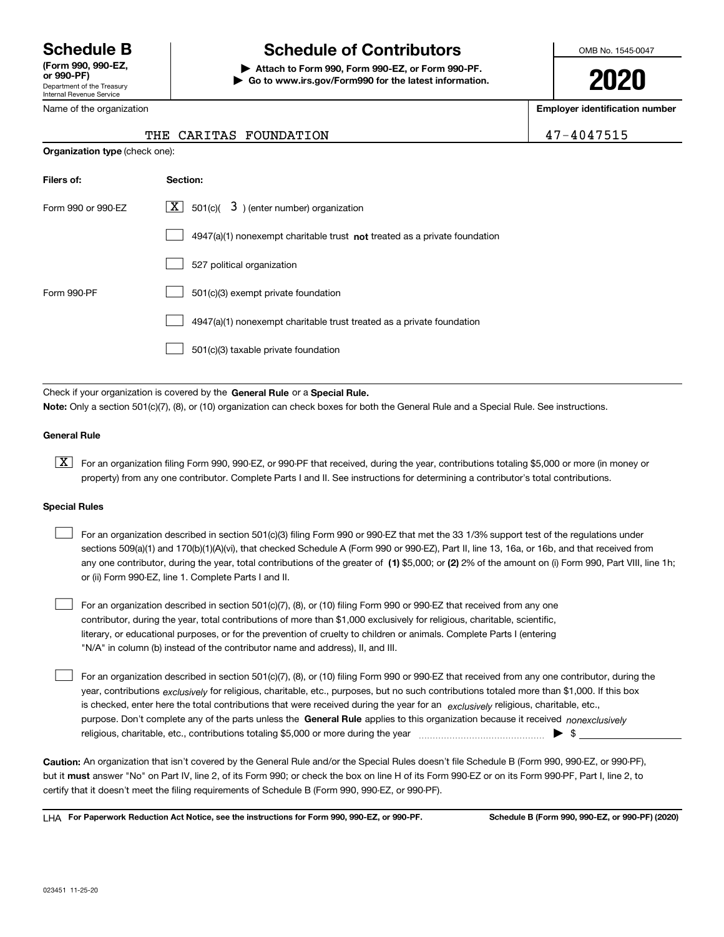Department of the Treasury Internal Revenue Service **(Form 990, 990-EZ, or 990-PF)**

Name of the organization

# **Schedule B Schedule of Contributors**

**| Attach to Form 990, Form 990-EZ, or Form 990-PF. | Go to www.irs.gov/Form990 for the latest information.** OMB No. 1545-0047

**2020**

**Employer identification number**

47-4047515

|  | THE CARITAS FOUNDATION |
|--|------------------------|

| <b>Organization type (check one):</b>                                              |  |  |  |  |  |
|------------------------------------------------------------------------------------|--|--|--|--|--|
| Section:                                                                           |  |  |  |  |  |
| $\boxed{\textbf{X}}$ 501(c)( 3) (enter number) organization                        |  |  |  |  |  |
| $4947(a)(1)$ nonexempt charitable trust <b>not</b> treated as a private foundation |  |  |  |  |  |
| 527 political organization                                                         |  |  |  |  |  |
| 501(c)(3) exempt private foundation                                                |  |  |  |  |  |
| 4947(a)(1) nonexempt charitable trust treated as a private foundation              |  |  |  |  |  |
| 501(c)(3) taxable private foundation                                               |  |  |  |  |  |
|                                                                                    |  |  |  |  |  |

Check if your organization is covered by the **General Rule** or a **Special Rule. Note:**  Only a section 501(c)(7), (8), or (10) organization can check boxes for both the General Rule and a Special Rule. See instructions.

#### **General Rule**

 $\boxed{\textbf{X}}$  For an organization filing Form 990, 990-EZ, or 990-PF that received, during the year, contributions totaling \$5,000 or more (in money or property) from any one contributor. Complete Parts I and II. See instructions for determining a contributor's total contributions.

#### **Special Rules**

| For an organization described in section 501(c)(3) filing Form 990 or 990-EZ that met the 33 1/3% support test of the regulations under               |
|-------------------------------------------------------------------------------------------------------------------------------------------------------|
| sections 509(a)(1) and 170(b)(1)(A)(vi), that checked Schedule A (Form 990 or 990-EZ), Part II, line 13, 16a, or 16b, and that received from          |
| any one contributor, during the year, total contributions of the greater of (1) \$5,000; or (2) 2% of the amount on (i) Form 990, Part VIII, line 1h; |
| or (ii) Form 990-EZ, line 1. Complete Parts I and II.                                                                                                 |

For an organization described in section 501(c)(7), (8), or (10) filing Form 990 or 990-EZ that received from any one contributor, during the year, total contributions of more than \$1,000 exclusively for religious, charitable, scientific, literary, or educational purposes, or for the prevention of cruelty to children or animals. Complete Parts I (entering "N/A" in column (b) instead of the contributor name and address), II, and III.  $\mathcal{L}^{\text{max}}$ 

purpose. Don't complete any of the parts unless the **General Rule** applies to this organization because it received *nonexclusively* year, contributions <sub>exclusively</sub> for religious, charitable, etc., purposes, but no such contributions totaled more than \$1,000. If this box is checked, enter here the total contributions that were received during the year for an  $\;$ exclusively religious, charitable, etc., For an organization described in section 501(c)(7), (8), or (10) filing Form 990 or 990-EZ that received from any one contributor, during the religious, charitable, etc., contributions totaling \$5,000 or more during the year  $\Box$ — $\Box$   $\Box$  $\mathcal{L}^{\text{max}}$ 

**Caution:**  An organization that isn't covered by the General Rule and/or the Special Rules doesn't file Schedule B (Form 990, 990-EZ, or 990-PF),  **must** but it answer "No" on Part IV, line 2, of its Form 990; or check the box on line H of its Form 990-EZ or on its Form 990-PF, Part I, line 2, to certify that it doesn't meet the filing requirements of Schedule B (Form 990, 990-EZ, or 990-PF).

**For Paperwork Reduction Act Notice, see the instructions for Form 990, 990-EZ, or 990-PF. Schedule B (Form 990, 990-EZ, or 990-PF) (2020)** LHA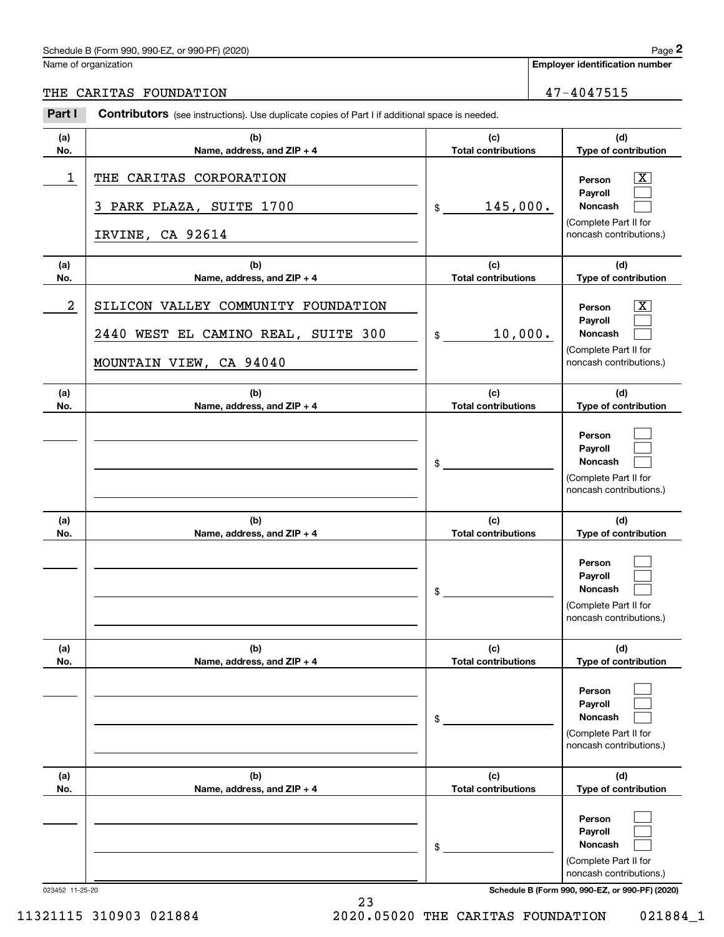#### Schedule B (Form 990, 990-EZ, or 990-PF) (2020) **Page 2** Page 2 and the state of the state of the state of the state of the state of the state of the state of the state of the state of the state of the state of the state o

Name of organization

**Employer identification number**

THE CARITAS FOUNDATION **1999 1999 12:00 12:00 12:00 12:00 12:00 12:00 12:00 12:00 12:00 12:00 12:00 12:00 12:00 12:00 12:00 12:00 12:00 12:00 12:00 12:00 12:00 12:00 12:00 12:00 12:00 12:00 12:00 12:00 12:00 12:00 12:00** 

#### 023452 11-25-20 **Schedule B (Form 990, 990-EZ, or 990-PF) (2020) (a)No.(b)Name, address, and ZIP + 4 (c)Total contributions (d)Type of contribution PersonPayrollNoncash (a)No.(b)Name, address, and ZIP + 4 (c)Total contributions (d)Type of contribution PersonPayrollNoncash (a)No.(b)Name, address, and ZIP + 4 (c)Total contributions (d)Type of contribution PersonPayrollNoncash (a) No.(b)Name, address, and ZIP + 4 (c) Total contributions (d) Type of contribution PersonPayrollNoncash(a) No.(b)Name, address, and ZIP + 4 (c) Total contributions (d)Type of contribution PersonPayrollNoncash(a) No.(b)Name, address, and ZIP + 4 (c)Total contributions (d)Type of contribution PersonPayrollNoncash Contributors** (see instructions). Use duplicate copies of Part I if additional space is needed. \$(Complete Part II for noncash contributions.) \$(Complete Part II for noncash contributions.) \$(Complete Part II for noncash contributions.) \$(Complete Part II for noncash contributions.) \$(Complete Part II for noncash contributions.) \$(Complete Part II for noncash contributions.) Employer identification Page 2<br>
Iame of organization<br> **2Part I** CARITAS FOUNDATION<br> **2Part I** Contributors (see instructions). Use duplicate copies of Part I if additional space is needed.  $\lceil \text{X} \rceil$  $\mathcal{L}^{\text{max}}$  $\mathcal{L}^{\text{max}}$  $\boxed{\text{X}}$  $\mathcal{L}^{\text{max}}$  $\mathcal{L}^{\text{max}}$  $\mathcal{L}^{\text{max}}$  $\mathcal{L}^{\text{max}}$  $\mathcal{L}^{\text{max}}$  $\mathcal{L}^{\text{max}}$  $\mathcal{L}^{\text{max}}$  $\mathcal{L}^{\text{max}}$  $\mathcal{L}^{\text{max}}$  $\mathcal{L}^{\text{max}}$  $\mathcal{L}^{\text{max}}$  $\mathcal{L}^{\text{max}}$  $\mathcal{L}^{\text{max}}$  $\mathcal{L}^{\text{max}}$ 1 THE CARITAS CORPORATION THE SERVICE OF STREET PERSON TO A RESONANCE THE CARITAS 145,000. 3 PARK PLAZA, SUITE 1700 IRVINE, CA 92614 2 SILICON VALLEY COMMUNITY FOUNDATION THE RESOLUTION Rerson TX 10,000. 2440 WEST EL CAMINO REAL, SUITE 300 MOUNTAIN VIEW, CA 94040

11321115 310903 021884 2020.05020 THE CARITAS FOUNDATION 021884\_1

23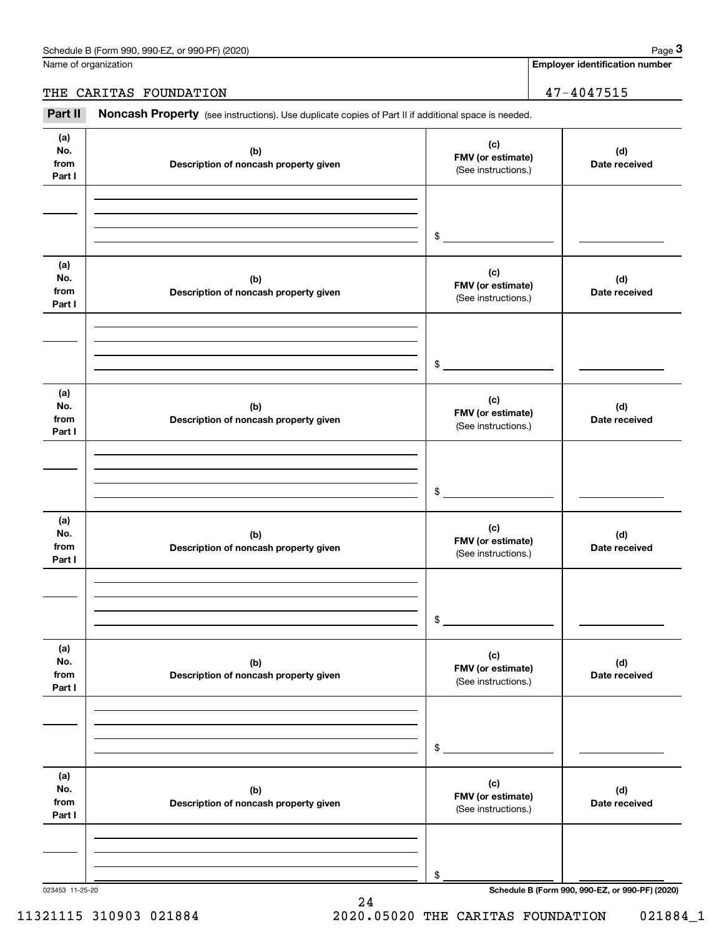Name of organization

**Employer identification number**

THE CARITAS FOUNDATION 47-4047515

Chedule B (Form 990, 990-EZ, or 990-PF) (2020)<br>
lame of organization<br> **3Part II CARITAS FOUNDATION**<br> **Part II Noncash Property** (see instructions). Use duplicate copies of Part II if additional space is needed.

| (a)<br>No.<br>from<br>Part I | (b)<br>Description of noncash property given | (c)<br>FMV (or estimate)<br>(See instructions.) | (d)<br>Date received                            |
|------------------------------|----------------------------------------------|-------------------------------------------------|-------------------------------------------------|
|                              |                                              | $\mathfrak s$                                   |                                                 |
| (a)<br>No.<br>from<br>Part I | (b)<br>Description of noncash property given | (c)<br>FMV (or estimate)<br>(See instructions.) | (d)<br>Date received                            |
|                              |                                              | $\mathfrak s$                                   |                                                 |
| (a)<br>No.<br>from<br>Part I | (b)<br>Description of noncash property given | (c)<br>FMV (or estimate)<br>(See instructions.) | (d)<br>Date received                            |
|                              |                                              | $\mathfrak s$                                   |                                                 |
| (a)<br>No.<br>from<br>Part I | (b)<br>Description of noncash property given | (c)<br>FMV (or estimate)<br>(See instructions.) | (d)<br>Date received                            |
|                              |                                              | \$                                              |                                                 |
| (a)<br>No.<br>from<br>Part I | (b)<br>Description of noncash property given | (c)<br>FMV (or estimate)<br>(See instructions.) | (d)<br>Date received                            |
|                              |                                              | \$                                              |                                                 |
| (a)<br>No.<br>from<br>Part I | (b)<br>Description of noncash property given | (c)<br>FMV (or estimate)<br>(See instructions.) | (d)<br>Date received                            |
|                              |                                              | \$                                              |                                                 |
| 023453 11-25-20              |                                              |                                                 | Schedule B (Form 990, 990-EZ, or 990-PF) (2020) |

24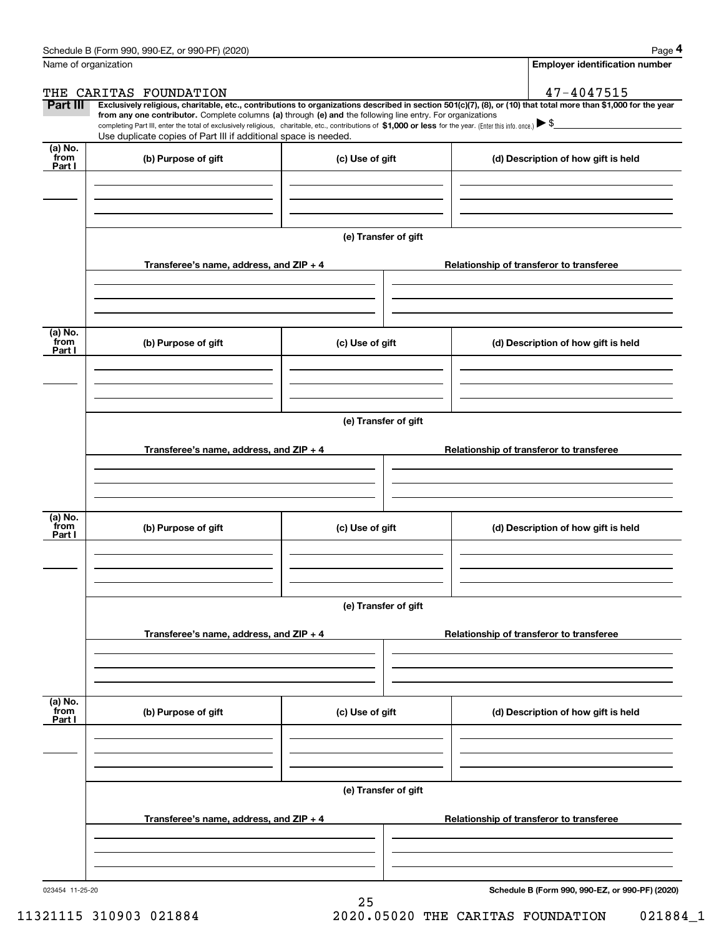|                           | Schedule B (Form 990, 990-EZ, or 990-PF) (2020)                                                                                                                                                                                                                              |                      |                                          | Page 4                                          |  |  |  |  |
|---------------------------|------------------------------------------------------------------------------------------------------------------------------------------------------------------------------------------------------------------------------------------------------------------------------|----------------------|------------------------------------------|-------------------------------------------------|--|--|--|--|
|                           | Name of organization                                                                                                                                                                                                                                                         |                      |                                          | <b>Employer identification number</b>           |  |  |  |  |
|                           | THE CARITAS FOUNDATION                                                                                                                                                                                                                                                       |                      |                                          | 47-4047515                                      |  |  |  |  |
| <b>Part III</b>           | Exclusively religious, charitable, etc., contributions to organizations described in section 501(c)(7), (8), or (10) that total more than \$1,000 for the year<br>from any one contributor. Complete columns (a) through (e) and the following line entry. For organizations |                      |                                          |                                                 |  |  |  |  |
|                           | completing Part III, enter the total of exclusively religious, charitable, etc., contributions of \$1,000 or less for the year. (Enter this info. once.) \\$                                                                                                                 |                      |                                          |                                                 |  |  |  |  |
|                           | Use duplicate copies of Part III if additional space is needed.                                                                                                                                                                                                              |                      |                                          |                                                 |  |  |  |  |
| (a) No.<br>from<br>Part I | (b) Purpose of gift                                                                                                                                                                                                                                                          | (c) Use of gift      |                                          | (d) Description of how gift is held             |  |  |  |  |
|                           |                                                                                                                                                                                                                                                                              |                      |                                          |                                                 |  |  |  |  |
|                           |                                                                                                                                                                                                                                                                              |                      |                                          |                                                 |  |  |  |  |
|                           | Transferee's name, address, and ZIP + 4                                                                                                                                                                                                                                      | (e) Transfer of gift |                                          | Relationship of transferor to transferee        |  |  |  |  |
|                           |                                                                                                                                                                                                                                                                              |                      |                                          |                                                 |  |  |  |  |
|                           |                                                                                                                                                                                                                                                                              |                      |                                          |                                                 |  |  |  |  |
| (a) No.<br>from<br>Part I | (b) Purpose of gift                                                                                                                                                                                                                                                          | (c) Use of gift      |                                          | (d) Description of how gift is held             |  |  |  |  |
|                           |                                                                                                                                                                                                                                                                              |                      |                                          |                                                 |  |  |  |  |
|                           |                                                                                                                                                                                                                                                                              | (e) Transfer of gift |                                          |                                                 |  |  |  |  |
|                           | Transferee's name, address, and ZIP + 4                                                                                                                                                                                                                                      |                      |                                          | Relationship of transferor to transferee        |  |  |  |  |
|                           |                                                                                                                                                                                                                                                                              |                      |                                          |                                                 |  |  |  |  |
|                           |                                                                                                                                                                                                                                                                              |                      |                                          |                                                 |  |  |  |  |
| (a) No.<br>from<br>Part I | (b) Purpose of gift                                                                                                                                                                                                                                                          | (c) Use of gift      |                                          | (d) Description of how gift is held             |  |  |  |  |
|                           |                                                                                                                                                                                                                                                                              |                      |                                          |                                                 |  |  |  |  |
|                           | (e) Transfer of gift                                                                                                                                                                                                                                                         |                      |                                          |                                                 |  |  |  |  |
|                           | Transferee's name, address, and ZIP + 4                                                                                                                                                                                                                                      |                      | Relationship of transferor to transferee |                                                 |  |  |  |  |
|                           |                                                                                                                                                                                                                                                                              |                      |                                          |                                                 |  |  |  |  |
|                           |                                                                                                                                                                                                                                                                              |                      |                                          |                                                 |  |  |  |  |
| (a) No.<br>from<br>Part I | (b) Purpose of gift                                                                                                                                                                                                                                                          | (c) Use of gift      |                                          | (d) Description of how gift is held             |  |  |  |  |
|                           |                                                                                                                                                                                                                                                                              |                      |                                          |                                                 |  |  |  |  |
|                           | (e) Transfer of gift                                                                                                                                                                                                                                                         |                      |                                          |                                                 |  |  |  |  |
|                           |                                                                                                                                                                                                                                                                              |                      |                                          |                                                 |  |  |  |  |
|                           | Transferee's name, address, and ZIP + 4                                                                                                                                                                                                                                      |                      |                                          | Relationship of transferor to transferee        |  |  |  |  |
|                           |                                                                                                                                                                                                                                                                              |                      |                                          |                                                 |  |  |  |  |
| 023454 11-25-20           |                                                                                                                                                                                                                                                                              |                      |                                          | Schedule B (Form 990, 990-EZ, or 990-PF) (2020) |  |  |  |  |

25

**Schedule B (Form 990, 990-EZ, or 990-PF) (2020)**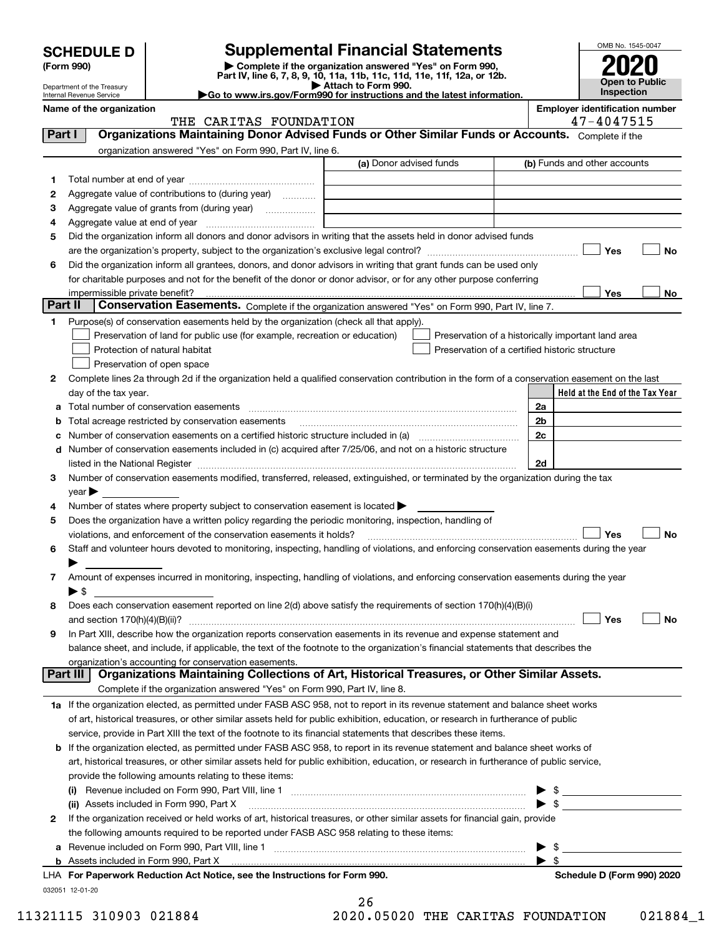| <b>SCHEDULE D</b><br>(Form 990)<br>Department of the Treasury<br><b>Internal Revenue Service</b> |                                                                                   | <b>Supplemental Financial Statements</b><br>Complete if the organization answered "Yes" on Form 990,<br>Part IV, line 6, 7, 8, 9, 10, 11a, 11b, 11c, 11d, 11e, 11f, 12a, or 12b.<br>Attach to Form 990.<br>Go to www.irs.gov/Form990 for instructions and the latest information. |  | OMB No. 1545<br>02<br>Open to F<br>Inspectio    |
|--------------------------------------------------------------------------------------------------|-----------------------------------------------------------------------------------|-----------------------------------------------------------------------------------------------------------------------------------------------------------------------------------------------------------------------------------------------------------------------------------|--|-------------------------------------------------|
| Name of the organization                                                                         | THE CARITAS FOUNDATION                                                            |                                                                                                                                                                                                                                                                                   |  | <b>Employer identification</b><br>$47 - 404751$ |
| Part I                                                                                           | Organizations Maintaining Donor Advised Funds or Other Similar Funds or Accounts. |                                                                                                                                                                                                                                                                                   |  | Complete if the                                 |
|                                                                                                  | organization answered "Yes" on Form 990, Part IV, line 6.                         |                                                                                                                                                                                                                                                                                   |  |                                                 |
|                                                                                                  |                                                                                   | (a) Donor advised funds                                                                                                                                                                                                                                                           |  | (b) Funds and other account                     |
| Total number at end of year                                                                      |                                                                                   |                                                                                                                                                                                                                                                                                   |  |                                                 |
|                                                                                                  | Aggregate value of contributions to (during year)<br>.                            |                                                                                                                                                                                                                                                                                   |  |                                                 |



**Name of the organization Employer identification number** 47-4047515

|         | organization answered "Yes" on Form 990, Part IV, line 6.                                                                                                                                                                     | (a) Donor advised funds                        |                          | (b) Funds and other accounts                       |
|---------|-------------------------------------------------------------------------------------------------------------------------------------------------------------------------------------------------------------------------------|------------------------------------------------|--------------------------|----------------------------------------------------|
| 1       |                                                                                                                                                                                                                               |                                                |                          |                                                    |
| 2       | Aggregate value of contributions to (during year)                                                                                                                                                                             |                                                |                          |                                                    |
| 3       | Aggregate value of grants from (during year)                                                                                                                                                                                  |                                                |                          |                                                    |
| 4       |                                                                                                                                                                                                                               |                                                |                          |                                                    |
| 5       | Did the organization inform all donors and donor advisors in writing that the assets held in donor advised funds                                                                                                              |                                                |                          |                                                    |
|         |                                                                                                                                                                                                                               |                                                |                          | Yes<br>No                                          |
| 6       | Did the organization inform all grantees, donors, and donor advisors in writing that grant funds can be used only                                                                                                             |                                                |                          |                                                    |
|         | for charitable purposes and not for the benefit of the donor or donor advisor, or for any other purpose conferring                                                                                                            |                                                |                          |                                                    |
|         | impermissible private benefit?                                                                                                                                                                                                |                                                |                          | Yes<br>No                                          |
| Part II | Conservation Easements. Complete if the organization answered "Yes" on Form 990, Part IV, line 7.                                                                                                                             |                                                |                          |                                                    |
| 1.      | Purpose(s) of conservation easements held by the organization (check all that apply).                                                                                                                                         |                                                |                          |                                                    |
|         | Preservation of land for public use (for example, recreation or education)                                                                                                                                                    |                                                |                          | Preservation of a historically important land area |
|         | Protection of natural habitat                                                                                                                                                                                                 | Preservation of a certified historic structure |                          |                                                    |
|         | Preservation of open space                                                                                                                                                                                                    |                                                |                          |                                                    |
| 2       | Complete lines 2a through 2d if the organization held a qualified conservation contribution in the form of a conservation easement on the last                                                                                |                                                |                          |                                                    |
|         | day of the tax year.                                                                                                                                                                                                          |                                                |                          | Held at the End of the Tax Year                    |
|         | Total number of conservation easements                                                                                                                                                                                        |                                                | 2a                       |                                                    |
| b       | Total acreage restricted by conservation easements                                                                                                                                                                            |                                                | 2 <sub>b</sub>           |                                                    |
| с       | Number of conservation easements on a certified historic structure included in (a) manufactured in (a)                                                                                                                        |                                                | 2c                       |                                                    |
|         | d Number of conservation easements included in (c) acquired after 7/25/06, and not on a historic structure                                                                                                                    |                                                |                          |                                                    |
|         | listed in the National Register [11, 1200] [12] The National Register [11, 1200] [12] The National Register [11, 1200] [12] The National Register [11, 1200] [12] The National Register [11, 1200] [12] The National Register |                                                | 2d                       |                                                    |
| 3       | Number of conservation easements modified, transferred, released, extinguished, or terminated by the organization during the tax                                                                                              |                                                |                          |                                                    |
|         | year                                                                                                                                                                                                                          |                                                |                          |                                                    |
| 4       | Number of states where property subject to conservation easement is located >                                                                                                                                                 |                                                |                          |                                                    |
| 5       | Does the organization have a written policy regarding the periodic monitoring, inspection, handling of                                                                                                                        |                                                |                          |                                                    |
|         | violations, and enforcement of the conservation easements it holds?                                                                                                                                                           |                                                |                          | Yes<br>No                                          |
| 6       | Staff and volunteer hours devoted to monitoring, inspecting, handling of violations, and enforcing conservation easements during the year                                                                                     |                                                |                          |                                                    |
|         |                                                                                                                                                                                                                               |                                                |                          |                                                    |
| 7       | Amount of expenses incurred in monitoring, inspecting, handling of violations, and enforcing conservation easements during the year                                                                                           |                                                |                          |                                                    |
|         | ▶ \$                                                                                                                                                                                                                          |                                                |                          |                                                    |
|         | Does each conservation easement reported on line 2(d) above satisfy the requirements of section 170(h)(4)(B)(i)                                                                                                               |                                                |                          |                                                    |
|         | and section $170(h)(4)(B)(ii)?$                                                                                                                                                                                               |                                                |                          | Yes<br>No                                          |
| 9       | In Part XIII, describe how the organization reports conservation easements in its revenue and expense statement and                                                                                                           |                                                |                          |                                                    |
|         | balance sheet, and include, if applicable, the text of the footnote to the organization's financial statements that describes the                                                                                             |                                                |                          |                                                    |
|         | organization's accounting for conservation easements.                                                                                                                                                                         |                                                |                          |                                                    |
|         | Organizations Maintaining Collections of Art, Historical Treasures, or Other Similar Assets.<br>Part III                                                                                                                      |                                                |                          |                                                    |
|         | Complete if the organization answered "Yes" on Form 990, Part IV, line 8.                                                                                                                                                     |                                                |                          |                                                    |
|         | 1a If the organization elected, as permitted under FASB ASC 958, not to report in its revenue statement and balance sheet works                                                                                               |                                                |                          |                                                    |
|         | of art, historical treasures, or other similar assets held for public exhibition, education, or research in furtherance of public                                                                                             |                                                |                          |                                                    |
|         | service, provide in Part XIII the text of the footnote to its financial statements that describes these items.                                                                                                                |                                                |                          |                                                    |
|         | <b>b</b> If the organization elected, as permitted under FASB ASC 958, to report in its revenue statement and balance sheet works of                                                                                          |                                                |                          |                                                    |
|         | art, historical treasures, or other similar assets held for public exhibition, education, or research in furtherance of public service,                                                                                       |                                                |                          |                                                    |
|         | provide the following amounts relating to these items:                                                                                                                                                                        |                                                |                          |                                                    |
|         | (i)                                                                                                                                                                                                                           |                                                |                          | $\triangleright$ \$                                |
|         | (ii) Assets included in Form 990, Part X [11] [2000] [2010] Assets included in Form 990, Part X [11] [11] [200                                                                                                                |                                                |                          | $\triangleright$ \$                                |
| 2       | If the organization received or held works of art, historical treasures, or other similar assets for financial gain, provide                                                                                                  |                                                |                          |                                                    |
|         | the following amounts required to be reported under FASB ASC 958 relating to these items:                                                                                                                                     |                                                |                          |                                                    |
|         |                                                                                                                                                                                                                               |                                                |                          |                                                    |
| а       |                                                                                                                                                                                                                               |                                                | $\blacktriangleright$ \$ | $\triangleright$ \$                                |
|         |                                                                                                                                                                                                                               |                                                |                          |                                                    |
|         | LHA For Paperwork Reduction Act Notice, see the Instructions for Form 990.                                                                                                                                                    |                                                |                          | Schedule D (Form 990) 2020                         |

|  |  | 26 |  |
|--|--|----|--|
|  |  |    |  |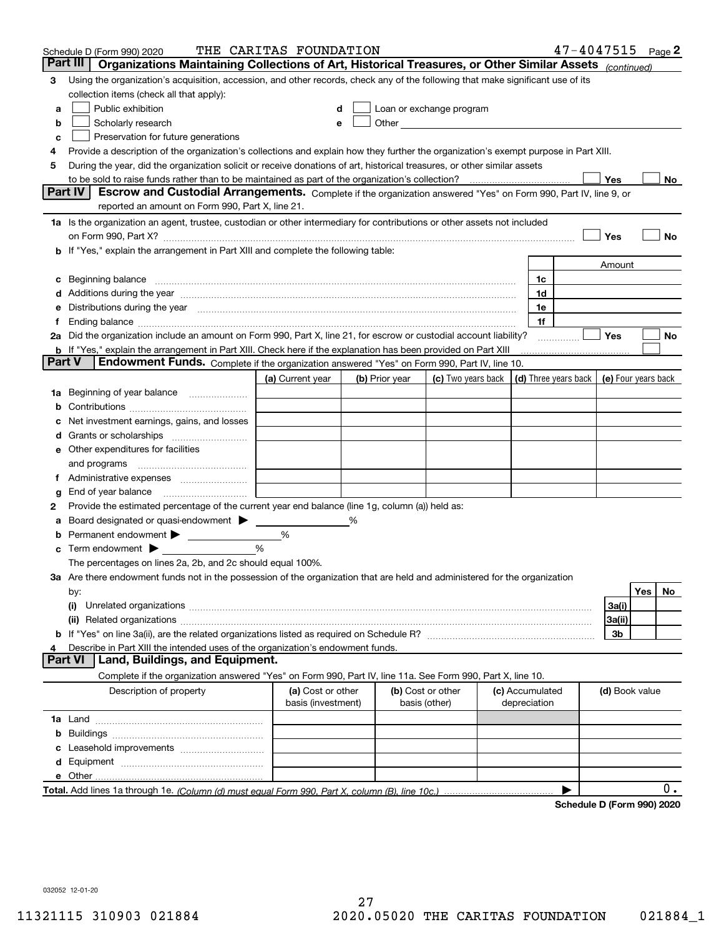|        | Schedule D (Form 990) 2020                                                                                                                                                                                                     | THE CARITAS FOUNDATION |   |                |                                                      |  |                 | 47-4047515                 |                     |     | Page $2$ |
|--------|--------------------------------------------------------------------------------------------------------------------------------------------------------------------------------------------------------------------------------|------------------------|---|----------------|------------------------------------------------------|--|-----------------|----------------------------|---------------------|-----|----------|
|        | Part III<br>Organizations Maintaining Collections of Art, Historical Treasures, or Other Similar Assets (continued)                                                                                                            |                        |   |                |                                                      |  |                 |                            |                     |     |          |
| 3      | Using the organization's acquisition, accession, and other records, check any of the following that make significant use of its                                                                                                |                        |   |                |                                                      |  |                 |                            |                     |     |          |
|        | collection items (check all that apply):                                                                                                                                                                                       |                        |   |                |                                                      |  |                 |                            |                     |     |          |
| a      | Public exhibition                                                                                                                                                                                                              |                        |   |                | Loan or exchange program                             |  |                 |                            |                     |     |          |
| b      | Scholarly research                                                                                                                                                                                                             |                        | е |                | Other <b>Committee Committee Committee Committee</b> |  |                 |                            |                     |     |          |
| с      | Preservation for future generations                                                                                                                                                                                            |                        |   |                |                                                      |  |                 |                            |                     |     |          |
| 4      | Provide a description of the organization's collections and explain how they further the organization's exempt purpose in Part XIII.                                                                                           |                        |   |                |                                                      |  |                 |                            |                     |     |          |
| 5      | During the year, did the organization solicit or receive donations of art, historical treasures, or other similar assets                                                                                                       |                        |   |                |                                                      |  |                 |                            |                     |     |          |
|        | to be sold to raise funds rather than to be maintained as part of the organization's collection?                                                                                                                               |                        |   |                |                                                      |  |                 |                            | Yes                 |     | No       |
|        | <b>Part IV</b><br>Escrow and Custodial Arrangements. Complete if the organization answered "Yes" on Form 990, Part IV, line 9, or                                                                                              |                        |   |                |                                                      |  |                 |                            |                     |     |          |
|        | reported an amount on Form 990, Part X, line 21.                                                                                                                                                                               |                        |   |                |                                                      |  |                 |                            |                     |     |          |
|        | 1a Is the organization an agent, trustee, custodian or other intermediary for contributions or other assets not included                                                                                                       |                        |   |                |                                                      |  |                 |                            |                     |     |          |
|        | on Form 990, Part X? [11] matter contracts and contracts and contracts are contracted as a form 990, Part X?                                                                                                                   |                        |   |                |                                                      |  |                 |                            | Yes                 |     | No       |
|        | b If "Yes," explain the arrangement in Part XIII and complete the following table:                                                                                                                                             |                        |   |                |                                                      |  |                 |                            |                     |     |          |
|        |                                                                                                                                                                                                                                |                        |   |                |                                                      |  |                 |                            | Amount              |     |          |
| c      | Beginning balance measurements and contain a series of the series of the series of the series of the series of                                                                                                                 |                        |   |                |                                                      |  | 1c              |                            |                     |     |          |
|        | Additions during the year manufactured and an account of the state of the state of the state of the state of the state of the state of the state of the state of the state of the state of the state of the state of the state |                        |   |                |                                                      |  | 1d              |                            |                     |     |          |
|        | Distributions during the year manufactured and continuum and continuum and continuum and continuum and continuum                                                                                                               |                        |   |                |                                                      |  | 1e              |                            |                     |     |          |
| Ť.     |                                                                                                                                                                                                                                |                        |   |                |                                                      |  | 1f              |                            |                     |     |          |
|        | 2a Did the organization include an amount on Form 990, Part X, line 21, for escrow or custodial account liability?                                                                                                             |                        |   |                |                                                      |  |                 | .                          | Yes                 |     | No       |
|        | <b>b</b> If "Yes," explain the arrangement in Part XIII. Check here if the explanation has been provided on Part XIII                                                                                                          |                        |   |                |                                                      |  |                 |                            |                     |     |          |
| Part V | Endowment Funds. Complete if the organization answered "Yes" on Form 990, Part IV, line 10.                                                                                                                                    |                        |   |                |                                                      |  |                 |                            |                     |     |          |
|        |                                                                                                                                                                                                                                | (a) Current year       |   | (b) Prior year | (c) Two years back                                   |  |                 | (d) Three years back       | (e) Four years back |     |          |
| 1a     | Beginning of year balance                                                                                                                                                                                                      |                        |   |                |                                                      |  |                 |                            |                     |     |          |
|        |                                                                                                                                                                                                                                |                        |   |                |                                                      |  |                 |                            |                     |     |          |
|        | Net investment earnings, gains, and losses                                                                                                                                                                                     |                        |   |                |                                                      |  |                 |                            |                     |     |          |
| d      |                                                                                                                                                                                                                                |                        |   |                |                                                      |  |                 |                            |                     |     |          |
|        | e Other expenditures for facilities                                                                                                                                                                                            |                        |   |                |                                                      |  |                 |                            |                     |     |          |
|        | and programs                                                                                                                                                                                                                   |                        |   |                |                                                      |  |                 |                            |                     |     |          |
|        |                                                                                                                                                                                                                                |                        |   |                |                                                      |  |                 |                            |                     |     |          |
| g      | End of year balance                                                                                                                                                                                                            |                        |   |                |                                                      |  |                 |                            |                     |     |          |
| 2      | Provide the estimated percentage of the current year end balance (line 1g, column (a)) held as:                                                                                                                                |                        |   |                |                                                      |  |                 |                            |                     |     |          |
| а      | Board designated or quasi-endowment                                                                                                                                                                                            |                        | ℅ |                |                                                      |  |                 |                            |                     |     |          |
|        | Permanent endowment > <u>example</u>                                                                                                                                                                                           | %                      |   |                |                                                      |  |                 |                            |                     |     |          |
|        | Term endowment $\blacktriangleright$                                                                                                                                                                                           | %                      |   |                |                                                      |  |                 |                            |                     |     |          |
|        | The percentages on lines 2a, 2b, and 2c should equal 100%.                                                                                                                                                                     |                        |   |                |                                                      |  |                 |                            |                     |     |          |
|        | 3a Are there endowment funds not in the possession of the organization that are held and administered for the organization                                                                                                     |                        |   |                |                                                      |  |                 |                            |                     |     |          |
|        | by:                                                                                                                                                                                                                            |                        |   |                |                                                      |  |                 |                            |                     | Yes | No       |
|        | (i)                                                                                                                                                                                                                            |                        |   |                |                                                      |  |                 |                            | 3a(i)               |     |          |
|        |                                                                                                                                                                                                                                |                        |   |                |                                                      |  |                 |                            | 3a(ii)              |     |          |
|        |                                                                                                                                                                                                                                |                        |   |                |                                                      |  |                 |                            | 3b                  |     |          |
| 4      | Describe in Part XIII the intended uses of the organization's endowment funds.                                                                                                                                                 |                        |   |                |                                                      |  |                 |                            |                     |     |          |
|        | Land, Buildings, and Equipment.<br>Part VI                                                                                                                                                                                     |                        |   |                |                                                      |  |                 |                            |                     |     |          |
|        | Complete if the organization answered "Yes" on Form 990, Part IV, line 11a. See Form 990, Part X, line 10.                                                                                                                     |                        |   |                |                                                      |  |                 |                            |                     |     |          |
|        | Description of property                                                                                                                                                                                                        | (a) Cost or other      |   |                | (b) Cost or other                                    |  | (c) Accumulated |                            | (d) Book value      |     |          |
|        |                                                                                                                                                                                                                                | basis (investment)     |   |                | basis (other)                                        |  | depreciation    |                            |                     |     |          |
|        |                                                                                                                                                                                                                                |                        |   |                |                                                      |  |                 |                            |                     |     |          |
| b      |                                                                                                                                                                                                                                |                        |   |                |                                                      |  |                 |                            |                     |     |          |
|        |                                                                                                                                                                                                                                |                        |   |                |                                                      |  |                 |                            |                     |     |          |
|        |                                                                                                                                                                                                                                |                        |   |                |                                                      |  |                 |                            |                     |     |          |
|        |                                                                                                                                                                                                                                |                        |   |                |                                                      |  |                 |                            |                     |     |          |
|        |                                                                                                                                                                                                                                |                        |   |                |                                                      |  |                 |                            |                     |     | 0.       |
|        |                                                                                                                                                                                                                                |                        |   |                |                                                      |  |                 | Schedule D (Form 990) 2020 |                     |     |          |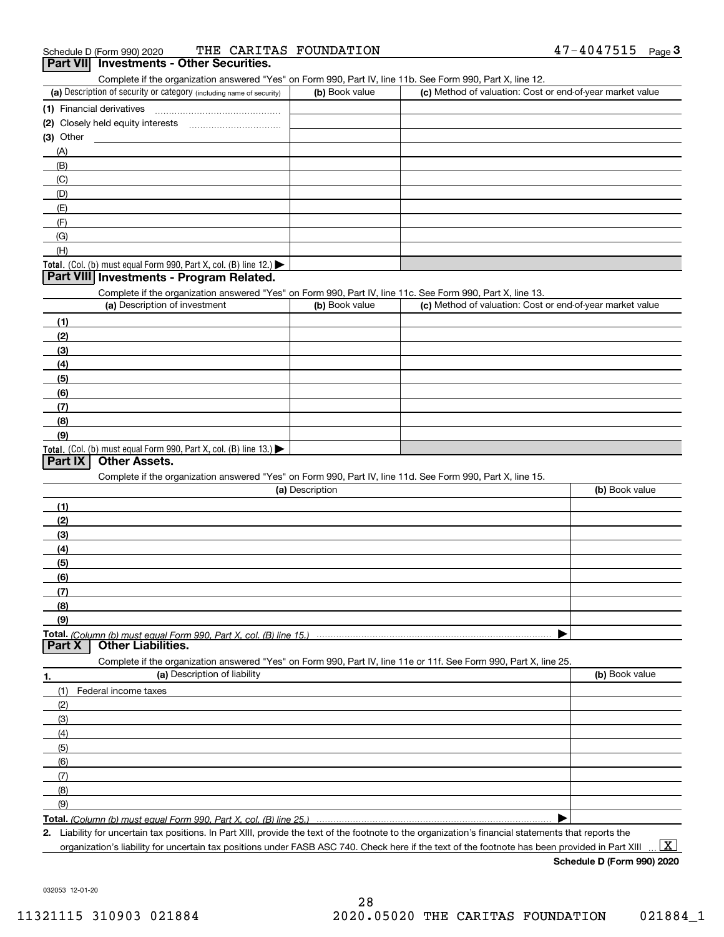| Schedule D (Form 990) 2020 | THE CARITAS FOUNDATION |
|----------------------------|------------------------|
|----------------------------|------------------------|

| THE CARITAS FOUNDATION<br>Schedule D (Form 990) 2020                                                                                                 |                 |                                                           | 47-4047515<br>Page $3$ |
|------------------------------------------------------------------------------------------------------------------------------------------------------|-----------------|-----------------------------------------------------------|------------------------|
| <b>Investments - Other Securities.</b><br>Part VII                                                                                                   |                 |                                                           |                        |
| Complete if the organization answered "Yes" on Form 990, Part IV, line 11b. See Form 990, Part X, line 12.                                           |                 |                                                           |                        |
| (a) Description of security or category (including name of security)                                                                                 | (b) Book value  | (c) Method of valuation: Cost or end-of-year market value |                        |
| (1) Financial derivatives                                                                                                                            |                 |                                                           |                        |
|                                                                                                                                                      |                 |                                                           |                        |
| (3) Other                                                                                                                                            |                 |                                                           |                        |
| (A)                                                                                                                                                  |                 |                                                           |                        |
| (B)                                                                                                                                                  |                 |                                                           |                        |
| (C)                                                                                                                                                  |                 |                                                           |                        |
| (D)                                                                                                                                                  |                 |                                                           |                        |
| (E)                                                                                                                                                  |                 |                                                           |                        |
| (F)                                                                                                                                                  |                 |                                                           |                        |
| (G)                                                                                                                                                  |                 |                                                           |                        |
| (H)                                                                                                                                                  |                 |                                                           |                        |
| Total. (Col. (b) must equal Form 990, Part X, col. (B) line 12.)                                                                                     |                 |                                                           |                        |
| Part VIII Investments - Program Related.                                                                                                             |                 |                                                           |                        |
| Complete if the organization answered "Yes" on Form 990, Part IV, line 11c. See Form 990, Part X, line 13.                                           |                 |                                                           |                        |
| (a) Description of investment                                                                                                                        | (b) Book value  | (c) Method of valuation: Cost or end-of-year market value |                        |
| (1)                                                                                                                                                  |                 |                                                           |                        |
| (2)                                                                                                                                                  |                 |                                                           |                        |
| (3)                                                                                                                                                  |                 |                                                           |                        |
| (4)                                                                                                                                                  |                 |                                                           |                        |
| (5)                                                                                                                                                  |                 |                                                           |                        |
| (6)                                                                                                                                                  |                 |                                                           |                        |
| (7)                                                                                                                                                  |                 |                                                           |                        |
| (8)                                                                                                                                                  |                 |                                                           |                        |
| (9)                                                                                                                                                  |                 |                                                           |                        |
| Total. (Col. (b) must equal Form 990, Part X, col. (B) line 13.)                                                                                     |                 |                                                           |                        |
| Part IX<br><b>Other Assets.</b>                                                                                                                      |                 |                                                           |                        |
| Complete if the organization answered "Yes" on Form 990, Part IV, line 11d. See Form 990, Part X, line 15.                                           |                 |                                                           |                        |
|                                                                                                                                                      | (a) Description |                                                           | (b) Book value         |
| (1)                                                                                                                                                  |                 |                                                           |                        |
| (2)                                                                                                                                                  |                 |                                                           |                        |
| (3)                                                                                                                                                  |                 |                                                           |                        |
| (4)                                                                                                                                                  |                 |                                                           |                        |
| (5)                                                                                                                                                  |                 |                                                           |                        |
| (6)                                                                                                                                                  |                 |                                                           |                        |
| (7)                                                                                                                                                  |                 |                                                           |                        |
| (8)                                                                                                                                                  |                 |                                                           |                        |
| (9)                                                                                                                                                  |                 |                                                           |                        |
| Total. (Column (b) must equal Form 990. Part X, col. (B) line 15.)                                                                                   |                 |                                                           |                        |
| Part X<br><b>Other Liabilities.</b>                                                                                                                  |                 |                                                           |                        |
| Complete if the organization answered "Yes" on Form 990, Part IV, line 11e or 11f. See Form 990, Part X, line 25.                                    |                 |                                                           |                        |
| (a) Description of liability<br>1.                                                                                                                   |                 |                                                           | (b) Book value         |
| (1)<br>Federal income taxes                                                                                                                          |                 |                                                           |                        |
| (2)                                                                                                                                                  |                 |                                                           |                        |
| (3)                                                                                                                                                  |                 |                                                           |                        |
| (4)                                                                                                                                                  |                 |                                                           |                        |
| (5)                                                                                                                                                  |                 |                                                           |                        |
|                                                                                                                                                      |                 |                                                           |                        |
| (6)                                                                                                                                                  |                 |                                                           |                        |
| (7)                                                                                                                                                  |                 |                                                           |                        |
| (8)                                                                                                                                                  |                 |                                                           |                        |
| (9)                                                                                                                                                  |                 |                                                           |                        |
| Total. (Column (b) must equal Form 990, Part X, col. (B) line 25.)                                                                                   |                 |                                                           |                        |
| 2. Liability for uncertain tax positions. In Part XIII, provide the text of the footnote to the organization's financial statements that reports the |                 |                                                           |                        |

organization's liability for uncertain tax positions under FASB ASC 740. Check here if the text of the footnote has been provided in Part XIII  $\,\ldots\,$   $\overline{\rm X}$ 

**Schedule D (Form 990) 2020**

032053 12-01-20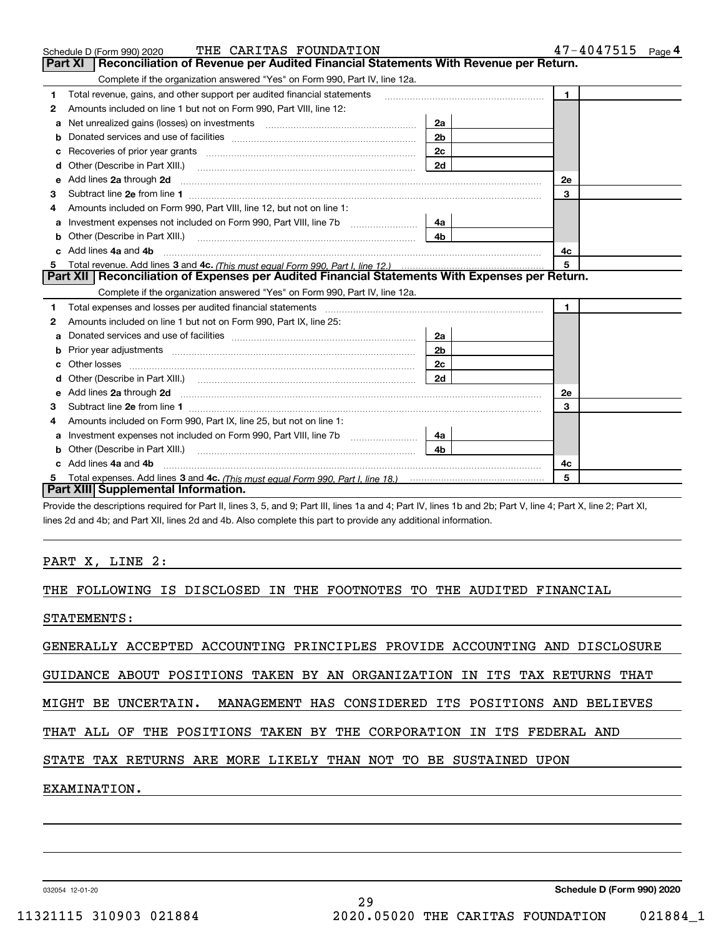|    | THE CARITAS FOUNDATION<br>Schedule D (Form 990) 2020                                                                                                                                                                                 |                | $47 - 4047515$ Page 4 |
|----|--------------------------------------------------------------------------------------------------------------------------------------------------------------------------------------------------------------------------------------|----------------|-----------------------|
|    | Reconciliation of Revenue per Audited Financial Statements With Revenue per Return.<br><b>Part XI</b>                                                                                                                                |                |                       |
|    | Complete if the organization answered "Yes" on Form 990, Part IV, line 12a.                                                                                                                                                          |                |                       |
| 1  | Total revenue, gains, and other support per audited financial statements                                                                                                                                                             |                | $\mathbf{1}$          |
| 2  | Amounts included on line 1 but not on Form 990, Part VIII, line 12:                                                                                                                                                                  |                |                       |
| a  | Net unrealized gains (losses) on investments                                                                                                                                                                                         | 2a             |                       |
|    |                                                                                                                                                                                                                                      | 2 <sub>b</sub> |                       |
| c  | Recoveries of prior year grants [11] matter contracts and prior year grants [11] matter contracts and prior year grants and prior year of the contracts and prior year of the contracts and prior year of the contracts and pr       | 2c             |                       |
| d  | Other (Describe in Part XIII.) <b>Construction Contract Construction</b> Chern Construction Construction Construction                                                                                                                | 2d             |                       |
| е  | Add lines 2a through 2d                                                                                                                                                                                                              |                | <b>2e</b>             |
| З  |                                                                                                                                                                                                                                      |                | 3                     |
| 4  | Amounts included on Form 990. Part VIII. line 12, but not on line 1:                                                                                                                                                                 |                |                       |
|    |                                                                                                                                                                                                                                      | 4a             |                       |
| b  | Other (Describe in Part XIII.) <b>Construction Contract Construction</b> Chern Construction Construction Construction                                                                                                                | 4 <sub>b</sub> |                       |
| c. | Add lines 4a and 4b                                                                                                                                                                                                                  |                | 4с                    |
|    |                                                                                                                                                                                                                                      |                | 5                     |
|    | Part XII   Reconciliation of Expenses per Audited Financial Statements With Expenses per Return.                                                                                                                                     |                |                       |
|    | Complete if the organization answered "Yes" on Form 990, Part IV, line 12a.                                                                                                                                                          |                |                       |
| 1  | Total expenses and losses per audited financial statements [11] [11] contain the control of the statements [11] [11] and the statements [11] and the statements [11] and the statements and the statements and the statements        |                | $\mathbf{1}$          |
| 2  | Amounts included on line 1 but not on Form 990, Part IX, line 25:                                                                                                                                                                    |                |                       |
| a  |                                                                                                                                                                                                                                      | 2a             |                       |
| b  |                                                                                                                                                                                                                                      | 2 <sub>b</sub> |                       |
|    | Other losses <b>with a contract the contract of the contract of the contract of the contract of the contract of the contract of the contract of the contract of the contract of the contract of the contract of the contract of </b> | 2 <sub>c</sub> |                       |
| d  |                                                                                                                                                                                                                                      | 2d             |                       |
| е  | Add lines 2a through 2d <b>must be a constructed as the constant of the S2a</b> through 2d mess construction of the construction of the construction of the construction of the construction of the construction of the constructio  |                | <b>2e</b>             |
| з  |                                                                                                                                                                                                                                      |                | 3                     |
| 4  | Amounts included on Form 990, Part IX, line 25, but not on line 1:                                                                                                                                                                   |                |                       |
| a  |                                                                                                                                                                                                                                      | 4a             |                       |
|    | Other (Describe in Part XIII.)                                                                                                                                                                                                       | 4 <sub>h</sub> |                       |
|    | Add lines 4a and 4b                                                                                                                                                                                                                  |                | 4с                    |
|    |                                                                                                                                                                                                                                      |                | 5                     |
|    | Part XIII Supplemental Information.                                                                                                                                                                                                  |                |                       |

Provide the descriptions required for Part II, lines 3, 5, and 9; Part III, lines 1a and 4; Part IV, lines 1b and 2b; Part V, line 4; Part X, line 2; Part XI, lines 2d and 4b; and Part XII, lines 2d and 4b. Also complete this part to provide any additional information.

#### PART X, LINE 2:

THE FOLLOWING IS DISCLOSED IN THE FOOTNOTES TO THE AUDITED FINANCIAL

STATEMENTS:

GENERALLY ACCEPTED ACCOUNTING PRINCIPLES PROVIDE ACCOUNTING AND DISCLOSURE

GUIDANCE ABOUT POSITIONS TAKEN BY AN ORGANIZATION IN ITS TAX RETURNS THAT

MIGHT BE UNCERTAIN. MANAGEMENT HAS CONSIDERED ITS POSITIONS AND BELIEVES

29

THAT ALL OF THE POSITIONS TAKEN BY THE CORPORATION IN ITS FEDERAL AND

# STATE TAX RETURNS ARE MORE LIKELY THAN NOT TO BE SUSTAINED UPON

EXAMINATION.

032054 12-01-20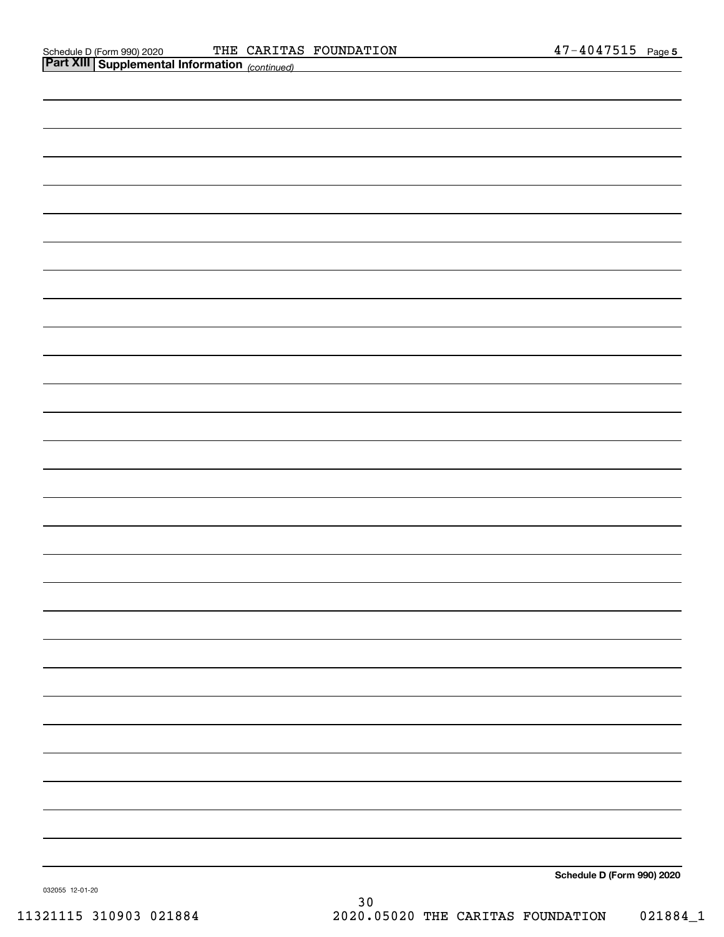| <b>Part XIII Supplemental Information</b> (continued) |  |                            |
|-------------------------------------------------------|--|----------------------------|
|                                                       |  |                            |
|                                                       |  |                            |
|                                                       |  |                            |
|                                                       |  |                            |
|                                                       |  |                            |
|                                                       |  |                            |
|                                                       |  |                            |
|                                                       |  |                            |
|                                                       |  |                            |
|                                                       |  |                            |
|                                                       |  |                            |
|                                                       |  |                            |
|                                                       |  |                            |
|                                                       |  |                            |
|                                                       |  |                            |
|                                                       |  |                            |
|                                                       |  |                            |
|                                                       |  |                            |
|                                                       |  |                            |
|                                                       |  |                            |
|                                                       |  |                            |
|                                                       |  |                            |
|                                                       |  |                            |
|                                                       |  |                            |
|                                                       |  |                            |
|                                                       |  |                            |
|                                                       |  |                            |
|                                                       |  |                            |
|                                                       |  |                            |
|                                                       |  | Schedule D (Form 990) 2020 |

032055 12-01-20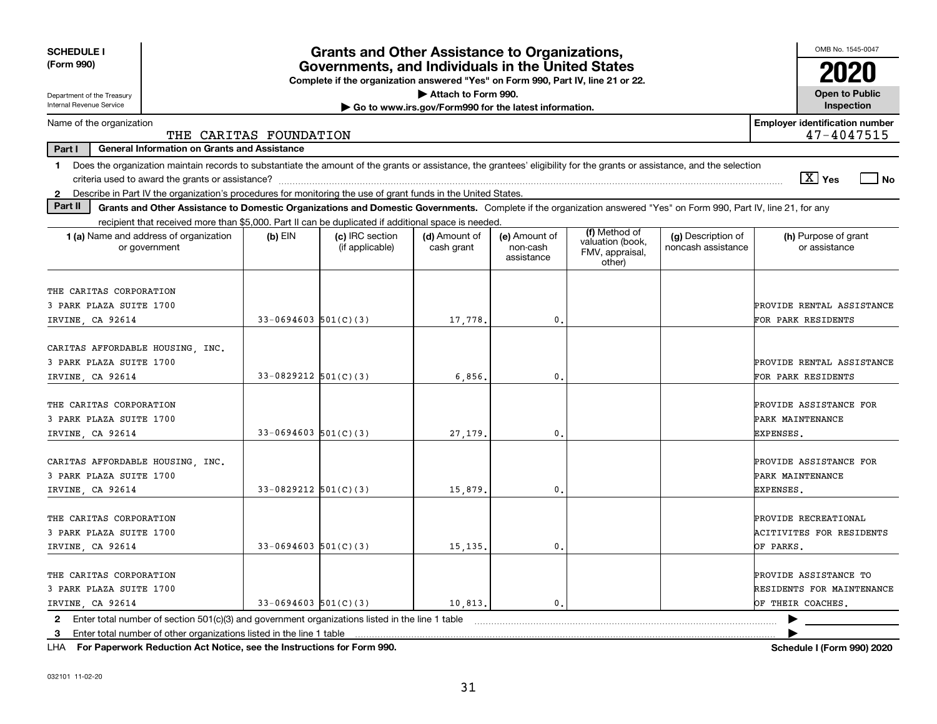| <b>SCHEDULE I</b><br>(Form 990)                                                                                                                                                          | <b>Grants and Other Assistance to Organizations,</b><br>Governments, and Individuals in the United States<br>Complete if the organization answered "Yes" on Form 990, Part IV, line 21 or 22. |                                    |                                                       |                                         |                                                                |                                          |                                                                                |  |  |  |
|------------------------------------------------------------------------------------------------------------------------------------------------------------------------------------------|-----------------------------------------------------------------------------------------------------------------------------------------------------------------------------------------------|------------------------------------|-------------------------------------------------------|-----------------------------------------|----------------------------------------------------------------|------------------------------------------|--------------------------------------------------------------------------------|--|--|--|
| Department of the Treasury                                                                                                                                                               |                                                                                                                                                                                               |                                    | Attach to Form 990.                                   |                                         |                                                                |                                          | <b>Open to Public</b>                                                          |  |  |  |
| Internal Revenue Service                                                                                                                                                                 |                                                                                                                                                                                               |                                    | Go to www.irs.gov/Form990 for the latest information. |                                         |                                                                |                                          | Inspection                                                                     |  |  |  |
| Name of the organization                                                                                                                                                                 | <b>Employer identification number</b><br>47-4047515<br>THE CARITAS FOUNDATION                                                                                                                 |                                    |                                                       |                                         |                                                                |                                          |                                                                                |  |  |  |
| Part I<br><b>General Information on Grants and Assistance</b>                                                                                                                            |                                                                                                                                                                                               |                                    |                                                       |                                         |                                                                |                                          |                                                                                |  |  |  |
| Does the organization maintain records to substantiate the amount of the grants or assistance, the grantees' eligibility for the grants or assistance, and the selection<br>$\mathbf{1}$ |                                                                                                                                                                                               |                                    |                                                       |                                         |                                                                |                                          |                                                                                |  |  |  |
|                                                                                                                                                                                          |                                                                                                                                                                                               |                                    |                                                       |                                         |                                                                |                                          | $\sqrt{X}$ Yes<br>∣ No                                                         |  |  |  |
| Describe in Part IV the organization's procedures for monitoring the use of grant funds in the United States.<br>$\mathbf{2}$                                                            |                                                                                                                                                                                               |                                    |                                                       |                                         |                                                                |                                          |                                                                                |  |  |  |
| Part II<br>Grants and Other Assistance to Domestic Organizations and Domestic Governments. Complete if the organization answered "Yes" on Form 990, Part IV, line 21, for any            |                                                                                                                                                                                               |                                    |                                                       |                                         |                                                                |                                          |                                                                                |  |  |  |
| recipient that received more than \$5,000. Part II can be duplicated if additional space is needed.                                                                                      |                                                                                                                                                                                               |                                    |                                                       |                                         |                                                                |                                          |                                                                                |  |  |  |
| 1 (a) Name and address of organization<br>or government                                                                                                                                  | $(b)$ EIN                                                                                                                                                                                     | (c) IRC section<br>(if applicable) | (d) Amount of<br>cash grant                           | (e) Amount of<br>non-cash<br>assistance | (f) Method of<br>valuation (book,<br>FMV, appraisal,<br>other) | (g) Description of<br>noncash assistance | (h) Purpose of grant<br>or assistance                                          |  |  |  |
| THE CARITAS CORPORATION                                                                                                                                                                  |                                                                                                                                                                                               |                                    |                                                       |                                         |                                                                |                                          |                                                                                |  |  |  |
| 3 PARK PLAZA SUITE 1700                                                                                                                                                                  |                                                                                                                                                                                               |                                    |                                                       |                                         |                                                                |                                          | PROVIDE RENTAL ASSISTANCE                                                      |  |  |  |
| IRVINE, CA 92614                                                                                                                                                                         | $33 - 0694603$ $501(C)(3)$                                                                                                                                                                    |                                    | 17,778.                                               | 0.                                      |                                                                |                                          | FOR PARK RESIDENTS                                                             |  |  |  |
| CARITAS AFFORDABLE HOUSING, INC.<br>3 PARK PLAZA SUITE 1700<br>IRVINE, CA 92614                                                                                                          | $33-0829212$ 501(C)(3)                                                                                                                                                                        |                                    | 6,856.                                                | $\mathbf{0}$ .                          |                                                                |                                          | PROVIDE RENTAL ASSISTANCE<br>FOR PARK RESIDENTS                                |  |  |  |
| THE CARITAS CORPORATION<br>3 PARK PLAZA SUITE 1700<br>IRVINE, CA 92614                                                                                                                   | $33 - 0694603$ $501(C)(3)$                                                                                                                                                                    |                                    | 27,179.                                               | 0.                                      |                                                                |                                          | PROVIDE ASSISTANCE FOR<br>PARK MAINTENANCE<br>EXPENSES.                        |  |  |  |
| CARITAS AFFORDABLE HOUSING, INC.<br>3 PARK PLAZA SUITE 1700<br>IRVINE, CA 92614                                                                                                          | $33-0829212$ 501(C)(3)                                                                                                                                                                        |                                    | 15,879                                                | 0.                                      |                                                                |                                          | PROVIDE ASSISTANCE FOR<br>PARK MAINTENANCE<br>EXPENSES.                        |  |  |  |
| THE CARITAS CORPORATION<br>3 PARK PLAZA SUITE 1700<br>IRVINE, CA 92614                                                                                                                   | $33 - 0694603$ 501(C)(3)                                                                                                                                                                      |                                    | 15, 135,                                              | 0.                                      |                                                                |                                          | PROVIDE RECREATIONAL<br><b>ACITIVITES FOR RESIDENTS</b><br>OF PARKS.           |  |  |  |
| THE CARITAS CORPORATION<br>3 PARK PLAZA SUITE 1700<br>IRVINE, CA 92614                                                                                                                   | $33-0694603$ $501(C)(3)$                                                                                                                                                                      |                                    | 10,813.                                               | $\mathbf{0}$ .                          |                                                                |                                          | PROVIDE ASSISTANCE TO<br><b>RESIDENTS FOR MAINTENANCE</b><br>OF THEIR COACHES. |  |  |  |
| 2 Enter total number of section 501(c)(3) and government organizations listed in the line 1 table                                                                                        |                                                                                                                                                                                               |                                    |                                                       |                                         |                                                                |                                          |                                                                                |  |  |  |
| Enter total number of other organizations listed in the line 1 table<br>3                                                                                                                |                                                                                                                                                                                               |                                    |                                                       |                                         |                                                                |                                          |                                                                                |  |  |  |

**For Paperwork Reduction Act Notice, see the Instructions for Form 990. Schedule I (Form 990) 2020** LHA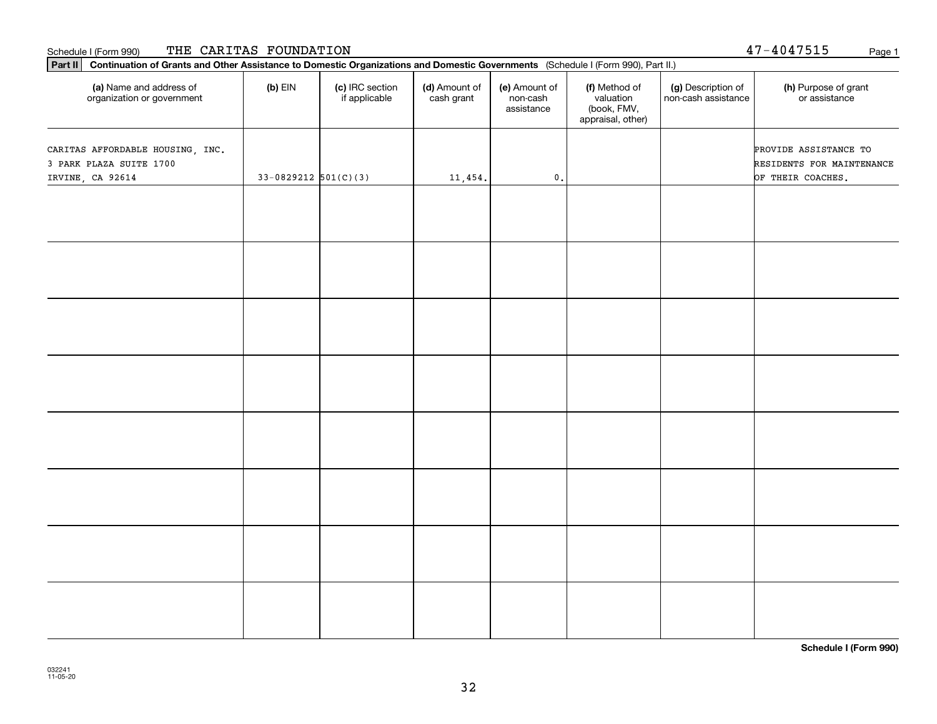#### Schedule I (Form 990) Page 1 THE CARITAS FOUNDATION

| Part II   Continuation of Grants and Other Assistance to Domestic Organizations and Domestic Governments (Schedule I (Form 990), Part II.) |                          |                                  |                             |                                         |                                                                |                                           |                                                    |
|--------------------------------------------------------------------------------------------------------------------------------------------|--------------------------|----------------------------------|-----------------------------|-----------------------------------------|----------------------------------------------------------------|-------------------------------------------|----------------------------------------------------|
| (a) Name and address of<br>organization or government                                                                                      | $(b)$ EIN                | (c) IRC section<br>if applicable | (d) Amount of<br>cash grant | (e) Amount of<br>non-cash<br>assistance | (f) Method of<br>valuation<br>(book, FMV,<br>appraisal, other) | (g) Description of<br>non-cash assistance | (h) Purpose of grant<br>or assistance              |
| CARITAS AFFORDABLE HOUSING, INC.<br>3 PARK PLAZA SUITE 1700                                                                                |                          |                                  |                             |                                         |                                                                |                                           | PROVIDE ASSISTANCE TO<br>RESIDENTS FOR MAINTENANCE |
| IRVINE, CA 92614                                                                                                                           | $33-0829212$ $501(C)(3)$ |                                  | 11,454.                     | $\mathfrak o$ .                         |                                                                |                                           | OF THEIR COACHES.                                  |
|                                                                                                                                            |                          |                                  |                             |                                         |                                                                |                                           |                                                    |
|                                                                                                                                            |                          |                                  |                             |                                         |                                                                |                                           |                                                    |
|                                                                                                                                            |                          |                                  |                             |                                         |                                                                |                                           |                                                    |
|                                                                                                                                            |                          |                                  |                             |                                         |                                                                |                                           |                                                    |
|                                                                                                                                            |                          |                                  |                             |                                         |                                                                |                                           |                                                    |
|                                                                                                                                            |                          |                                  |                             |                                         |                                                                |                                           |                                                    |
|                                                                                                                                            |                          |                                  |                             |                                         |                                                                |                                           |                                                    |
|                                                                                                                                            |                          |                                  |                             |                                         |                                                                |                                           |                                                    |
|                                                                                                                                            |                          |                                  |                             |                                         |                                                                |                                           |                                                    |

**Schedule I (Form 990)**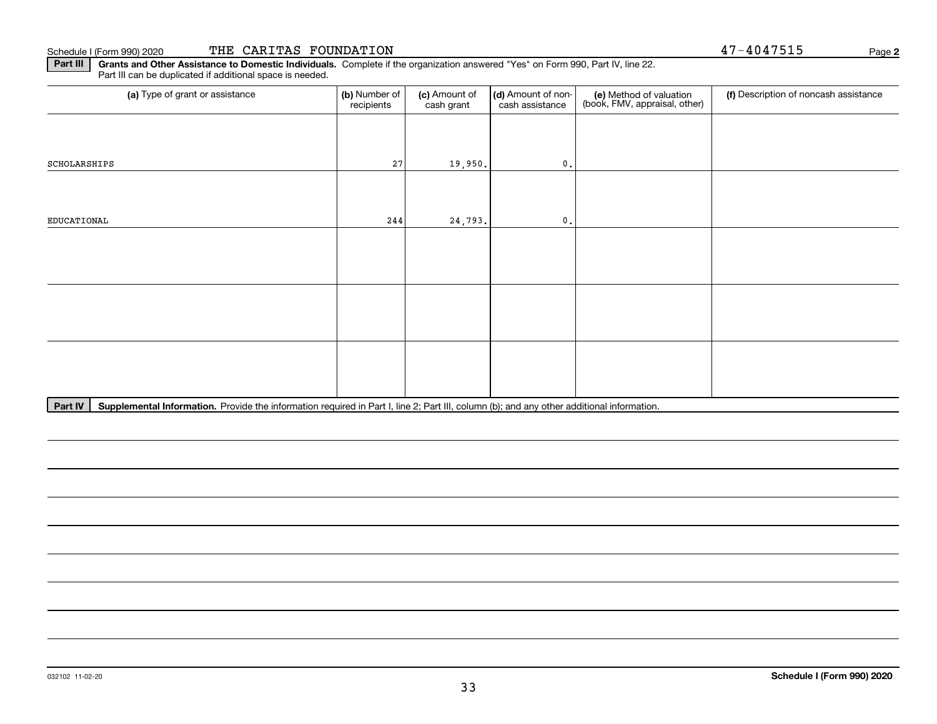032102 11-02-20

#### Schedule I (Form 990) 2020 Page THE CARITAS FOUNDATION 47-4047515

**Part III | Grants and Other Assistance to Domestic Individuals. Complete if the organization answered "Yes" on Form 990, Part IV, line 22.** Part III can be duplicated if additional space is needed.

| (a) Type of grant or assistance | (b) Number of<br>recipients | (c) Amount of<br>cash grant | (d) Amount of non-<br>cash assistance | (e) Method of valuation<br>(book, FMV, appraisal, other) | (f) Description of noncash assistance |
|---------------------------------|-----------------------------|-----------------------------|---------------------------------------|----------------------------------------------------------|---------------------------------------|
|                                 |                             |                             |                                       |                                                          |                                       |
| SCHOLARSHIPS                    | 27                          | 19,950.                     | $\mathbf{0}$ .                        |                                                          |                                       |
|                                 |                             |                             |                                       |                                                          |                                       |
| EDUCATIONAL                     | 244                         | 24,793.                     | $\,0$ .                               |                                                          |                                       |
|                                 |                             |                             |                                       |                                                          |                                       |
|                                 |                             |                             |                                       |                                                          |                                       |
|                                 |                             |                             |                                       |                                                          |                                       |
|                                 |                             |                             |                                       |                                                          |                                       |
|                                 |                             |                             |                                       |                                                          |                                       |
|                                 |                             |                             |                                       |                                                          |                                       |

Part IV | Supplemental Information. Provide the information required in Part I, line 2; Part III, column (b); and any other additional information.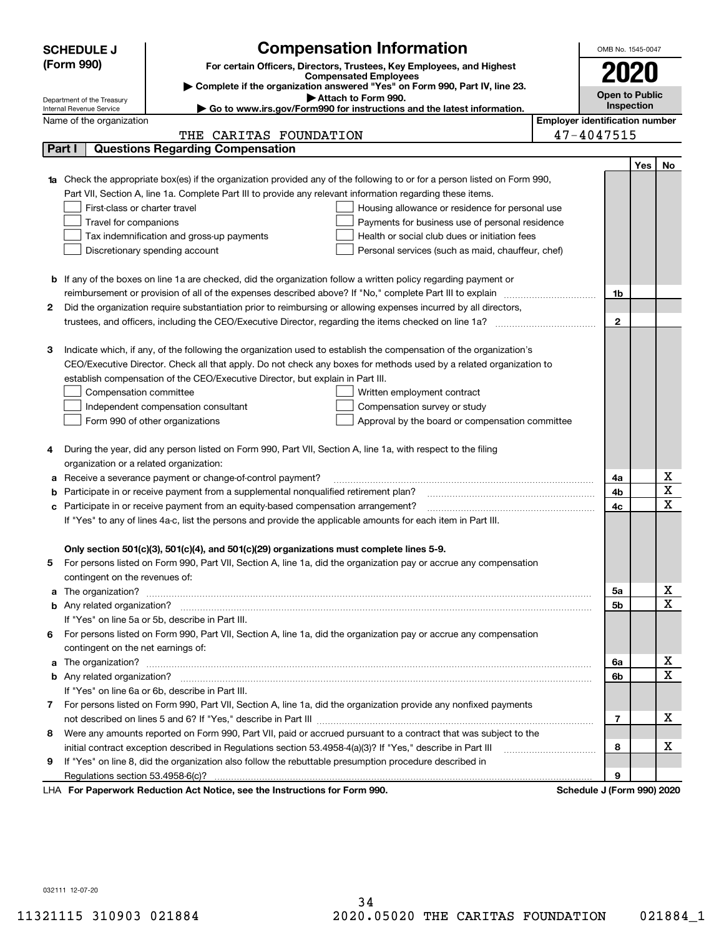|    | <b>SCHEDULE J</b>                                      | <b>Compensation Information</b>                                                                                                                                                                               |                                       | OMB No. 1545-0047          |     |              |
|----|--------------------------------------------------------|---------------------------------------------------------------------------------------------------------------------------------------------------------------------------------------------------------------|---------------------------------------|----------------------------|-----|--------------|
|    | (Form 990)                                             | For certain Officers, Directors, Trustees, Key Employees, and Highest                                                                                                                                         |                                       |                            |     |              |
|    |                                                        | <b>Compensated Employees</b>                                                                                                                                                                                  |                                       | 2020                       |     |              |
|    |                                                        | Complete if the organization answered "Yes" on Form 990, Part IV, line 23.<br>Attach to Form 990.                                                                                                             |                                       | <b>Open to Public</b>      |     |              |
|    | Department of the Treasury<br>Internal Revenue Service | Go to www.irs.gov/Form990 for instructions and the latest information.                                                                                                                                        |                                       | Inspection                 |     |              |
|    | Name of the organization                               |                                                                                                                                                                                                               | <b>Employer identification number</b> |                            |     |              |
|    |                                                        | THE CARITAS FOUNDATION                                                                                                                                                                                        |                                       | 47-4047515                 |     |              |
|    | Part I                                                 | <b>Questions Regarding Compensation</b>                                                                                                                                                                       |                                       |                            |     |              |
|    |                                                        |                                                                                                                                                                                                               |                                       |                            | Yes | No           |
|    |                                                        | Check the appropriate box(es) if the organization provided any of the following to or for a person listed on Form 990,                                                                                        |                                       |                            |     |              |
|    |                                                        | Part VII, Section A, line 1a. Complete Part III to provide any relevant information regarding these items.                                                                                                    |                                       |                            |     |              |
|    | First-class or charter travel                          | Housing allowance or residence for personal use                                                                                                                                                               |                                       |                            |     |              |
|    | Travel for companions                                  | Payments for business use of personal residence                                                                                                                                                               |                                       |                            |     |              |
|    |                                                        | Tax indemnification and gross-up payments<br>Health or social club dues or initiation fees                                                                                                                    |                                       |                            |     |              |
|    | Discretionary spending account                         | Personal services (such as maid, chauffeur, chef)                                                                                                                                                             |                                       |                            |     |              |
|    |                                                        |                                                                                                                                                                                                               |                                       |                            |     |              |
|    |                                                        | <b>b</b> If any of the boxes on line 1a are checked, did the organization follow a written policy regarding payment or                                                                                        |                                       |                            |     |              |
|    |                                                        | reimbursement or provision of all of the expenses described above? If "No," complete Part III to explain                                                                                                      |                                       | 1b                         |     |              |
| 2  |                                                        | Did the organization require substantiation prior to reimbursing or allowing expenses incurred by all directors,                                                                                              |                                       |                            |     |              |
|    |                                                        |                                                                                                                                                                                                               |                                       | $\mathbf{2}$               |     |              |
|    |                                                        |                                                                                                                                                                                                               |                                       |                            |     |              |
| з  |                                                        | Indicate which, if any, of the following the organization used to establish the compensation of the organization's                                                                                            |                                       |                            |     |              |
|    |                                                        | CEO/Executive Director. Check all that apply. Do not check any boxes for methods used by a related organization to                                                                                            |                                       |                            |     |              |
|    |                                                        | establish compensation of the CEO/Executive Director, but explain in Part III.                                                                                                                                |                                       |                            |     |              |
|    | Compensation committee                                 | Written employment contract                                                                                                                                                                                   |                                       |                            |     |              |
|    |                                                        | Compensation survey or study<br>Independent compensation consultant                                                                                                                                           |                                       |                            |     |              |
|    | Form 990 of other organizations                        | Approval by the board or compensation committee                                                                                                                                                               |                                       |                            |     |              |
|    |                                                        |                                                                                                                                                                                                               |                                       |                            |     |              |
| 4  |                                                        | During the year, did any person listed on Form 990, Part VII, Section A, line 1a, with respect to the filing                                                                                                  |                                       |                            |     |              |
|    | organization or a related organization:                |                                                                                                                                                                                                               |                                       |                            |     |              |
| а  |                                                        | Receive a severance payment or change-of-control payment?                                                                                                                                                     |                                       | 4a                         |     | х<br>X       |
| b  |                                                        | Participate in or receive payment from a supplemental nonqualified retirement plan?                                                                                                                           |                                       | 4b                         |     | $\mathbf x$  |
| c  |                                                        | Participate in or receive payment from an equity-based compensation arrangement?                                                                                                                              |                                       | 4c                         |     |              |
|    |                                                        | If "Yes" to any of lines 4a-c, list the persons and provide the applicable amounts for each item in Part III.                                                                                                 |                                       |                            |     |              |
|    |                                                        |                                                                                                                                                                                                               |                                       |                            |     |              |
|    |                                                        | Only section 501(c)(3), 501(c)(4), and 501(c)(29) organizations must complete lines 5-9.<br>For persons listed on Form 990, Part VII, Section A, line 1a, did the organization pay or accrue any compensation |                                       |                            |     |              |
|    | contingent on the revenues of:                         |                                                                                                                                                                                                               |                                       |                            |     |              |
| a  |                                                        |                                                                                                                                                                                                               |                                       | 5а                         |     | x            |
|    |                                                        |                                                                                                                                                                                                               |                                       | <b>5b</b>                  |     | X            |
|    | If "Yes" on line 5a or 5b, describe in Part III.       |                                                                                                                                                                                                               |                                       |                            |     |              |
| 6. |                                                        | For persons listed on Form 990, Part VII, Section A, line 1a, did the organization pay or accrue any compensation                                                                                             |                                       |                            |     |              |
|    | contingent on the net earnings of:                     |                                                                                                                                                                                                               |                                       |                            |     |              |
| a  |                                                        |                                                                                                                                                                                                               |                                       | 6a                         |     | х            |
|    |                                                        |                                                                                                                                                                                                               |                                       | 6b                         |     | $\mathbf{x}$ |
|    | If "Yes" on line 6a or 6b, describe in Part III.       |                                                                                                                                                                                                               |                                       |                            |     |              |
|    |                                                        | 7 For persons listed on Form 990, Part VII, Section A, line 1a, did the organization provide any nonfixed payments                                                                                            |                                       |                            |     |              |
|    |                                                        |                                                                                                                                                                                                               |                                       | 7                          |     | x            |
| 8  |                                                        | Were any amounts reported on Form 990, Part VII, paid or accrued pursuant to a contract that was subject to the                                                                                               |                                       |                            |     |              |
|    |                                                        | initial contract exception described in Regulations section 53.4958-4(a)(3)? If "Yes," describe in Part III                                                                                                   |                                       | 8                          |     | х            |
| 9  |                                                        | If "Yes" on line 8, did the organization also follow the rebuttable presumption procedure described in                                                                                                        |                                       |                            |     |              |
|    | Regulations section 53.4958-6(c)?                      |                                                                                                                                                                                                               |                                       | 9                          |     |              |
|    |                                                        | LHA For Paperwork Reduction Act Notice, see the Instructions for Form 990.                                                                                                                                    |                                       | Schedule J (Form 990) 2020 |     |              |

032111 12-07-20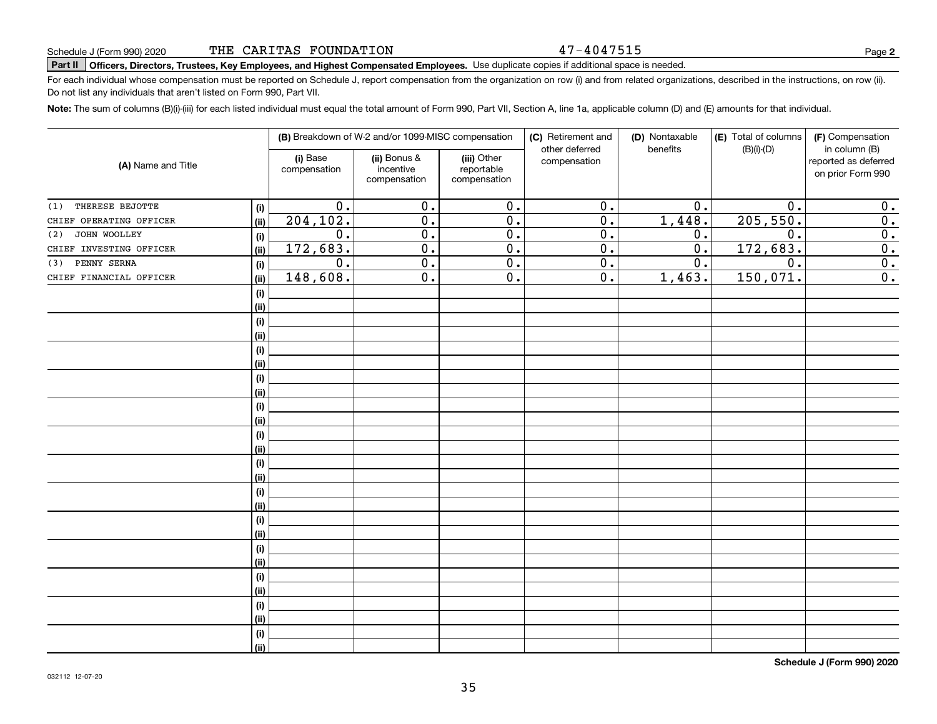#### 47-4047515

**2**

# **Part II Officers, Directors, Trustees, Key Employees, and Highest Compensated Employees.**  Schedule J (Form 990) 2020 Page Use duplicate copies if additional space is needed.

For each individual whose compensation must be reported on Schedule J, report compensation from the organization on row (i) and from related organizations, described in the instructions, on row (ii). Do not list any individuals that aren't listed on Form 990, Part VII.

**Note:**  The sum of columns (B)(i)-(iii) for each listed individual must equal the total amount of Form 990, Part VII, Section A, line 1a, applicable column (D) and (E) amounts for that individual.

|                         |      |                          | (B) Breakdown of W-2 and/or 1099-MISC compensation |                                           | (C) Retirement and             | (D) Nontaxable   | (E) Total of columns | (F) Compensation                                           |
|-------------------------|------|--------------------------|----------------------------------------------------|-------------------------------------------|--------------------------------|------------------|----------------------|------------------------------------------------------------|
| (A) Name and Title      |      | (i) Base<br>compensation | (ii) Bonus &<br>incentive<br>compensation          | (iii) Other<br>reportable<br>compensation | other deferred<br>compensation | benefits         | $(B)(i)-(D)$         | in column (B)<br>reported as deferred<br>on prior Form 990 |
| THERESE BEJOTTE<br>(1)  | (i)  | 0.                       | 0.                                                 | $\overline{0}$ .                          | $\overline{0}$ .               | 0.               | 0.                   | 0.                                                         |
| CHIEF OPERATING OFFICER | (ii) | 204, 102.                | $\overline{0}$ .                                   | $\overline{0}$ .                          | $\overline{0}$ .               | 1,448.           | 205,550.             | $\overline{0}$ .                                           |
| JOHN WOOLLEY<br>(2)     | (i)  | $\overline{0}$ .         | $\overline{0}$ .                                   | $\overline{0}$ .                          | $\overline{0}$ .               | $0$ .            | 0.                   | $\overline{\mathbf{0}}$ .                                  |
| CHIEF INVESTING OFFICER | (ii) | 172,683.                 | $\overline{0}$ .                                   | $\overline{0}$ .                          | $\overline{0}$ .               | $\overline{0}$ . | 172,683.             | $\overline{\mathbf{0}}$ .                                  |
| PENNY SERNA<br>(3)      | (i)  | $\overline{0}$ .         | $\overline{0}$ .                                   | $\overline{0}$ .                          | $\overline{0}$ .               | $\overline{0}$ . | $\overline{0}$ .     | $\overline{0}$ .                                           |
| CHIEF FINANCIAL OFFICER | (ii) | 148,608.                 | $\overline{0}$ .                                   | $\overline{0}$ .                          | $\overline{0}$ .               | 1,463.           | 150,071.             | $\overline{0}$ .                                           |
|                         | (i)  |                          |                                                    |                                           |                                |                  |                      |                                                            |
|                         | (ii) |                          |                                                    |                                           |                                |                  |                      |                                                            |
|                         | (i)  |                          |                                                    |                                           |                                |                  |                      |                                                            |
|                         | (ii) |                          |                                                    |                                           |                                |                  |                      |                                                            |
|                         | (i)  |                          |                                                    |                                           |                                |                  |                      |                                                            |
|                         | (ii) |                          |                                                    |                                           |                                |                  |                      |                                                            |
|                         | (i)  |                          |                                                    |                                           |                                |                  |                      |                                                            |
|                         | (ii) |                          |                                                    |                                           |                                |                  |                      |                                                            |
|                         | (i)  |                          |                                                    |                                           |                                |                  |                      |                                                            |
|                         | (ii) |                          |                                                    |                                           |                                |                  |                      |                                                            |
|                         | (i)  |                          |                                                    |                                           |                                |                  |                      |                                                            |
|                         | (ii) |                          |                                                    |                                           |                                |                  |                      |                                                            |
|                         | (i)  |                          |                                                    |                                           |                                |                  |                      |                                                            |
|                         | (ii) |                          |                                                    |                                           |                                |                  |                      |                                                            |
|                         | (i)  |                          |                                                    |                                           |                                |                  |                      |                                                            |
|                         | (ii) |                          |                                                    |                                           |                                |                  |                      |                                                            |
|                         | (i)  |                          |                                                    |                                           |                                |                  |                      |                                                            |
|                         | (ii) |                          |                                                    |                                           |                                |                  |                      |                                                            |
|                         | (i)  |                          |                                                    |                                           |                                |                  |                      |                                                            |
|                         | (ii) |                          |                                                    |                                           |                                |                  |                      |                                                            |
|                         | (i)  |                          |                                                    |                                           |                                |                  |                      |                                                            |
|                         | (ii) |                          |                                                    |                                           |                                |                  |                      |                                                            |
|                         | (i)  |                          |                                                    |                                           |                                |                  |                      |                                                            |
|                         | (ii) |                          |                                                    |                                           |                                |                  |                      |                                                            |
|                         | (i)  |                          |                                                    |                                           |                                |                  |                      |                                                            |
|                         | (ii) |                          |                                                    |                                           |                                |                  |                      |                                                            |

**Schedule J (Form 990) 2020**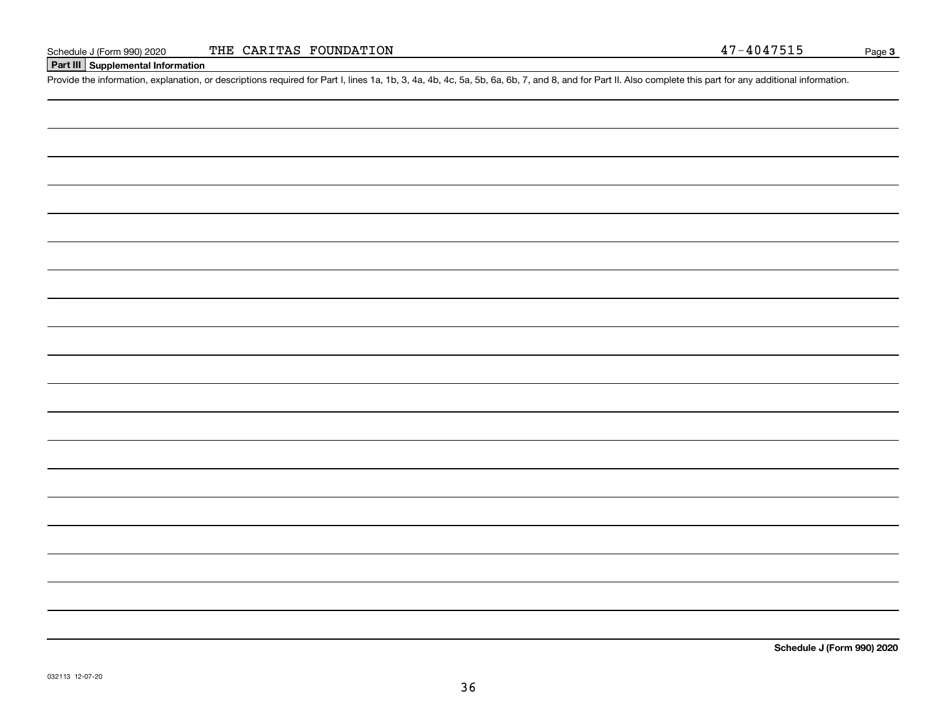#### **Part III Supplemental Information**

Schedule J (Form 990) 2020 THE CARITAS FOUNDATION 47-4047515<br>Part III Supplemental Information<br>Provide the information, explanation, or descriptions required for Part I, lines 1a, 1b, 3, 4a, 4b, 4c, 5a, 5b, 6a, 6b, 7, and

**Schedule J (Form 990) 2020**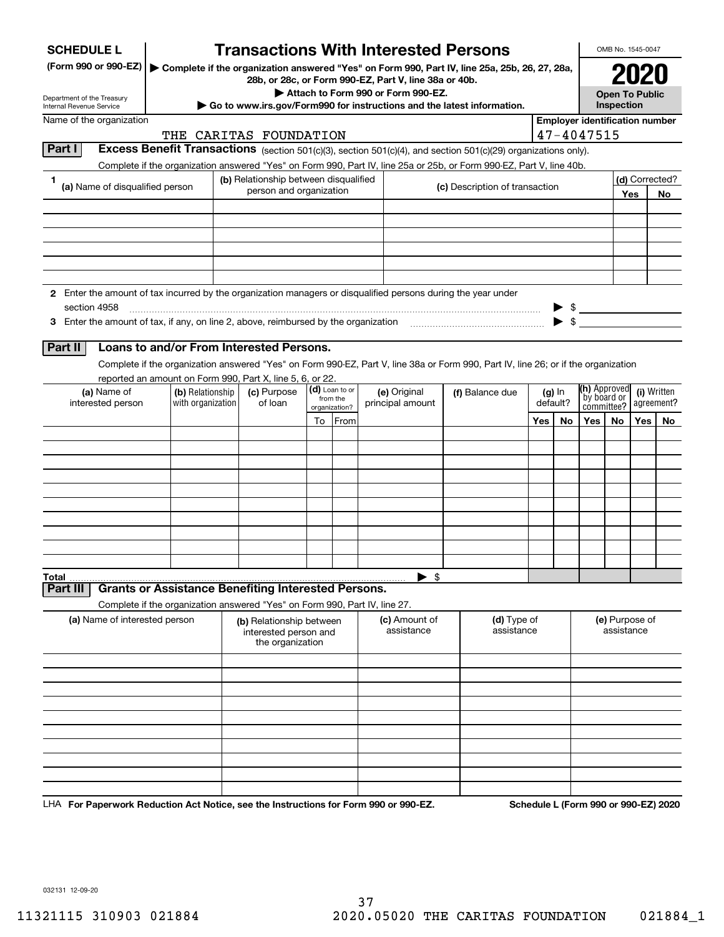| <b>SCHEDULE L</b>                                                                                             |                               |                   | <b>Transactions With Interested Persons</b>                                |    |                           |                                    |                                                                                                                                    |     |          |                                       | OMB No. 1545-0047                   |     |                |
|---------------------------------------------------------------------------------------------------------------|-------------------------------|-------------------|----------------------------------------------------------------------------|----|---------------------------|------------------------------------|------------------------------------------------------------------------------------------------------------------------------------|-----|----------|---------------------------------------|-------------------------------------|-----|----------------|
| (Form 990 or 990-EZ)                                                                                          |                               |                   | 28b, or 28c, or Form 990-EZ, Part V, line 38a or 40b.                      |    |                           |                                    | ▶ Complete if the organization answered "Yes" on Form 990, Part IV, line 25a, 25b, 26, 27, 28a,                                    |     |          |                                       |                                     |     |                |
| Department of the Treasury                                                                                    |                               |                   |                                                                            |    |                           | Attach to Form 990 or Form 990-EZ. |                                                                                                                                    |     |          |                                       | <b>Open To Public</b><br>Inspection |     |                |
| Internal Revenue Service<br>Name of the organization                                                          |                               |                   |                                                                            |    |                           |                                    | ► Go to www.irs.gov/Form990 for instructions and the latest information.                                                           |     |          | <b>Employer identification number</b> |                                     |     |                |
|                                                                                                               |                               |                   | THE CARITAS FOUNDATION                                                     |    |                           |                                    |                                                                                                                                    |     |          | 47-4047515                            |                                     |     |                |
| Part I                                                                                                        |                               |                   |                                                                            |    |                           |                                    | Excess Benefit Transactions (section 501(c)(3), section 501(c)(4), and section 501(c)(29) organizations only).                     |     |          |                                       |                                     |     |                |
|                                                                                                               |                               |                   |                                                                            |    |                           |                                    | Complete if the organization answered "Yes" on Form 990, Part IV, line 25a or 25b, or Form 990-EZ, Part V, line 40b.               |     |          |                                       |                                     |     |                |
| 1.                                                                                                            |                               |                   | (b) Relationship between disqualified                                      |    |                           |                                    |                                                                                                                                    |     |          |                                       |                                     |     | (d) Corrected? |
| (a) Name of disqualified person                                                                               |                               |                   | person and organization                                                    |    |                           |                                    | (c) Description of transaction                                                                                                     |     |          |                                       |                                     | Yes | No             |
|                                                                                                               |                               |                   |                                                                            |    |                           |                                    |                                                                                                                                    |     |          |                                       |                                     |     |                |
|                                                                                                               |                               |                   |                                                                            |    |                           |                                    |                                                                                                                                    |     |          |                                       |                                     |     |                |
|                                                                                                               |                               |                   |                                                                            |    |                           |                                    |                                                                                                                                    |     |          |                                       |                                     |     |                |
|                                                                                                               |                               |                   |                                                                            |    |                           |                                    |                                                                                                                                    |     |          |                                       |                                     |     |                |
|                                                                                                               |                               |                   |                                                                            |    |                           |                                    |                                                                                                                                    |     |          |                                       |                                     |     |                |
| 2 Enter the amount of tax incurred by the organization managers or disqualified persons during the year under |                               |                   |                                                                            |    |                           |                                    |                                                                                                                                    |     |          |                                       |                                     |     |                |
| section 4958                                                                                                  |                               |                   |                                                                            |    |                           |                                    |                                                                                                                                    |     |          | $\frac{1}{2}$                         |                                     |     |                |
|                                                                                                               |                               |                   |                                                                            |    |                           |                                    |                                                                                                                                    |     | \$       |                                       |                                     |     |                |
|                                                                                                               |                               |                   |                                                                            |    |                           |                                    |                                                                                                                                    |     |          |                                       |                                     |     |                |
| Part II                                                                                                       |                               |                   | Loans to and/or From Interested Persons.                                   |    |                           |                                    |                                                                                                                                    |     |          |                                       |                                     |     |                |
|                                                                                                               |                               |                   |                                                                            |    |                           |                                    | Complete if the organization answered "Yes" on Form 990-EZ, Part V, line 38a or Form 990, Part IV, line 26; or if the organization |     |          |                                       |                                     |     |                |
| (a) Name of                                                                                                   |                               | (b) Relationship  | reported an amount on Form 990, Part X, line 5, 6, or 22.<br>(c) Purpose   |    | (d) Loan to or            | (e) Original                       |                                                                                                                                    |     | $(g)$ In | (h) Approved                          |                                     |     | (i) Written    |
| interested person                                                                                             |                               | with organization | of loan                                                                    |    | from the<br>organization? | principal amount                   | (f) Balance due                                                                                                                    |     | default? | by board or<br>committee?             |                                     |     | agreement?     |
|                                                                                                               |                               |                   |                                                                            | To | From                      |                                    |                                                                                                                                    | Yes | No       | Yes                                   | No.                                 | Yes | No             |
|                                                                                                               |                               |                   |                                                                            |    |                           |                                    |                                                                                                                                    |     |          |                                       |                                     |     |                |
|                                                                                                               |                               |                   |                                                                            |    |                           |                                    |                                                                                                                                    |     |          |                                       |                                     |     |                |
|                                                                                                               |                               |                   |                                                                            |    |                           |                                    |                                                                                                                                    |     |          |                                       |                                     |     |                |
|                                                                                                               |                               |                   |                                                                            |    |                           |                                    |                                                                                                                                    |     |          |                                       |                                     |     |                |
|                                                                                                               |                               |                   |                                                                            |    |                           |                                    |                                                                                                                                    |     |          |                                       |                                     |     |                |
|                                                                                                               |                               |                   |                                                                            |    |                           |                                    |                                                                                                                                    |     |          |                                       |                                     |     |                |
|                                                                                                               |                               |                   |                                                                            |    |                           |                                    |                                                                                                                                    |     |          |                                       |                                     |     |                |
|                                                                                                               |                               |                   |                                                                            |    |                           |                                    |                                                                                                                                    |     |          |                                       |                                     |     |                |
|                                                                                                               |                               |                   |                                                                            |    |                           |                                    |                                                                                                                                    |     |          |                                       |                                     |     |                |
| Total                                                                                                         |                               |                   |                                                                            |    |                           | $\blacktriangleright$ \$           |                                                                                                                                    |     |          |                                       |                                     |     |                |
| Part II                                                                                                       |                               |                   | <b>Grants or Assistance Benefiting Interested Persons.</b>                 |    |                           |                                    |                                                                                                                                    |     |          |                                       |                                     |     |                |
|                                                                                                               |                               |                   | Complete if the organization answered "Yes" on Form 990, Part IV, line 27. |    |                           |                                    |                                                                                                                                    |     |          |                                       |                                     |     |                |
|                                                                                                               | (a) Name of interested person |                   | (b) Relationship between<br>interested person and<br>the organization      |    |                           | (c) Amount of<br>assistance        | (d) Type of<br>assistance                                                                                                          |     |          |                                       | (e) Purpose of<br>assistance        |     |                |
|                                                                                                               |                               |                   |                                                                            |    |                           |                                    |                                                                                                                                    |     |          |                                       |                                     |     |                |
|                                                                                                               |                               |                   |                                                                            |    |                           |                                    |                                                                                                                                    |     |          |                                       |                                     |     |                |
|                                                                                                               |                               |                   |                                                                            |    |                           |                                    |                                                                                                                                    |     |          |                                       |                                     |     |                |
|                                                                                                               |                               |                   |                                                                            |    |                           |                                    |                                                                                                                                    |     |          |                                       |                                     |     |                |
|                                                                                                               |                               |                   |                                                                            |    |                           |                                    |                                                                                                                                    |     |          |                                       |                                     |     |                |
|                                                                                                               |                               |                   |                                                                            |    |                           |                                    |                                                                                                                                    |     |          |                                       |                                     |     |                |
|                                                                                                               |                               |                   |                                                                            |    |                           |                                    |                                                                                                                                    |     |          |                                       |                                     |     |                |
|                                                                                                               |                               |                   |                                                                            |    |                           |                                    |                                                                                                                                    |     |          |                                       |                                     |     |                |
|                                                                                                               |                               |                   |                                                                            |    |                           |                                    |                                                                                                                                    |     |          |                                       |                                     |     |                |
|                                                                                                               |                               |                   |                                                                            |    |                           |                                    |                                                                                                                                    |     |          |                                       |                                     |     |                |

LHA For Paperwork Reduction Act Notice, see the Instructions for Form 990 or 990-EZ. Schedule L (Form 990 or 990-EZ) 2020

032131 12-09-20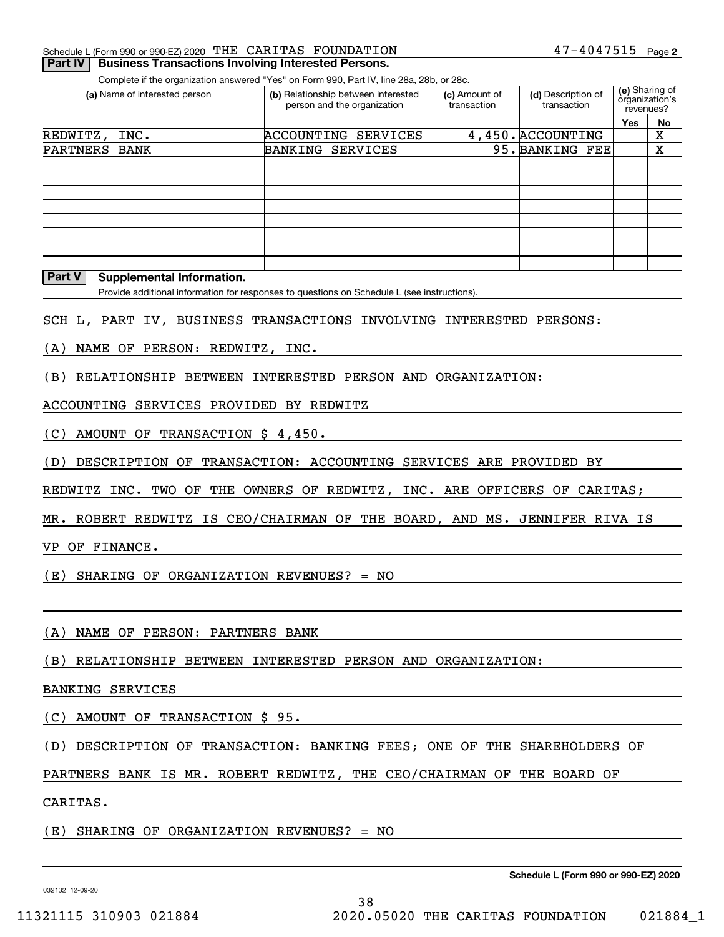| Schedule L (Form 990 or 990-EZ) 2020 THE CARITAS FOUNDATION |  | $47 - 4047515$ Page 2 |  |
|-------------------------------------------------------------|--|-----------------------|--|
|                                                             |  |                       |  |

#### **Part IV** Business Transactions Involving Interested Persons.

Complete if the organization answered "Yes" on Form 990, Part IV, line 28a, 28b, or 28c.

| (a) Name of interested person | (b) Relationship between interested<br>person and the organization | (c) Amount of<br>transaction | (d) Description of<br>transaction | revenues?  | (e) Sharing of<br>organization's |
|-------------------------------|--------------------------------------------------------------------|------------------------------|-----------------------------------|------------|----------------------------------|
|                               |                                                                    |                              |                                   | <b>Yes</b> | No                               |
| REDWITZ,<br>INC.              | ACCOUNTING<br><b>SERVICES</b>                                      |                              | 4,450. ACCOUNTING                 |            | х                                |
| PARTNERS BANK                 | <b>BANKING SERVICES</b>                                            |                              | 95. BANKING FEE                   |            | x                                |
|                               |                                                                    |                              |                                   |            |                                  |
|                               |                                                                    |                              |                                   |            |                                  |
|                               |                                                                    |                              |                                   |            |                                  |
|                               |                                                                    |                              |                                   |            |                                  |
|                               |                                                                    |                              |                                   |            |                                  |
|                               |                                                                    |                              |                                   |            |                                  |
|                               |                                                                    |                              |                                   |            |                                  |
|                               |                                                                    |                              |                                   |            |                                  |

#### **Part V** Supplemental Information.

Provide additional information for responses to questions on Schedule L (see instructions).

SCH L, PART IV, BUSINESS TRANSACTIONS INVOLVING INTERESTED PERSONS:

(A) NAME OF PERSON: REDWITZ, INC.

(B) RELATIONSHIP BETWEEN INTERESTED PERSON AND ORGANIZATION:

ACCOUNTING SERVICES PROVIDED BY REDWITZ

(C) AMOUNT OF TRANSACTION \$ 4,450.

(D) DESCRIPTION OF TRANSACTION: ACCOUNTING SERVICES ARE PROVIDED BY

REDWITZ INC. TWO OF THE OWNERS OF REDWITZ, INC. ARE OFFICERS OF CARITAS;

MR. ROBERT REDWITZ IS CEO/CHAIRMAN OF THE BOARD, AND MS. JENNIFER RIVA IS

VP OF FINANCE.

(E) SHARING OF ORGANIZATION REVENUES? = NO

(A) NAME OF PERSON: PARTNERS BANK

(B) RELATIONSHIP BETWEEN INTERESTED PERSON AND ORGANIZATION:

BANKING SERVICES

(C) AMOUNT OF TRANSACTION \$ 95.

(D) DESCRIPTION OF TRANSACTION: BANKING FEES; ONE OF THE SHAREHOLDERS OF

38

PARTNERS BANK IS MR. ROBERT REDWITZ, THE CEO/CHAIRMAN OF THE BOARD OF

CARITAS.

(E) SHARING OF ORGANIZATION REVENUES? = NO

032132 12-09-20

**Schedule L (Form 990 or 990-EZ) 2020**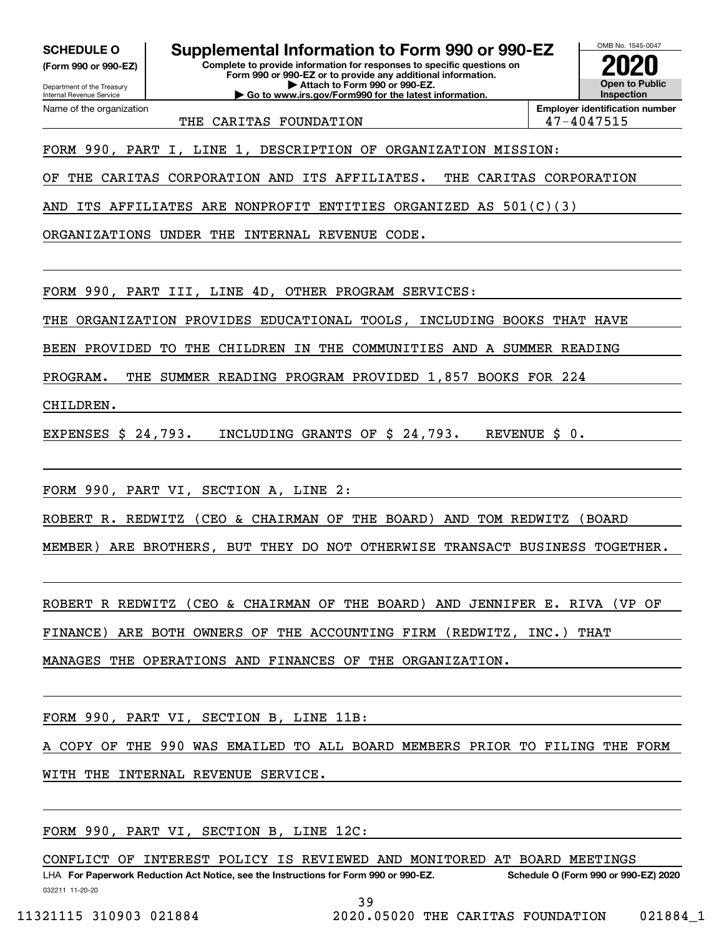**(Form 990 or 990-EZ)**

Department of the Treasury Internal Revenue Service Name of the organization

**SCHEDULE O Supplemental Information to Form 990 or 990-EZ**

**Complete to provide information for responses to specific questions on Form 990 or 990-EZ or to provide any additional information. | Attach to Form 990 or 990-EZ. | Go to www.irs.gov/Form990 for the latest information.**



THE CARITAS FOUNDATION **47-4047515** 

FORM 990, PART I, LINE 1, DESCRIPTION OF ORGANIZATION MISSION:

OF THE CARITAS CORPORATION AND ITS AFFILIATES. THE CARITAS CORPORATION

AND ITS AFFILIATES ARE NONPROFIT ENTITIES ORGANIZED AS 501(C)(3)

ORGANIZATIONS UNDER THE INTERNAL REVENUE CODE.

FORM 990, PART III, LINE 4D, OTHER PROGRAM SERVICES:

THE ORGANIZATION PROVIDES EDUCATIONAL TOOLS, INCLUDING BOOKS THAT HAVE

BEEN PROVIDED TO THE CHILDREN IN THE COMMUNITIES AND A SUMMER READING

PROGRAM. THE SUMMER READING PROGRAM PROVIDED 1,857 BOOKS FOR 224

CHILDREN.

EXPENSES \$ 24,793. INCLUDING GRANTS OF \$ 24,793. REVENUE \$ 0.

FORM 990, PART VI, SECTION A, LINE 2:

ROBERT R. REDWITZ (CEO & CHAIRMAN OF THE BOARD) AND TOM REDWITZ (BOARD

MEMBER) ARE BROTHERS, BUT THEY DO NOT OTHERWISE TRANSACT BUSINESS TOGETHER.

ROBERT R REDWITZ (CEO & CHAIRMAN OF THE BOARD) AND JENNIFER E. RIVA (VP OF

FINANCE) ARE BOTH OWNERS OF THE ACCOUNTING FIRM (REDWITZ, INC.) THAT

MANAGES THE OPERATIONS AND FINANCES OF THE ORGANIZATION.

FORM 990, PART VI, SECTION B, LINE 11B:

A COPY OF THE 990 WAS EMAILED TO ALL BOARD MEMBERS PRIOR TO FILING THE FORM WITH THE INTERNAL REVENUE SERVICE.

FORM 990, PART VI, SECTION B, LINE 12C:

CONFLICT OF INTEREST POLICY IS REVIEWED AND MONITORED AT BOARD MEETINGS

032211 11-20-20 LHA For Paperwork Reduction Act Notice, see the Instructions for Form 990 or 990-EZ. Schedule O (Form 990 or 990-EZ) 2020 39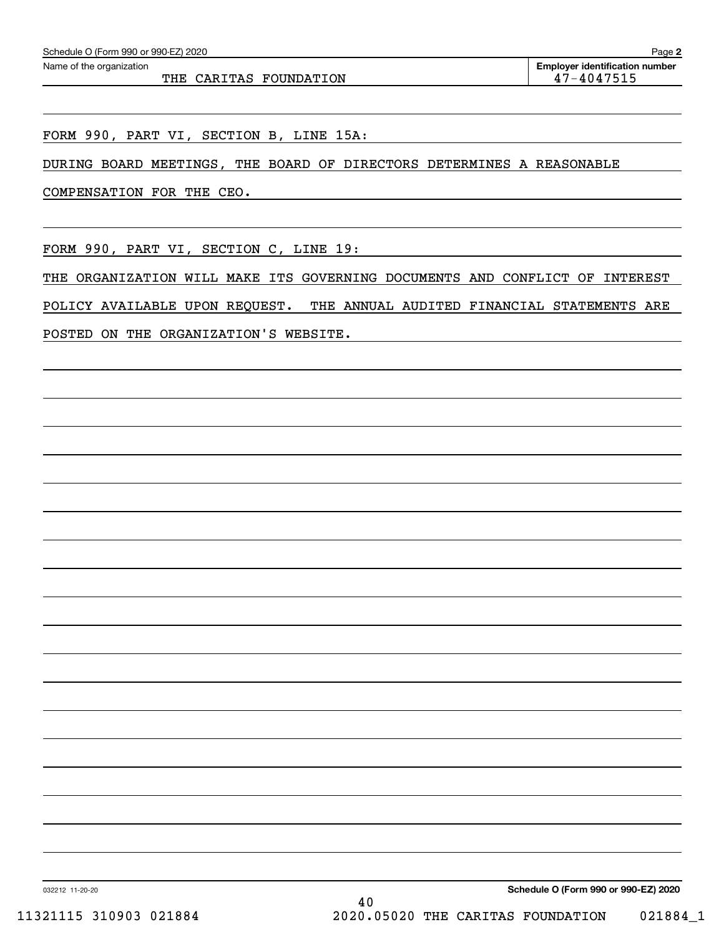THE CARITAS FOUNDATION 17-4047515

FORM 990, PART VI, SECTION B, LINE 15A:

DURING BOARD MEETINGS, THE BOARD OF DIRECTORS DETERMINES A REASONABLE

COMPENSATION FOR THE CEO.

FORM 990, PART VI, SECTION C, LINE 19:

THE ORGANIZATION WILL MAKE ITS GOVERNING DOCUMENTS AND CONFLICT OF INTEREST POLICY AVAILABLE UPON REQUEST. THE ANNUAL AUDITED FINANCIAL STATEMENTS ARE

POSTED ON THE ORGANIZATION'S WEBSITE.

**Schedule O (Form 990 or 990-EZ) 2020**

032212 11-20-20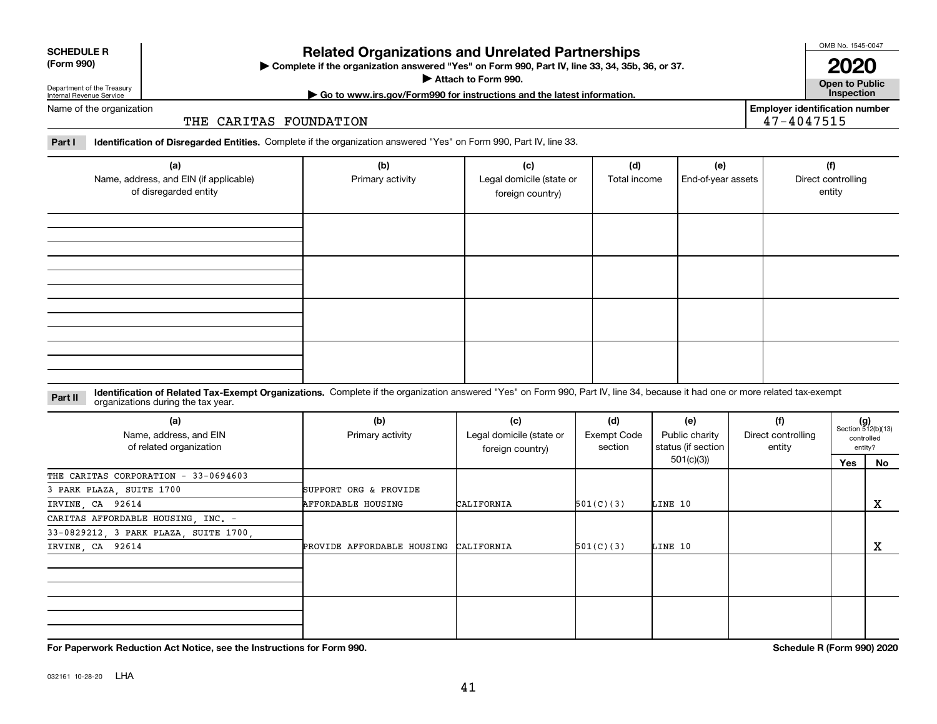# **Related Organizations and Unrelated Partnerships**

**Complete if the organization answered "Yes" on Form 990, Part IV, line 33, 34, 35b, 36, or 37.** |

**Attach to Form 990.**  |

Name of the organization

Department of the Treasury Internal Revenue Service

#### THE CARITAS FOUNDATION

**Part I Identification of Disregarded Entities.**  Complete if the organization answered "Yes" on Form 990, Part IV, line 33.

| (a)<br>Name, address, and EIN (if applicable)<br>of disregarded entity | (b)<br>Primary activity | (c)<br>Legal domicile (state or<br>foreign country) | (d)<br>Total income | (e)<br>End-of-year assets | (f)<br>Direct controlling<br>entity |
|------------------------------------------------------------------------|-------------------------|-----------------------------------------------------|---------------------|---------------------------|-------------------------------------|
|                                                                        |                         |                                                     |                     |                           |                                     |
|                                                                        |                         |                                                     |                     |                           |                                     |
|                                                                        |                         |                                                     |                     |                           |                                     |
|                                                                        |                         |                                                     |                     |                           |                                     |

#### **Identification of Related Tax-Exempt Organizations.** Complete if the organization answered "Yes" on Form 990, Part IV, line 34, because it had one or more related tax-exempt **Part II** organizations during the tax year.

| (a)<br>Name, address, and EIN<br>of related organization | (b)<br>Primary activity               | (c)<br>Legal domicile (state or<br>foreign country) | (d)<br><b>Exempt Code</b><br>section | (e)<br>Public charity<br>status (if section | (f)<br>Direct controlling<br>entity | $(g)$<br>Section 512(b)(13) | controlled<br>entity? |
|----------------------------------------------------------|---------------------------------------|-----------------------------------------------------|--------------------------------------|---------------------------------------------|-------------------------------------|-----------------------------|-----------------------|
|                                                          |                                       |                                                     |                                      | 501(c)(3)                                   |                                     | Yes                         | No                    |
| THE CARITAS CORPORATION - 33-0694603                     |                                       |                                                     |                                      |                                             |                                     |                             |                       |
| 3 PARK PLAZA, SUITE 1700                                 | SUPPORT ORG & PROVIDE                 |                                                     |                                      |                                             |                                     |                             |                       |
| IRVINE, CA 92614                                         | <b>AFFORDABLE HOUSING</b>             | CALIFORNIA                                          | 501(C)(3)                            | LINE 10                                     |                                     |                             | х                     |
| CARITAS AFFORDABLE HOUSING, INC. -                       |                                       |                                                     |                                      |                                             |                                     |                             |                       |
| 33-0829212, 3 PARK PLAZA, SUITE 1700,                    |                                       |                                                     |                                      |                                             |                                     |                             |                       |
| IRVINE, CA 92614                                         | PROVIDE AFFORDABLE HOUSING CALIFORNIA |                                                     | 501(C)(3)                            | LINE 10                                     |                                     |                             | х                     |
|                                                          |                                       |                                                     |                                      |                                             |                                     |                             |                       |
|                                                          |                                       |                                                     |                                      |                                             |                                     |                             |                       |
|                                                          |                                       |                                                     |                                      |                                             |                                     |                             |                       |
|                                                          |                                       |                                                     |                                      |                                             |                                     |                             |                       |

41

**For Paperwork Reduction Act Notice, see the Instructions for Form 990. Schedule R (Form 990) 2020**

**Open to Public 2020**

**Employer identification number**

47-4047515

**SCHEDULE R**

**(Form 990)**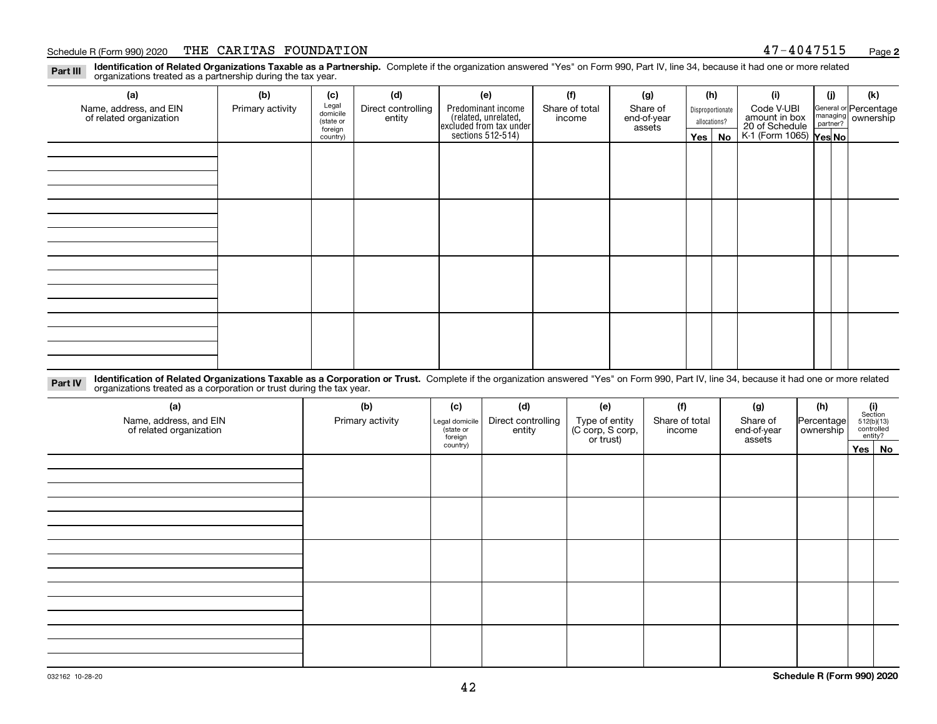**Identification of Related Organizations Taxable as a Partnership.** Complete if the organization answered "Yes" on Form 990, Part IV, line 34, because it had one or more related **Part III** organizations treated as a partnership during the tax year.

| (a)                                               | (b)              | (c)                  | (d)                          | (e)                                                                  | (f)                      | (g)                     | (h)              | (i)                                                       | (j) | (k)                                                       |
|---------------------------------------------------|------------------|----------------------|------------------------------|----------------------------------------------------------------------|--------------------------|-------------------------|------------------|-----------------------------------------------------------|-----|-----------------------------------------------------------|
| Name, address, and EIN<br>of related organization | Primary activity | Legal<br>domicile    | Direct controlling<br>entity | Predominant income                                                   | Share of total<br>income | Share of<br>end-of-year | Disproportionate | Code V-UBI                                                |     | General or Percentage<br>managing<br>partner?<br>partner? |
|                                                   |                  | (state or<br>foreign |                              | (related, unrelated,<br>excluded from tax under<br>sections 512-514) |                          | assets                  | allocations?     |                                                           |     |                                                           |
|                                                   |                  | country)             |                              |                                                                      |                          |                         | $Yes \mid No$    | amount in box<br>20 of Schedule<br>K-1 (Form 1065) Yes No |     |                                                           |
|                                                   |                  |                      |                              |                                                                      |                          |                         |                  |                                                           |     |                                                           |
|                                                   |                  |                      |                              |                                                                      |                          |                         |                  |                                                           |     |                                                           |
|                                                   |                  |                      |                              |                                                                      |                          |                         |                  |                                                           |     |                                                           |
|                                                   |                  |                      |                              |                                                                      |                          |                         |                  |                                                           |     |                                                           |
|                                                   |                  |                      |                              |                                                                      |                          |                         |                  |                                                           |     |                                                           |
|                                                   |                  |                      |                              |                                                                      |                          |                         |                  |                                                           |     |                                                           |
|                                                   |                  |                      |                              |                                                                      |                          |                         |                  |                                                           |     |                                                           |
|                                                   |                  |                      |                              |                                                                      |                          |                         |                  |                                                           |     |                                                           |
|                                                   |                  |                      |                              |                                                                      |                          |                         |                  |                                                           |     |                                                           |
|                                                   |                  |                      |                              |                                                                      |                          |                         |                  |                                                           |     |                                                           |
|                                                   |                  |                      |                              |                                                                      |                          |                         |                  |                                                           |     |                                                           |
|                                                   |                  |                      |                              |                                                                      |                          |                         |                  |                                                           |     |                                                           |
|                                                   |                  |                      |                              |                                                                      |                          |                         |                  |                                                           |     |                                                           |
|                                                   |                  |                      |                              |                                                                      |                          |                         |                  |                                                           |     |                                                           |
|                                                   |                  |                      |                              |                                                                      |                          |                         |                  |                                                           |     |                                                           |
|                                                   |                  |                      |                              |                                                                      |                          |                         |                  |                                                           |     |                                                           |
|                                                   |                  |                      |                              |                                                                      |                          |                         |                  |                                                           |     |                                                           |

**Identification of Related Organizations Taxable as a Corporation or Trust.** Complete if the organization answered "Yes" on Form 990, Part IV, line 34, because it had one or more related **Part IV** organizations treated as a corporation or trust during the tax year.

| (a)<br>Name, address, and EIN<br>of related organization | (b)<br>Primary activity | (c)<br>Legal domicile<br>(state or<br>foreign | (d)<br>Direct controlling<br>entity | (e)<br>Type of entity<br>(C corp, S corp,<br>or trust) | (f)<br>Share of total<br>income | (g)<br>Share of<br>end-of-year<br>assets | (h)<br>Percentage<br>ownership | $\begin{array}{c} \textbf{(i)}\\ \text{Section}\\ 512 \text{(b)} \text{(13)}\\ \text{controlled}\\ \text{entity?} \end{array}$ |
|----------------------------------------------------------|-------------------------|-----------------------------------------------|-------------------------------------|--------------------------------------------------------|---------------------------------|------------------------------------------|--------------------------------|--------------------------------------------------------------------------------------------------------------------------------|
|                                                          |                         | country)                                      |                                     |                                                        |                                 |                                          |                                | Yes No                                                                                                                         |
|                                                          |                         |                                               |                                     |                                                        |                                 |                                          |                                |                                                                                                                                |
|                                                          |                         |                                               |                                     |                                                        |                                 |                                          |                                |                                                                                                                                |
|                                                          |                         |                                               |                                     |                                                        |                                 |                                          |                                |                                                                                                                                |
|                                                          |                         |                                               |                                     |                                                        |                                 |                                          |                                |                                                                                                                                |
|                                                          |                         |                                               |                                     |                                                        |                                 |                                          |                                |                                                                                                                                |
|                                                          |                         |                                               |                                     |                                                        |                                 |                                          |                                |                                                                                                                                |
|                                                          |                         |                                               |                                     |                                                        |                                 |                                          |                                |                                                                                                                                |
|                                                          |                         |                                               |                                     |                                                        |                                 |                                          |                                |                                                                                                                                |
|                                                          |                         |                                               |                                     |                                                        |                                 |                                          |                                |                                                                                                                                |
|                                                          |                         |                                               |                                     |                                                        |                                 |                                          |                                |                                                                                                                                |
|                                                          |                         |                                               |                                     |                                                        |                                 |                                          |                                |                                                                                                                                |
|                                                          |                         |                                               |                                     |                                                        |                                 |                                          |                                |                                                                                                                                |
|                                                          |                         |                                               |                                     |                                                        |                                 |                                          |                                |                                                                                                                                |
|                                                          |                         |                                               |                                     |                                                        |                                 |                                          |                                |                                                                                                                                |
|                                                          |                         |                                               |                                     |                                                        |                                 |                                          |                                |                                                                                                                                |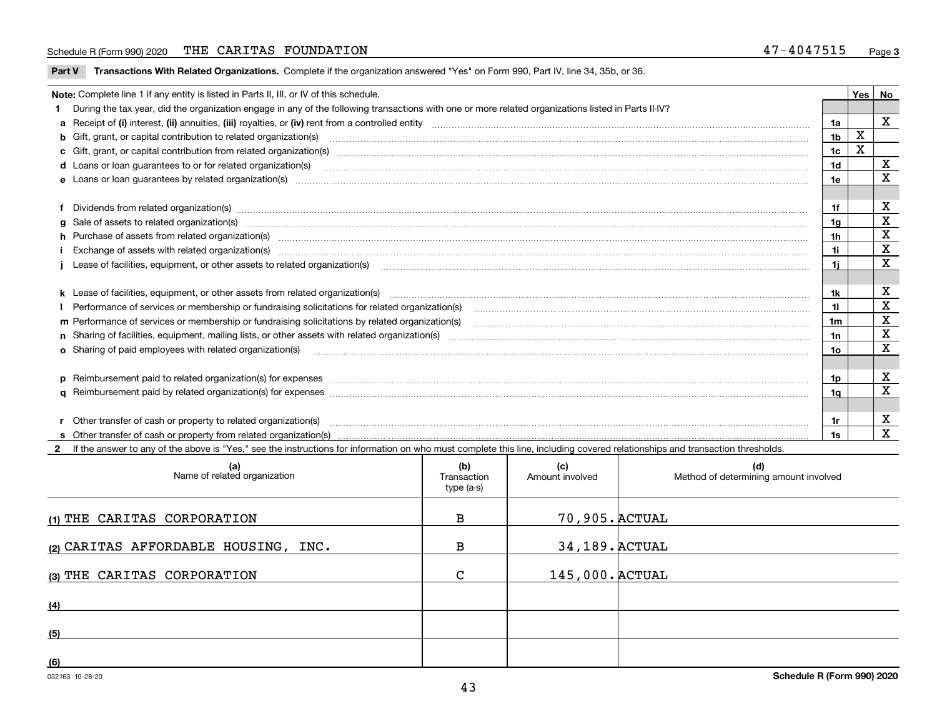**Part V** T**ransactions With Related Organizations.** Complete if the organization answered "Yes" on Form 990, Part IV, line 34, 35b, or 36.

| Note: Complete line 1 if any entity is listed in Parts II, III, or IV of this schedule.                                                                                                                                        |                | Yes | No          |
|--------------------------------------------------------------------------------------------------------------------------------------------------------------------------------------------------------------------------------|----------------|-----|-------------|
| During the tax year, did the organization engage in any of the following transactions with one or more related organizations listed in Parts II-IV?                                                                            |                |     |             |
|                                                                                                                                                                                                                                | 1a             |     | X           |
| b Gift, grant, or capital contribution to related organization(s) mature and contained and contribution to related organization(s) matures are contained and contribution to related organization(s) matures are contained and | 1b             | х   |             |
| c Gift, grant, or capital contribution from related organization(s) manufaction contribution from related organization(s)                                                                                                      | 1c             | X   |             |
| <b>d</b> Loans or loan guarantees to or for related organization(s)                                                                                                                                                            | 1 <sub>d</sub> |     | х           |
|                                                                                                                                                                                                                                | 1e             |     | X           |
|                                                                                                                                                                                                                                |                |     |             |
| Dividends from related organization(s) machinesis and contract and contract and contract and contract and contract and contract and contract and contract and contract and contract and contract and contract and contract and | 1f             |     | х           |
|                                                                                                                                                                                                                                | 1g             |     | X           |
| h Purchase of assets from related organization(s) manufactured and content to content the content of assets from related organization(s)                                                                                       | 1h             |     | X           |
| Exchange of assets with related organization(s) www.wallen.com/www.wallen.com/www.wallen.com/www.wallen.com/www.wallen.com/www.wallen.com/www.wallen.com/www.wallen.com/www.wallen.com/www.wallen.com/www.wallen.com/www.walle | 1i             |     | $\mathbf x$ |
| Lease of facilities, equipment, or other assets to related organization(s) [11] manufactured manufactured manufactured manufactured manufactured manufactured manufactured manufactured manufactured manufactured manufactured | 1i.            |     | X           |
|                                                                                                                                                                                                                                |                |     |             |
|                                                                                                                                                                                                                                | 1k             |     | х           |
| Performance of services or membership or fundraising solicitations for related organization(s) manufaction.community content and services or membership or fundraising solicitations for related organization(s) manufaction.c | 11             |     | $\mathbf x$ |
| m Performance of services or membership or fundraising solicitations by related organization(s)                                                                                                                                | 1m             |     | $\mathbf X$ |
|                                                                                                                                                                                                                                | 1n             |     | $\mathbf X$ |
| <b>o</b> Sharing of paid employees with related organization(s)                                                                                                                                                                | 10             |     | X           |
|                                                                                                                                                                                                                                |                |     |             |
| p Reimbursement paid to related organization(s) for expenses [1111] and the content of the content of the content of the content of the content of the content of the content of the content of the content of the content of  | 1p.            |     | х           |
|                                                                                                                                                                                                                                | 1q             |     | X           |
|                                                                                                                                                                                                                                |                |     |             |
| r Other transfer of cash or property to related organization(s)                                                                                                                                                                | 1r             |     | х           |
|                                                                                                                                                                                                                                | 1s             |     | $\mathbf X$ |
| 2 If the answer to any of the above is "Yes," see the instructions for information on who must complete this line, including covered relationships and transaction thresholds.                                                 |                |     |             |

| (a)<br>Name of related organization  | (b)<br>Transaction<br>type (a-s) | (c)<br>Amount involved | (d)<br>Method of determining amount involved |
|--------------------------------------|----------------------------------|------------------------|----------------------------------------------|
| (1) THE CARITAS CORPORATION          | в                                | 70,905. ACTUAL         |                                              |
| (2) CARITAS AFFORDABLE HOUSING, INC. | в                                | 34, 189. ACTUAL        |                                              |
| (3) THE CARITAS CORPORATION          | C                                | $145,000$ . ACTUAL     |                                              |
| (4)                                  |                                  |                        |                                              |
| (5)                                  |                                  |                        |                                              |
| (6)                                  |                                  |                        |                                              |

 $\overline{\phantom{a}}$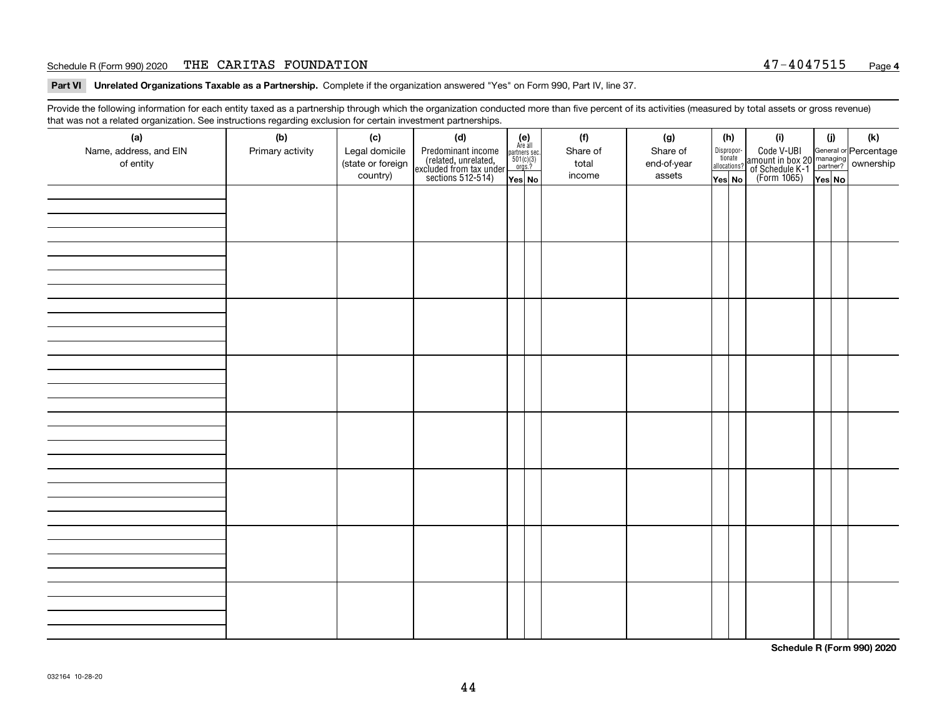**Part VI Unrelated Organizations Taxable as a Partnership. Complete if the organization answered "Yes" on Form 990, Part IV, line 37.** 

Provide the following information for each entity taxed as a partnership through which the organization conducted more than five percent of its activities (measured by total assets or gross revenue) that was not a related organization. See instructions regarding exclusion for certain investment partnerships.

| ັ                      | ັ<br>ັ           |                   |                                                                                            |                                                                                              |          |             |                                  |                                                                                                  |        |     |
|------------------------|------------------|-------------------|--------------------------------------------------------------------------------------------|----------------------------------------------------------------------------------------------|----------|-------------|----------------------------------|--------------------------------------------------------------------------------------------------|--------|-----|
| (a)                    | (b)              | (c)               | (d)                                                                                        | $(e)$<br>Are all                                                                             | (f)      | (g)         | (h)                              | (i)                                                                                              | (i)    | (k) |
| Name, address, and EIN | Primary activity | Legal domicile    | Predominant income<br>(related, unrelated,<br>excluded from tax under<br>sections 512-514) |                                                                                              | Share of | Share of    | Disproportionate<br>allocations? | Code V-UBI<br>amount in box 20 managing<br>of Schedule K-1<br>(Form 1065)<br>$\overline{Yes}$ No |        |     |
| of entity              |                  | (state or foreign |                                                                                            | $\begin{array}{c}\n\text{partners} & \text{sec.} \\ 501(c)(3) & \text{orgs.?} \n\end{array}$ | total    | end-of-year |                                  |                                                                                                  |        |     |
|                        |                  | country)          |                                                                                            |                                                                                              | income   | assets      |                                  |                                                                                                  |        |     |
|                        |                  |                   |                                                                                            | Yes No                                                                                       |          |             | Yes No                           |                                                                                                  | Yes No |     |
|                        |                  |                   |                                                                                            |                                                                                              |          |             |                                  |                                                                                                  |        |     |
|                        |                  |                   |                                                                                            |                                                                                              |          |             |                                  |                                                                                                  |        |     |
|                        |                  |                   |                                                                                            |                                                                                              |          |             |                                  |                                                                                                  |        |     |
|                        |                  |                   |                                                                                            |                                                                                              |          |             |                                  |                                                                                                  |        |     |
|                        |                  |                   |                                                                                            |                                                                                              |          |             |                                  |                                                                                                  |        |     |
|                        |                  |                   |                                                                                            |                                                                                              |          |             |                                  |                                                                                                  |        |     |
|                        |                  |                   |                                                                                            |                                                                                              |          |             |                                  |                                                                                                  |        |     |
|                        |                  |                   |                                                                                            |                                                                                              |          |             |                                  |                                                                                                  |        |     |
|                        |                  |                   |                                                                                            |                                                                                              |          |             |                                  |                                                                                                  |        |     |
|                        |                  |                   |                                                                                            |                                                                                              |          |             |                                  |                                                                                                  |        |     |
|                        |                  |                   |                                                                                            |                                                                                              |          |             |                                  |                                                                                                  |        |     |
|                        |                  |                   |                                                                                            |                                                                                              |          |             |                                  |                                                                                                  |        |     |
|                        |                  |                   |                                                                                            |                                                                                              |          |             |                                  |                                                                                                  |        |     |
|                        |                  |                   |                                                                                            |                                                                                              |          |             |                                  |                                                                                                  |        |     |
|                        |                  |                   |                                                                                            |                                                                                              |          |             |                                  |                                                                                                  |        |     |
|                        |                  |                   |                                                                                            |                                                                                              |          |             |                                  |                                                                                                  |        |     |
|                        |                  |                   |                                                                                            |                                                                                              |          |             |                                  |                                                                                                  |        |     |
|                        |                  |                   |                                                                                            |                                                                                              |          |             |                                  |                                                                                                  |        |     |
|                        |                  |                   |                                                                                            |                                                                                              |          |             |                                  |                                                                                                  |        |     |
|                        |                  |                   |                                                                                            |                                                                                              |          |             |                                  |                                                                                                  |        |     |
|                        |                  |                   |                                                                                            |                                                                                              |          |             |                                  |                                                                                                  |        |     |
|                        |                  |                   |                                                                                            |                                                                                              |          |             |                                  |                                                                                                  |        |     |
|                        |                  |                   |                                                                                            |                                                                                              |          |             |                                  |                                                                                                  |        |     |
|                        |                  |                   |                                                                                            |                                                                                              |          |             |                                  |                                                                                                  |        |     |
|                        |                  |                   |                                                                                            |                                                                                              |          |             |                                  |                                                                                                  |        |     |
|                        |                  |                   |                                                                                            |                                                                                              |          |             |                                  |                                                                                                  |        |     |
|                        |                  |                   |                                                                                            |                                                                                              |          |             |                                  |                                                                                                  |        |     |
|                        |                  |                   |                                                                                            |                                                                                              |          |             |                                  |                                                                                                  |        |     |
|                        |                  |                   |                                                                                            |                                                                                              |          |             |                                  |                                                                                                  |        |     |
|                        |                  |                   |                                                                                            |                                                                                              |          |             |                                  |                                                                                                  |        |     |
|                        |                  |                   |                                                                                            |                                                                                              |          |             |                                  |                                                                                                  |        |     |
|                        |                  |                   |                                                                                            |                                                                                              |          |             |                                  |                                                                                                  |        |     |
|                        |                  |                   |                                                                                            |                                                                                              |          |             |                                  |                                                                                                  |        |     |
|                        |                  |                   |                                                                                            |                                                                                              |          |             |                                  |                                                                                                  |        |     |
|                        |                  |                   |                                                                                            |                                                                                              |          |             |                                  |                                                                                                  |        |     |
|                        |                  |                   |                                                                                            |                                                                                              |          |             |                                  |                                                                                                  |        |     |
|                        |                  |                   |                                                                                            |                                                                                              |          |             |                                  |                                                                                                  |        |     |
|                        |                  |                   |                                                                                            |                                                                                              |          |             |                                  |                                                                                                  |        |     |
|                        |                  |                   |                                                                                            |                                                                                              |          |             |                                  |                                                                                                  |        |     |
|                        |                  |                   |                                                                                            |                                                                                              |          |             |                                  |                                                                                                  |        |     |
|                        |                  |                   |                                                                                            |                                                                                              |          |             |                                  |                                                                                                  |        |     |
|                        |                  |                   |                                                                                            |                                                                                              |          |             |                                  |                                                                                                  |        |     |
|                        |                  |                   |                                                                                            |                                                                                              |          |             |                                  |                                                                                                  |        |     |

**Schedule R (Form 990) 2020**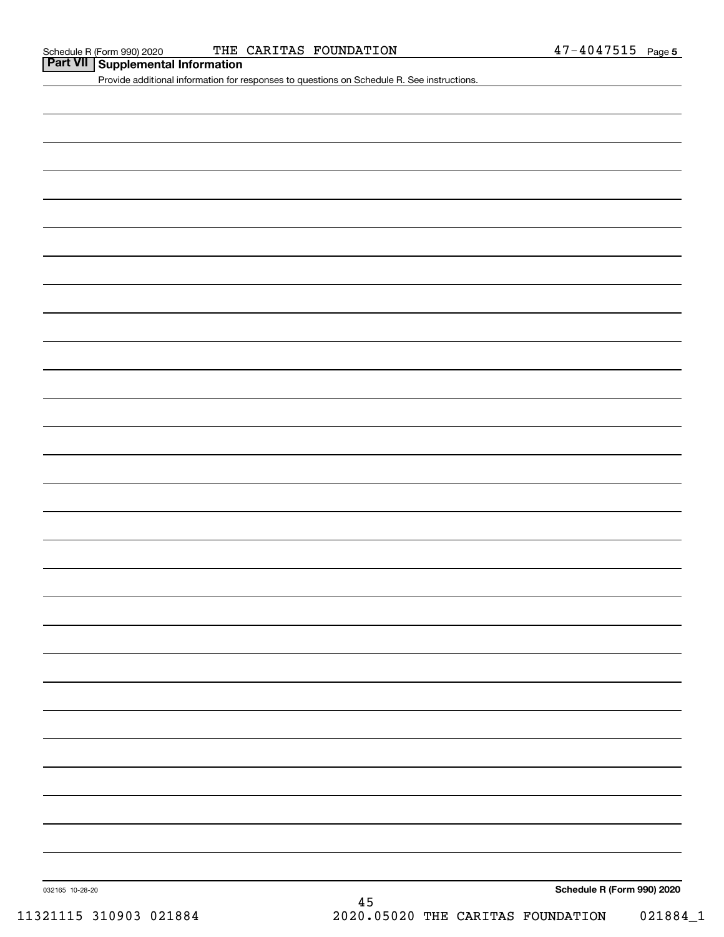**Part VII Supplemental Information**

Provide additional information for responses to questions on Schedule R. See instructions.

**Schedule R (Form 990) 2020**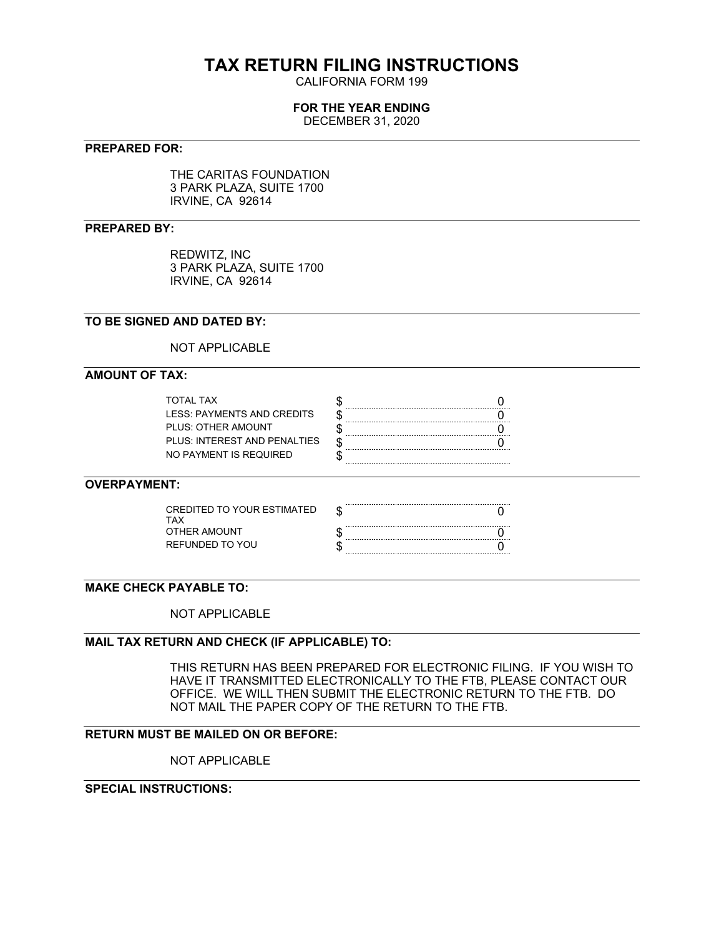# **TAX RETURN FILING INSTRUCTIONS**

CALIFORNIA FORM 199

# **FOR THE YEAR ENDING**

DECEMBER 31, 2020

#### **PREPARED FOR:**

THE CARITAS FOUNDATION 3 PARK PLAZA, SUITE 1700 IRVINE, CA 92614

#### **PREPARED BY:**

REDWITZ, INC 3 PARK PLAZA, SUITE 1700 IRVINE, CA 92614

# **TO BE SIGNED AND DATED BY:**

NOT APPLICABLE

#### **AMOUNT OF TAX:**

| TOTAI TAX                    |  |
|------------------------------|--|
| LESS: PAYMENTS AND CREDITS   |  |
| PLUS: OTHER AMOUNT           |  |
| PLUS: INTEREST AND PENALTIES |  |
| NO PAYMENT IS REQUIRED       |  |

#### **OVERPAYMENT:**

| CREDITED TO YOUR ESTIMATED.<br>TAX |  |
|------------------------------------|--|
| OTHER AMOUNT                       |  |
| REFUNDED TO YOU                    |  |

# **MAKE CHECK PAYABLE TO:**

NOT APPLICABLE

# **MAIL TAX RETURN AND CHECK (IF APPLICABLE) TO:**

THIS RETURN HAS BEEN PREPARED FOR ELECTRONIC FILING. IF YOU WISH TO HAVE IT TRANSMITTED ELECTRONICALLY TO THE FTB, PLEASE CONTACT OUR OFFICE. WE WILL THEN SUBMIT THE ELECTRONIC RETURN TO THE FTB. DO NOT MAIL THE PAPER COPY OF THE RETURN TO THE FTB.

## **RETURN MUST BE MAILED ON OR BEFORE:**

NOT APPLICABLE

### **SPECIAL INSTRUCTIONS:**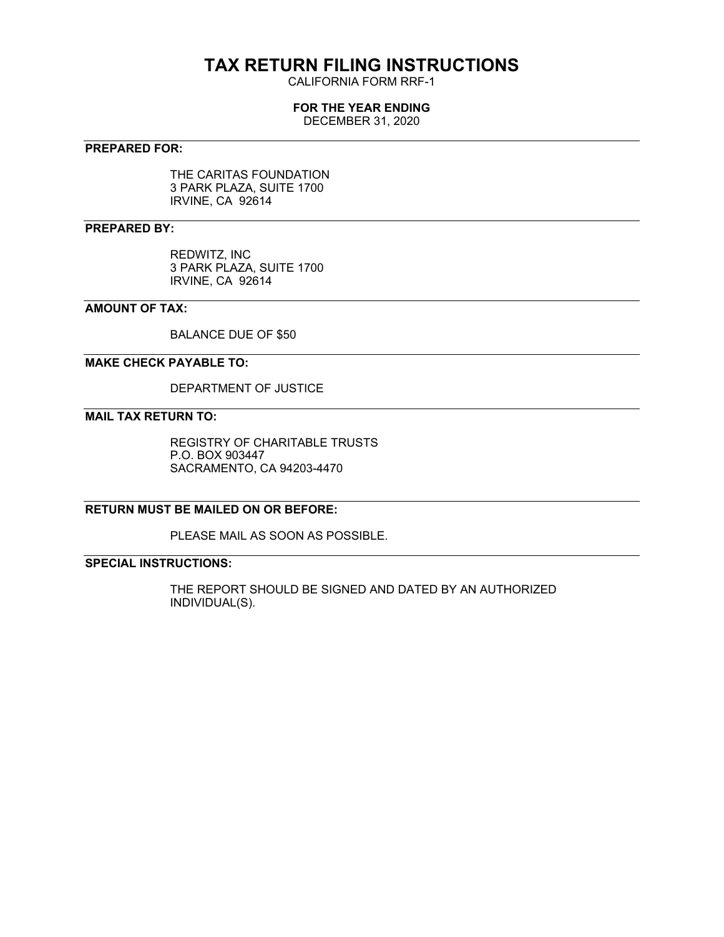# **TAX RETURN FILING INSTRUCTIONS**

CALIFORNIA FORM RRF-1

# **FOR THE YEAR ENDING**

DECEMBER 31, 2020

# **PREPARED FOR:**

THE CARITAS FOUNDATION 3 PARK PLAZA, SUITE 1700 IRVINE, CA 92614

### **PREPARED BY:**

REDWITZ, INC 3 PARK PLAZA, SUITE 1700 IRVINE, CA 92614

### **AMOUNT OF TAX:**

BALANCE DUE OF \$50

#### **MAKE CHECK PAYABLE TO:**

DEPARTMENT OF JUSTICE

# **MAIL TAX RETURN TO:**

REGISTRY OF CHARITABLE TRUSTS P.O. BOX 903447 SACRAMENTO, CA 94203-4470

### **RETURN MUST BE MAILED ON OR BEFORE:**

PLEASE MAIL AS SOON AS POSSIBLE.

# **SPECIAL INSTRUCTIONS:**

THE REPORT SHOULD BE SIGNED AND DATED BY AN AUTHORIZED INDIVIDUAL(S).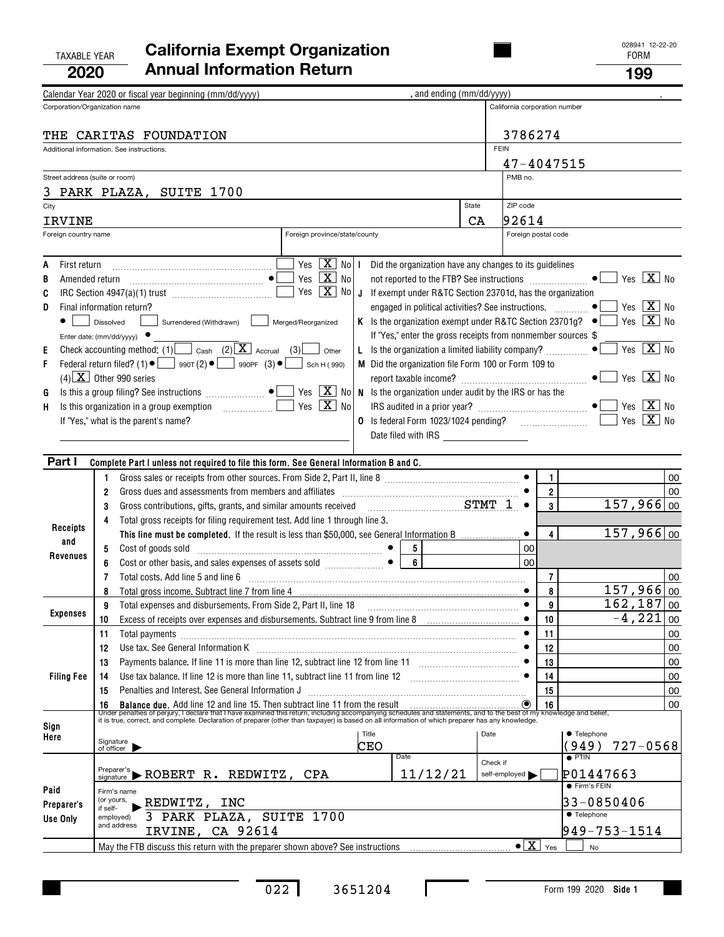#### TAXABLE YEAR FORM **California Exempt Organization 2020Annual Information Return <sup>199</sup>**

|                      | , and ending (mm/dd/yyyy)<br>Calendar Year 2020 or fiscal year beginning (mm/dd/yyyy)<br>Corporation/Organization name                                                                                                                                                                       |             | California corporation number |                |                                                   |
|----------------------|----------------------------------------------------------------------------------------------------------------------------------------------------------------------------------------------------------------------------------------------------------------------------------------------|-------------|-------------------------------|----------------|---------------------------------------------------|
|                      |                                                                                                                                                                                                                                                                                              |             |                               |                |                                                   |
|                      | THE CARITAS FOUNDATION                                                                                                                                                                                                                                                                       |             | 3786274                       |                |                                                   |
|                      | Additional information. See instructions.                                                                                                                                                                                                                                                    | <b>FEIN</b> |                               |                |                                                   |
|                      |                                                                                                                                                                                                                                                                                              |             |                               |                |                                                   |
|                      |                                                                                                                                                                                                                                                                                              |             | 47-4047515<br>PMB no.         |                |                                                   |
|                      | Street address (suite or room)                                                                                                                                                                                                                                                               |             |                               |                |                                                   |
| 3.                   | PARK PLAZA, SUITE 1700                                                                                                                                                                                                                                                                       |             |                               |                |                                                   |
| City                 |                                                                                                                                                                                                                                                                                              | State       | ZIP code                      |                |                                                   |
| <b>IRVINE</b>        |                                                                                                                                                                                                                                                                                              | CA          | 92614                         |                |                                                   |
| Foreign country name | Foreign province/state/county                                                                                                                                                                                                                                                                |             | Foreign postal code           |                |                                                   |
|                      |                                                                                                                                                                                                                                                                                              |             |                               |                |                                                   |
|                      | Yes $\boxed{\mathbf{X}}$ No I<br>Did the organization have any changes to its guidelines<br>First return                                                                                                                                                                                     |             |                               |                |                                                   |
| B                    | Yes $\boxed{\mathbf{X}}$ No<br>Amended return                                                                                                                                                                                                                                                |             |                               |                |                                                   |
| C                    | Yes $\boxed{\mathbf{X}}$ No $\boxed{\mathbf{J}}$ If exempt under R&TC Section 23701d, has the organization                                                                                                                                                                                   |             |                               |                |                                                   |
| D                    | engaged in political activities? See instructions.<br>Final information return?                                                                                                                                                                                                              |             |                               |                | Yes $X$ No<br>$\bullet$                           |
| $\bullet$            | K Is the organization exempt under R&TC Section 23701g?<br>Dissolved<br>Surrendered (Withdrawn)<br>Merged/Reorganized                                                                                                                                                                        |             |                               |                | Yes $X$ No<br>$\bullet$                           |
|                      | If "Yes," enter the gross receipts from nonmember sources \$<br>Enter date: (mm/dd/yyyy) $\bullet$                                                                                                                                                                                           |             |                               |                |                                                   |
| Ε                    | Check accounting method: (1) $\Box$ Cash (2) $\boxed{\mathbf{X}}$ Accrual (3)<br>L Is the organization a limited liability company?<br>Other                                                                                                                                                 |             |                               |                | Yes $\boxed{\mathbf{X}}$ No<br>$\bullet$          |
| F                    | Federal return filed? (1) $\bullet$ $\Box$ 990T (2) $\bullet$ $\Box$ 990PF (3) $\bullet$ $\Box$ Sch H (990)<br>M Did the organization file Form 100 or Form 109 to                                                                                                                           |             |                               |                |                                                   |
|                      | $(4)$ X Other 990 series                                                                                                                                                                                                                                                                     |             |                               |                | $Yes$ $\overline{X}$ No                           |
| G                    | Is this a group filing? See instructions $\overline{\hspace{1cm}}$ $\overline{\hspace{1cm}}$ $\overline{\hspace{1cm}}$ Yes $\overline{\hspace{1cm}}$ Yes $\overline{\hspace{1cm}}$ Yes $\overline{\hspace{1cm}}$ No   N $\hspace{1cm}$ Is the organization under audit by the IRS or has the |             |                               |                |                                                   |
| H.                   | Yes $\boxed{\mathbf{X}}$ No                                                                                                                                                                                                                                                                  |             |                               |                | Yes $\boxed{\mathbf{X}}$ No                       |
|                      | If "Yes," what is the parent's name?                                                                                                                                                                                                                                                         |             |                               |                | Yes $\boxed{\mathbf{X}}$ No                       |
|                      |                                                                                                                                                                                                                                                                                              |             |                               |                |                                                   |
|                      |                                                                                                                                                                                                                                                                                              |             |                               |                |                                                   |
| Part I               | Complete Part I unless not required to file this form. See General Information B and C.                                                                                                                                                                                                      |             |                               |                |                                                   |
|                      | Gross sales or receipts from other sources. From Side 2, Part II, line 8 [11, 1110] (11, 111, 111, 111, 111, 1<br>1.                                                                                                                                                                         |             |                               | $\mathbf{1}$   | 00                                                |
|                      | 2                                                                                                                                                                                                                                                                                            |             |                               | $\mathbf{2}$   | 00                                                |
|                      | 3                                                                                                                                                                                                                                                                                            | STMT 1      | $\bullet$                     | 3              | $157,966$ 00                                      |
| Receipts             | Total gross receipts for filing requirement test. Add line 1 through line 3.<br>4                                                                                                                                                                                                            |             |                               |                |                                                   |
| and                  | This line must be completed. If the result is less than \$50,000, see General Information B                                                                                                                                                                                                  |             |                               | $\overline{4}$ | $157,966$ 00                                      |
| Revenues             | Cost of goods sold in the continuum control of the cost of goods sold<br>5<br>5                                                                                                                                                                                                              |             | 00                            |                |                                                   |
|                      | $6\phantom{a}$<br>6                                                                                                                                                                                                                                                                          |             | 00                            |                |                                                   |
|                      | 7<br>Total costs. Add line 5 and line 6                                                                                                                                                                                                                                                      |             |                               | $\overline{7}$ | 00                                                |
|                      |                                                                                                                                                                                                                                                                                              |             | ٠                             | 8              | $157,966$ 00                                      |
| <b>Expenses</b>      | 9<br>Total expenses and disbursements. From Side 2, Part II, line 18                                                                                                                                                                                                                         |             | $\bullet$                     | 9              | $162, 187$ 00                                     |
|                      | Excess of receipts over expenses and disbursements. Subtract line 9 from line 8<br>10                                                                                                                                                                                                        |             |                               | 10             | $-4,221$<br>00                                    |
|                      | 11<br>Total payments                                                                                                                                                                                                                                                                         |             |                               | 11             | 00                                                |
|                      | Use tax. See General Information K<br>12                                                                                                                                                                                                                                                     |             |                               | 12             | 00                                                |
|                      | Payments balance. If line 11 is more than line 12, subtract line 12 from line 11 [1] [1] [1] [1] [1] ●<br>13                                                                                                                                                                                 |             |                               | 13             | 00                                                |
| <b>Filing Fee</b>    | Use tax balance. If line 12 is more than line 11, subtract line 11 from line 12 [11] [12] [11] Use tax balance. If line 12 is more than line 11, subtract line 11 from line 12<br>14                                                                                                         |             |                               | 14             | 00                                                |
|                      | Penalties and Interest. See General Information J<br>15                                                                                                                                                                                                                                      |             |                               | 15             | 00                                                |
|                      | 16 Balance due. Add line 12 and line 15. Then subtract line 11 from the result<br>Under penalties of perjury, I declare that I have examined this return, including accompanying schedules and statements, and to the best of my                                                             |             |                               |                | 00                                                |
| Sign                 |                                                                                                                                                                                                                                                                                              |             |                               |                |                                                   |
| Here                 | Title<br>Signature                                                                                                                                                                                                                                                                           | Date        |                               |                | <b>• Telephone</b>                                |
|                      | CEO<br>of officer<br>Date                                                                                                                                                                                                                                                                    |             |                               |                | $727 - 0568$<br>949)<br>$\overline{\bullet}$ PTIN |
|                      | Preparer's                                                                                                                                                                                                                                                                                   | Check if    |                               |                |                                                   |
|                      | 11/12/21<br>$r_{\text{signature}}$ > ROBERT R. REDWITZ, CPA                                                                                                                                                                                                                                  |             | self-employed                 |                | P01447663                                         |
| Paid                 | Firm's name                                                                                                                                                                                                                                                                                  |             |                               |                | <b>•</b> Firm's FEIN                              |
| Preparer's           | (or yours,<br>REDWITZ, INC<br>if self-                                                                                                                                                                                                                                                       |             |                               |                | 33-0850406<br><b>• Telephone</b>                  |
| <b>Use Only</b>      | 3 PARK PLAZA, SUITE 1700<br>employed)<br>and address                                                                                                                                                                                                                                         |             |                               |                |                                                   |
|                      | IRVINE, CA 92614                                                                                                                                                                                                                                                                             |             |                               |                | $949 - 753 - 1514$                                |
|                      | May the FTB discuss this return with the preparer shown above? See instructions                                                                                                                                                                                                              |             | $\bullet$ $\boxed{X}$         | Yes            | No                                                |

 $\mathbf I$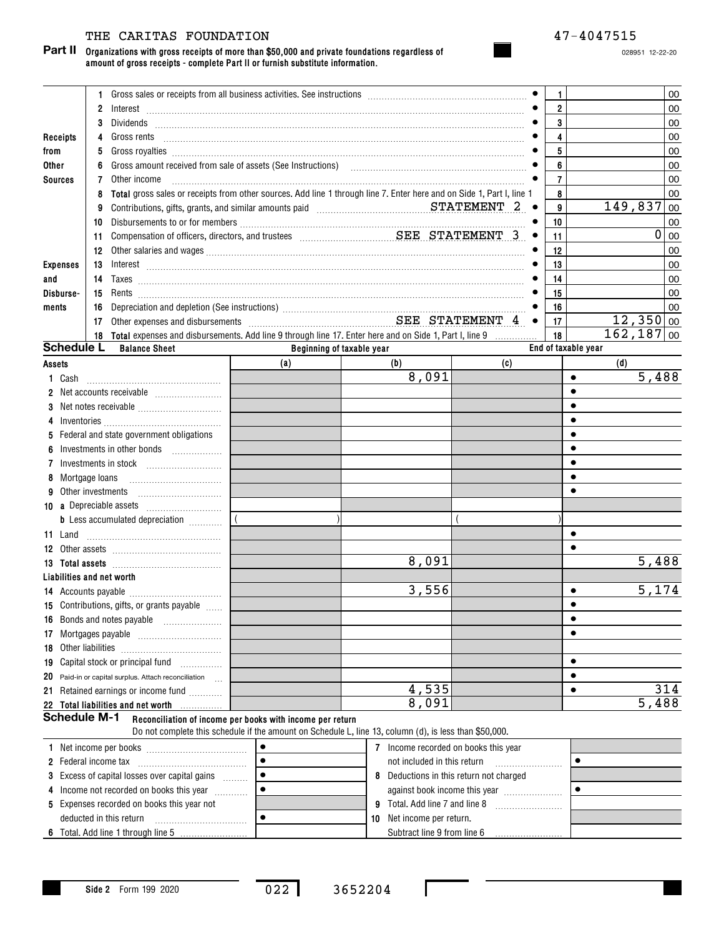# THE CARITAS FOUNDATION 47-4047515

**Organizations with gross receipts of more than \$50,000 and private foundations regardless of amount of gross receipts - complete Part II or furnish substitute information. Part II**

028951 12-22-20

|                 | 1.                        |                                                                                                                                                                                                                                                                                                                                                          |   |                                                                                          |    |                                       | $\bullet$ | 1              |                                   | 00  |
|-----------------|---------------------------|----------------------------------------------------------------------------------------------------------------------------------------------------------------------------------------------------------------------------------------------------------------------------------------------------------------------------------------------------------|---|------------------------------------------------------------------------------------------|----|---------------------------------------|-----------|----------------|-----------------------------------|-----|
|                 | $\overline{2}$            |                                                                                                                                                                                                                                                                                                                                                          |   |                                                                                          |    |                                       |           | $\overline{2}$ |                                   | 00  |
|                 | 3                         |                                                                                                                                                                                                                                                                                                                                                          |   |                                                                                          |    |                                       |           | 3              |                                   | 00  |
| Receipts        | 4                         |                                                                                                                                                                                                                                                                                                                                                          | 4 |                                                                                          | 00 |                                       |           |                |                                   |     |
| from            | 5                         | Gross royalties <b>construction and construction of the construction of the construction of the construction of the construction of the construction of the construction of the construction of the construction of the construc</b>                                                                                                                     |   |                                                                                          |    |                                       |           | 5              |                                   | 00  |
| Other           | 6                         | Gross amount received from sale of assets (See Instructions) [11] manufacture amount received from sale of assets (See Instructions) [11] manufacture amount received from sale of assets (See Instructions) [11] manufacture                                                                                                                            |   |                                                                                          |    |                                       |           | 6              |                                   | 00  |
| <b>Sources</b>  | 7                         | Other income                                                                                                                                                                                                                                                                                                                                             |   |                                                                                          |    |                                       |           | $\overline{7}$ |                                   | 00  |
|                 | 8                         | Total gross sales or receipts from other sources. Add line 1 through line 7. Enter here and on Side 1, Part I, line 1                                                                                                                                                                                                                                    |   |                                                                                          |    |                                       |           | 8              |                                   | 00  |
|                 | 9                         | $\textit{Continuous, gifts, grants, and similar amounts paid} \underbrace{\hspace{1cm}}\hspace{1cm} \underbrace{\textbf{STATEMENT}}\hspace{1cm}\textcolor{red}{2}.$                                                                                                                                                                                      |   |                                                                                          |    |                                       | $\bullet$ | 9              | 149,837                           | 00  |
|                 | 10                        |                                                                                                                                                                                                                                                                                                                                                          |   |                                                                                          |    |                                       |           | 10             |                                   | 00  |
|                 | 11                        |                                                                                                                                                                                                                                                                                                                                                          |   |                                                                                          |    |                                       | $\bullet$ | 11             | 0                                 | 00  |
|                 | 12                        |                                                                                                                                                                                                                                                                                                                                                          |   |                                                                                          |    |                                       |           | 12             |                                   | 00  |
| <b>Expenses</b> | 13                        | $Interest \begin{array}{c} \rule{2.5cm}{0.15cm} \rule{2.5cm}{0.15cm} \rule{2.5cm}{0.15cm} \rule{2.5cm}{0.15cm} \rule{2.5cm}{0.15cm} \rule{2.5cm}{0.15cm} \rule{2.5cm}{0.15cm} \rule{2.5cm}{0.15cm} \rule{2.5cm}{0.15cm} \rule{2.5cm}{0.15cm} \rule{2.5cm}{0.15cm} \rule{2.5cm}{0.15cm} \rule{2.5cm}{0.15cm} \rule{2.5cm}{0.15cm} \rule{2.5cm}{0.15cm} \$ |   |                                                                                          |    |                                       |           | 13             |                                   | 00  |
| and             | 14                        | $\boxed{\text{2XES}}$                                                                                                                                                                                                                                                                                                                                    |   |                                                                                          |    |                                       |           | 14             |                                   | 00  |
| Disburse-       | 15                        |                                                                                                                                                                                                                                                                                                                                                          |   |                                                                                          |    |                                       |           | 15             |                                   | 00  |
| ments           | 16                        |                                                                                                                                                                                                                                                                                                                                                          |   |                                                                                          |    |                                       |           | 16             |                                   | 00  |
|                 | 17                        | Other expenses and disbursements Material Material SEE STATEMENT 4                                                                                                                                                                                                                                                                                       |   |                                                                                          |    |                                       | $\bullet$ | 17             | 12,350 00                         |     |
|                 |                           | 18 Total expenses and disbursements. Add line 9 through line 17. Enter here and on Side 1, Part I, line 9                                                                                                                                                                                                                                                |   |                                                                                          |    |                                       |           | 18             | $162, 187$ 00                     |     |
|                 | <b>Schedule L</b>         | <b>Balance Sheet</b>                                                                                                                                                                                                                                                                                                                                     |   | Beginning of taxable year                                                                |    |                                       |           |                | End of taxable year               |     |
| Assets          |                           |                                                                                                                                                                                                                                                                                                                                                          |   | (a)                                                                                      |    | (b)                                   | (c)       |                | (d)                               |     |
| 1 Cash          |                           |                                                                                                                                                                                                                                                                                                                                                          |   |                                                                                          |    | $\overline{8}$ , 091                  |           |                | $\overline{5}$ , 488<br>$\bullet$ |     |
| 2               |                           |                                                                                                                                                                                                                                                                                                                                                          |   |                                                                                          |    |                                       |           |                | $\bullet$                         |     |
|                 |                           |                                                                                                                                                                                                                                                                                                                                                          |   |                                                                                          |    |                                       |           |                | $\bullet$                         |     |
| 3               |                           |                                                                                                                                                                                                                                                                                                                                                          |   |                                                                                          |    |                                       |           |                | $\bullet$                         |     |
| 4               |                           |                                                                                                                                                                                                                                                                                                                                                          |   |                                                                                          |    |                                       |           |                | $\bullet$                         |     |
| 5               |                           | Federal and state government obligations                                                                                                                                                                                                                                                                                                                 |   |                                                                                          |    |                                       |           |                |                                   |     |
| 6               |                           | Investments in other bonds                                                                                                                                                                                                                                                                                                                               |   |                                                                                          |    |                                       |           |                | $\bullet$                         |     |
| 7               |                           |                                                                                                                                                                                                                                                                                                                                                          |   |                                                                                          |    |                                       |           |                | $\bullet$                         |     |
| 8               | Mortgage loans            |                                                                                                                                                                                                                                                                                                                                                          |   |                                                                                          |    |                                       |           |                | $\bullet$                         |     |
| 9               | Other investments         |                                                                                                                                                                                                                                                                                                                                                          |   |                                                                                          |    |                                       |           |                | $\bullet$                         |     |
|                 |                           |                                                                                                                                                                                                                                                                                                                                                          |   |                                                                                          |    |                                       |           |                |                                   |     |
|                 |                           | <b>b</b> Less accumulated depreciation <i></i>                                                                                                                                                                                                                                                                                                           |   |                                                                                          |    |                                       |           |                |                                   |     |
| 11 Land         |                           |                                                                                                                                                                                                                                                                                                                                                          |   |                                                                                          |    |                                       |           |                | $\bullet$                         |     |
|                 |                           |                                                                                                                                                                                                                                                                                                                                                          |   |                                                                                          |    |                                       |           |                | $\bullet$                         |     |
|                 |                           |                                                                                                                                                                                                                                                                                                                                                          |   |                                                                                          |    | 8,091                                 |           |                | 5,488                             |     |
|                 | Liabilities and net worth |                                                                                                                                                                                                                                                                                                                                                          |   |                                                                                          |    |                                       |           |                |                                   |     |
|                 |                           |                                                                                                                                                                                                                                                                                                                                                          |   |                                                                                          |    | 3,556                                 |           |                | 5,174<br>$\bullet$                |     |
|                 |                           | 15 Contributions, gifts, or grants payable                                                                                                                                                                                                                                                                                                               |   |                                                                                          |    |                                       |           |                |                                   |     |
|                 |                           |                                                                                                                                                                                                                                                                                                                                                          |   |                                                                                          |    |                                       |           |                | $\bullet$                         |     |
| 17              |                           |                                                                                                                                                                                                                                                                                                                                                          |   |                                                                                          |    |                                       |           |                | $\bullet$                         |     |
| 18              |                           |                                                                                                                                                                                                                                                                                                                                                          |   |                                                                                          |    |                                       |           |                |                                   |     |
|                 |                           | 19 Capital stock or principal fund                                                                                                                                                                                                                                                                                                                       |   |                                                                                          |    |                                       |           |                | $\bullet$                         |     |
|                 |                           | 20 Paid-in or capital surplus. Attach reconciliation                                                                                                                                                                                                                                                                                                     |   |                                                                                          |    |                                       |           |                | $\bullet$                         |     |
|                 |                           | 21 Retained earnings or income fund                                                                                                                                                                                                                                                                                                                      |   |                                                                                          |    | 4,535                                 |           |                | $\bullet$                         | 314 |
|                 |                           | 22 Total liabilities and net worth                                                                                                                                                                                                                                                                                                                       |   |                                                                                          |    | 8,091                                 |           |                | 5,488                             |     |
|                 | <b>Schedule M-1</b>       | Reconciliation of income per books with income per return<br>Do not complete this schedule if the amount on Schedule L, line 13, column (d), is less than \$50,000.                                                                                                                                                                                      |   |                                                                                          |    |                                       |           |                |                                   |     |
|                 |                           |                                                                                                                                                                                                                                                                                                                                                          |   | $\bullet$                                                                                |    |                                       |           |                |                                   |     |
|                 |                           |                                                                                                                                                                                                                                                                                                                                                          |   | 7 Income recorded on books this year<br>$\bullet$<br>not included in this return         |    |                                       |           |                |                                   |     |
| 3               |                           | Excess of capital losses over capital gains                                                                                                                                                                                                                                                                                                              |   | $\bullet$                                                                                |    |                                       |           |                |                                   |     |
| 4               |                           | Income not recorded on books this year                                                                                                                                                                                                                                                                                                                   |   | Deductions in this return not charged<br>8<br>$\bullet$<br>against book income this year |    |                                       |           |                |                                   |     |
|                 |                           | 5 Expenses recorded on books this year not                                                                                                                                                                                                                                                                                                               |   |                                                                                          |    | <b>9</b> Total. Add line 7 and line 8 |           |                |                                   |     |
|                 |                           | deducted in this return                                                                                                                                                                                                                                                                                                                                  |   | $\bullet$                                                                                |    | 10 Net income per return.             |           |                |                                   |     |
|                 |                           |                                                                                                                                                                                                                                                                                                                                                          |   |                                                                                          |    |                                       |           |                |                                   |     |
|                 |                           |                                                                                                                                                                                                                                                                                                                                                          |   |                                                                                          |    |                                       |           |                |                                   |     |

022 3652204

П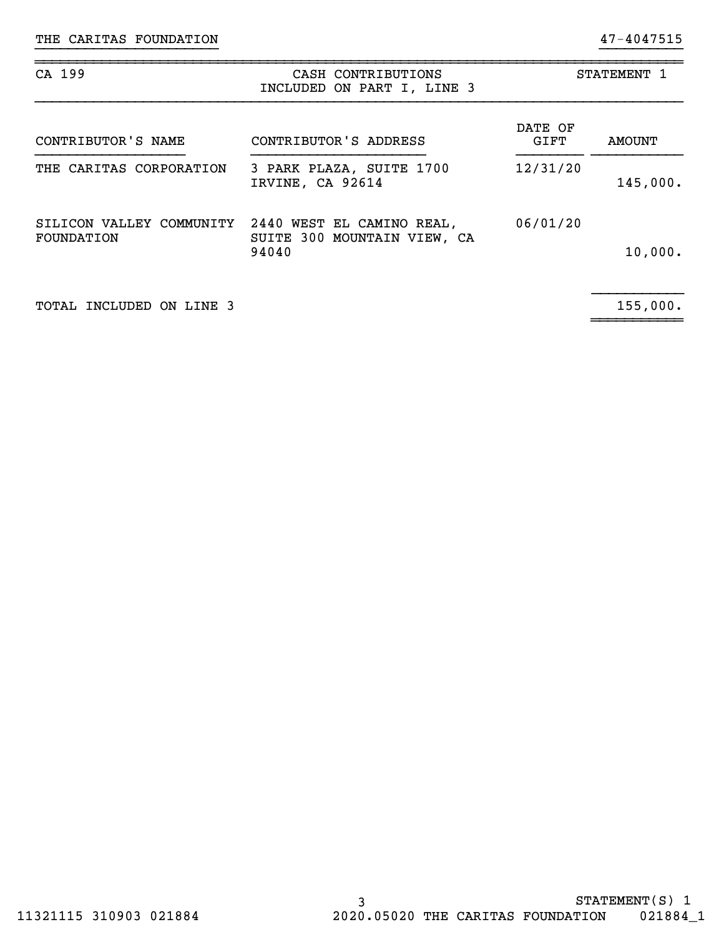THE CARITAS FOUNDATION 47-4047515

| CA 199                                 | CASH CONTRIBUTIONS<br>INCLUDED ON PART I, LINE 3                  |                        | STATEMENT 1   |
|----------------------------------------|-------------------------------------------------------------------|------------------------|---------------|
| CONTRIBUTOR'S NAME                     | CONTRIBUTOR'S ADDRESS                                             | DATE OF<br><b>GIFT</b> | <b>AMOUNT</b> |
| THE CARITAS CORPORATION                | 3 PARK PLAZA, SUITE 1700<br>IRVINE, CA 92614                      | 12/31/20               | 145,000.      |
| SILICON VALLEY COMMUNITY<br>FOUNDATION | 2440 WEST EL CAMINO REAL,<br>SUITE 300 MOUNTAIN VIEW, CA<br>94040 | 06/01/20               | 10,000.       |
| TOTAL INCLUDED ON LINE 3               |                                                                   |                        | 155,000.      |

~~~~~~~~~~~

}}}}}}}}}}}}}}}}}}}}}} }}}}}}}}}}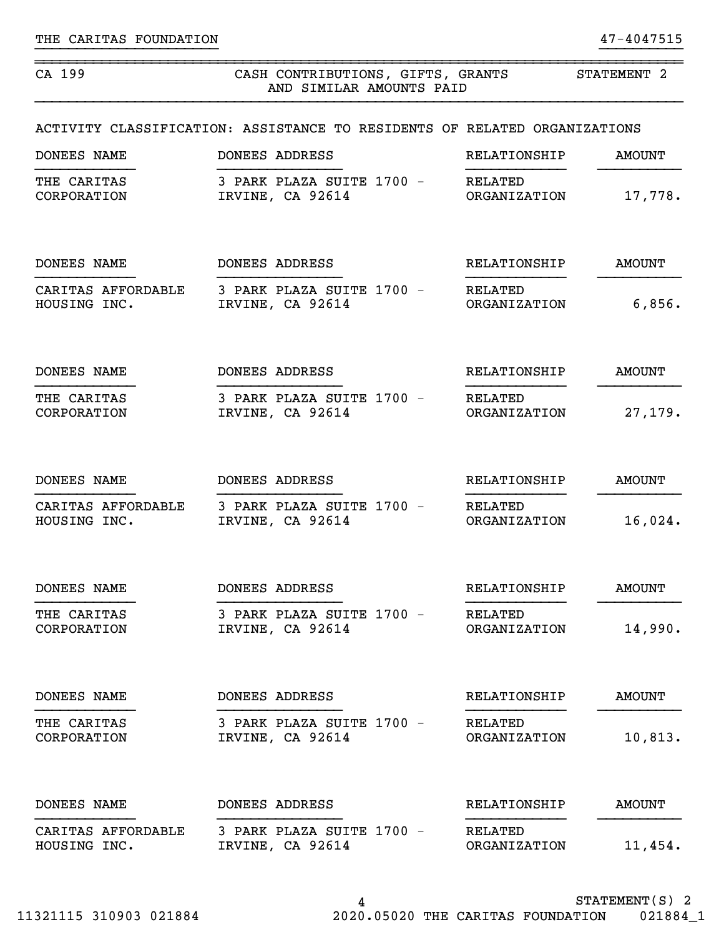| CA 199                             | CASH CONTRIBUTIONS, GIFTS, GRANTS<br>AND SIMILAR AMOUNTS PAID             |                                | STATEMENT 2   |
|------------------------------------|---------------------------------------------------------------------------|--------------------------------|---------------|
|                                    | ACTIVITY CLASSIFICATION: ASSISTANCE TO RESIDENTS OF RELATED ORGANIZATIONS |                                |               |
| DONEES NAME                        | DONEES ADDRESS                                                            | RELATIONSHIP                   | AMOUNT        |
| THE CARITAS<br>CORPORATION         | 3 PARK PLAZA SUITE 1700 -<br>IRVINE, CA 92614                             | <b>RELATED</b><br>ORGANIZATION | 17,778.       |
| DONEES NAME                        | DONEES ADDRESS                                                            | RELATIONSHIP                   | <b>AMOUNT</b> |
| CARITAS AFFORDABLE<br>HOUSING INC. | 3 PARK PLAZA SUITE 1700 -<br>IRVINE, CA 92614                             | RELATED<br>ORGANIZATION        | 6,856.        |
| DONEES NAME                        | DONEES ADDRESS                                                            | RELATIONSHIP                   | AMOUNT        |
| THE CARITAS<br>CORPORATION         | 3 PARK PLAZA SUITE 1700 -<br>IRVINE, CA 92614                             | RELATED<br>ORGANIZATION        | 27,179.       |
| DONEES NAME                        | DONEES ADDRESS                                                            | RELATIONSHIP                   | AMOUNT        |
| CARITAS AFFORDABLE<br>HOUSING INC. | 3 PARK PLAZA SUITE 1700 -<br>IRVINE, CA 92614                             | RELATED<br>ORGANIZATION        | 16,024.       |
| DONEES NAME                        | DONEES ADDRESS                                                            | RELATIONSHIP                   | <b>AMOUNT</b> |
| THE CARITAS<br>CORPORATION         | 3 PARK PLAZA SUITE 1700 -<br>IRVINE, CA 92614                             | RELATED<br>ORGANIZATION        | 14,990.       |
| DONEES NAME                        | DONEES ADDRESS                                                            | RELATIONSHIP                   | <b>AMOUNT</b> |
| THE CARITAS<br>CORPORATION         | 3 PARK PLAZA SUITE 1700 - RELATED<br>IRVINE, CA 92614                     | ORGANIZATION                   | 10,813.       |
| DONEES NAME                        | DONEES ADDRESS                                                            | RELATIONSHIP                   | AMOUNT        |
| HOUSING INC.                       | CARITAS AFFORDABLE 3 PARK PLAZA SUITE 1700 -<br>IRVINE, CA 92614          | RELATED<br>ORGANIZATION        | 11,454.       |

}}}}}}}}}}}}}}}}}}}}}} }}}}}}}}}}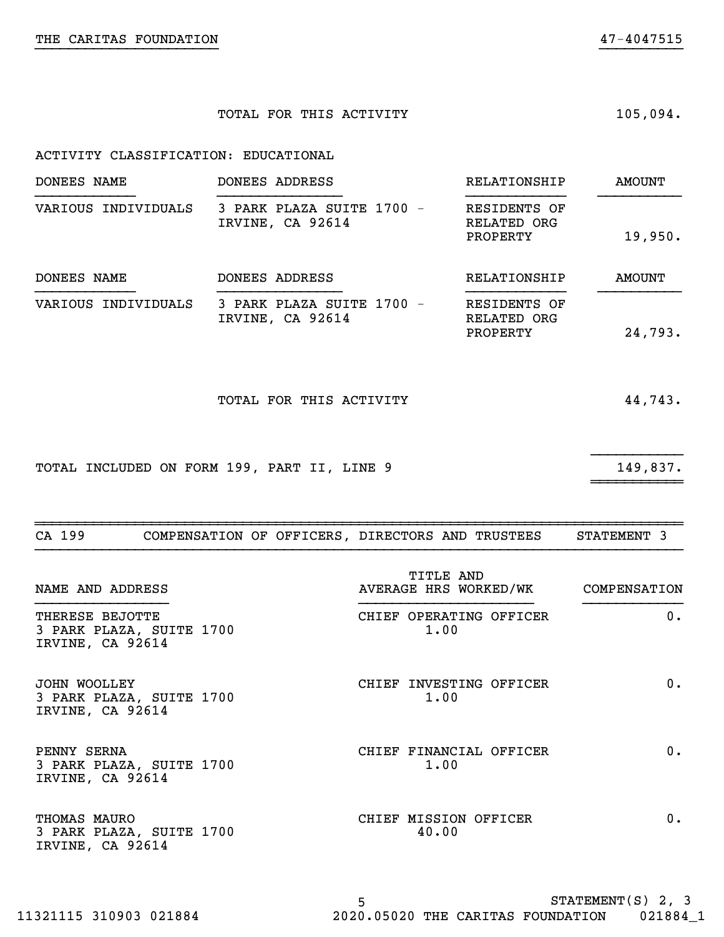### ACTIVITY CLASSIFICATION: EDUCATIONAL

| DONEES NAME         | DONEES ADDRESS                                | RELATIONSHIP                            | <b>AMOUNT</b> |
|---------------------|-----------------------------------------------|-----------------------------------------|---------------|
| VARIOUS INDIVIDUALS | 3 PARK PLAZA SUITE 1700 -<br>IRVINE, CA 92614 | RESIDENTS OF<br>RELATED ORG<br>PROPERTY | 19,950.       |
| DONEES NAME         | DONEES ADDRESS                                | RELATIONSHIP                            | <b>AMOUNT</b> |
| VARIOUS INDIVIDUALS | 3 PARK PLAZA SUITE 1700 -<br>IRVINE, CA 92614 | RESIDENTS OF<br>RELATED ORG<br>PROPERTY | 24,793.       |

}}}}}}}}}}}}}}}}}}}}}} }}}}}}}}}}

TOTAL FOR THIS ACTIVITY 44,743.

TOTAL INCLUDED ON FORM 199, PART II, LINE 9 149,837.

~~~~~~~~~~~

| CA 199 | COMPENSATION OF OFFICERS, DIRECTORS AND TRUSTEES |  |  | <b>STATEMENT</b> |  |
|--------|--------------------------------------------------|--|--|------------------|--|

 ${}_{\text{1}}$   ${}_{\text{2}}$   ${}_{\text{3}}$   ${}_{\text{4}}$   ${}_{\text{5}}$   ${}_{\text{6}}$   ${}_{\text{7}}$   ${}_{\text{8}}$   ${}_{\text{9}}$   ${}_{\text{10}}$   ${}_{\text{11}}$   ${}_{\text{12}}$   ${}_{\text{13}}$   ${}_{\text{14}}$   ${}_{\text{15}}$   ${}_{\text{16}}$   ${}_{\text{17}}$   ${}_{\text{18}}$   ${}_{\text{19}}$   ${}_{\text{19}}$   ${}_{\text{10}}$ 

| NAME AND ADDRESS                                                |  | TITLE AND<br>AVERAGE HRS WORKED/WK | COMPENSATION |
|-----------------------------------------------------------------|--|------------------------------------|--------------|
| THERESE BEJOTTE<br>3 PARK PLAZA, SUITE 1700<br>IRVINE, CA 92614 |  | CHIEF OPERATING OFFICER<br>1.00    | 0.           |
| JOHN WOOLLEY<br>3 PARK PLAZA, SUITE 1700<br>IRVINE, CA 92614    |  | CHIEF INVESTING OFFICER<br>1.00    | 0.           |
| PENNY SERNA<br>3 PARK PLAZA, SUITE 1700<br>IRVINE, CA 92614     |  | CHIEF FINANCIAL OFFICER<br>1.00    | 0.           |
| THOMAS MAURO<br>3 PARK PLAZA, SUITE 1700<br>IRVINE, CA 92614    |  | CHIEF MISSION OFFICER<br>40.00     | 0.           |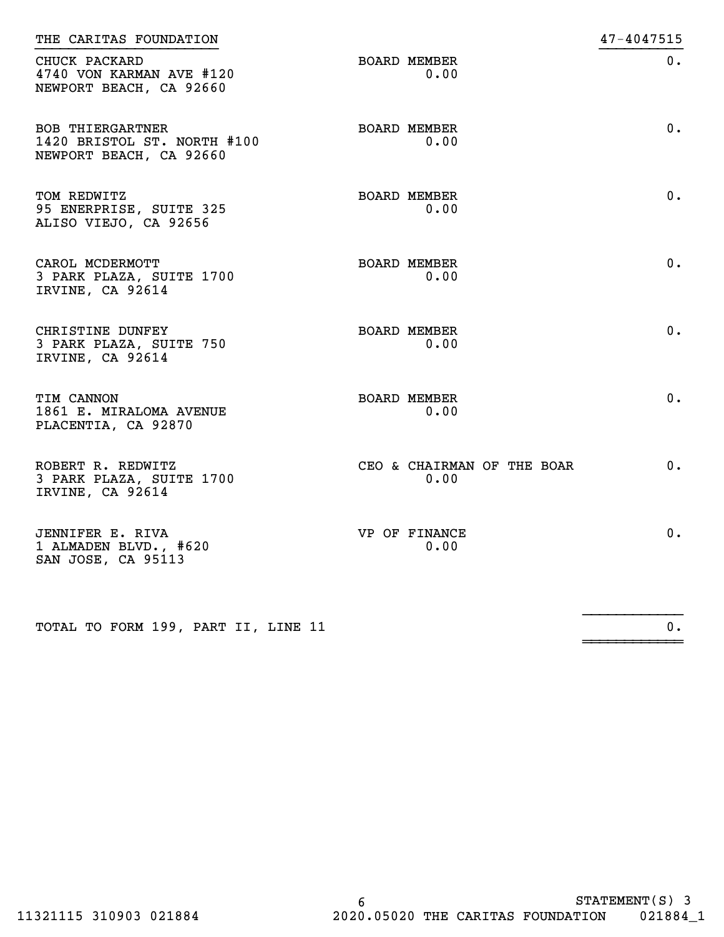| THE CARITAS FOUNDATION                                                            |                                    | $47 - 4047515$ |
|-----------------------------------------------------------------------------------|------------------------------------|----------------|
| CHUCK PACKARD<br>4740 VON KARMAN AVE #120<br>NEWPORT BEACH, CA 92660              | BOARD MEMBER<br>0.00               | 0.             |
| <b>BOB THIERGARTNER</b><br>1420 BRISTOL ST. NORTH #100<br>NEWPORT BEACH, CA 92660 | <b>BOARD MEMBER</b><br>0.00        | 0.             |
| TOM REDWITZ<br>95 ENERPRISE, SUITE 325<br>ALISO VIEJO, CA 92656                   | <b>BOARD MEMBER</b><br>0.00        | 0.             |
| CAROL MCDERMOTT<br>3 PARK PLAZA, SUITE 1700<br>IRVINE, CA 92614                   | BOARD MEMBER<br>0.00               | $0$ .          |
| CHRISTINE DUNFEY<br>3 PARK PLAZA, SUITE 750<br>IRVINE, CA 92614                   | <b>BOARD MEMBER</b><br>0.00        | 0.             |
| TIM CANNON<br>1861 E. MIRALOMA AVENUE<br>PLACENTIA, CA 92870                      | <b>BOARD MEMBER</b><br>0.00        | 0.             |
| ROBERT R. REDWITZ<br>3 PARK PLAZA, SUITE 1700<br>IRVINE, CA 92614                 | CEO & CHAIRMAN OF THE BOAR<br>0.00 | 0.             |
| JENNIFER E. RIVA<br>1 ALMADEN BLVD., #620<br>SAN JOSE, CA 95113                   | VP OF FINANCE<br>0.00              | 0.             |
|                                                                                   |                                    |                |

}}}}}}}}}}}}

~~~~~~~~~~~~

TOTAL TO FORM 199, PART II, LINE 11 0.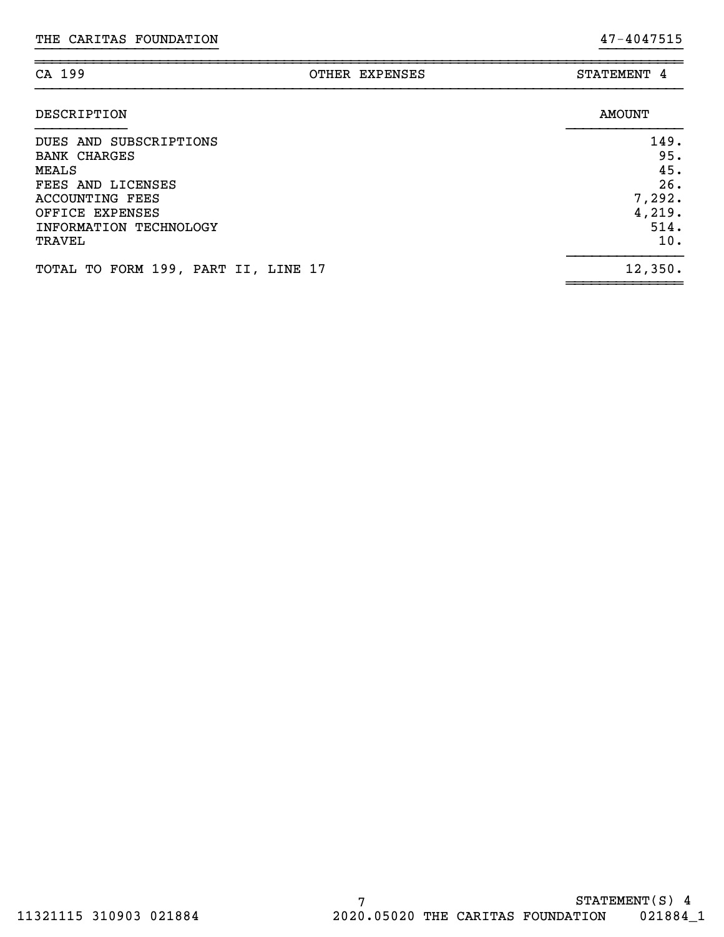| CA 199                                                                                                                                                | OTHER EXPENSES | STATEMENT 4   |                                                              |
|-------------------------------------------------------------------------------------------------------------------------------------------------------|----------------|---------------|--------------------------------------------------------------|
| DESCRIPTION                                                                                                                                           |                | <b>AMOUNT</b> |                                                              |
| DUES AND SUBSCRIPTIONS<br><b>BANK CHARGES</b><br>MEALS<br>FEES AND LICENSES<br>ACCOUNTING FEES<br>OFFICE EXPENSES<br>INFORMATION TECHNOLOGY<br>TRAVEL |                |               | 149.<br>95.<br>45.<br>26.<br>7,292.<br>4,219.<br>514.<br>10. |
| TOTAL TO FORM 199, PART II, LINE 17                                                                                                                   |                | 12,350.       |                                                              |

}}}}}}}}}}}}}}}}}}}}}} }}}}}}}}}}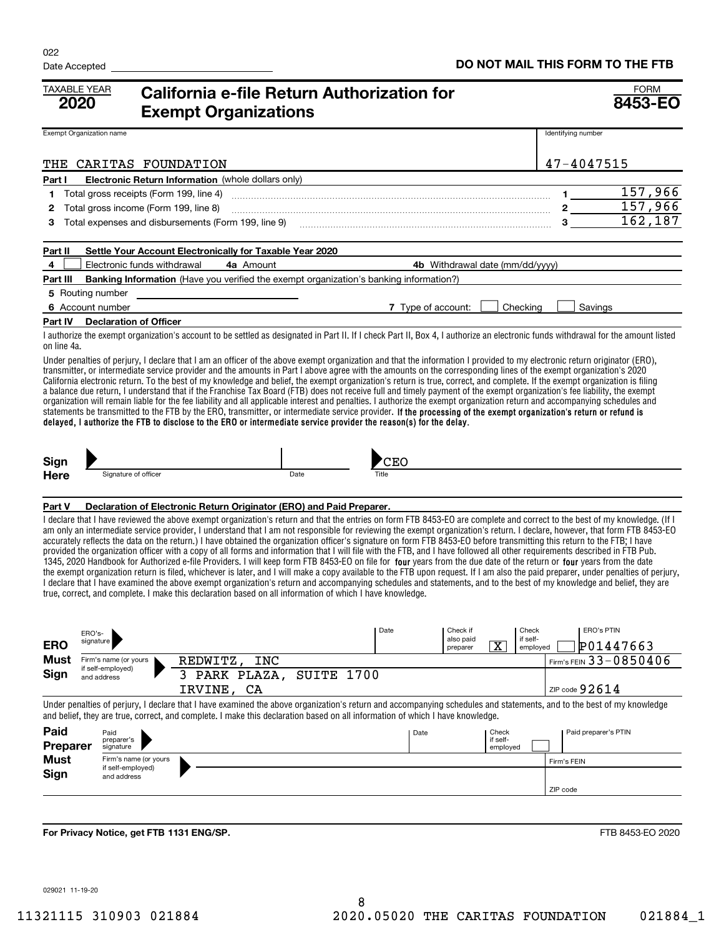| <b>TAXABLE YEAR</b><br>2020 |                                  | California e-file Return Authorization for<br><b>Exempt Organizations</b>                                                                                                                                                                                                                                                                                                                                                                                                                                                                                                                                                                                                                                                                                                                                                                                                                                                                                                                                                                                                                                                                                                                                                                                                                                                                                             |                                                                                                   | <b>FORM</b><br>8453-EO         |
|-----------------------------|----------------------------------|-----------------------------------------------------------------------------------------------------------------------------------------------------------------------------------------------------------------------------------------------------------------------------------------------------------------------------------------------------------------------------------------------------------------------------------------------------------------------------------------------------------------------------------------------------------------------------------------------------------------------------------------------------------------------------------------------------------------------------------------------------------------------------------------------------------------------------------------------------------------------------------------------------------------------------------------------------------------------------------------------------------------------------------------------------------------------------------------------------------------------------------------------------------------------------------------------------------------------------------------------------------------------------------------------------------------------------------------------------------------------|---------------------------------------------------------------------------------------------------|--------------------------------|
|                             | Exempt Organization name         |                                                                                                                                                                                                                                                                                                                                                                                                                                                                                                                                                                                                                                                                                                                                                                                                                                                                                                                                                                                                                                                                                                                                                                                                                                                                                                                                                                       |                                                                                                   | Identifying number             |
| THE                         |                                  | CARITAS FOUNDATION                                                                                                                                                                                                                                                                                                                                                                                                                                                                                                                                                                                                                                                                                                                                                                                                                                                                                                                                                                                                                                                                                                                                                                                                                                                                                                                                                    |                                                                                                   | 47-4047515                     |
| Part I                      |                                  | <b>Electronic Return Information</b> (whole dollars only)                                                                                                                                                                                                                                                                                                                                                                                                                                                                                                                                                                                                                                                                                                                                                                                                                                                                                                                                                                                                                                                                                                                                                                                                                                                                                                             |                                                                                                   |                                |
| 1                           |                                  | Total gross receipts (Form 199, line 4)                                                                                                                                                                                                                                                                                                                                                                                                                                                                                                                                                                                                                                                                                                                                                                                                                                                                                                                                                                                                                                                                                                                                                                                                                                                                                                                               |                                                                                                   | 157,966<br>1.                  |
| 2                           |                                  | Total gross income (Form 199, line 8)                                                                                                                                                                                                                                                                                                                                                                                                                                                                                                                                                                                                                                                                                                                                                                                                                                                                                                                                                                                                                                                                                                                                                                                                                                                                                                                                 |                                                                                                   | 157,966<br>$2\overline{ }$     |
| з                           |                                  | Total expenses and disbursements (Form 199, line 9)                                                                                                                                                                                                                                                                                                                                                                                                                                                                                                                                                                                                                                                                                                                                                                                                                                                                                                                                                                                                                                                                                                                                                                                                                                                                                                                   |                                                                                                   | 162, 187<br>$3^{\circ}$        |
| Part II                     |                                  | Settle Your Account Electronically for Taxable Year 2020                                                                                                                                                                                                                                                                                                                                                                                                                                                                                                                                                                                                                                                                                                                                                                                                                                                                                                                                                                                                                                                                                                                                                                                                                                                                                                              |                                                                                                   |                                |
| 4                           |                                  | Electronic funds withdrawal<br>4a Amount                                                                                                                                                                                                                                                                                                                                                                                                                                                                                                                                                                                                                                                                                                                                                                                                                                                                                                                                                                                                                                                                                                                                                                                                                                                                                                                              | 4b Withdrawal date (mm/dd/yyyy)                                                                   |                                |
| Part III                    |                                  | <b>Banking Information</b> (Have you verified the exempt organization's banking information?)                                                                                                                                                                                                                                                                                                                                                                                                                                                                                                                                                                                                                                                                                                                                                                                                                                                                                                                                                                                                                                                                                                                                                                                                                                                                         |                                                                                                   |                                |
|                             | 5 Routing number                 |                                                                                                                                                                                                                                                                                                                                                                                                                                                                                                                                                                                                                                                                                                                                                                                                                                                                                                                                                                                                                                                                                                                                                                                                                                                                                                                                                                       |                                                                                                   |                                |
|                             | 6 Account number                 | 7 Type of account:                                                                                                                                                                                                                                                                                                                                                                                                                                                                                                                                                                                                                                                                                                                                                                                                                                                                                                                                                                                                                                                                                                                                                                                                                                                                                                                                                    | Checking                                                                                          | Savings                        |
| Part IV                     | <b>Declaration of Officer</b>    |                                                                                                                                                                                                                                                                                                                                                                                                                                                                                                                                                                                                                                                                                                                                                                                                                                                                                                                                                                                                                                                                                                                                                                                                                                                                                                                                                                       |                                                                                                   |                                |
| on line 4a.                 |                                  | I authorize the exempt organization's account to be settled as designated in Part II. If I check Part II, Box 4, I authorize an electronic funds withdrawal for the amount listed                                                                                                                                                                                                                                                                                                                                                                                                                                                                                                                                                                                                                                                                                                                                                                                                                                                                                                                                                                                                                                                                                                                                                                                     |                                                                                                   |                                |
|                             |                                  | Under penalties of perjury, I declare that I am an officer of the above exempt organization and that the information I provided to my electronic return originator (ERO),<br>transmitter, or intermediate service provider and the amounts in Part I above agree with the amounts on the corresponding lines of the exempt organization's 2020<br>California electronic return. To the best of my knowledge and belief, the exempt organization's return is true, correct, and complete. If the exempt organization is filing<br>a balance due return, I understand that if the Franchise Tax Board (FTB) does not receive full and timely payment of the exempt organization's fee liability, the exempt<br>organization will remain liable for the fee liability and all applicable interest and penalties. I authorize the exempt organization return and accompanying schedules and<br>statements be transmitted to the FTB by the ERO, transmitter, or intermediate service provider. If the processing of the exempt organization's return or refund is<br>delayed, I authorize the FTB to disclose to the ERO or intermediate service provider the reason(s) for the delay.                                                                                                                                                                                    |                                                                                                   |                                |
| Sign<br><b>Here</b>         | Signature of officer             | Date                                                                                                                                                                                                                                                                                                                                                                                                                                                                                                                                                                                                                                                                                                                                                                                                                                                                                                                                                                                                                                                                                                                                                                                                                                                                                                                                                                  |                                                                                                   |                                |
|                             |                                  |                                                                                                                                                                                                                                                                                                                                                                                                                                                                                                                                                                                                                                                                                                                                                                                                                                                                                                                                                                                                                                                                                                                                                                                                                                                                                                                                                                       |                                                                                                   |                                |
| Part V                      |                                  | Declaration of Electronic Return Originator (ERO) and Paid Preparer.                                                                                                                                                                                                                                                                                                                                                                                                                                                                                                                                                                                                                                                                                                                                                                                                                                                                                                                                                                                                                                                                                                                                                                                                                                                                                                  |                                                                                                   |                                |
|                             |                                  | I declare that I have reviewed the above exempt organization's return and that the entries on form FTB 8453-EO are complete and correct to the best of my knowledge. (If I<br>am only an intermediate service provider, I understand that I am not responsible for reviewing the exempt organization's return. I declare, however, that form FTB 8453-EO<br>accurately reflects the data on the return.) I have obtained the organization officer's signature on form FTB 8453-EO before transmitting this return to the FTB; I have<br>provided the organization officer with a copy of all forms and information that I will file with the FTB, and I have followed all other requirements described in FTB Pub.<br>1345, 2020 Handbook for Authorized e-file Providers. I will keep form FTB 8453-EO on file for four years from the due date of the return or four years from the date<br>the exempt organization return is filed, whichever is later, and I will make a copy available to the FTB upon request. If I am also the paid preparer, under penalties of perjury,<br>I declare that I have examined the above exempt organization's return and accompanying schedules and statements, and to the best of my knowledge and belief, they are<br>true, correct, and complete. I make this declaration based on all information of which I have knowledge. |                                                                                                   |                                |
| <b>ERO</b>                  | ERO's-<br>signature              | Date                                                                                                                                                                                                                                                                                                                                                                                                                                                                                                                                                                                                                                                                                                                                                                                                                                                                                                                                                                                                                                                                                                                                                                                                                                                                                                                                                                  | Check if<br>Check<br>if self-<br>also paid<br>$\overline{\textnormal{x}}$<br>employed<br>preparer | <b>ERO's PTIN</b><br>P01447663 |
| Must                        | Firm's name (or yours            | REDWITZ,<br><b>INC</b>                                                                                                                                                                                                                                                                                                                                                                                                                                                                                                                                                                                                                                                                                                                                                                                                                                                                                                                                                                                                                                                                                                                                                                                                                                                                                                                                                |                                                                                                   | Firm's FEIN 33-0850406         |
| Sign                        | if self-employed)<br>and address | 3 PARK PLAZA, SUITE 1700                                                                                                                                                                                                                                                                                                                                                                                                                                                                                                                                                                                                                                                                                                                                                                                                                                                                                                                                                                                                                                                                                                                                                                                                                                                                                                                                              |                                                                                                   |                                |
|                             |                                  | IRVINE, CA                                                                                                                                                                                                                                                                                                                                                                                                                                                                                                                                                                                                                                                                                                                                                                                                                                                                                                                                                                                                                                                                                                                                                                                                                                                                                                                                                            |                                                                                                   | ZIP code $92614$               |
|                             |                                  | Under penalties of perjury, I declare that I have examined the above organization's return and accompanying schedules and statements, and to the best of my knowledge<br>and belief, they are true, correct, and complete. I make this declaration based on all information of which I have knowledge.                                                                                                                                                                                                                                                                                                                                                                                                                                                                                                                                                                                                                                                                                                                                                                                                                                                                                                                                                                                                                                                                |                                                                                                   |                                |
| Paid                        | Paid<br>preparer's               | Date                                                                                                                                                                                                                                                                                                                                                                                                                                                                                                                                                                                                                                                                                                                                                                                                                                                                                                                                                                                                                                                                                                                                                                                                                                                                                                                                                                  | Check<br>if self-                                                                                 | Paid preparer's PTIN           |
| Preparer<br><b>Must</b>     | signature                        | Firm's name (or yours                                                                                                                                                                                                                                                                                                                                                                                                                                                                                                                                                                                                                                                                                                                                                                                                                                                                                                                                                                                                                                                                                                                                                                                                                                                                                                                                                 | employed                                                                                          |                                |
|                             | if self-employed)                |                                                                                                                                                                                                                                                                                                                                                                                                                                                                                                                                                                                                                                                                                                                                                                                                                                                                                                                                                                                                                                                                                                                                                                                                                                                                                                                                                                       |                                                                                                   | Firm's FEIN                    |
| Sign                        | and address                      |                                                                                                                                                                                                                                                                                                                                                                                                                                                                                                                                                                                                                                                                                                                                                                                                                                                                                                                                                                                                                                                                                                                                                                                                                                                                                                                                                                       |                                                                                                   | ZIP code                       |
|                             |                                  |                                                                                                                                                                                                                                                                                                                                                                                                                                                                                                                                                                                                                                                                                                                                                                                                                                                                                                                                                                                                                                                                                                                                                                                                                                                                                                                                                                       |                                                                                                   |                                |
|                             |                                  |                                                                                                                                                                                                                                                                                                                                                                                                                                                                                                                                                                                                                                                                                                                                                                                                                                                                                                                                                                                                                                                                                                                                                                                                                                                                                                                                                                       |                                                                                                   |                                |
|                             |                                  | For Privacy Notice, get FTB 1131 ENG/SP.                                                                                                                                                                                                                                                                                                                                                                                                                                                                                                                                                                                                                                                                                                                                                                                                                                                                                                                                                                                                                                                                                                                                                                                                                                                                                                                              |                                                                                                   | FTB 8453-EO 2020               |

029021 11-19-20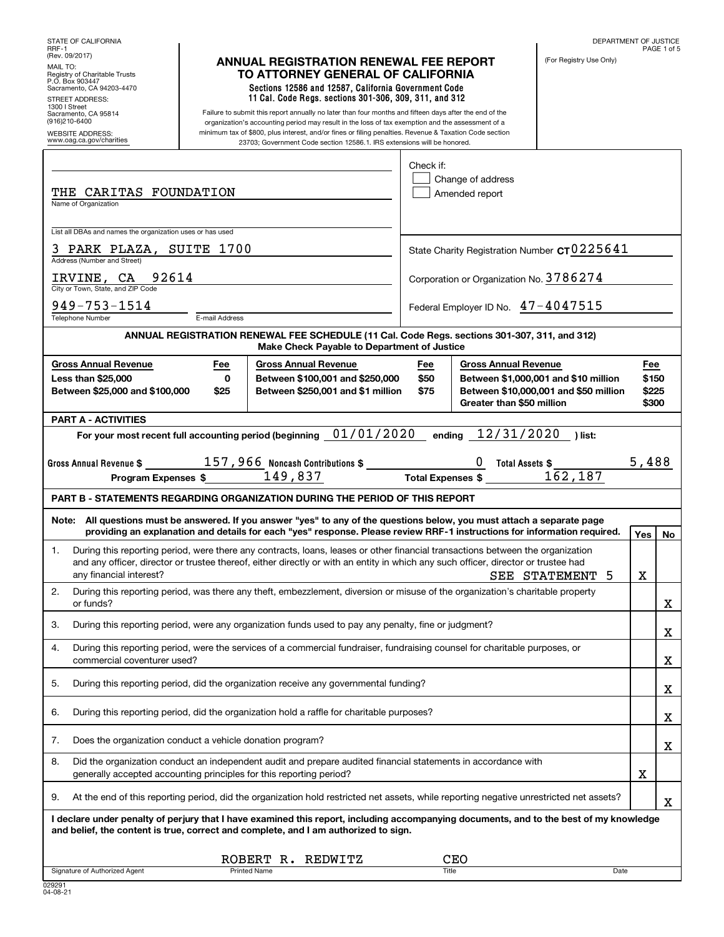| STATE OF CALIFORNIA                                                                                                                            |                  |                                                                                                                                                                                                                                                                                       |                     |                                     |                                                                                                                                           | DEPARTMENT OF JUSTICE |                                |
|------------------------------------------------------------------------------------------------------------------------------------------------|------------------|---------------------------------------------------------------------------------------------------------------------------------------------------------------------------------------------------------------------------------------------------------------------------------------|---------------------|-------------------------------------|-------------------------------------------------------------------------------------------------------------------------------------------|-----------------------|--------------------------------|
| RRF-1<br>(Rev. 09/2017)<br>MAIL TO:<br>Registry of Charitable Trusts<br>P.O. Box 903447<br>Sacramento, CA 94203-4470<br><b>STREET ADDRESS:</b> |                  | ANNUAL REGISTRATION RENEWAL FEE REPORT<br>TO ATTORNEY GENERAL OF CALIFORNIA<br>Sections 12586 and 12587, California Government Code<br>11 Cal. Code Regs. sections 301-306, 309, 311, and 312                                                                                         |                     |                                     | (For Registry Use Only)                                                                                                                   |                       | PAGE 1 of 5                    |
| 1300   Street<br>Sacramento, CA 95814<br>(916)210-6400                                                                                         |                  | Failure to submit this report annually no later than four months and fifteen days after the end of the                                                                                                                                                                                |                     |                                     |                                                                                                                                           |                       |                                |
| <b>WEBSITE ADDRESS:</b><br>www.oag.ca.gov/charities                                                                                            |                  | organization's accounting period may result in the loss of tax exemption and the assessment of a<br>minimum tax of \$800, plus interest, and/or fines or filing penalties. Revenue & Taxation Code section<br>23703: Government Code section 12586.1. IRS extensions will be honored. |                     |                                     |                                                                                                                                           |                       |                                |
|                                                                                                                                                |                  |                                                                                                                                                                                                                                                                                       | Check if:           |                                     |                                                                                                                                           |                       |                                |
| THE CARITAS FOUNDATION<br>Name of Organization                                                                                                 |                  |                                                                                                                                                                                                                                                                                       |                     | Change of address<br>Amended report |                                                                                                                                           |                       |                                |
| List all DBAs and names the organization uses or has used                                                                                      |                  |                                                                                                                                                                                                                                                                                       |                     |                                     |                                                                                                                                           |                       |                                |
| 3 PARK PLAZA, SUITE 1700<br>Address (Number and Street)                                                                                        |                  |                                                                                                                                                                                                                                                                                       |                     |                                     | State Charity Registration Number $cr0225641$                                                                                             |                       |                                |
| <b>IRVINE, CA 92614</b><br>City or Town, State, and ZIP Code                                                                                   |                  |                                                                                                                                                                                                                                                                                       |                     |                                     | Corporation or Organization No. 3786274                                                                                                   |                       |                                |
| $949 - 753 - 1514$                                                                                                                             |                  |                                                                                                                                                                                                                                                                                       |                     |                                     | Federal Employer ID No. 47-4047515                                                                                                        |                       |                                |
| <b>Telephone Number</b>                                                                                                                        | E-mail Address   |                                                                                                                                                                                                                                                                                       |                     |                                     |                                                                                                                                           |                       |                                |
|                                                                                                                                                |                  | ANNUAL REGISTRATION RENEWAL FEE SCHEDULE (11 Cal. Code Regs. sections 301-307, 311, and 312)<br>Make Check Payable to Department of Justice                                                                                                                                           |                     |                                     |                                                                                                                                           |                       |                                |
| <b>Gross Annual Revenue</b><br>Less than \$25,000<br>Between \$25,000 and \$100,000                                                            | Fee<br>0<br>\$25 | <b>Gross Annual Revenue</b><br>Between \$100,001 and \$250,000<br>Between \$250,001 and \$1 million                                                                                                                                                                                   | Fee<br>\$50<br>\$75 |                                     | <b>Gross Annual Revenue</b><br>Between \$1,000,001 and \$10 million<br>Between \$10,000,001 and \$50 million<br>Greater than \$50 million |                       | Fee<br>\$150<br>\$225<br>\$300 |
| <b>PART A - ACTIVITIES</b>                                                                                                                     |                  |                                                                                                                                                                                                                                                                                       |                     |                                     |                                                                                                                                           |                       |                                |
|                                                                                                                                                |                  | For your most recent full accounting period (beginning $01/01/2020$                                                                                                                                                                                                                   |                     |                                     | ending 12/31/2020<br>) list:                                                                                                              |                       |                                |
|                                                                                                                                                |                  | Gross Annual Revenue $\frac{\sqrt{157}}{200}$ Noncash Contributions $\frac{157}{200}$                                                                                                                                                                                                 |                     |                                     |                                                                                                                                           | 5,488                 |                                |
|                                                                                                                                                |                  |                                                                                                                                                                                                                                                                                       |                     |                                     | 162, 187                                                                                                                                  |                       |                                |
|                                                                                                                                                |                  | <b>PART B - STATEMENTS REGARDING ORGANIZATION DURING THE PERIOD OF THIS REPORT</b>                                                                                                                                                                                                    |                     |                                     |                                                                                                                                           |                       |                                |
|                                                                                                                                                |                  | Note: All questions must be answered. If you answer "yes" to any of the questions below, you must attach a separate page<br>providing an explanation and details for each "yes" response. Please review RRF-1 instructions for information required.                                  |                     |                                     |                                                                                                                                           | Yes                   | No                             |
| 1.<br>any financial interest?                                                                                                                  |                  | During this reporting period, were there any contracts, loans, leases or other financial transactions between the organization<br>and any officer, director or trustee thereof, either directly or with an entity in which any such officer, director or trustee had                  |                     |                                     | 5<br>SEE STATEMENT                                                                                                                        | X                     |                                |
| 2.<br>or funds?                                                                                                                                |                  | During this reporting period, was there any theft, embezzlement, diversion or misuse of the organization's charitable property                                                                                                                                                        |                     |                                     |                                                                                                                                           |                       | X                              |
| 3.                                                                                                                                             |                  | During this reporting period, were any organization funds used to pay any penalty, fine or judgment?                                                                                                                                                                                  |                     |                                     |                                                                                                                                           |                       | X                              |
| 4.<br>commercial coventurer used?                                                                                                              |                  | During this reporting period, were the services of a commercial fundraiser, fundraising counsel for charitable purposes, or                                                                                                                                                           |                     |                                     |                                                                                                                                           |                       | X                              |
| 5.                                                                                                                                             |                  | During this reporting period, did the organization receive any governmental funding?                                                                                                                                                                                                  |                     |                                     |                                                                                                                                           |                       | X                              |
| 6.                                                                                                                                             |                  | During this reporting period, did the organization hold a raffle for charitable purposes?                                                                                                                                                                                             |                     |                                     |                                                                                                                                           |                       | X                              |
| Does the organization conduct a vehicle donation program?<br>7.                                                                                |                  |                                                                                                                                                                                                                                                                                       |                     |                                     |                                                                                                                                           |                       | X                              |
| 8.                                                                                                                                             |                  | Did the organization conduct an independent audit and prepare audited financial statements in accordance with<br>generally accepted accounting principles for this reporting period?                                                                                                  |                     |                                     |                                                                                                                                           | X                     |                                |
| 9.                                                                                                                                             |                  | At the end of this reporting period, did the organization hold restricted net assets, while reporting negative unrestricted net assets?                                                                                                                                               |                     |                                     |                                                                                                                                           |                       | X                              |
|                                                                                                                                                |                  | I declare under penalty of perjury that I have examined this report, including accompanying documents, and to the best of my knowledge<br>and belief, the content is true, correct and complete, and I am authorized to sign.                                                         |                     |                                     |                                                                                                                                           |                       |                                |
|                                                                                                                                                |                  |                                                                                                                                                                                                                                                                                       |                     |                                     |                                                                                                                                           |                       |                                |
|                                                                                                                                                |                  | R. REDWITZ<br>ROBERT                                                                                                                                                                                                                                                                  |                     | <b>CEO</b>                          |                                                                                                                                           |                       |                                |